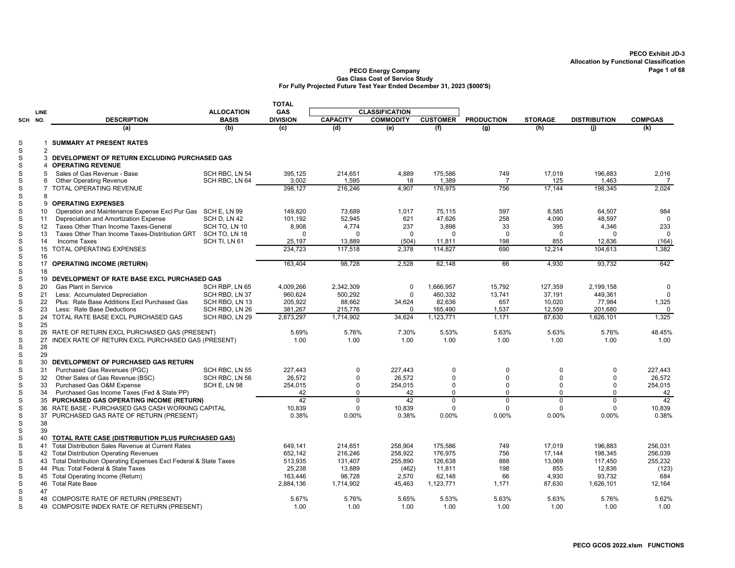|                             |                |                                                                                                      |                   | <b>TOTAL</b>    |                 |                       |                 |                   |                |                     |                |
|-----------------------------|----------------|------------------------------------------------------------------------------------------------------|-------------------|-----------------|-----------------|-----------------------|-----------------|-------------------|----------------|---------------------|----------------|
|                             | LINE           |                                                                                                      | <b>ALLOCATION</b> | GAS             |                 | <b>CLASSIFICATION</b> |                 |                   |                |                     |                |
| SCH                         | NO.            | <b>DESCRIPTION</b>                                                                                   | <b>BASIS</b>      | <b>DIVISION</b> | <b>CAPACITY</b> | <b>COMMODITY</b>      | <b>CUSTOMER</b> | <b>PRODUCTION</b> | <b>STORAGE</b> | <b>DISTRIBUTION</b> | <b>COMPGAS</b> |
|                             |                | (a)                                                                                                  | (b)               | (c)             | (d)             | (e)                   | (f)             | (g)               | (h)            | (i)                 | (k)            |
| S<br>$\mathsf S$            | -1             | <b>SUMMARY AT PRESENT RATES</b>                                                                      |                   |                 |                 |                       |                 |                   |                |                     |                |
| $\mathsf S$                 | 2              | 3 DEVELOPMENT OF RETURN EXCLUDING PURCHASED GAS                                                      |                   |                 |                 |                       |                 |                   |                |                     |                |
| $\mathbb S$                 | $\overline{a}$ | <b>OPERATING REVENUE</b>                                                                             |                   |                 |                 |                       |                 |                   |                |                     |                |
| $\mathsf S$                 | 5              | Sales of Gas Revenue - Base                                                                          | SCH RBC. LN 54    | 395,125         | 214,651         | 4,889                 | 175,586         | 749               | 17,019         | 196,883             | 2,016          |
| S                           | 6              | <b>Other Operating Revenue</b>                                                                       | SCH RBC, LN 64    | 3.002           | 1,595           | 18                    | 1,389           | $\overline{7}$    | 125            | 1,463               | $\overline{7}$ |
| $\mathbb S$                 |                | <b>TOTAL OPERATING REVENUE</b>                                                                       |                   | 398,127         | 216,246         | 4,907                 | 176,975         | 756               | 17,144         | 198,345             | 2,024          |
| $\mathsf S$                 | 8              |                                                                                                      |                   |                 |                 |                       |                 |                   |                |                     |                |
| $\mathbb S$<br>$\mathbf S$  | 9              | <b>OPERATING EXPENSES</b>                                                                            |                   | 149.820         | 73.689          | 1.017                 | 75.115          | 597               | 8,585          | 64,507              | 984            |
| $\mathbb S$                 | 10<br>11       | Operation and Maintenance Expense Excl Pur Gas SCH E, LN 99<br>Depreciation and Amortization Expense | SCH D, LN 42      | 101,192         | 52,945          | 621                   | 47,626          | 258               | 4,090          | 48,597              | $\Omega$       |
| $\mathbb S$                 | 12             | Taxes Other Than Income Taxes-General                                                                | SCH TO, LN 10     | 8,908           | 4,774           | 237                   | 3,898           | 33                | 395            | 4,346               | 233            |
| $\mathsf S$                 | 13             | Taxes Other Than Income Taxes-Distribution GRT                                                       | SCH TO, LN 18     | $\Omega$        | $\Omega$        | $\Omega$              | $\Omega$        | $\Omega$          | $\Omega$       | $\Omega$            | $\Omega$       |
| $\mathsf S$                 | 14             | <b>Income Taxes</b>                                                                                  | SCH TI, LN 61     | 25,197          | 13,889          | (504)                 | 11,811          | 198               | 855            | 12,836              | (164)          |
| $\mathbb S$                 |                | 15 TOTAL OPERATING EXPENSES                                                                          |                   | 234,723         | 117,518         | 2,378                 | 114,827         | 690               | 12,214         | 104,613             | 1.382          |
| $\mathbf S$                 | 16             |                                                                                                      |                   |                 |                 |                       |                 |                   |                |                     |                |
| $\mathbb S$                 |                | 17 OPERATING INCOME (RETURN)                                                                         |                   | 163,404         | 98,728          | 2,528                 | 62,148          | 66                | 4,930          | 93,732              | 642            |
| $\mathbf S$<br>$\mathbb S$  | 18             | 19 DEVELOPMENT OF RATE BASE EXCL PURCHASED GAS                                                       |                   |                 |                 |                       |                 |                   |                |                     |                |
| $\mathbf S$                 | 20             | <b>Gas Plant in Service</b>                                                                          | SCH RBP. LN 65    | 4,009,266       | 2.342.309       | $\mathbf 0$           | 1.666.957       | 15.792            | 127.359        | 2.199.158           | 0              |
| $\mathbb S$                 | 21             | Less: Accumulated Depreciation                                                                       | SCH RBD, LN 37    | 960,624         | 500,292         | $\Omega$              | 460,332         | 13,741            | 37,191         | 449,361             | $\Omega$       |
| $\mathbf S$                 | 22             | Plus: Rate Base Additions Excl Purchased Gas                                                         | SCH RBO. LN 13    | 205.922         | 88.662          | 34,624                | 82.636          | 657               | 10,020         | 77,984              | 1,325          |
| $\mathsf S$                 | 23             | Less: Rate Base Deductions                                                                           | SCH RBO, LN 26    | 381,267         | 215,776         | $\Omega$              | 165,490         | 1,537             | 12,559         | 201,680             | $\mathbf 0$    |
| $\mathsf S$                 |                | 24 TOTAL RATE BASE EXCL PURCHASED GAS                                                                | SCH RBO, LN 29    | 2,873,297       | 1,714,902       | 34,624                | 1,123,771       | 1,171             | 87,630         | 1,626,101           | 1,325          |
| $\mathbf S$                 | 25             |                                                                                                      |                   |                 |                 |                       |                 |                   |                |                     |                |
| $\mathsf S$                 |                | 26 RATE OF RETURN EXCL PURCHASED GAS (PRESENT)                                                       |                   | 5.69%           | 5.76%           | 7.30%                 | 5.53%           | 5.63%             | 5.63%          | 5.76%               | 48.45%         |
| $\mathbb S$                 | 27             | INDEX RATE OF RETURN EXCL PURCHASED GAS (PRESENT)                                                    |                   | 1.00            | 1.00            | 1.00                  | 1.00            | 1.00              | 1.00           | 1.00                | 1.00           |
| $\mathbf S$<br>$\mathsf S$  | 28<br>29       |                                                                                                      |                   |                 |                 |                       |                 |                   |                |                     |                |
| $\mathbf S$                 |                | 30 DEVELOPMENT OF PURCHASED GAS RETURN                                                               |                   |                 |                 |                       |                 |                   |                |                     |                |
| $\mathsf S$                 | 31             | Purchased Gas Revenues (PGC)                                                                         | SCH RBC. LN 55    | 227.443         | $\Omega$        | 227.443               | $\mathbf 0$     | $\mathbf 0$       | $\mathbf 0$    | $\mathbf 0$         | 227.443        |
| $\mathsf S$                 | 32             | Other Sales of Gas Revenue (BSC)                                                                     | SCH RBC, LN 56    | 26,572          | $\Omega$        | 26,572                | $\Omega$        | $\Omega$          | $\Omega$       | 0                   | 26,572         |
| $\mathbb S$                 | 33             | Purchased Gas O&M Expense                                                                            | SCH E, LN 98      | 254,015         | $\Omega$        | 254,015               | $\mathbf 0$     | $\Omega$          | $\Omega$       | 0                   | 254,015        |
| $\mathsf S$                 | 34             | Purchased Gas Income Taxes (Fed & State PP)                                                          |                   | 42              | $\Omega$        | 42                    | $\mathbf 0$     | 0                 | $\mathbf 0$    | 0                   | 42             |
| $\mathsf S$                 |                | 35 PURCHASED GAS OPERATING INCOME (RETURN)                                                           |                   | 42              | $\Omega$        | 42                    | $\overline{0}$  | $\Omega$          | $\Omega$       | $\overline{0}$      | 42             |
| $\mathsf S$                 |                | 36 RATE BASE - PURCHASED GAS CASH WORKING CAPITAL                                                    |                   | 10,839          | $\Omega$        | 10,839                | $\Omega$        | $\Omega$          | $\Omega$       | $\Omega$            | 10,839         |
| $\mathbb S$                 |                | 37 PURCHASED GAS RATE OF RETURN (PRESENT)                                                            |                   | 0.38%           | 0.00%           | 0.38%                 | 0.00%           | 0.00%             | 0.00%          | 0.00%               | 0.38%          |
| $\mathsf{s}$<br>$\mathbb S$ | 38<br>39       |                                                                                                      |                   |                 |                 |                       |                 |                   |                |                     |                |
| $\mathbf S$                 |                | 40 TOTAL RATE CASE (DISTRIBUTION PLUS PURCHASED GAS)                                                 |                   |                 |                 |                       |                 |                   |                |                     |                |
| $\mathbb S$                 | 41             | Total Distribution Sales Revenue at Current Rates                                                    |                   | 649.141         | 214.651         | 258,904               | 175.586         | 749               | 17,019         | 196.883             | 256,031        |
| S                           |                | 42 Total Distribution Operating Revenues                                                             |                   | 652,142         | 216,246         | 258,922               | 176,975         | 756               | 17,144         | 198,345             | 256,039        |
| $\mathbf S$                 |                | 43 Total Distribution Operating Expenses Excl Federal & State Taxes                                  |                   | 513,935         | 131,407         | 255,890               | 126,638         | 888               | 13,069         | 117,450             | 255,232        |
| $\mathsf S$                 |                | 44 Plus: Total Federal & State Taxes                                                                 |                   | 25,238          | 13,889          | (462)                 | 11,811          | 198               | 855            | 12,836              | (123)          |
| S                           |                | 45 Total Operating Income (Return)                                                                   |                   | 163.446         | 98,728          | 2,570                 | 62.148          | 66                | 4,930          | 93.732              | 684            |
| $\mathbb S$                 |                | 46 Total Rate Base                                                                                   |                   | 2,884,136       | 1,714,902       | 45,463                | 1,123,771       | 1,171             | 87,630         | 1,626,101           | 12,164         |
| S                           | 47             |                                                                                                      |                   |                 |                 |                       |                 |                   |                |                     |                |
| S                           |                | 48 COMPOSITE RATE OF RETURN (PRESENT)                                                                |                   | 5.67%           | 5.76%           | 5.65%                 | 5.53%           | 5.63%             | 5.63%          | 5.76%               | 5.62%          |
| S                           |                | 49 COMPOSITE INDEX RATE OF RETURN (PRESENT)                                                          |                   | 1.00            | 1.00            | 1.00                  | 1.00            | 1.00              | 1.00           | 1.00                | 1.00           |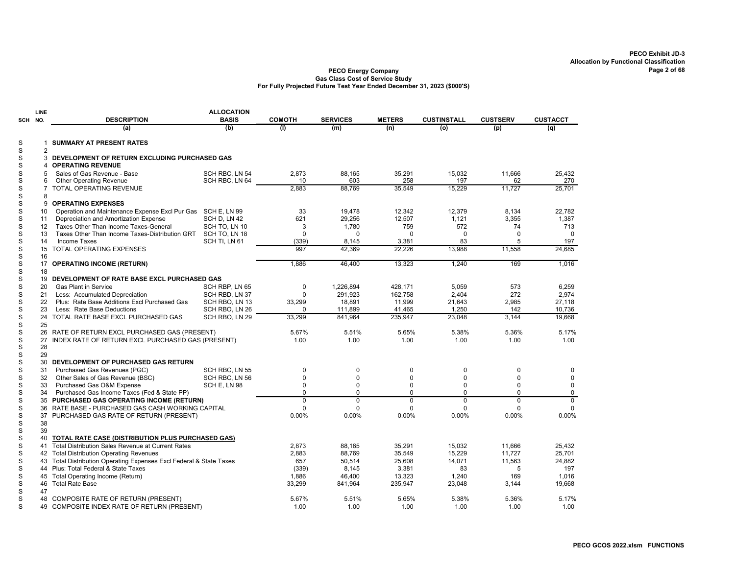|            | LINE           |                                                                                                        | <b>ALLOCATION</b>             |                |                 |                  |                    |                 |                 |
|------------|----------------|--------------------------------------------------------------------------------------------------------|-------------------------------|----------------|-----------------|------------------|--------------------|-----------------|-----------------|
| <b>SCH</b> | NO.            | <b>DESCRIPTION</b>                                                                                     | <b>BASIS</b>                  | <b>COMOTH</b>  | <b>SERVICES</b> | <b>METERS</b>    | <b>CUSTINSTALL</b> | <b>CUSTSERV</b> | <b>CUSTACCT</b> |
|            |                | (a)                                                                                                    | (b)                           | (1)            | (m)             | (n)              | (o)                | (p)             | (q)             |
| S          | 1              | <b>SUMMARY AT PRESENT RATES</b>                                                                        |                               |                |                 |                  |                    |                 |                 |
| S          | $\overline{2}$ |                                                                                                        |                               |                |                 |                  |                    |                 |                 |
| S          | 3              | DEVELOPMENT OF RETURN EXCLUDING PURCHASED GAS                                                          |                               |                |                 |                  |                    |                 |                 |
| S          | 4              | <b>OPERATING REVENUE</b>                                                                               |                               |                |                 |                  |                    |                 |                 |
| S          | 5              | Sales of Gas Revenue - Base                                                                            | SCH RBC, LN 54                | 2,873          | 88,165          | 35,291           | 15,032             | 11,666          | 25,432          |
| S          | 6              | <b>Other Operating Revenue</b>                                                                         | SCH RBC, LN 64                | 10             | 603             | 258              | 197                | 62              | 270             |
| S          | $\overline{7}$ | <b>TOTAL OPERATING REVENUE</b>                                                                         |                               | 2.883          | 88.769          | 35.549           | 15.229             | 11.727          | 25.701          |
| S          | 8              |                                                                                                        |                               |                |                 |                  |                    |                 |                 |
| S<br>S     | 9              | <b>OPERATING EXPENSES</b>                                                                              |                               |                |                 |                  |                    |                 |                 |
| S          | 10             | Operation and Maintenance Expense Excl Pur Gas SCH E, LN 99<br>Depreciation and Amortization Expense   |                               | 33<br>621      | 19,478          | 12,342<br>12,507 | 12,379<br>1,121    | 8,134           | 22,782<br>1,387 |
| S          | 11<br>12       | Taxes Other Than Income Taxes-General                                                                  | SCH D, LN 42<br>SCH TO, LN 10 | 3              | 29,256<br>1,780 | 759              | 572                | 3,355<br>74     | 713             |
| S          | 13             | Taxes Other Than Income Taxes-Distribution GRT                                                         | SCH TO, LN 18                 | $\Omega$       | $\Omega$        | $\Omega$         | $\Omega$           | $\Omega$        | $\Omega$        |
| S          | 14             | Income Taxes                                                                                           | SCH TI, LN 61                 | (339)          | 8,145           | 3,381            | 83                 | 5               | 197             |
| S          | 15             | TOTAL OPERATING EXPENSES                                                                               |                               | 997            | 42,369          | 22,226           | 13,988             | 11,558          | 24,685          |
| S          | 16             |                                                                                                        |                               |                |                 |                  |                    |                 |                 |
| S          |                | 17 OPERATING INCOME (RETURN)                                                                           |                               | 1.886          | 46.400          | 13.323           | 1.240              | 169             | 1.016           |
| S          | 18             |                                                                                                        |                               |                |                 |                  |                    |                 |                 |
| S          | 19             | DEVELOPMENT OF RATE BASE EXCL PURCHASED GAS                                                            |                               |                |                 |                  |                    |                 |                 |
| S          | 20             | <b>Gas Plant in Service</b>                                                                            | SCH RBP, LN 65                | $\mathbf 0$    | 1,226,894       | 428,171          | 5.059              | 573             | 6,259           |
| S          | 21             | Less: Accumulated Depreciation                                                                         | SCH RBD, LN 37                | $\mathbf 0$    | 291,923         | 162,758          | 2,404              | 272             | 2,974           |
| S          | 22             | Plus: Rate Base Additions Excl Purchased Gas                                                           | SCH RBO, LN 13                | 33,299         | 18,891          | 11,999           | 21,643             | 2,985           | 27.118          |
| S          | 23             | Less: Rate Base Deductions                                                                             | SCH RBO, LN 26                | $\Omega$       | 111,899         | 41,465           | 1,250              | 142             | 10,736          |
| S          | 24             | TOTAL RATE BASE EXCL PURCHASED GAS                                                                     | SCH RBO, LN 29                | 33,299         | 841,964         | 235,947          | 23,048             | 3,144           | 19,668          |
| S<br>S     | 25             |                                                                                                        |                               | 5.67%          | 5.51%           | 5.65%            | 5.38%              | 5.36%           | 5.17%           |
| S          | 26<br>27       | RATE OF RETURN EXCL PURCHASED GAS (PRESENT)<br>INDEX RATE OF RETURN EXCL PURCHASED GAS (PRESENT)       |                               | 1.00           | 1.00            | 1.00             | 1.00               | 1.00            | 1.00            |
| S          | 28             |                                                                                                        |                               |                |                 |                  |                    |                 |                 |
| S          | 29             |                                                                                                        |                               |                |                 |                  |                    |                 |                 |
| S          | 30             | DEVELOPMENT OF PURCHASED GAS RETURN                                                                    |                               |                |                 |                  |                    |                 |                 |
| S          | 31             | Purchased Gas Revenues (PGC)                                                                           | SCH RBC, LN 55                | $\mathbf 0$    | $\mathbf 0$     | $\pmb{0}$        | 0                  | 0               | $\mathbf 0$     |
| S          | 32             | Other Sales of Gas Revenue (BSC)                                                                       | SCH RBC, LN 56                | $\mathbf 0$    | $\Omega$        | $\mathbf 0$      | 0                  | $\Omega$        | $\mathbf 0$     |
| S          | 33             | Purchased Gas O&M Expense                                                                              | SCH E, LN 98                  | $\Omega$       | $\Omega$        | $\Omega$         | $\Omega$           | $\Omega$        | $\mathbf 0$     |
| S          | 34             | Purchased Gas Income Taxes (Fed & State PP)                                                            |                               | $\Omega$       | $\Omega$        | $\Omega$         | $\Omega$           | $\Omega$        | 0               |
| S          |                | 35 PURCHASED GAS OPERATING INCOME (RETURN)                                                             |                               | $\overline{0}$ | $\overline{0}$  | $\overline{0}$   | $\overline{0}$     | $\overline{0}$  | $\overline{0}$  |
| S          | 36             | RATE BASE - PURCHASED GAS CASH WORKING CAPITAL                                                         |                               | $\Omega$       | $\Omega$        | $\mathbf 0$      | $\Omega$           | $\Omega$        | $\Omega$        |
| S          |                | 37 PURCHASED GAS RATE OF RETURN (PRESENT)                                                              |                               | 0.00%          | 0.00%           | 0.00%            | 0.00%              | 0.00%           | 0.00%           |
| S          | 38             |                                                                                                        |                               |                |                 |                  |                    |                 |                 |
| S<br>S     | 39<br>40       |                                                                                                        |                               |                |                 |                  |                    |                 |                 |
| S          | 41             | TOTAL RATE CASE (DISTRIBUTION PLUS PURCHASED GAS)<br>Total Distribution Sales Revenue at Current Rates |                               | 2,873          | 88,165          | 35,291           | 15,032             | 11,666          | 25,432          |
| S          | 42             | <b>Total Distribution Operating Revenues</b>                                                           |                               | 2,883          | 88,769          | 35,549           | 15,229             | 11,727          | 25,701          |
| S          | 43             | Total Distribution Operating Expenses Excl Federal & State Taxes                                       |                               | 657            | 50,514          | 25,608           | 14,071             | 11,563          | 24,882          |
| S          | 44             | Plus: Total Federal & State Taxes                                                                      |                               | (339)          | 8,145           | 3,381            | 83                 | 5               | 197             |
| S          | 45             | Total Operating Income (Return)                                                                        |                               | 1,886          | 46,400          | 13,323           | 1,240              | 169             | 1,016           |
| S          | 46             | <b>Total Rate Base</b>                                                                                 |                               | 33,299         | 841,964         | 235,947          | 23,048             | 3,144           | 19,668          |
| S          | 47             |                                                                                                        |                               |                |                 |                  |                    |                 |                 |
| S          | 48             | COMPOSITE RATE OF RETURN (PRESENT)                                                                     |                               | 5.67%          | 5.51%           | 5.65%            | 5.38%              | 5.36%           | 5.17%           |
| S          |                | 49 COMPOSITE INDEX RATE OF RETURN (PRESENT)                                                            |                               | 1.00           | 1.00            | 1.00             | 1.00               | 1.00            | 1.00            |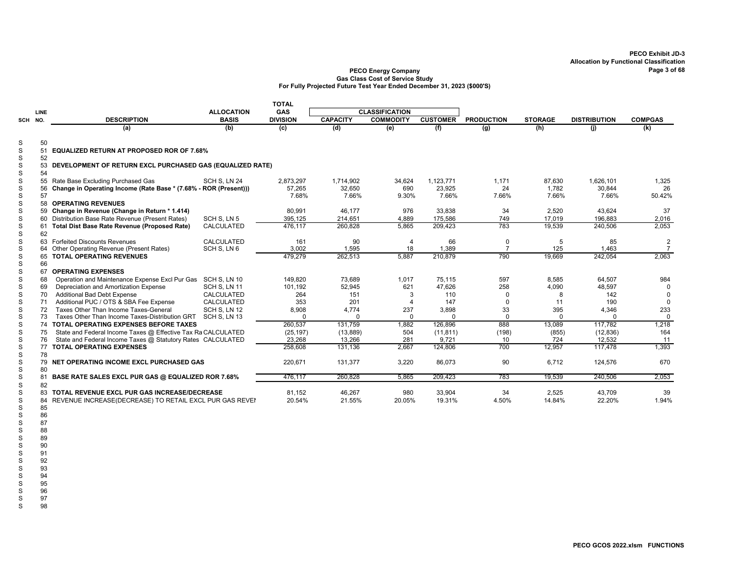#### PECO Energy Company Page 3 of 68 Gas Class Cost of Service Study For Fully Projected Future Test Year Ended December 31, 2023 (\$000'S)

|                            |      |                                                                  |                     | <b>TOTAL</b>    |                 |                       |                 |                   |                |                     |                |
|----------------------------|------|------------------------------------------------------------------|---------------------|-----------------|-----------------|-----------------------|-----------------|-------------------|----------------|---------------------|----------------|
|                            | LINE |                                                                  | <b>ALLOCATION</b>   | <b>GAS</b>      |                 | <b>CLASSIFICATION</b> |                 |                   |                |                     |                |
| SCH NO.                    |      | <b>DESCRIPTION</b>                                               | <b>BASIS</b>        | <b>DIVISION</b> | <b>CAPACITY</b> | <b>COMMODITY</b>      | <b>CUSTOMER</b> | <b>PRODUCTION</b> | <b>STORAGE</b> | <b>DISTRIBUTION</b> | <b>COMPGAS</b> |
|                            |      | (a)                                                              | (b)                 | (c)             | (d)             | (e)                   | (f)             | (g)               | (h)            | (i)                 | (k)            |
| S                          | 50   |                                                                  |                     |                 |                 |                       |                 |                   |                |                     |                |
| $\mathbf S$                | 51   | <b>EQUALIZED RETURN AT PROPOSED ROR OF 7.68%</b>                 |                     |                 |                 |                       |                 |                   |                |                     |                |
| $\mathbf S$                | 52   |                                                                  |                     |                 |                 |                       |                 |                   |                |                     |                |
| $\mathbf S$                | 53   | DEVELOPMENT OF RETURN EXCL PURCHASED GAS (EQUALIZED RATE)        |                     |                 |                 |                       |                 |                   |                |                     |                |
| $\mathbb S$                | 54   |                                                                  |                     |                 |                 |                       |                 |                   |                |                     |                |
| $\mathsf S$                |      | 55 Rate Base Excluding Purchased Gas                             | SCH S. LN 24        | 2,873,297       | 1,714,902       | 34,624                | 1,123,771       | 1,171             | 87,630         | 1.626.101           | 1,325          |
| $\mathbf S$                | 56   | Change in Operating Income (Rate Base * (7.68% - ROR (Present))) |                     | 57,265          | 32,650          | 690                   | 23.925          | 24                | 1,782          | 30,844              | 26             |
| $\mathbf S$                | 57   |                                                                  |                     | 7.68%           | 7.66%           | 9.30%                 | 7.66%           | 7.66%             | 7.66%          | 7.66%               | 50.42%         |
| S                          |      | 58 OPERATING REVENUES                                            |                     |                 |                 |                       |                 |                   |                |                     |                |
| $\mathbf S$                |      | 59 Change in Revenue (Change in Return * 1.414)                  |                     | 80.991          | 46.177          | 976                   | 33.838          | 34                | 2.520          | 43.624              | 37             |
| $\mathbf S$                |      | 60 Distribution Base Rate Revenue (Present Rates)                | SCH S, LN 5         | 395,125         | 214,651         | 4,889                 | 175,586         | 749               | 17,019         | 196,883             | 2,016          |
| $\mathbf S$                |      | 61 Total Dist Base Rate Revenue (Proposed Rate)                  | CALCULATED          | 476,117         | 260,828         | 5,865                 | 209,423         | 783               | 19,539         | 240,506             | 2,053          |
| $\mathbf S$                | 62   |                                                                  |                     |                 |                 |                       |                 |                   |                |                     |                |
| $\mathbf S$                |      | 63 Forfeited Discounts Revenues                                  | CALCULATED          | 161             | 90              | 4                     | 66              | $\Omega$          | 5              | 85                  | $\overline{c}$ |
| $\mathsf{s}$               |      | 64 Other Operating Revenue (Present Rates)                       | SCH S, LN 6         | 3.002           | 1,595           | 18                    | 1,389           | $\overline{7}$    | 125            | 1.463               | $\overline{7}$ |
| $\mathbb S$                |      | 65 TOTAL OPERATING REVENUES                                      |                     | 479,279         | 262,513         | 5,887                 | 210,879         | 790               | 19,669         | 242,054             | 2,063          |
| $\mathbf S$                | 66   |                                                                  |                     |                 |                 |                       |                 |                   |                |                     |                |
| S                          | 67   | <b>OPERATING EXPENSES</b>                                        |                     |                 |                 |                       |                 |                   |                |                     |                |
| $\mathsf S$                | 68   | Operation and Maintenance Expense Excl Pur Gas SCH S, LN 10      |                     | 149.820         | 73,689          | 1,017                 | 75,115          | 597               | 8,585          | 64,507              | 984            |
| $\mathbf S$                | 69   | Depreciation and Amortization Expense                            | <b>SCH S, LN 11</b> | 101,192         | 52,945          | 621                   | 47,626          | 258               | 4,090          | 48,597              |                |
| S                          | 70   | <b>Additional Bad Debt Expense</b>                               | <b>CALCULATED</b>   | 264             | 151             | 3                     | 110             | $\Omega$          | 8              | 142                 | $\Omega$       |
| $\mathsf S$                | 71   | Additional PUC / OTS & SBA Fee Expense                           | CALCULATED          | 353             | 201             |                       | 147             | $\Omega$          | 11             | 190                 | $\Omega$       |
| $\mathsf S$                | 72   | Taxes Other Than Income Taxes-General                            | SCH S, LN 12        | 8,908           | 4,774           | 237                   | 3,898           | 33                | 395            | 4,346               | 233            |
| $\mathsf S$                | 73   | Taxes Other Than Income Taxes-Distribution GRT                   | SCH S, LN 13        | $\Omega$        | $\Omega$        |                       | $\Omega$        | $\Omega$          | $\Omega$       |                     | $\Omega$       |
| $\mathbf S$                |      | 74 TOTAL OPERATING EXPENSES BEFORE TAXES                         |                     | 260,537         | 131,759         | 1,882                 | 126,896         | 888               | 13,089         | 117,782             | 1,218          |
| $\mathbf S$                | 75   | State and Federal Income Taxes @ Effective Tax Ra CALCULATED     |                     | (25, 197)       | (13, 889)       | 504                   | (11, 811)       | (198)             | (855)          | (12, 836)           | 164            |
| S                          | 76   | State and Federal Income Taxes @ Statutory Rates CALCULATED      |                     | 23,268          | 13,266          | 281                   | 9,721           | 10                | 724            | 12,532              | 11             |
| $\mathsf S$                |      | 77 TOTAL OPERATING EXPENSES                                      |                     | 258,608         | 131,136         | 2.667                 | 124,806         | 700               | 12.957         | 117,478             | 1,393          |
| $\mathsf S$                | 78   |                                                                  |                     |                 |                 |                       |                 |                   |                |                     |                |
| $\mathbf S$<br>$\mathsf S$ | 80   | 79 NET OPERATING INCOME EXCL PURCHASED GAS                       |                     | 220,671         | 131,377         | 3,220                 | 86,073          | 90                | 6,712          | 124,576             | 670            |
| $\mathbf S$                | 81   | BASE RATE SALES EXCL PUR GAS @ EQUALIZED ROR 7.68%               |                     | 476.117         | 260.828         | 5.865                 | 209,423         | 783               | 19,539         | 240,506             | 2,053          |
| $\mathbf S$                | 82   |                                                                  |                     |                 |                 |                       |                 |                   |                |                     |                |
| S                          |      | 83 TOTAL REVENUE EXCL PUR GAS INCREASE/DECREASE                  |                     | 81,152          | 46,267          | 980                   | 33,904          | 34                | 2,525          | 43,709              | 39             |
| $\mathbf S$                | 84   | REVENUE INCREASE(DECREASE) TO RETAIL EXCL PUR GAS REVEI          |                     | 20.54%          | 21.55%          | 20.05%                | 19.31%          | 4.50%             | 14.84%         | 22.20%              | 1.94%          |
| S                          | 85   |                                                                  |                     |                 |                 |                       |                 |                   |                |                     |                |

87

S 86 S 88 S 89 S 90 S 91 S 92 S 93

S 98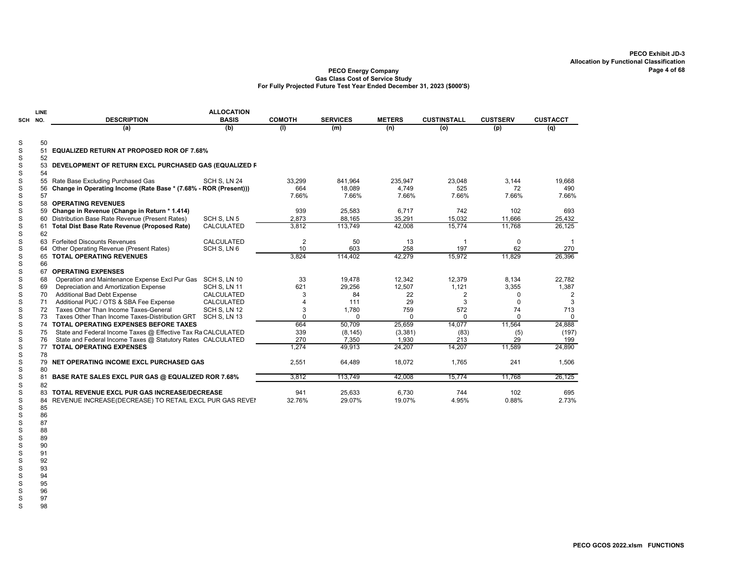#### PECO Energy Company Gas Class Cost of Service Study For Fully Projected Future Test Year Ended December 31, 2023 (\$000'S)

|         | <b>LINE</b> |                                                                  | <b>ALLOCATION</b> |               |                 |               |                    |                 |                 |
|---------|-------------|------------------------------------------------------------------|-------------------|---------------|-----------------|---------------|--------------------|-----------------|-----------------|
| SCH NO. |             | <b>DESCRIPTION</b>                                               | <b>BASIS</b>      | <b>COMOTH</b> | <b>SERVICES</b> | <b>METERS</b> | <b>CUSTINSTALL</b> | <b>CUSTSERV</b> | <b>CUSTACCT</b> |
|         |             | (a)                                                              | (b)               | (1)           | (m)             | (n)           | (o)                | (p)             | (q)             |
| S       | 50          |                                                                  |                   |               |                 |               |                    |                 |                 |
| S       | 51          | <b>EQUALIZED RETURN AT PROPOSED ROR OF 7.68%</b>                 |                   |               |                 |               |                    |                 |                 |
| S       | 52          |                                                                  |                   |               |                 |               |                    |                 |                 |
| S       | 53          | DEVELOPMENT OF RETURN EXCL PURCHASED GAS (EQUALIZED F            |                   |               |                 |               |                    |                 |                 |
| S       | 54          |                                                                  |                   |               |                 |               |                    |                 |                 |
| S       | 55          | Rate Base Excluding Purchased Gas                                | SCH S. LN 24      | 33,299        | 841,964         | 235,947       | 23,048             | 3,144           | 19,668          |
| S       | 56          | Change in Operating Income (Rate Base * (7.68% - ROR (Present))) |                   | 664           | 18,089          | 4,749         | 525                | 72              | 490             |
| S       | 57          |                                                                  |                   | 7.66%         | 7.66%           | 7.66%         | 7.66%              | 7.66%           | 7.66%           |
| S       |             | 58 OPERATING REVENUES                                            |                   |               |                 |               |                    |                 |                 |
| S       |             | 59 Change in Revenue (Change in Return * 1.414)                  |                   | 939           | 25,583          | 6,717         | 742                | 102             | 693             |
| S       |             | 60 Distribution Base Rate Revenue (Present Rates)                | SCH S, LN 5       | 2,873         | 88,165          | 35,291        | 15.032             | 11,666          | 25,432          |
| S       | 61          | <b>Total Dist Base Rate Revenue (Proposed Rate)</b>              | <b>CALCULATED</b> | 3,812         | 113,749         | 42,008        | 15,774             | 11,768          | 26,125          |
| S       | 62          |                                                                  |                   |               |                 |               |                    |                 |                 |
| S       |             | 63 Forfeited Discounts Revenues                                  | <b>CALCULATED</b> | 2             | 50              | 13            | $\overline{1}$     | $\mathbf 0$     |                 |
| S       | 64          | Other Operating Revenue (Present Rates)                          | SCH S. LN 6       | 10            | 603             | 258           | 197                | 62              | 270             |
| S       | 65          | <b>TOTAL OPERATING REVENUES</b>                                  |                   | 3,824         | 114,402         | 42,279        | 15,972             | 11,829          | 26,396          |
| S       | 66          |                                                                  |                   |               |                 |               |                    |                 |                 |
| S       | 67          | <b>OPERATING EXPENSES</b>                                        |                   |               |                 |               |                    |                 |                 |
| S       | 68          | Operation and Maintenance Expense Excl Pur Gas                   | SCH S, LN 10      | 33            | 19,478          | 12,342        | 12,379             | 8,134           | 22,782          |
| S       | 69          | Depreciation and Amortization Expense                            | SCH S, LN 11      | 621           | 29,256          | 12,507        | 1,121              | 3,355           | 1,387           |
| S       | 70          | Additional Bad Debt Expense                                      | <b>CALCULATED</b> | 3             | 84              | 22            | 2                  | $\Omega$        | $\overline{2}$  |
| S       | 71          | Additional PUC / OTS & SBA Fee Expense                           | CALCULATED        | 4             | 111             | 29            | 3                  | $\Omega$        | 3               |
| S       | 72          | Taxes Other Than Income Taxes-General                            | SCH S, LN 12      | 3             | 1,780           | 759           | 572                | 74              | 713             |
| S       | 73          | Taxes Other Than Income Taxes-Distribution GRT                   | SCH S, LN 13      | $\Omega$      | $\Omega$        | $\Omega$      | $\Omega$           | $\Omega$        | $\mathbf 0$     |
| S       | 74          | <b>TOTAL OPERATING EXPENSES BEFORE TAXES</b>                     |                   | 664           | 50.709          | 25,659        | 14,077             | 11,564          | 24,888          |
| S       | 75          | State and Federal Income Taxes @ Effective Tax Ra CALCULATED     |                   | 339           | (8, 145)        | (3, 381)      | (83)               | (5)             | (197)           |
| S       | 76          | State and Federal Income Taxes @ Statutory Rates CALCULATED      |                   | 270           | 7,350           | 1,930         | 213                | 29              | 199             |
| S       | 77          | <b>TOTAL OPERATING EXPENSES</b>                                  |                   | 1.274         | 49,913          | 24,207        | 14,207             | 11,589          | 24.890          |
| S       | 78          |                                                                  |                   |               |                 |               |                    |                 |                 |
| S       | 79          | NET OPERATING INCOME EXCL PURCHASED GAS                          |                   | 2,551         | 64,489          | 18,072        | 1.765              | 241             | 1.506           |
| S       | 80          |                                                                  |                   |               |                 |               |                    |                 |                 |
| S       | 81          | BASE RATE SALES EXCL PUR GAS @ EQUALIZED ROR 7.68%               |                   | 3,812         | 113,749         | 42,008        | 15,774             | 11,768          | 26,125          |
| S       | 82          |                                                                  |                   |               |                 |               |                    |                 |                 |
| S       | 83          | TOTAL REVENUE EXCL PUR GAS INCREASE/DECREASE                     |                   | 941           | 25,633          | 6.730         | 744                | 102             | 695             |
| S       |             | 84 REVENUE INCREASE(DECREASE) TO RETAIL EXCL PUR GAS REVEI       |                   | 32.76%        | 29.07%          | 19.07%        | 4.95%              | 0.88%           | 2.73%           |
| S       | 85          |                                                                  |                   |               |                 |               |                    |                 |                 |

- S 86
- S 87 S 89 S 90 91 S 92 S 93

S 88

S 94 S 95

S 96

S 97

S 98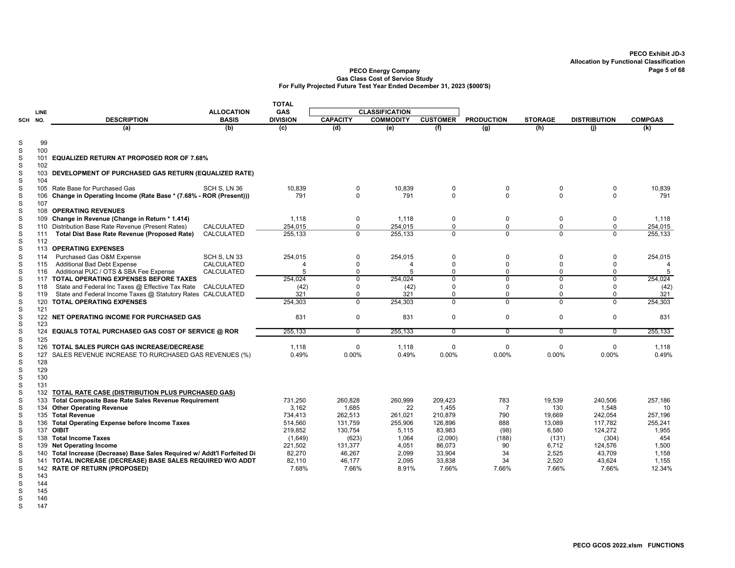|                  |            |                                                                          |                   | <b>TOTAL</b>    |                      |                       |                 |                         |                         |                     |                          |
|------------------|------------|--------------------------------------------------------------------------|-------------------|-----------------|----------------------|-----------------------|-----------------|-------------------------|-------------------------|---------------------|--------------------------|
|                  | LINE       |                                                                          | <b>ALLOCATION</b> | GAS             |                      | <b>CLASSIFICATION</b> |                 |                         |                         |                     |                          |
| SCH NO.          |            | <b>DESCRIPTION</b>                                                       | <b>BASIS</b>      | <b>DIVISION</b> | <b>CAPACITY</b>      | <b>COMMODITY</b>      | <b>CUSTOMER</b> | <b>PRODUCTION</b>       | <b>STORAGE</b>          | <b>DISTRIBUTION</b> | <b>COMPGAS</b>           |
|                  |            | (a)                                                                      | (b)               | (c)             | (d)                  | (e)                   | (f)             | $\overline{(g)}$        | (h)                     | (i)                 | (k)                      |
| S                | 99         |                                                                          |                   |                 |                      |                       |                 |                         |                         |                     |                          |
| S                | 100        |                                                                          |                   |                 |                      |                       |                 |                         |                         |                     |                          |
| $\mathbf S$      |            | 101 EQUALIZED RETURN AT PROPOSED ROR OF 7.68%                            |                   |                 |                      |                       |                 |                         |                         |                     |                          |
| $\mathbf S$      | 102        |                                                                          |                   |                 |                      |                       |                 |                         |                         |                     |                          |
| S                |            | 103 DEVELOPMENT OF PURCHASED GAS RETURN (EQUALIZED RATE)                 |                   |                 |                      |                       |                 |                         |                         |                     |                          |
| $\mathbf S$      | 104        |                                                                          |                   |                 |                      |                       |                 |                         |                         |                     |                          |
| S                |            | 105 Rate Base for Purchased Gas                                          | SCH S. LN 36      | 10.839          | $\mathbf 0$          | 10,839                | 0               | 0                       | $\mathbf 0$             | $\mathbf 0$         | 10,839                   |
| S                | 106        | Change in Operating Income (Rate Base * (7.68% - ROR (Present)))         |                   | 791             | $\Omega$             | 791                   | $\mathbf 0$     | $\Omega$                | $\Omega$                | $\Omega$            | 791                      |
| S                | 107        |                                                                          |                   |                 |                      |                       |                 |                         |                         |                     |                          |
| S                |            | 108 OPERATING REVENUES                                                   |                   |                 |                      |                       |                 |                         |                         |                     |                          |
| S                |            | 109 Change in Revenue (Change in Return * 1.414)                         |                   | 1.118           | 0                    | 1.118                 | $\mathbf 0$     | 0                       | $\mathbf 0$             | 0                   | 1.118                    |
| $\mathbf S$<br>S |            | 110 Distribution Base Rate Revenue (Present Rates)                       | CALCULATED        | 254,015         | $\Omega$<br>$\Omega$ | 254,015               | $\mathbf 0$     | $\mathbf 0$<br>$\Omega$ | $\mathbf 0$<br>$\Omega$ | 0                   | 254,015                  |
| S                | 111<br>112 | Total Dist Base Rate Revenue (Proposed Rate)                             | CALCULATED        | 255,133         |                      | 255,133               | $\mathbf 0$     |                         |                         | $\mathbf 0$         | 255,133                  |
| S                |            | 113 OPERATING EXPENSES                                                   |                   |                 |                      |                       |                 |                         |                         |                     |                          |
| S                | 114        | Purchased Gas O&M Expense                                                | SCH S, LN 33      | 254,015         | 0                    | 254,015               | $\mathbf 0$     | 0                       | $\Omega$                | $\pmb{0}$           | 254,015                  |
| S                | 115        | Additional Bad Debt Expense                                              | CALCULATED        | 4               | $\mathbf 0$          | $\overline{4}$        | $\mathbf 0$     | $\Omega$                | $\Omega$                | $\mathbf 0$         | $\overline{\mathcal{A}}$ |
| $\mathbf S$      | 116        | Additional PUC / OTS & SBA Fee Expense                                   | CALCULATED        | 5               | $\Omega$             | 5                     | $\mathbf 0$     | 0                       | $\Omega$                | 0                   | 5                        |
| S                |            | 117 TOTAL OPERATING EXPENSES BEFORE TAXES                                |                   | 254,024         | $\overline{0}$       | 254,024               | $\overline{0}$  | $\overline{0}$          | $\overline{0}$          | $\overline{0}$      | 254,024                  |
| S                | 118        | State and Federal Inc Taxes @ Effective Tax Rate                         | CALCULATED        | (42)            | $\Omega$             | (42)                  | $\mathbf 0$     | $\Omega$                | $\Omega$                | $\Omega$            | (42)                     |
| $\mathbf S$      | 119        | State and Federal Income Taxes @ Statutory Rates CALCULATED              |                   | 321             | $\Omega$             | 321                   | 0               | $\Omega$                | $\Omega$                | $\mathbf 0$         | 321                      |
| S                |            | 120 TOTAL OPERATING EXPENSES                                             |                   | 254,303         | $\overline{0}$       | 254,303               | $\overline{0}$  | $\overline{0}$          | $\overline{0}$          | $\overline{0}$      | 254,303                  |
| S                | 121        |                                                                          |                   |                 |                      |                       |                 |                         |                         |                     |                          |
| S                |            | 122 NET OPERATING INCOME FOR PURCHASED GAS                               |                   | 831             | $\mathbf 0$          | 831                   | $\mathbf 0$     | 0                       | $\Omega$                | $\mathbf 0$         | 831                      |
| $\mathbf S$      | 123        |                                                                          |                   |                 |                      |                       |                 |                         |                         |                     |                          |
| S                |            | 124 EQUALS TOTAL PURCHASED GAS COST OF SERVICE @ ROR                     |                   | 255,133         | $\overline{0}$       | 255,133               | $\overline{0}$  | 0                       | $\Omega$                | $\overline{0}$      | 255,133                  |
| S                | 125        |                                                                          |                   |                 |                      |                       |                 |                         |                         |                     |                          |
| S                |            | 126 TOTAL SALES PURCH GAS INCREASE/DECREASE                              |                   | 1,118           | 0                    | 1,118                 | $\mathbf 0$     | 0                       | $\Omega$                | $\Omega$            | 1,118                    |
| S                | 127        | SALES REVENUE INCREASE TO RURCHASED GAS REVENUES (%)                     |                   | 0.49%           | 0.00%                | 0.49%                 | 0.00%           | 0.00%                   | 0.00%                   | 0.00%               | 0.49%                    |
| $\mathbf S$      | 128        |                                                                          |                   |                 |                      |                       |                 |                         |                         |                     |                          |
| S                | 129        |                                                                          |                   |                 |                      |                       |                 |                         |                         |                     |                          |
| S<br>S           | 130<br>131 |                                                                          |                   |                 |                      |                       |                 |                         |                         |                     |                          |
| $\mathbf S$      | 132        | TOTAL RATE CASE (DISTRIBUTION PLUS PURCHASED GAS)                        |                   |                 |                      |                       |                 |                         |                         |                     |                          |
| S                | 133        | <b>Total Composite Base Rate Sales Revenue Requirement</b>               |                   | 731,250         | 260,828              | 260,999               | 209,423         | 783                     | 19,539                  | 240,506             | 257,186                  |
| $\mathbf S$      |            | 134 Other Operating Revenue                                              |                   | 3,162           | 1,685                | 22                    | 1,455           | $\overline{7}$          | 130                     | 1,548               | 10                       |
| S                |            | 135 Total Revenue                                                        |                   | 734,413         | 262,513              | 261,021               | 210,879         | 790                     | 19,669                  | 242,054             | 257,196                  |
| S                |            | 136 Total Operating Expense before Income Taxes                          |                   | 514,560         | 131,759              | 255,906               | 126,896         | 888                     | 13,089                  | 117,782             | 255,241                  |
| S                |            | 137 OIBIT                                                                |                   | 219,852         | 130,754              | 5,115                 | 83,983          | (98)                    | 6,580                   | 124,272             | 1,955                    |
| S                |            | 138 Total Income Taxes                                                   |                   | (1,649)         | (623)                | 1,064                 | (2,090)         | (188)                   | (131)                   | (304)               | 454                      |
| S                |            | 139 Net Operating Income                                                 |                   | 221,502         | 131,377              | 4,051                 | 86,073          | 90                      | 6,712                   | 124,576             | 1,500                    |
| S                |            | 140 Total Increase (Decrease) Base Sales Required w/ Addt'l Forfeited Di |                   | 82,270          | 46,267               | 2,099                 | 33,904          | 34                      | 2,525                   | 43,709              | 1,158                    |
| S                |            | 141 TOTAL INCREASE (DECREASE) BASE SALES REQUIRED W/O ADDT               |                   | 82,110          | 46,177               | 2,095                 | 33,838          | 34                      | 2,520                   | 43,624              | 1,155                    |
| $\mathbf S$      |            | 142 RATE OF RETURN (PROPOSED)                                            |                   | 7.68%           | 7.66%                | 8.91%                 | 7.66%           | 7.66%                   | 7.66%                   | 7.66%               | 12.34%                   |
| S                | 143        |                                                                          |                   |                 |                      |                       |                 |                         |                         |                     |                          |
| $\mathcal{S}$    | 144        |                                                                          |                   |                 |                      |                       |                 |                         |                         |                     |                          |

- 
- $\frac{5}{5}$ 145
- 146
- 147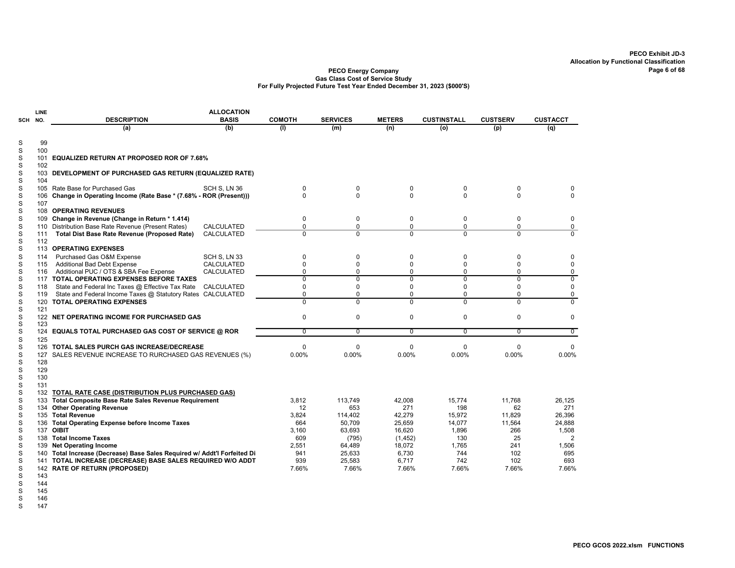#### PECO Energy Company Gas Class Cost of Service Study For Fully Projected Future Test Year Ended December 31, 2023 (\$000'S)

|        | LINE        |                                                                      | <b>ALLOCATION</b> |                |                 |                |                    |                 |                 |
|--------|-------------|----------------------------------------------------------------------|-------------------|----------------|-----------------|----------------|--------------------|-----------------|-----------------|
| SCH    | NO.         | <b>DESCRIPTION</b>                                                   | <b>BASIS</b>      | <b>COMOTH</b>  | <b>SERVICES</b> | <b>METERS</b>  | <b>CUSTINSTALL</b> | <b>CUSTSERV</b> | <b>CUSTACCT</b> |
|        |             | (a)                                                                  | (b)               | (1)            | (m)             | (n)            | (o)                | (p)             | (q)             |
| S      | 99          |                                                                      |                   |                |                 |                |                    |                 |                 |
| S      | 100         |                                                                      |                   |                |                 |                |                    |                 |                 |
| S      | 101         | EQUALIZED RETURN AT PROPOSED ROR OF 7.68%                            |                   |                |                 |                |                    |                 |                 |
| S      | 102         |                                                                      |                   |                |                 |                |                    |                 |                 |
| S      |             | 103 DEVELOPMENT OF PURCHASED GAS RETURN (EQUALIZED RATE)             |                   |                |                 |                |                    |                 |                 |
| S      | 104         |                                                                      |                   |                |                 |                |                    |                 |                 |
| S      | 105         | Rate Base for Purchased Gas                                          | SCH S. LN 36      | 0              | 0               | 0              | $\mathbf 0$        | $\Omega$        |                 |
| S      | 106         | Change in Operating Income (Rate Base * (7.68% - ROR (Present)))     |                   | $\Omega$       | $\Omega$        | $\Omega$       | 0                  | $\Omega$        | $\Omega$        |
| S      | 107         |                                                                      |                   |                |                 |                |                    |                 |                 |
| S      |             | 108 OPERATING REVENUES                                               |                   |                |                 |                |                    |                 |                 |
| S      | 109         | Change in Revenue (Change in Return * 1.414)                         |                   | 0              | 0               | 0              | 0                  | 0               | 0               |
| S      | 110         | Distribution Base Rate Revenue (Present Rates)                       | CALCULATED        | $\mathbf 0$    | 0               | $\mathbf 0$    | $\Omega$           | 0               | $\pmb{0}$       |
| S      | 111         | <b>Total Dist Base Rate Revenue (Proposed Rate)</b>                  | <b>CALCULATED</b> | $\overline{0}$ | 0               | $\Omega$       | $\overline{0}$     | $\Omega$        | $\Omega$        |
| S      | 112         |                                                                      |                   |                |                 |                |                    |                 |                 |
| S      |             | 113 OPERATING EXPENSES                                               |                   |                |                 |                |                    |                 |                 |
| S      | 114         | Purchased Gas O&M Expense                                            | SCH S. LN 33      | $\mathbf 0$    | 0               | 0              | $\Omega$           | 0               | 0               |
| S      | 115         | <b>Additional Bad Debt Expense</b>                                   | <b>CALCULATED</b> | $\mathbf 0$    | 0               | $\Omega$       | $\Omega$           | $\Omega$        | $\Omega$        |
| S      | 116         | Additional PUC / OTS & SBA Fee Expense                               | CALCULATED        | $\mathbf 0$    | $\Omega$        | 0              | $\Omega$           | $\Omega$        | 0               |
| S      |             | 117 TOTAL OPERATING EXPENSES BEFORE TAXES                            |                   | $\overline{0}$ | 0               | $\overline{0}$ | $\overline{0}$     | 0               | $\overline{0}$  |
| S      | 118         | State and Federal Inc Taxes @ Effective Tax Rate                     | <b>CALCULATED</b> | $\mathbf 0$    | 0               | $\Omega$       | $\Omega$           | $\Omega$        | $\mathbf 0$     |
| S      | 119         | State and Federal Income Taxes @ Statutory Rates                     | CALCULATED        | $\mathbf 0$    | 0               | 0              | $\Omega$           | $\Omega$        | 0               |
| S      |             | 120 TOTAL OPERATING EXPENSES                                         |                   | $\overline{0}$ | $\overline{0}$  | $\overline{0}$ | $\overline{0}$     | $\overline{0}$  | $\overline{0}$  |
| S      | 121         |                                                                      |                   |                |                 |                |                    |                 |                 |
| S<br>S | 123         | 122 NET OPERATING INCOME FOR PURCHASED GAS                           |                   | $\mathbf 0$    | 0               | 0              | $\mathbf 0$        | 0               | 0               |
| S      | 124         | <b>EQUALS TOTAL PURCHASED GAS COST OF SERVICE @ ROR</b>              |                   | $\overline{0}$ | $\overline{0}$  | $\overline{0}$ | $\overline{0}$     | $\overline{0}$  | $\overline{0}$  |
| S      | 125         |                                                                      |                   |                |                 |                |                    |                 |                 |
| S      | 126         | TOTAL SALES PURCH GAS INCREASE/DECREASE                              |                   | $\mathbf 0$    | 0               | $\mathbf 0$    | $\mathbf 0$        | $\Omega$        | $\Omega$        |
| S      | 127         | SALES REVENUE INCREASE TO RURCHASED GAS REVENUES (%)                 |                   | 0.00%          | 0.00%           | 0.00%          | 0.00%              | 0.00%           | 0.00%           |
| S      | 128         |                                                                      |                   |                |                 |                |                    |                 |                 |
| S      | 129         |                                                                      |                   |                |                 |                |                    |                 |                 |
| S      | 130         |                                                                      |                   |                |                 |                |                    |                 |                 |
| S      | 131         |                                                                      |                   |                |                 |                |                    |                 |                 |
| S      |             | 132 TOTAL RATE CASE (DISTRIBUTION PLUS PURCHASED GAS)                |                   |                |                 |                |                    |                 |                 |
| S      | 133         | Total Composite Base Rate Sales Revenue Requirement                  |                   | 3.812          | 113,749         | 42,008         | 15.774             | 11.768          | 26,125          |
| S      | 134         | <b>Other Operating Revenue</b>                                       |                   | 12             | 653             | 271            | 198                | 62              | 271             |
| S      | 135         | <b>Total Revenue</b>                                                 |                   | 3,824          | 114,402         | 42,279         | 15,972             | 11,829          | 26,396          |
| S      | 136         | <b>Total Operating Expense before Income Taxes</b>                   |                   | 664            | 50,709          | 25,659         | 14,077             | 11,564          | 24,888          |
| S      |             | 137 OIBIT                                                            |                   | 3,160          | 63,693          | 16,620         | 1,896              | 266             | 1,508           |
| S      |             | 138 Total Income Taxes                                               |                   | 609            | (795)           | (1, 452)       | 130                | 25              | $\overline{2}$  |
| S      |             | 139 Net Operating Income                                             |                   | 2,551          | 64,489          | 18,072         | 1.765              | 241             | 1,506           |
| S      | 140         | Total Increase (Decrease) Base Sales Required w/ Addt'l Forfeited Di |                   | 941            | 25,633          | 6,730          | 744                | 102             | 695             |
| S      |             | 141 TOTAL INCREASE (DECREASE) BASE SALES REQUIRED W/O ADDT           |                   | 939            | 25,583          | 6,717          | 742                | 102             | 693             |
| S      | 142         | <b>RATE OF RETURN (PROPOSED)</b>                                     |                   | 7.66%          | 7.66%           | 7.66%          | 7.66%              | 7.66%           | 7.66%           |
| S      | 143         |                                                                      |                   |                |                 |                |                    |                 |                 |
| $\sim$ | $A$ $A$ $A$ |                                                                      |                   |                |                 |                |                    |                 |                 |

S 144

S 146

S 147

S 145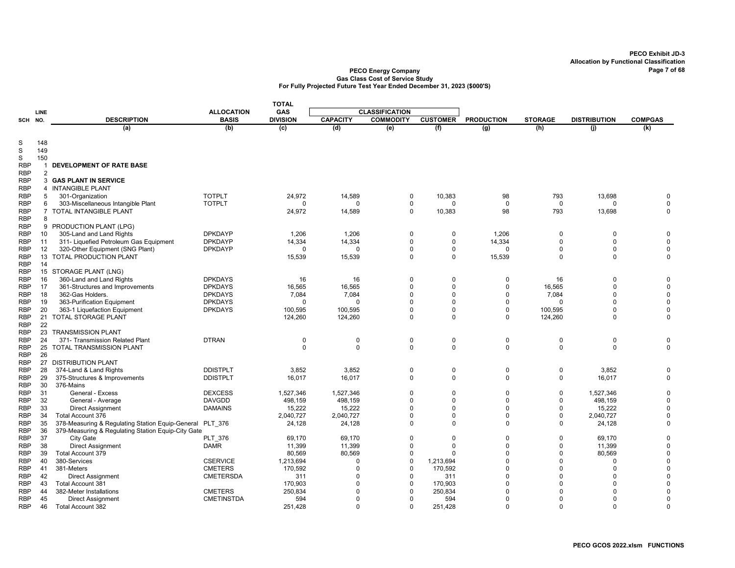|            |                     |                                                    |                   | <b>TOTAL</b>    |                 |                       |                 |                   |                |                     |                         |
|------------|---------------------|----------------------------------------------------|-------------------|-----------------|-----------------|-----------------------|-----------------|-------------------|----------------|---------------------|-------------------------|
|            | LINE                |                                                    | <b>ALLOCATION</b> | GAS             |                 | <b>CLASSIFICATION</b> |                 |                   |                |                     |                         |
| SCH        | NO.                 | <b>DESCRIPTION</b>                                 | <b>BASIS</b>      | <b>DIVISION</b> | <b>CAPACITY</b> | <b>COMMODITY</b>      | <b>CUSTOMER</b> | <b>PRODUCTION</b> | <b>STORAGE</b> | <b>DISTRIBUTION</b> | <b>COMPGAS</b>          |
|            |                     | (a)                                                | (b)               | (c)             | (d)             | (e)                   | (f)             | (g)               | (h)            | (i)                 | (k)                     |
|            |                     |                                                    |                   |                 |                 |                       |                 |                   |                |                     |                         |
| S          | 148                 |                                                    |                   |                 |                 |                       |                 |                   |                |                     |                         |
| S          | 149                 |                                                    |                   |                 |                 |                       |                 |                   |                |                     |                         |
| S          | 150                 |                                                    |                   |                 |                 |                       |                 |                   |                |                     |                         |
| <b>RBP</b> | $\mathbf{1}$        | <b>DEVELOPMENT OF RATE BASE</b>                    |                   |                 |                 |                       |                 |                   |                |                     |                         |
| <b>RBP</b> | 2                   | <b>3 GAS PLANT IN SERVICE</b>                      |                   |                 |                 |                       |                 |                   |                |                     |                         |
| <b>RBP</b> |                     |                                                    |                   |                 |                 |                       |                 |                   |                |                     |                         |
| <b>RBP</b> |                     | 4 INTANGIBLE PLANT                                 | <b>TOTPLT</b>     |                 |                 |                       |                 |                   |                |                     |                         |
| <b>RBP</b> | 5                   | 301-Organization                                   |                   | 24,972          | 14,589          | 0                     | 10,383          | 98                | 793            | 13,698              | 0                       |
| RBP        | 6<br>$\overline{7}$ | 303-Miscellaneous Intangible Plant                 | <b>TOTPLT</b>     | $\mathbf 0$     | $\Omega$        | 0<br>$\Omega$         | $\mathbf 0$     | 0<br>98           | 0<br>793       | $\Omega$            | $\mathbf 0$<br>$\Omega$ |
| <b>RBP</b> | 8                   | <b>TOTAL INTANGIBLE PLANT</b>                      |                   | 24,972          | 14,589          |                       | 10,383          |                   |                | 13,698              |                         |
| <b>RBP</b> |                     |                                                    |                   |                 |                 |                       |                 |                   |                |                     |                         |
| <b>RBP</b> |                     | 9 PRODUCTION PLANT (LPG)                           |                   |                 |                 |                       |                 |                   |                |                     |                         |
| <b>RBP</b> | 10                  | 305-Land and Land Rights                           | <b>DPKDAYP</b>    | 1,206           | 1,206           | 0                     | 0               | 1,206             | 0              | $\Omega$            | 0                       |
| <b>RBP</b> | 11                  | 311- Liquefied Petroleum Gas Equipment             | <b>DPKDAYP</b>    | 14,334          | 14,334          | 0                     | 0               | 14,334            | 0              | $\Omega$            | $\mathbf 0$             |
| <b>RBP</b> | 12                  | 320-Other Equipment (SNG Plant)                    | <b>DPKDAYP</b>    | $\Omega$        | $\Omega$        | $\Omega$              | $\mathbf 0$     | $\Omega$          | 0              | $\Omega$            | $\Omega$                |
| <b>RBP</b> | 13                  | TOTAL PRODUCTION PLANT                             |                   | 15,539          | 15,539          | $\Omega$              | $\mathbf 0$     | 15,539            | $\Omega$       | $\Omega$            | $\Omega$                |
| <b>RBP</b> | 14                  |                                                    |                   |                 |                 |                       |                 |                   |                |                     |                         |
| <b>RBP</b> |                     | 15 STORAGE PLANT (LNG)                             |                   |                 |                 |                       |                 |                   |                |                     |                         |
| <b>RBP</b> | 16                  | 360-Land and Land Rights                           | <b>DPKDAYS</b>    | 16              | 16              | 0                     | $\mathbf 0$     | 0                 | 16             | 0                   | 0                       |
| <b>RBP</b> | 17                  | 361-Structures and Improvements                    | <b>DPKDAYS</b>    | 16.565          | 16,565          | $\Omega$              | $\Omega$        | $\Omega$          | 16,565         | $\Omega$            | $\mathbf 0$             |
| <b>RBP</b> | 18                  | 362-Gas Holders.                                   | <b>DPKDAYS</b>    | 7,084           | 7,084           | $\Omega$              | $\Omega$        | $\Omega$          | 7,084          | $\Omega$            | $\Omega$                |
| <b>RBP</b> | 19                  | 363-Purification Equipment                         | <b>DPKDAYS</b>    | $\Omega$        | $\Omega$        | 0                     | $\mathbf 0$     | $\Omega$          | $\Omega$       | $\Omega$            | $\Omega$                |
| <b>RBP</b> | 20                  | 363-1 Liquefaction Equipment                       | <b>DPKDAYS</b>    | 100,595         | 100,595         | $\Omega$              | $\mathbf 0$     | 0                 | 100,595        | $\Omega$            | $\mathbf 0$             |
| <b>RBP</b> | 21                  | TOTAL STORAGE PLANT                                |                   | 124,260         | 124,260         | $\Omega$              | $\Omega$        | $\mathbf 0$       | 124,260        | $\Omega$            | 0                       |
| RBP        | 22                  |                                                    |                   |                 |                 |                       |                 |                   |                |                     |                         |
| <b>RBP</b> | 23                  | <b>TRANSMISSION PLANT</b>                          |                   |                 |                 |                       |                 |                   |                |                     |                         |
| <b>RBP</b> | 24                  | 371- Transmission Related Plant                    | <b>DTRAN</b>      | $\mathbf 0$     | $\mathbf 0$     | 0                     | $\mathbf 0$     | $\mathbf 0$       | $\mathbf 0$    | 0                   | 0                       |
| <b>RBP</b> |                     | 25 TOTAL TRANSMISSION PLANT                        |                   | $\mathbf 0$     | $\mathbf 0$     | $\mathbf 0$           | $\mathbf 0$     | $\mathbf 0$       | $\mathbf 0$    | $\mathbf 0$         | $\Omega$                |
| <b>RBP</b> | 26                  |                                                    |                   |                 |                 |                       |                 |                   |                |                     |                         |
| <b>RBP</b> | 27                  | <b>DISTRIBUTION PLANT</b>                          |                   |                 |                 |                       |                 |                   |                |                     |                         |
| <b>RBP</b> | 28                  | 374-Land & Land Rights                             | <b>DDISTPLT</b>   | 3,852           | 3,852           | 0                     | $\mathbf 0$     | $\mathbf 0$       | 0              | 3.852               | $\mathbf 0$             |
| <b>RBP</b> | 29                  | 375-Structures & Improvements                      | <b>DDISTPLT</b>   | 16,017          | 16,017          | $\mathbf 0$           | $\mathbf 0$     | $\mathbf 0$       | 0              | 16,017              | $\mathbf 0$             |
| <b>RBP</b> | 30                  | 376-Mains                                          |                   |                 |                 |                       |                 |                   |                |                     |                         |
| <b>RBP</b> | 31                  | General - Excess                                   | <b>DEXCESS</b>    | 1,527,346       | 1,527,346       | $\mathbf 0$           | $\mathbf 0$     | 0                 | 0              | 1,527,346           | $\Omega$                |
| <b>RBP</b> | 32                  | General - Average                                  | <b>DAVGDD</b>     | 498.159         | 498.159         | $\mathbf 0$           | $\Omega$        | $\Omega$          | 0              | 498,159             | $\Omega$                |
| <b>RBP</b> | 33                  | <b>Direct Assignment</b>                           | <b>DAMAINS</b>    | 15,222          | 15,222          | $\Omega$              | $\Omega$        | $\Omega$          | $\mathbf 0$    | 15,222              | $\Omega$                |
| <b>RBP</b> | 34                  | Total Account 376                                  |                   | 2,040,727       | 2,040,727       | $\Omega$              | $\mathbf 0$     | $\Omega$          | $\Omega$       | 2,040,727           | $\mathbf 0$             |
| <b>RBP</b> | 35                  | 378-Measuring & Regulating Station Equip-General   | <b>PLT 376</b>    | 24,128          | 24,128          | $\Omega$              | $\Omega$        | $\mathbf 0$       | $\mathbf 0$    | 24,128              | $\Omega$                |
| <b>RBP</b> | 36                  | 379-Measuring & Regulating Station Equip-City Gate |                   |                 |                 |                       |                 |                   |                |                     |                         |
| <b>RBP</b> | 37                  | City Gate                                          | <b>PLT 376</b>    | 69,170          | 69,170          | 0                     | $\Omega$        | 0                 | $\Omega$       | 69,170              | $\Omega$                |
| <b>RBP</b> | 38                  | <b>Direct Assignment</b>                           | <b>DAMR</b>       | 11,399          | 11,399          | $\Omega$              | $\Omega$        | $\Omega$          | $\mathbf 0$    | 11,399              | $\Omega$                |
| <b>RBP</b> | 39                  | Total Account 379                                  |                   | 80,569          | 80,569          | $\Omega$              |                 | 0                 | $\Omega$       | 80,569              | $\Omega$                |
| <b>RBP</b> | 40                  | 380-Services                                       | <b>CSERVICE</b>   | 1,213,694       | $\Omega$        | $\Omega$              | 1,213,694       | $\Omega$          | $\Omega$       | $\Omega$            | $\Omega$                |
| RBP        | 41                  | 381-Meters                                         | <b>CMETERS</b>    | 170,592         | $\Omega$        | $\Omega$              | 170,592         | $\Omega$          | $\Omega$       | $\Omega$            | $\Omega$                |
| <b>RBP</b> | 42                  | <b>Direct Assignment</b>                           | <b>CMETERSDA</b>  | 311             | $\Omega$        | $\Omega$              | 311             | $\Omega$          | $\Omega$       | $\Omega$            | $\Omega$                |
| <b>RBP</b> | 43                  | Total Account 381                                  |                   | 170,903         | $\Omega$        | $\Omega$              | 170,903         | $\Omega$          | $\Omega$       | $\Omega$            | $\Omega$                |
| <b>RBP</b> | 44                  | 382-Meter Installations                            | <b>CMETERS</b>    | 250,834         | U               | $\Omega$              | 250,834         | $\Omega$          | $\Omega$       | $\Omega$            | $\Omega$                |
| <b>RBP</b> | 45                  | <b>Direct Assignment</b>                           | <b>CMETINSTDA</b> | 594             | U               | $\Omega$              | 594             | $\Omega$          | $\Omega$       | $\Omega$            | $\Omega$                |
| <b>RBP</b> | 46                  | Total Account 382                                  |                   | 251,428         | $\Omega$        | $\Omega$              | 251,428         | $\mathbf 0$       | $\Omega$       | $\Omega$            | $\Omega$                |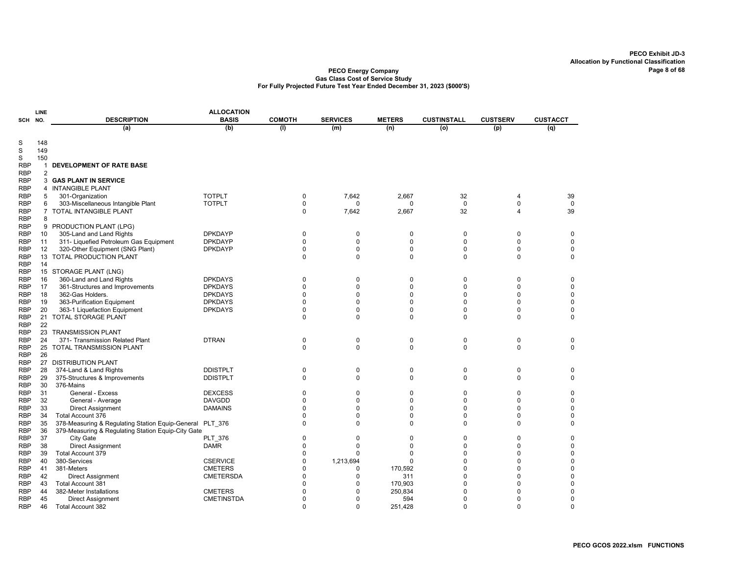| <b>ALLOCATION</b><br>LINE<br><b>DESCRIPTION</b><br><b>BASIS</b><br><b>COMOTH</b><br><b>SERVICES</b><br><b>METERS</b><br><b>CUSTINSTALL</b><br><b>CUSTSERV</b><br>SCH NO. |                |                                                    |                                   |                         |                |                |                |               |                 |
|--------------------------------------------------------------------------------------------------------------------------------------------------------------------------|----------------|----------------------------------------------------|-----------------------------------|-------------------------|----------------|----------------|----------------|---------------|-----------------|
|                                                                                                                                                                          |                |                                                    |                                   |                         |                |                |                |               | <b>CUSTACCT</b> |
|                                                                                                                                                                          |                | (a)                                                | (b)                               | (1)                     | (m)            | (n)            | $\overline{o}$ | (p)           | (q)             |
|                                                                                                                                                                          |                |                                                    |                                   |                         |                |                |                |               |                 |
| S                                                                                                                                                                        | 148            |                                                    |                                   |                         |                |                |                |               |                 |
| S                                                                                                                                                                        | 149            |                                                    |                                   |                         |                |                |                |               |                 |
| S                                                                                                                                                                        | 150            |                                                    |                                   |                         |                |                |                |               |                 |
| <b>RBP</b><br><b>RBP</b>                                                                                                                                                 | 1<br>2         | <b>DEVELOPMENT OF RATE BASE</b>                    |                                   |                         |                |                |                |               |                 |
| <b>RBP</b>                                                                                                                                                               | 3              | <b>GAS PLANT IN SERVICE</b>                        |                                   |                         |                |                |                |               |                 |
| <b>RBP</b>                                                                                                                                                               | 4              | <b>INTANGIBLE PLANT</b>                            |                                   |                         |                |                |                |               |                 |
| <b>RBP</b>                                                                                                                                                               | 5              | 301-Organization                                   | <b>TOTPLT</b>                     | 0                       | 7,642          | 2,667          | 32             | 4             | 39              |
| <b>RBP</b>                                                                                                                                                               | 6              | 303-Miscellaneous Intangible Plant                 | <b>TOTPLT</b>                     | $\mathbf 0$             | 0              | $\Omega$       | $\mathbf 0$    | $\mathbf 0$   | $\mathbf 0$     |
| <b>RBP</b>                                                                                                                                                               | $\overline{7}$ | TOTAL INTANGIBLE PLANT                             |                                   | $\mathbf 0$             | 7,642          | 2,667          | 32             | 4             | 39              |
| RBP                                                                                                                                                                      | 8              |                                                    |                                   |                         |                |                |                |               |                 |
| <b>RBP</b>                                                                                                                                                               | 9              | PRODUCTION PLANT (LPG)                             |                                   |                         |                |                |                |               |                 |
| <b>RBP</b>                                                                                                                                                               | 10             | 305-Land and Land Rights                           | <b>DPKDAYP</b>                    | 0                       | 0              | 0              | $\mathbf 0$    | 0             | 0               |
| <b>RBP</b>                                                                                                                                                               | 11             | 311- Liquefied Petroleum Gas Equipment             | <b>DPKDAYP</b>                    | $\mathbf 0$             | $\mathbf 0$    | $\Omega$       | $\Omega$       | $\Omega$      | 0               |
| <b>RBP</b>                                                                                                                                                               | 12             | 320-Other Equipment (SNG Plant)                    | <b>DPKDAYP</b>                    | $\mathbf 0$             | 0              | 0              | $\pmb{0}$      | 0             | 0               |
| <b>RBP</b>                                                                                                                                                               | 13             | TOTAL PRODUCTION PLANT                             |                                   | $\mathbf 0$             | $\Omega$       | $\Omega$       | $\mathbf 0$    | $\mathbf 0$   | $\mathbf 0$     |
| <b>RBP</b>                                                                                                                                                               | 14             |                                                    |                                   |                         |                |                |                |               |                 |
| <b>RBP</b>                                                                                                                                                               |                | 15 STORAGE PLANT (LNG)                             |                                   |                         |                |                |                |               |                 |
| <b>RBP</b>                                                                                                                                                               | 16             | 360-Land and Land Rights                           | <b>DPKDAYS</b>                    | $\mathbf 0$             | 0              | $\Omega$       | $\mathbf 0$    | 0             | 0               |
| <b>RBP</b>                                                                                                                                                               | 17             | 361-Structures and Improvements                    | <b>DPKDAYS</b>                    | $\mathbf 0$             | 0              | $\Omega$       | 0              | 0             | $\mathbf 0$     |
| <b>RBP</b>                                                                                                                                                               | 18             | 362-Gas Holders.                                   | <b>DPKDAYS</b>                    | $\mathbf 0$             | $\Omega$       | $\Omega$       | $\Omega$       | $\mathbf 0$   | $\mathbf 0$     |
| <b>RBP</b>                                                                                                                                                               | 19             | 363-Purification Equipment                         | <b>DPKDAYS</b>                    | $\Omega$                | $\Omega$       | $\Omega$       | 0              | $\Omega$      | $\mathbf 0$     |
| <b>RBP</b>                                                                                                                                                               | 20             | 363-1 Liquefaction Equipment                       | <b>DPKDAYS</b>                    | $\mathbf 0$<br>$\Omega$ | 0<br>$\Omega$  | 0<br>$\Omega$  | 0<br>$\Omega$  | 0<br>$\Omega$ | 0<br>$\Omega$   |
| <b>RBP</b><br><b>RBP</b>                                                                                                                                                 | 21<br>22       | <b>TOTAL STORAGE PLANT</b>                         |                                   |                         |                |                |                |               |                 |
| <b>RBP</b>                                                                                                                                                               | 23             | <b>TRANSMISSION PLANT</b>                          |                                   |                         |                |                |                |               |                 |
| <b>RBP</b>                                                                                                                                                               | 24             | 371- Transmission Related Plant                    | <b>DTRAN</b>                      | 0                       | 0              | 0              | $\mathbf 0$    | 0             | 0               |
| <b>RBP</b>                                                                                                                                                               | 25             | <b>TOTAL TRANSMISSION PLANT</b>                    |                                   | $\mathbf 0$             | $\mathbf 0$    | 0              | $\mathbf 0$    | $\mathbf 0$   | $\mathbf 0$     |
| <b>RBP</b>                                                                                                                                                               | 26             |                                                    |                                   |                         |                |                |                |               |                 |
| <b>RBP</b>                                                                                                                                                               | 27             | <b>DISTRIBUTION PLANT</b>                          |                                   |                         |                |                |                |               |                 |
| <b>RBP</b>                                                                                                                                                               | 28             | 374-Land & Land Rights                             | <b>DDISTPLT</b>                   | $\mathbf 0$             | $\mathbf 0$    | $\pmb{0}$      | $\mathsf 0$    | $\mathbf 0$   | $\mathbf 0$     |
| <b>RBP</b>                                                                                                                                                               | 29             | 375-Structures & Improvements                      | <b>DDISTPLT</b>                   | $\mathbf 0$             | $\Omega$       | 0              | 0              | 0             | $\mathbf 0$     |
| <b>RBP</b>                                                                                                                                                               | 30             | 376-Mains                                          |                                   |                         |                |                |                |               |                 |
| <b>RBP</b>                                                                                                                                                               | 31             | General - Excess                                   | <b>DEXCESS</b>                    | $\Omega$                | $\mathbf 0$    | $\Omega$       | $\Omega$       | $\Omega$      | $\mathbf 0$     |
| <b>RBP</b>                                                                                                                                                               | 32             | General - Average                                  | <b>DAVGDD</b>                     | $\mathbf 0$             | 0              | 0              | 0              | 0             | $\mathbf 0$     |
| <b>RBP</b>                                                                                                                                                               | 33             | <b>Direct Assignment</b>                           | <b>DAMAINS</b>                    | $\mathbf 0$             | $\Omega$       | $\Omega$       | 0              | $\mathbf 0$   | $\pmb{0}$       |
| <b>RBP</b>                                                                                                                                                               | 34             | Total Account 376                                  |                                   | $\mathbf 0$             | 0              | 0              | $\mathbf 0$    | 0             | 0               |
| <b>RBP</b>                                                                                                                                                               | 35             | 378-Measuring & Regulating Station Equip-General   | <b>PLT 376</b>                    | $\mathbf 0$             | $\Omega$       | 0              | $\mathbf 0$    | 0             | 0               |
| <b>RBP</b>                                                                                                                                                               | 36             | 379-Measuring & Regulating Station Equip-City Gate |                                   |                         |                |                |                |               |                 |
| <b>RBP</b>                                                                                                                                                               | 37             | City Gate                                          | <b>PLT 376</b>                    | $\mathbf 0$             | 0              | 0              | $\mathbf 0$    | 0             | 0               |
| <b>RBP</b>                                                                                                                                                               | 38             | <b>Direct Assignment</b>                           | <b>DAMR</b>                       | $\mathbf 0$             | 0              | $\Omega$       | 0              | $\mathbf 0$   | $\mathbf 0$     |
| <b>RBP</b>                                                                                                                                                               | 39             | <b>Total Account 379</b>                           |                                   | $\Omega$<br>$\Omega$    | $\Omega$       | $\Omega$<br>O  | 0<br>$\Omega$  | $\Omega$<br>0 | $\mathbf 0$     |
| <b>RBP</b><br><b>RBP</b>                                                                                                                                                 | 40<br>41       | 380-Services                                       | <b>CSERVICE</b><br><b>CMETERS</b> | $\Omega$                | 1,213,694<br>0 |                | $\Omega$       | $\mathbf 0$   | $\pmb{0}$<br>0  |
| <b>RBP</b>                                                                                                                                                               | 42             | 381-Meters<br><b>Direct Assignment</b>             | <b>CMETERSDA</b>                  | $\Omega$                | 0              | 170,592<br>311 | $\Omega$       | 0             | 0               |
| <b>RBP</b>                                                                                                                                                               | 43             | <b>Total Account 381</b>                           |                                   | $\Omega$                | 0              | 170,903        | $\Omega$       | 0             | $\mathbf 0$     |
| <b>RBP</b>                                                                                                                                                               | 44             | 382-Meter Installations                            | <b>CMETERS</b>                    | $\Omega$                | $\Omega$       | 250,834        | 0              | $\Omega$      | $\mathbf 0$     |
| RBP                                                                                                                                                                      | 45             | <b>Direct Assignment</b>                           | <b>CMETINSTDA</b>                 | $\Omega$                | $\Omega$       | 594            | 0              | U             | $\mathbf 0$     |
| <b>RBP</b>                                                                                                                                                               | 46             | Total Account 382                                  |                                   | $\Omega$                | $\mathbf 0$    | 251,428        | 0              | $\mathbf 0$   | $\mathbf 0$     |
|                                                                                                                                                                          |                |                                                    |                                   |                         |                |                |                |               |                 |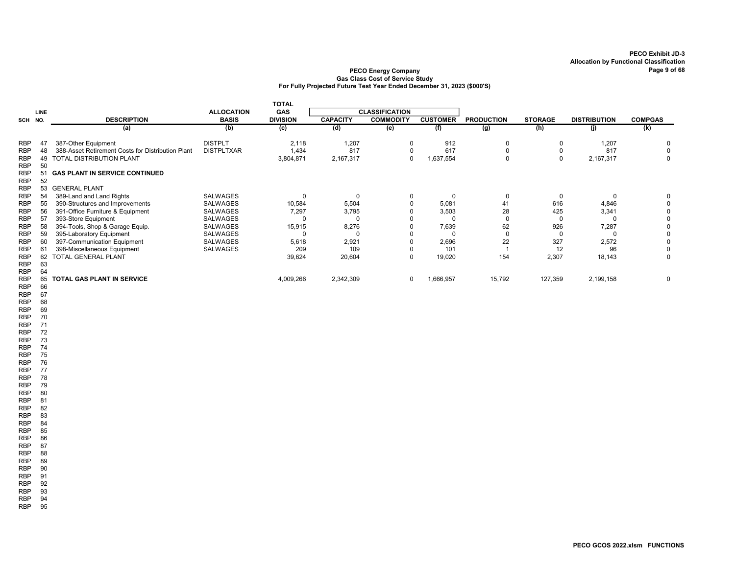## PECO Energy Company **PECO Energy Company** Page 9 of 68 Gas Class Cost of Service Study For Fully Projected Future Test Year Ended December 31, 2023 (\$000'S)

|                          |          |                                                   |                   | <b>TOTAL</b>    |                 |                       |                 |                   |                |                     |                |
|--------------------------|----------|---------------------------------------------------|-------------------|-----------------|-----------------|-----------------------|-----------------|-------------------|----------------|---------------------|----------------|
|                          | LINE     |                                                   | <b>ALLOCATION</b> | GAS             |                 | <b>CLASSIFICATION</b> |                 |                   |                |                     |                |
| SCH NO.                  |          | <b>DESCRIPTION</b>                                | <b>BASIS</b>      | <b>DIVISION</b> | <b>CAPACITY</b> | <b>COMMODITY</b>      | <b>CUSTOMER</b> | <b>PRODUCTION</b> | <b>STORAGE</b> | <b>DISTRIBUTION</b> | <b>COMPGAS</b> |
|                          |          | (a)                                               | (b)               | (c)             | (d)             | (e)                   | (f)             | (g)               | (h)            | (i)                 | (k)            |
| <b>RBP</b>               |          | 387-Other Equipment                               | <b>DISTPLT</b>    | 2,118           | 1,207           | 0                     | 912             |                   |                | 1,207               | 0              |
| <b>RBP</b>               | 48       | 388-Asset Retirement Costs for Distribution Plant | <b>DISTPLTXAR</b> | 1,434           | 817             |                       | 617             |                   |                | 817                 | $\Omega$       |
| <b>RBP</b><br><b>RBP</b> | 49<br>50 | TOTAL DISTRIBUTION PLANT                          |                   | 3,804,871       | 2,167,317       | $\Omega$              | 1,637,554       |                   |                | 2,167,317           | $\Omega$       |
| <b>RBP</b><br><b>RBP</b> | 52       | <b>GAS PLANT IN SERVICE CONTINUED</b>             |                   |                 |                 |                       |                 |                   |                |                     |                |
| <b>RBP</b>               | 53       | <b>GENERAL PLANT</b>                              |                   |                 |                 |                       |                 |                   |                |                     |                |
| <b>RBP</b>               | 54       | 389-Land and Land Rights                          | <b>SALWAGES</b>   | $\Omega$        | $\Omega$        | 0                     |                 |                   |                |                     |                |
| <b>RBP</b>               | 55       | 390-Structures and Improvements                   | <b>SALWAGES</b>   | 10,584          | 5,504           |                       | 5,081           | 41                | 616            | 4,846               |                |
| <b>RBP</b>               | 56       | 391-Office Furniture & Equipment                  | SALWAGES          | 7,297           | 3,795           |                       | 3,503           | 28                | 425            | 3,341               |                |
| <b>RBP</b>               | 57       | 393-Store Equipment                               | <b>SALWAGES</b>   |                 | $\Omega$        |                       |                 |                   |                |                     |                |
| <b>RBP</b>               | 58       | 394-Tools, Shop & Garage Equip.                   | SALWAGES          | 15,915          | 8,276           |                       | 7,639           | 62                | 926            | 7,287               |                |
| <b>RBP</b>               | 59       | 395-Laboratory Equipment                          | SALWAGES          | 0               | C               |                       |                 |                   |                |                     |                |
| <b>RBP</b>               |          | 397-Communication Equipment                       | SALWAGES          | 5,618           | 2,921           |                       | 2,696           | 22                | 327            | 2,572               | $\Omega$       |
| <b>RBP</b>               |          | 398-Miscellaneous Equipment                       | <b>SALWAGES</b>   | 209             | 109             |                       | 101             |                   | 12             | 96                  | $\Omega$       |
| <b>RBP</b>               | 62       | <b>TOTAL GENERAL PLANT</b>                        |                   | 39,624          | 20,604          | 0                     | 19,020          | 154               | 2,307          | 18,143              | 0              |
| <b>RBP</b><br><b>RBP</b> | 63<br>64 |                                                   |                   |                 |                 |                       |                 |                   |                |                     |                |
| <b>RBP</b>               | 65       | <b>TOTAL GAS PLANT IN SERVICE</b>                 |                   | 4,009,266       | 2,342,309       | $\Omega$              | 1,666,957       | 15,792            | 127,359        | 2,199,158           | 0              |
| <b>RBP</b>               | 66       |                                                   |                   |                 |                 |                       |                 |                   |                |                     |                |

RBP 67 RBP 68 RBP 69 RBP 70 RBP 71 RBP 72 RBP 73 RBP 74 RBP 75<br>RBP 76 RBP 76<br>RBP 77  $RBP$ RBP 78

RBP 79<br>RBP 80  $RBP$ RBP 81 RBP 82 RBP 83<br>RBP 84 RBP 84<br>RBP 85  $RBP$ RBP 86 RBP 87<br>RBP 88 RBP 88<br>RBP 89 RBP 89<br>RBP 90  $RBP$ RBP 91<br>RBP 92 RBP 92<br>RBP 93 RBP 93<br>RBP 94  $RBP$ RBP 95

#### PECO GCOS 2022.xlsm FUNCTIONS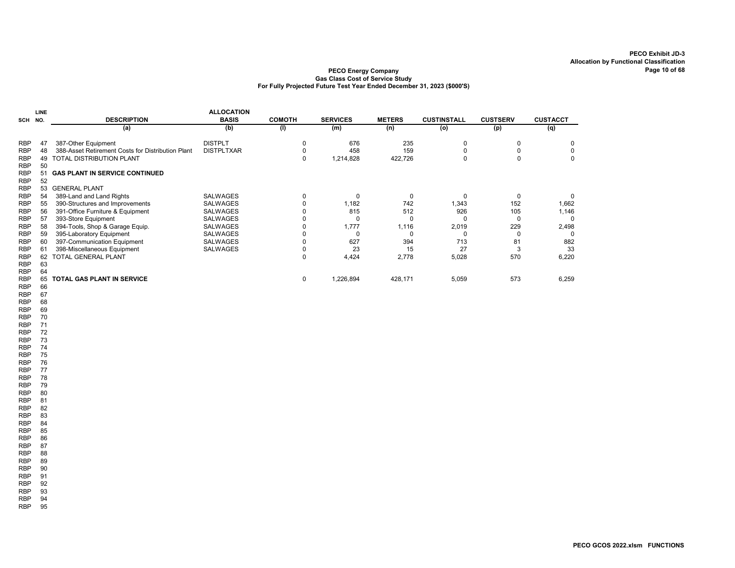### PECO Energy Company Gas Class Cost of Service Study For Fully Projected Future Test Year Ended December 31, 2023 (\$000'S)

|            | <b>LINE</b> |                                                   | <b>ALLOCATION</b> |               |                 |               |                    |                 |                 |
|------------|-------------|---------------------------------------------------|-------------------|---------------|-----------------|---------------|--------------------|-----------------|-----------------|
| SCH NO.    |             | <b>DESCRIPTION</b>                                | <b>BASIS</b>      | <b>COMOTH</b> | <b>SERVICES</b> | <b>METERS</b> | <b>CUSTINSTALL</b> | <b>CUSTSERV</b> | <b>CUSTACCT</b> |
|            |             | (a)                                               | (b)               | (1)           | (m)             | (n)           | (o)                | (p)             | (q)             |
| <b>RBP</b> | 47          | 387-Other Equipment                               | <b>DISTPLT</b>    |               | 676             | 235           |                    |                 | 0               |
| <b>RBP</b> | 48          | 388-Asset Retirement Costs for Distribution Plant | <b>DISTPLTXAR</b> |               | 458             | 159           |                    |                 |                 |
| <b>RBP</b> | 49          | TOTAL DISTRIBUTION PLANT                          |                   | $\Omega$      | 1,214,828       | 422,726       |                    |                 | 0               |
| <b>RBP</b> | 50          |                                                   |                   |               |                 |               |                    |                 |                 |
| <b>RBP</b> | 51          | <b>GAS PLANT IN SERVICE CONTINUED</b>             |                   |               |                 |               |                    |                 |                 |
| <b>RBP</b> | 52          |                                                   |                   |               |                 |               |                    |                 |                 |
| <b>RBP</b> | 53          | <b>GENERAL PLANT</b>                              |                   |               |                 |               |                    |                 |                 |
| <b>RBP</b> | 54          | 389-Land and Land Rights                          | <b>SALWAGES</b>   |               | C               |               | $\Omega$           | $\Omega$        |                 |
| <b>RBP</b> | 55          | 390-Structures and Improvements                   | <b>SALWAGES</b>   |               | 1,182           | 742           | 1,343              | 152             | 1,662           |
| <b>RBP</b> | 56          | 391-Office Furniture & Equipment                  | <b>SALWAGES</b>   |               | 815             | 512           | 926                | 105             | 1,146           |
| <b>RBP</b> | 57          | 393-Store Equipment                               | <b>SALWAGES</b>   |               | 0               |               |                    |                 | 0               |
| <b>RBP</b> | 58          | 394-Tools, Shop & Garage Equip.                   | <b>SALWAGES</b>   |               | 1,777           | 1,116         | 2,019              | 229             | 2,498           |
| <b>RBP</b> | 59          | 395-Laboratory Equipment                          | <b>SALWAGES</b>   |               |                 |               |                    |                 |                 |
| <b>RBP</b> | 60          | 397-Communication Equipment                       | <b>SALWAGES</b>   |               | 627             | 394           | 713                | 81              | 882             |
| <b>RBP</b> | 61          | 398-Miscellaneous Equipment                       | SALWAGES          |               | 23              | 15            | 27                 |                 | -33             |
| <b>RBP</b> | 62          | <b>TOTAL GENERAL PLANT</b>                        |                   | $\Omega$      | 4,424           | 2,778         | 5,028              | 570             | 6,220           |
| <b>RBP</b> | 63          |                                                   |                   |               |                 |               |                    |                 |                 |
| <b>RBP</b> | 64          |                                                   |                   |               |                 |               |                    |                 |                 |
| <b>RBP</b> | 65          | <b>TOTAL GAS PLANT IN SERVICE</b>                 |                   | 0             | 1,226,894       | 428,171       | 5,059              | 573             | 6,259           |
| nnn.       | cc.         |                                                   |                   |               |                 |               |                    |                 |                 |

RBP 66 RBP 67 RBP 68 RBP 69 RBP 70 RBP 71 RBP 72 RBP 73 RBP 74 RBP 75<br>RBP 76  $RBP$ 

RBP 77 RBP 78 RBP 79 RBP 80 RBP 81 RBP 82 RBP 83<br>RBP 84 RBP 84<br>RBP 85  $RBP$ RBP 86 RBP 87<br>RBP 88  $RBP$ RBP 89 RBP 90 RBP 91<br>RBP 92 RBP 92<br>RBP 93 RBP 93<br>RBP 94  $RBP$ RBP 95

PECO GCOS 2022.xlsm FUNCTIONS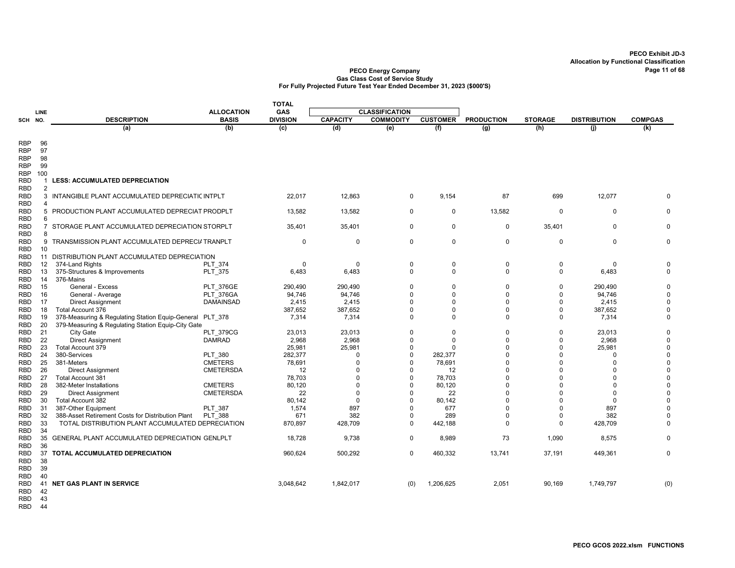|                          |                 |                                                                                                        |                   | <b>TOTAL</b>    |                      |                       |                 |                      |                      |                     |                      |
|--------------------------|-----------------|--------------------------------------------------------------------------------------------------------|-------------------|-----------------|----------------------|-----------------------|-----------------|----------------------|----------------------|---------------------|----------------------|
|                          | LINE            |                                                                                                        | <b>ALLOCATION</b> | GAS             |                      | <b>CLASSIFICATION</b> |                 |                      |                      |                     |                      |
| SCH NO.                  |                 | <b>DESCRIPTION</b>                                                                                     | <b>BASIS</b>      | <b>DIVISION</b> | <b>CAPACITY</b>      | <b>COMMODITY</b>      | <b>CUSTOMER</b> | <b>PRODUCTION</b>    | <b>STORAGE</b>       | <b>DISTRIBUTION</b> | <b>COMPGAS</b>       |
|                          |                 | (a)                                                                                                    | (b)               | (c)             | (d)                  | (e)                   | (f)             | $\overline{(g)}$     | (h)                  | (i)                 | (k)                  |
|                          |                 |                                                                                                        |                   |                 |                      |                       |                 |                      |                      |                     |                      |
| RBP                      | 96              |                                                                                                        |                   |                 |                      |                       |                 |                      |                      |                     |                      |
| <b>RBP</b>               | 97              |                                                                                                        |                   |                 |                      |                       |                 |                      |                      |                     |                      |
| <b>RBP</b>               | 98              |                                                                                                        |                   |                 |                      |                       |                 |                      |                      |                     |                      |
| RBP                      | 99              |                                                                                                        |                   |                 |                      |                       |                 |                      |                      |                     |                      |
| <b>RBP</b>               | 100             |                                                                                                        |                   |                 |                      |                       |                 |                      |                      |                     |                      |
| RBD                      | -1              | <b>LESS: ACCUMULATED DEPRECIATION</b>                                                                  |                   |                 |                      |                       |                 |                      |                      |                     |                      |
| <b>RBD</b>               | $\overline{2}$  |                                                                                                        |                   |                 |                      |                       |                 |                      |                      |                     |                      |
| <b>RBD</b><br><b>RBD</b> | 3<br>Δ          | INTANGIBLE PLANT ACCUMULATED DEPRECIATIC INTPLT                                                        |                   | 22.017          | 12,863               | 0                     | 9,154           | 87                   | 699                  | 12,077              |                      |
| <b>RBD</b>               |                 | 5 PRODUCTION PLANT ACCUMULATED DEPRECIAT PRODPLT                                                       |                   | 13,582          | 13,582               | $\Omega$              | $\mathbf 0$     | 13,582               | $\Omega$             | $\Omega$            | U                    |
| <b>RBD</b>               | 6               |                                                                                                        |                   |                 |                      |                       |                 |                      |                      |                     |                      |
| <b>RBD</b>               | $\overline{7}$  | STORAGE PLANT ACCUMULATED DEPRECIATION STORPLT                                                         |                   | 35,401          | 35,401               | 0                     | $\mathbf 0$     | 0                    | 35,401               | 0                   | 0                    |
| <b>RBD</b>               | 8               |                                                                                                        |                   |                 |                      |                       |                 |                      |                      |                     |                      |
| <b>RBD</b>               |                 | 9 TRANSMISSION PLANT ACCUMULATED DEPRECI/ TRANPLT                                                      |                   | $\mathbf 0$     | $\mathbf 0$          | $\mathbf 0$           | $\mathbf 0$     | $\mathbf 0$          | $\mathbf 0$          | $\mathbf 0$         | $\mathbf 0$          |
| <b>RBD</b>               | 10              |                                                                                                        |                   |                 |                      |                       |                 |                      |                      |                     |                      |
| RBD                      |                 | 11 DISTRIBUTION PLANT ACCUMULATED DEPRECIATION                                                         |                   |                 |                      |                       |                 |                      |                      |                     |                      |
| RBD                      | 12              | 374-Land Rights                                                                                        | <b>PLT 374</b>    | $\Omega$        | $\Omega$             | 0                     | $\mathbf 0$     | 0                    | $\mathbf 0$          | $\mathbf 0$         | $\mathbf 0$          |
| RBD                      | 13              | 375-Structures & Improvements                                                                          | PLT 375           | 6,483           | 6,483                | 0                     | $\mathbf 0$     | 0                    | $\mathbf 0$          | 6,483               | $\mathbf 0$          |
| RBD                      | 14              | 376-Mains                                                                                              |                   |                 |                      |                       |                 |                      |                      |                     |                      |
| <b>RBD</b>               | 15              | General - Excess                                                                                       | <b>PLT 376GE</b>  | 290,490         | 290,490              | $\Omega$              | $\mathbf 0$     | 0                    | $\Omega$             | 290,490             | $\Omega$             |
| <b>RBD</b>               | 16              | General - Average                                                                                      | PLT 376GA         | 94,746          | 94,746               | $\Omega$              | $\mathbf 0$     | $\Omega$             | $\Omega$             | 94,746              | 0                    |
| <b>RBD</b>               | 17              | <b>Direct Assignment</b>                                                                               | <b>DAMAINSAD</b>  | 2,415           | 2,415                | $\Omega$              | $\Omega$        | $\Omega$             | $\Omega$             | 2,415               | $\Omega$             |
| <b>RBD</b>               | 18              | Total Account 376                                                                                      |                   | 387,652         | 387,652              | $\Omega$              | $\Omega$        | $\Omega$             | $\Omega$             | 387,652             | $\mathbf 0$          |
| <b>RBD</b>               | 19              | 378-Measuring & Regulating Station Equip-General PLT 378                                               |                   | 7,314           | 7,314                | $\Omega$              | $\mathbf 0$     | $\Omega$             | $\mathbf 0$          | 7,314               | $\mathbf 0$          |
| RBD                      | 20              | 379-Measuring & Regulating Station Equip-City Gate                                                     |                   |                 |                      |                       |                 |                      |                      |                     |                      |
| RBD                      | 21              | City Gate                                                                                              | <b>PLT 379CG</b>  | 23,013          | 23,013               | $\Omega$              | $\mathbf 0$     | $\mathbf 0$          | $\mathbf 0$          | 23,013              | 0                    |
| <b>RBD</b>               | 22              | <b>Direct Assignment</b>                                                                               | <b>DAMRAD</b>     | 2,968           | 2,968                | $\Omega$              | $\Omega$        | $\mathbf 0$          | $\Omega$             | 2,968               | $\mathbf 0$          |
| RBD                      | 23              | Total Account 379                                                                                      |                   | 25,981          | 25,981               | $\Omega$              | $\Omega$        | $\Omega$             | $\Omega$             | 25,981              | $\mathbf 0$          |
| <b>RBD</b>               | 24              | 380-Services                                                                                           | PLT 380           | 282,377         | $\Omega$             | $\Omega$              | 282,377         | $\Omega$             | $\Omega$             | $\Omega$            | $\Omega$             |
| <b>RBD</b>               | 25              | 381-Meters                                                                                             | <b>CMETERS</b>    | 78,691          | $\Omega$             | $\Omega$              | 78,691          | $\Omega$             | $\Omega$             | $\Omega$            | $\mathbf 0$          |
| RBD                      | 26              | <b>Direct Assignment</b>                                                                               | <b>CMETERSDA</b>  | 12              | U                    | $\Omega$              | 12              | $\Omega$             | $\Omega$             | 0                   | $\mathbf 0$          |
| RBD                      | 27              | Total Account 381                                                                                      |                   | 78,703          | $\Omega$             | $\Omega$              | 78,703          | $\Omega$             | $\Omega$             | $\Omega$            | $\mathbf 0$          |
| <b>RBD</b>               | 28              | 382-Meter Installations                                                                                | <b>CMETERS</b>    | 80,120          | $\Omega$             | $\Omega$              | 80,120          | $\Omega$             | $\Omega$             | $\Omega$            | 0                    |
| <b>RBD</b>               | 29              | <b>Direct Assignment</b>                                                                               | <b>CMETERSDA</b>  | 22              | $\Omega$<br>$\Omega$ | $\Omega$<br>$\Omega$  | 22              | $\Omega$<br>$\Omega$ | $\Omega$<br>$\Omega$ | $\Omega$            | $\Omega$<br>$\Omega$ |
| <b>RBD</b>               | 30              | Total Account 382                                                                                      |                   | 80,142          | 897                  | $\Omega$              | 80,142          | $\Omega$             | $\Omega$             | $\Omega$<br>897     | $\Omega$             |
| <b>RBD</b>               | 31<br>32        | 387-Other Equipment                                                                                    | <b>PLT 387</b>    | 1,574<br>671    | 382                  | $\Omega$              | 677<br>289      | $\Omega$             | $\Omega$             | 382                 | $\Omega$             |
| <b>RBD</b><br><b>RBD</b> | 33              | 388-Asset Retirement Costs for Distribution Plant<br>TOTAL DISTRIBUTION PLANT ACCUMULATED DEPRECIATION | <b>PLT 388</b>    | 870,897         | 428,709              | $\mathbf 0$           |                 | $\Omega$             | $\Omega$             | 428,709             | $\mathbf 0$          |
| <b>RBD</b>               | 34              |                                                                                                        |                   |                 |                      |                       | 442,188         |                      |                      |                     |                      |
| RBD                      | 35              | GENERAL PLANT ACCUMULATED DEPRECIATION GENLPLT                                                         |                   | 18,728          | 9,738                | $\mathbf 0$           | 8,989           | 73                   | 1,090                | 8,575               | $\Omega$             |
| <b>RBD</b>               | 36              |                                                                                                        |                   |                 |                      |                       |                 |                      |                      |                     |                      |
| <b>RBD</b>               | 37              | TOTAL ACCUMULATED DEPRECIATION                                                                         |                   | 960,624         | 500,292              | 0                     | 460,332         | 13,741               | 37,191               | 449,361             | $\mathbf 0$          |
| RBD                      | 38              |                                                                                                        |                   |                 |                      |                       |                 |                      |                      |                     |                      |
| RBD                      | 39              |                                                                                                        |                   |                 |                      |                       |                 |                      |                      |                     |                      |
| <b>RBD</b>               | 40              |                                                                                                        |                   |                 |                      |                       |                 |                      |                      |                     |                      |
| RBD                      | 41              | <b>NET GAS PLANT IN SERVICE</b>                                                                        |                   | 3,048,642       | 1,842,017            | (0)                   | 1,206,625       | 2,051                | 90,169               | 1,749,797           | (0)                  |
| <b>RBD</b>               | 42              |                                                                                                        |                   |                 |                      |                       |                 |                      |                      |                     |                      |
| <b>DDD</b>               | $\overline{12}$ |                                                                                                        |                   |                 |                      |                       |                 |                      |                      |                     |                      |

- RBD 43
- RBD 44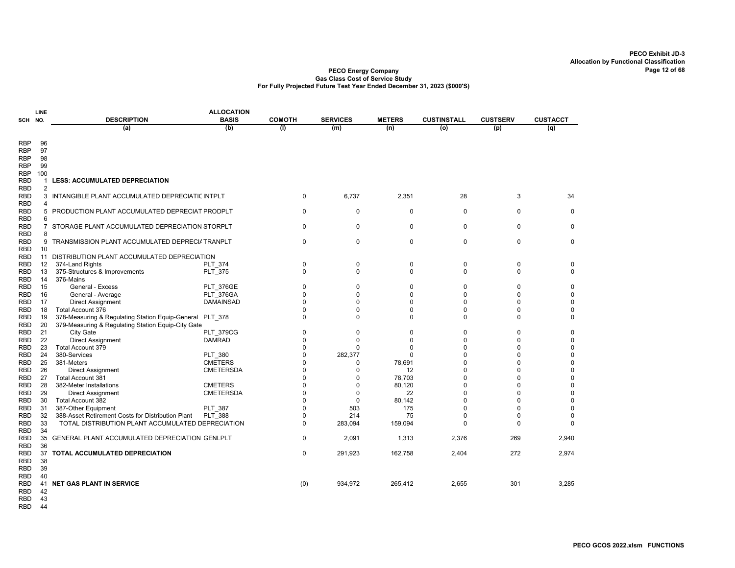#### PECO Energy Company Gas Class Cost of Service Study For Fully Projected Future Test Year Ended December 31, 2023 (\$000'S)

| <b>ALLOCATION</b><br><b>LINE</b><br>SCH NO. |                |                                                                                                        |                  |                      |                 |               |                      |                 |                  |
|---------------------------------------------|----------------|--------------------------------------------------------------------------------------------------------|------------------|----------------------|-----------------|---------------|----------------------|-----------------|------------------|
|                                             |                | <b>DESCRIPTION</b>                                                                                     | <b>BASIS</b>     | <b>COMOTH</b>        | <b>SERVICES</b> | <b>METERS</b> | <b>CUSTINSTALL</b>   | <b>CUSTSERV</b> | <b>CUSTACCT</b>  |
|                                             |                | (a)                                                                                                    | (b)              | (1)                  | (m)             | (n)           | (o)                  | (p)             | (q)              |
|                                             |                |                                                                                                        |                  |                      |                 |               |                      |                 |                  |
| RBP                                         | 96             |                                                                                                        |                  |                      |                 |               |                      |                 |                  |
| RBP                                         | 97             |                                                                                                        |                  |                      |                 |               |                      |                 |                  |
| RBP                                         | 98             |                                                                                                        |                  |                      |                 |               |                      |                 |                  |
| <b>RBP</b>                                  | 99             |                                                                                                        |                  |                      |                 |               |                      |                 |                  |
| RBP                                         | 100            |                                                                                                        |                  |                      |                 |               |                      |                 |                  |
| RBD                                         | 1              | <b>LESS: ACCUMULATED DEPRECIATION</b>                                                                  |                  |                      |                 |               |                      |                 |                  |
| <b>RBD</b>                                  | $\overline{2}$ |                                                                                                        |                  |                      |                 |               |                      |                 |                  |
| RBD                                         | 3              | INTANGIBLE PLANT ACCUMULATED DEPRECIATIC INTPLT                                                        |                  | $\mathbf 0$          | 6,737           | 2,351         | 28                   | 3               | 34               |
| <b>RBD</b>                                  | 4              |                                                                                                        |                  |                      |                 |               |                      |                 |                  |
| RBD                                         | 5              | PRODUCTION PLANT ACCUMULATED DEPRECIAT PRODPLT                                                         |                  | $\mathbf 0$          | $\mathbf 0$     | $\mathbf 0$   | $\mathbf 0$          | $\Omega$        | $\mathbf 0$      |
| <b>RBD</b>                                  | 6              |                                                                                                        |                  |                      |                 |               |                      |                 |                  |
| <b>RBD</b>                                  | $\overline{7}$ | STORAGE PLANT ACCUMULATED DEPRECIATION STORPLT                                                         |                  | $\Omega$             | $\mathbf 0$     | 0             | $\Omega$             | $\Omega$        | 0                |
| RBD                                         | 8              |                                                                                                        |                  |                      |                 |               |                      |                 |                  |
| RBD                                         | 9              | TRANSMISSION PLANT ACCUMULATED DEPRECI/ TRANPLT                                                        |                  | $\mathbf 0$          | $\mathbf 0$     | $\mathbf 0$   | $\mathbf 0$          | $\Omega$        | $\mathbf 0$      |
| <b>RBD</b>                                  | 10             |                                                                                                        |                  |                      |                 |               |                      |                 |                  |
| RBD                                         |                | 11 DISTRIBUTION PLANT ACCUMULATED DEPRECIATION                                                         |                  |                      |                 |               |                      |                 |                  |
| RBD                                         | 12             | 374-Land Rights                                                                                        | <b>PLT 374</b>   | 0                    | 0               | 0             | 0                    | 0               | 0                |
| RBD                                         | 13             | 375-Structures & Improvements                                                                          | <b>PLT 375</b>   | $\mathbf 0$          | 0               | $\mathbf 0$   | 0                    | $\Omega$        | $\mathbf 0$      |
| RBD                                         | 14             | 376-Mains                                                                                              |                  |                      |                 |               |                      |                 |                  |
| RBD                                         | 15             | General - Excess                                                                                       | <b>PLT 376GE</b> | $\Omega$             | 0               | 0             | $\Omega$             | $\Omega$        | 0                |
| RBD                                         | 16             | General - Average                                                                                      | PLT 376GA        | $\Omega$             | $\Omega$        | $\Omega$      | $\Omega$             | $\Omega$        | $\mathbf 0$      |
| RBD                                         | 17             | <b>Direct Assignment</b>                                                                               | <b>DAMAINSAD</b> | $\Omega$             | 0               | 0             | $\Omega$             | $\Omega$        | 0                |
| RBD                                         | 18             | Total Account 376                                                                                      |                  | $\Omega$             | $\Omega$        | 0             | 0                    | $\Omega$        | 0                |
| RBD                                         | 19             | 378-Measuring & Regulating Station Equip-General                                                       | <b>PLT 378</b>   | $\Omega$             | O               | 0             | $\mathbf 0$          | $\Omega$        | 0                |
| RBD                                         | 20             | 379-Measuring & Regulating Station Equip-City Gate                                                     |                  |                      |                 |               |                      |                 |                  |
| <b>RBD</b>                                  | 21             | City Gate                                                                                              | <b>PLT 379CG</b> | 0                    | $\Omega$        | 0             | 0                    | $\Omega$        | $\mathbf 0$      |
| RBD                                         | 22             | <b>Direct Assignment</b>                                                                               | <b>DAMRAD</b>    | $\Omega$             | $\Omega$        | $\Omega$      | $\Omega$             | $\Omega$        | $\mathbf 0$      |
| RBD                                         | 23             | <b>Total Account 379</b>                                                                               |                  | $\Omega$             | $\Omega$        | 0             | 0                    | $\Omega$        | $\mathbf 0$      |
| RBD                                         | 24             | 380-Services                                                                                           | <b>PLT 380</b>   | $\Omega$             | 282,377         | 0             | $\Omega$             | $\Omega$        | $\mathbf 0$      |
| RBD                                         | 25             | 381-Meters                                                                                             | <b>CMETERS</b>   | $\Omega$             | O               | 78,691        | $\Omega$             | U               | $\mathbf 0$      |
| RBD                                         | 26             | <b>Direct Assignment</b>                                                                               | <b>CMETERSDA</b> | $\Omega$<br>$\Omega$ | 0               | 12            | $\Omega$<br>$\Omega$ | $\Omega$<br>n   | 0                |
| RBD                                         | 27             | <b>Total Account 381</b>                                                                               |                  | $\Omega$             | O               | 78,703        | $\Omega$             | $\Omega$        | $\mathbf 0$      |
| RBD                                         | 28             | 382-Meter Installations                                                                                | <b>CMETERS</b>   | $\Omega$             | 0<br>$\Omega$   | 80,120        | $\Omega$             | $\Omega$        | 0<br>$\mathbf 0$ |
| RBD                                         | 29<br>30       | <b>Direct Assignment</b><br><b>Total Account 382</b>                                                   | <b>CMETERSDA</b> | $\Omega$             | $\Omega$        | 22<br>80,142  | $\Omega$             | $\Omega$        | $\mathbf 0$      |
| RBD                                         | 31             |                                                                                                        |                  | $\Omega$             | 503             | 175           | $\Omega$             | $\Omega$        | $\mathbf 0$      |
| RBD                                         | 32             | 387-Other Equipment                                                                                    | PLT_387          | 0                    | 214             | 75            | 0                    | 0               | 0                |
| <b>RBD</b><br><b>RBD</b>                    | 33             | 388-Asset Retirement Costs for Distribution Plant<br>TOTAL DISTRIBUTION PLANT ACCUMULATED DEPRECIATION | <b>PLT 388</b>   | $\Omega$             | 283,094         | 159,094       | $\Omega$             | $\Omega$        | $\Omega$         |
| RBD                                         | 34             |                                                                                                        |                  |                      |                 |               |                      |                 |                  |
| RBD                                         | 35             | GENERAL PLANT ACCUMULATED DEPRECIATION GENLPLT                                                         |                  | $\mathbf 0$          | 2,091           | 1,313         | 2,376                | 269             | 2,940            |
| RBD                                         | 36             |                                                                                                        |                  |                      |                 |               |                      |                 |                  |
| <b>RBD</b>                                  | 37             | TOTAL ACCUMULATED DEPRECIATION                                                                         |                  | $\mathbf 0$          | 291,923         | 162,758       | 2,404                | 272             | 2,974            |
| RBD                                         | 38             |                                                                                                        |                  |                      |                 |               |                      |                 |                  |
| RBD                                         | 39             |                                                                                                        |                  |                      |                 |               |                      |                 |                  |
| RBD                                         | 40             |                                                                                                        |                  |                      |                 |               |                      |                 |                  |
| RBD                                         | 41             | <b>NET GAS PLANT IN SERVICE</b>                                                                        |                  | (0)                  | 934,972         | 265,412       | 2,655                | 301             | 3,285            |
| RBD                                         | 42             |                                                                                                        |                  |                      |                 |               |                      |                 |                  |
| <b>DDD</b>                                  | $\sqrt{2}$     |                                                                                                        |                  |                      |                 |               |                      |                 |                  |

RBD 43

RBD 44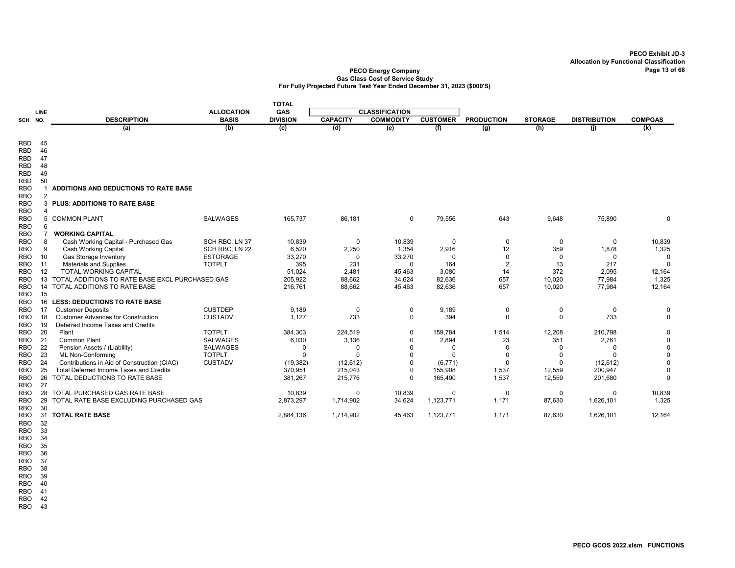#### PECO Energy Company Page 13 of 68 Gas Class Cost of Service Study For Fully Projected Future Test Year Ended December 31, 2023 (\$000'S)

|            |             |                                                 |                   | <b>TOTAL</b>    |                 |                       |                 |                   |                |                     |                |
|------------|-------------|-------------------------------------------------|-------------------|-----------------|-----------------|-----------------------|-----------------|-------------------|----------------|---------------------|----------------|
|            | <b>LINE</b> |                                                 | <b>ALLOCATION</b> | <b>GAS</b>      |                 | <b>CLASSIFICATION</b> |                 |                   |                |                     |                |
| SCH NO.    |             | <b>DESCRIPTION</b>                              | <b>BASIS</b>      | <b>DIVISION</b> | <b>CAPACITY</b> | <b>COMMODITY</b>      | <b>CUSTOMER</b> | <b>PRODUCTION</b> | <b>STORAGE</b> | <b>DISTRIBUTION</b> | <b>COMPGAS</b> |
|            |             | (a)                                             | (b)               | (c)             | (d)             | (e)                   | (f)             | (g)               | (h)            | (i)                 | (k)            |
|            |             |                                                 |                   |                 |                 |                       |                 |                   |                |                     |                |
| <b>RBD</b> | 45          |                                                 |                   |                 |                 |                       |                 |                   |                |                     |                |
| <b>RBD</b> | 46          |                                                 |                   |                 |                 |                       |                 |                   |                |                     |                |
| <b>RBD</b> | 47          |                                                 |                   |                 |                 |                       |                 |                   |                |                     |                |
| <b>RBD</b> | 48          |                                                 |                   |                 |                 |                       |                 |                   |                |                     |                |
| <b>RBD</b> | 49          |                                                 |                   |                 |                 |                       |                 |                   |                |                     |                |
| <b>RBD</b> | 50          |                                                 |                   |                 |                 |                       |                 |                   |                |                     |                |
| <b>RBO</b> |             | ADDITIONS AND DEDUCTIONS TO RATE BASE           |                   |                 |                 |                       |                 |                   |                |                     |                |
| <b>RBO</b> | 2           |                                                 |                   |                 |                 |                       |                 |                   |                |                     |                |
| <b>RBO</b> | 3           | <b>PLUS: ADDITIONS TO RATE BASE</b>             |                   |                 |                 |                       |                 |                   |                |                     |                |
| <b>RBO</b> | Δ           |                                                 |                   |                 |                 |                       |                 |                   |                |                     |                |
| <b>RBO</b> | 5           | <b>COMMON PLANT</b>                             | <b>SALWAGES</b>   | 165,737         | 86,181          | 0                     | 79,556          | 643               | 9,648          | 75,890              | 0              |
| <b>RBO</b> | 6           |                                                 |                   |                 |                 |                       |                 |                   |                |                     |                |
| <b>RBO</b> |             | <b>WORKING CAPITAL</b>                          |                   |                 |                 |                       |                 |                   |                |                     |                |
| <b>RBO</b> | 8           | Cash Working Capital - Purchased Gas            | SCH RBC, LN 37    | 10,839          | 0               | 10,839                | 0               | $\mathbf 0$       | $\mathbf 0$    | 0                   | 10,839         |
| <b>RBO</b> | 9           | <b>Cash Working Capital</b>                     | SCH RBC, LN 22    | 6,520           | 2,250           | 1,354                 | 2,916           | 12                | 359            | 1,878               | 1,325          |
| <b>RBO</b> | 10          | Gas Storage Inventory                           | <b>ESTORAGE</b>   | 33,270          | $\overline{0}$  | 33,270                | 0               | $\mathbf 0$       | $\mathbf 0$    | $\Omega$            | $\mathbf 0$    |
| <b>RBO</b> | 11          | <b>Materials and Supplies</b>                   | <b>TOTPLT</b>     | 395             | 231             | $\Omega$              | 164             | $\overline{2}$    | 13             | 217                 | $\Omega$       |
| <b>RBO</b> | 12          | <b>TOTAL WORKING CAPITAL</b>                    |                   | 51,024          | 2,481           | 45,463                | 3,080           | 14                | 372            | 2,095               | 12,164         |
| RBO        | 13          | TOTAL ADDITIONS TO RATE BASE EXCL PURCHASED GAS |                   | 205,922         | 88,662          | 34,624                | 82,636          | 657               | 10,020         | 77,984              | 1,325          |
| <b>RBO</b> | 14          | TOTAL ADDITIONS TO RATE BASE                    |                   | 216,761         | 88,662          | 45,463                | 82,636          | 657               | 10,020         | 77,984              | 12,164         |
| <b>RBO</b> | 15          |                                                 |                   |                 |                 |                       |                 |                   |                |                     |                |
| <b>RBO</b> | 16          | <b>LESS: DEDUCTIONS TO RATE BASE</b>            |                   |                 |                 |                       |                 |                   |                |                     |                |
| <b>RBO</b> | 17          | <b>Customer Deposits</b>                        | <b>CUSTDEP</b>    | 9,189           | 0               | 0                     | 9,189           | 0                 | 0              | $\Omega$            | 0              |
| RBO        | 18          | <b>Customer Advances for Construction</b>       | <b>CUSTADV</b>    | 1,127           | 733             | $\mathbf 0$           | 394             | $\mathbf 0$       | $\mathbf 0$    | 733                 | $\mathbf 0$    |
| <b>RBO</b> | 19          | Deferred Income Taxes and Credits               |                   |                 |                 |                       |                 |                   |                |                     |                |
| <b>RBO</b> | 20          | Plant                                           | <b>TOTPLT</b>     | 384,303         | 224,519         | $\mathbf 0$           | 159,784         | 1,514             | 12,208         | 210,798             | $\Omega$       |
| <b>RBO</b> | 21          | <b>Common Plant</b>                             | <b>SALWAGES</b>   | 6,030           | 3,136           | $\mathbf 0$           | 2,894           | 23                | 351            | 2,761               | $\mathbf 0$    |
| <b>RBO</b> | 22          | Pension Assets / (Liability)                    | <b>SALWAGES</b>   | $\Omega$        | $\Omega$        | $\Omega$              | $\Omega$        | $\mathbf 0$       | $\Omega$       | $\Omega$            | 0              |
| RBO        | 23          | <b>ML Non-Conforming</b>                        | <b>TOTPLT</b>     | $\Omega$        | $\Omega$        | $\Omega$              | $\Omega$        | $\Omega$          | $\Omega$       |                     | $\mathbf 0$    |
| RBO        | 24          | Contributions in Aid of Construction (CIAC)     | <b>CUSTADV</b>    | (19, 382)       | (12, 612)       | $\Omega$              | (6,771)         | $\Omega$          | $\Omega$       | (12, 612)           | $\Omega$       |
| <b>RBO</b> | 25          | Total Deferred Income Taxes and Credits         |                   | 370,951         | 215,043         | $\Omega$              | 155,908         | 1,537             | 12,559         | 200,947             | $\Omega$       |
| <b>RBO</b> | 26          | TOTAL DEDUCTIONS TO RATE BASE                   |                   | 381,267         | 215,776         | $\Omega$              | 165,490         | 1,537             | 12,559         | 201,680             | 0              |
| RBO        | 27          |                                                 |                   |                 |                 |                       |                 |                   |                |                     |                |
| <b>RBO</b> | 28          | TOTAL PURCHASED GAS RATE BASE                   |                   | 10,839          | $\Omega$        | 10,839                | $\Omega$        | $\mathbf 0$       | $\mathbf 0$    | $\Omega$            | 10,839         |
| <b>RBO</b> | 29          | TOTAL RATE BASE EXCLUDING PURCHASED GAS         |                   | 2,873,297       | 1,714,902       | 34,624                | 1,123,771       | 1,171             | 87,630         | 1,626,101           | 1,325          |
| RBO        | 30          |                                                 |                   |                 |                 |                       |                 |                   |                |                     |                |
| <b>RBO</b> | 31          | <b>TOTAL RATE BASE</b>                          |                   | 2,884,136       | 1,714,902       | 45,463                | 1,123,771       | 1,171             | 87,630         | 1,626,101           | 12,164         |
| RBO        | 32          |                                                 |                   |                 |                 |                       |                 |                   |                |                     |                |

RBO 33

RBO 34

RBO 35

RBO 36 RBO 37

RBO 38

RBO 39

RBO 40

RBO 41

RBO 42

RBO 43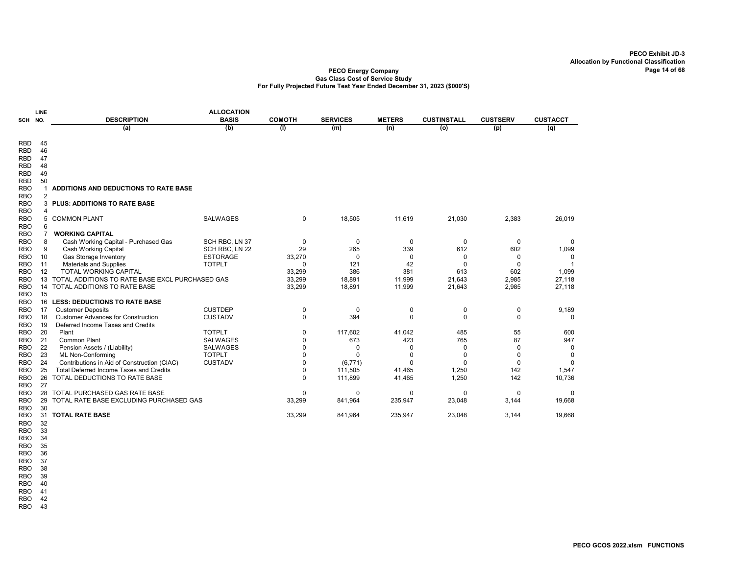#### PECO Energy Company Gas Class Cost of Service Study For Fully Projected Future Test Year Ended December 31, 2023 (\$000'S)

| SCH                      | <b>LINE</b><br>NO. | <b>DESCRIPTION</b>                              | <b>ALLOCATION</b><br><b>BASIS</b> | <b>COMOTH</b> | <b>SERVICES</b> | <b>METERS</b> | <b>CUSTINSTALL</b>    | <b>CUSTSERV</b> | <b>CUSTACCT</b>    |
|--------------------------|--------------------|-------------------------------------------------|-----------------------------------|---------------|-----------------|---------------|-----------------------|-----------------|--------------------|
|                          |                    | (a)                                             | (b)                               | (1)           | (m)             | (n)           | (o)                   | (p)             | (q)                |
| <b>RBD</b>               | 45                 |                                                 |                                   |               |                 |               |                       |                 |                    |
| <b>RBD</b>               | 46                 |                                                 |                                   |               |                 |               |                       |                 |                    |
| <b>RBD</b>               | 47                 |                                                 |                                   |               |                 |               |                       |                 |                    |
| <b>RBD</b>               | 48                 |                                                 |                                   |               |                 |               |                       |                 |                    |
| <b>RBD</b>               | 49                 |                                                 |                                   |               |                 |               |                       |                 |                    |
| <b>RBD</b>               | 50                 |                                                 |                                   |               |                 |               |                       |                 |                    |
| <b>RBO</b>               | 1                  | ADDITIONS AND DEDUCTIONS TO RATE BASE           |                                   |               |                 |               |                       |                 |                    |
| <b>RBO</b>               | $\overline{2}$     |                                                 |                                   |               |                 |               |                       |                 |                    |
| <b>RBO</b>               | 3                  | <b>PLUS: ADDITIONS TO RATE BASE</b>             |                                   |               |                 |               |                       |                 |                    |
| <b>RBO</b>               | 4                  |                                                 |                                   |               |                 |               |                       |                 |                    |
| <b>RBO</b>               | 5                  | <b>COMMON PLANT</b>                             | <b>SALWAGES</b>                   | 0             | 18,505          | 11,619        | 21,030                | 2,383           | 26,019             |
| <b>RBO</b>               | 6                  |                                                 |                                   |               |                 |               |                       |                 |                    |
| <b>RBO</b>               | $\overline{7}$     | <b>WORKING CAPITAL</b>                          |                                   |               |                 |               |                       |                 |                    |
| <b>RBO</b>               | 8                  | Cash Working Capital - Purchased Gas            | SCH RBC, LN 37                    | 0             | 0               | 0             | $\mathbf 0$           | 0               | $\Omega$           |
| <b>RBO</b>               | 9                  | <b>Cash Working Capital</b>                     | SCH RBC, LN 22                    | 29            | 265             | 339           | 612                   | 602             | 1,099              |
| <b>RBO</b>               | 10                 | Gas Storage Inventory                           | <b>ESTORAGE</b>                   | 33,270        | $\Omega$        | 0             | 0                     | 0               | 0                  |
| <b>RBO</b>               | 11                 | <b>Materials and Supplies</b>                   | <b>TOTPLT</b>                     |               | 121             | 42            | $\Omega$              | $\Omega$        |                    |
| <b>RBO</b>               | 12                 | TOTAL WORKING CAPITAL                           |                                   | 33,299        | 386             | 381           | 613                   | 602             | 1,099              |
| <b>RBO</b>               | 13                 | TOTAL ADDITIONS TO RATE BASE EXCL PURCHASED GAS |                                   | 33,299        | 18,891          | 11,999        | 21,643                | 2,985           | 27,118             |
| <b>RBO</b>               | 14                 | TOTAL ADDITIONS TO RATE BASE                    |                                   | 33,299        | 18,891          | 11,999        | 21,643                | 2,985           | 27,118             |
| <b>RBO</b>               | 15                 |                                                 |                                   |               |                 |               |                       |                 |                    |
| <b>RBO</b>               | 16                 | <b>LESS: DEDUCTIONS TO RATE BASE</b>            |                                   |               |                 |               |                       |                 |                    |
| <b>RBO</b>               | 17                 | <b>Customer Deposits</b>                        | <b>CUSTDEP</b>                    | 0             | $\Omega$        | 0             | 0                     | 0               | 9,189              |
| <b>RBO</b>               | 18                 | <b>Customer Advances for Construction</b>       | <b>CUSTADV</b>                    | $\mathbf 0$   | 394             | 0             | $\mathbf 0$           | $\Omega$        | 0                  |
| <b>RBO</b>               | 19                 | Deferred Income Taxes and Credits               |                                   |               |                 |               |                       |                 |                    |
| <b>RBO</b>               | 20                 | Plant                                           | <b>TOTPLT</b>                     | 0             | 117,602         | 41,042        | 485                   | 55              | 600                |
| <b>RBO</b>               | 21                 | Common Plant                                    | <b>SALWAGES</b>                   | 0             | 673             | 423           | 765                   | 87              | 947                |
| <b>RBO</b>               | 22                 | Pension Assets / (Liability)                    | <b>SALWAGES</b>                   | 0             | 0               | 0             | 0                     | 0               | 0                  |
| <b>RBO</b>               | 23                 | ML Non-Conforming                               | <b>TOTPLT</b>                     | 0             | $\Omega$        | $\Omega$      | $\Omega$              | $\Omega$        | 0                  |
| <b>RBO</b>               | 24                 | Contributions in Aid of Construction (CIAC)     | <b>CUSTADV</b>                    | 0             | (6,771)         | $\Omega$      | $\Omega$              | $\mathbf 0$     | $\Omega$           |
| <b>RBO</b>               | 25<br>26           | Total Deferred Income Taxes and Credits         |                                   | 0             | 111,505         | 41,465        | 1,250                 | 142             | 1,547              |
| <b>RBO</b><br><b>RBO</b> | 27                 | TOTAL DEDUCTIONS TO RATE BASE                   |                                   | $\Omega$      | 111,899         | 41,465        | 1,250                 | 142             | 10,736             |
| <b>RBO</b>               | 28                 | TOTAL PURCHASED GAS RATE BASE                   |                                   |               |                 | 0             |                       |                 |                    |
| <b>RBO</b>               | 29                 | TOTAL RATE BASE EXCLUDING PURCHASED GAS         |                                   | 0<br>33,299   | 0<br>841,964    | 235,947       | $\mathbf 0$<br>23,048 | 0<br>3,144      | $\Omega$<br>19,668 |
| <b>RBO</b>               | 30                 |                                                 |                                   |               |                 |               |                       |                 |                    |
| <b>RBO</b>               | 31                 | <b>TOTAL RATE BASE</b>                          |                                   | 33,299        | 841,964         | 235,947       | 23,048                | 3.144           | 19,668             |
| <b>DDO</b>               | າາ                 |                                                 |                                   |               |                 |               |                       |                 |                    |

RBO 32

RBO 33 RBO 34

RBO 35

RBO 36 RBO 37

RBO 38

RBO 39

RBO 40

RBO 41

RBO 42

RBO 43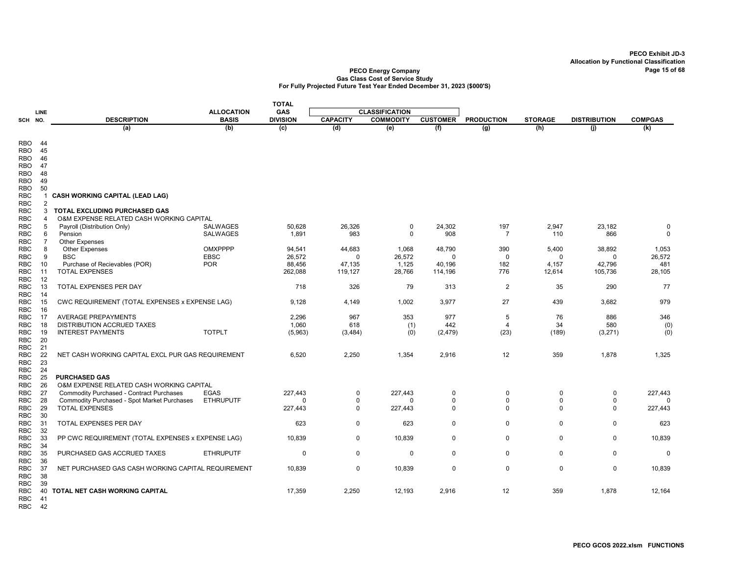### PECO Energy Company Page 15 of 68 Gas Class Cost of Service Study For Fully Projected Future Test Year Ended December 31, 2023 (\$000'S)

|                          |                     |                                                                           |                   | <b>TOTAL</b>    |                 |                       |                 |                   |                |                     |                |
|--------------------------|---------------------|---------------------------------------------------------------------------|-------------------|-----------------|-----------------|-----------------------|-----------------|-------------------|----------------|---------------------|----------------|
|                          | LINE                |                                                                           | <b>ALLOCATION</b> | <b>GAS</b>      |                 | <b>CLASSIFICATION</b> |                 |                   |                |                     |                |
| SCH NO.                  |                     | <b>DESCRIPTION</b>                                                        | <b>BASIS</b>      | <b>DIVISION</b> | <b>CAPACITY</b> | <b>COMMODITY</b>      | <b>CUSTOMER</b> | <b>PRODUCTION</b> | <b>STORAGE</b> | <b>DISTRIBUTION</b> | <b>COMPGAS</b> |
|                          |                     | (a)                                                                       | (b)               | (c)             | (d)             | (e)                   | (f)             | (g)               | (h)            | (i)                 | (k)            |
| <b>RBO</b>               | 44                  |                                                                           |                   |                 |                 |                       |                 |                   |                |                     |                |
| RBO                      | 45                  |                                                                           |                   |                 |                 |                       |                 |                   |                |                     |                |
| <b>RBO</b>               | 46                  |                                                                           |                   |                 |                 |                       |                 |                   |                |                     |                |
| RBO                      | 47                  |                                                                           |                   |                 |                 |                       |                 |                   |                |                     |                |
| RBO                      | 48                  |                                                                           |                   |                 |                 |                       |                 |                   |                |                     |                |
| RBO                      | 49                  |                                                                           |                   |                 |                 |                       |                 |                   |                |                     |                |
| <b>RBO</b>               | 50                  |                                                                           |                   |                 |                 |                       |                 |                   |                |                     |                |
| <b>RBC</b>               | 1                   | <b>CASH WORKING CAPITAL (LEAD LAG)</b>                                    |                   |                 |                 |                       |                 |                   |                |                     |                |
| <b>RBC</b>               | $\overline{2}$<br>3 |                                                                           |                   |                 |                 |                       |                 |                   |                |                     |                |
| <b>RBC</b><br><b>RBC</b> | 4                   | TOTAL EXCLUDING PURCHASED GAS<br>O&M EXPENSE RELATED CASH WORKING CAPITAL |                   |                 |                 |                       |                 |                   |                |                     |                |
| <b>RBC</b>               | 5                   | Payroll (Distribution Only)                                               | SALWAGES          | 50,628          | 26,326          | 0                     | 24,302          | 197               | 2,947          | 23,182              | 0              |
| <b>RBC</b>               | 6                   | Pension                                                                   | <b>SALWAGES</b>   | 1,891           | 983             | $\Omega$              | 908             | $\overline{7}$    | 110            | 866                 | $\mathbf 0$    |
| <b>RBC</b>               | $\overline{7}$      | <b>Other Expenses</b>                                                     |                   |                 |                 |                       |                 |                   |                |                     |                |
| <b>RBC</b>               | 8                   | <b>Other Expenses</b>                                                     | <b>OMXPPPP</b>    | 94,541          | 44,683          | 1,068                 | 48,790          | 390               | 5,400          | 38,892              | 1,053          |
| <b>RBC</b>               | 9                   | <b>BSC</b>                                                                | <b>EBSC</b>       | 26,572          | $\Omega$        | 26,572                | 0               | 0                 | 0              | 0                   | 26,572         |
| <b>RBC</b>               | 10                  | Purchase of Recievables (POR)                                             | <b>POR</b>        | 88.456          | 47,135          | 1,125                 | 40.196          | 182               | 4,157          | 42,796              | 481            |
| <b>RBC</b>               | 11                  | <b>TOTAL EXPENSES</b>                                                     |                   | 262,088         | 119,127         | 28,766                | 114,196         | 776               | 12,614         | 105,736             | 28,105         |
| <b>RBC</b>               | 12                  |                                                                           |                   |                 |                 |                       |                 |                   |                |                     |                |
| RBC<br><b>RBC</b>        | 13<br>14            | TOTAL EXPENSES PER DAY                                                    |                   | 718             | 326             | 79                    | 313             | $\overline{2}$    | 35             | 290                 | 77             |
| <b>RBC</b>               | 15                  | CWC REQUIREMENT (TOTAL EXPENSES x EXPENSE LAG)                            |                   | 9,128           | 4,149           | 1,002                 | 3,977           | 27                | 439            | 3,682               | 979            |
| <b>RBC</b>               | 16                  |                                                                           |                   |                 |                 |                       |                 |                   |                |                     |                |
| <b>RBC</b>               | 17                  | <b>AVERAGE PREPAYMENTS</b>                                                |                   | 2.296           | 967             | 353                   | 977             | 5                 | 76             | 886                 | 346            |
| <b>RBC</b>               | 18                  | DISTRIBUTION ACCRUED TAXES                                                |                   | 1,060           | 618             | (1)                   | 442             | $\overline{4}$    | 34             | 580                 | (0)            |
| <b>RBC</b>               | 19                  | <b>INTEREST PAYMENTS</b>                                                  | <b>TOTPLT</b>     | (5,963)         | (3, 484)        | (0)                   | (2, 479)        | (23)              | (189)          | (3,271)             | (0)            |
| <b>RBC</b>               | 20                  |                                                                           |                   |                 |                 |                       |                 |                   |                |                     |                |
| <b>RBC</b>               | 21                  |                                                                           |                   |                 |                 |                       |                 |                   |                |                     |                |
| <b>RBC</b>               | 22                  | NET CASH WORKING CAPITAL EXCL PUR GAS REQUIREMENT                         |                   | 6,520           | 2,250           | 1,354                 | 2,916           | 12                | 359            | 1,878               | 1,325          |
| <b>RBC</b><br><b>RBC</b> | 23<br>24            |                                                                           |                   |                 |                 |                       |                 |                   |                |                     |                |
| <b>RBC</b>               | 25                  | <b>PURCHASED GAS</b>                                                      |                   |                 |                 |                       |                 |                   |                |                     |                |
| <b>RBC</b>               | 26                  | O&M EXPENSE RELATED CASH WORKING CAPITAL                                  |                   |                 |                 |                       |                 |                   |                |                     |                |
| <b>RBC</b>               | 27                  | <b>Commodity Purchased - Contract Purchases</b>                           | <b>EGAS</b>       | 227,443         | $\overline{0}$  | 227,443               | 0               | 0                 | $\mathbf 0$    | 0                   | 227,443        |
| <b>RBC</b>               | 28                  | Commodity Purchased - Spot Market Purchases                               | <b>ETHRUPUTF</b>  | $\Omega$        | 0               | $\Omega$              | $\Omega$        | 0                 | 0              | $\Omega$            | $\Omega$       |
| <b>RBC</b>               | 29                  | <b>TOTAL EXPENSES</b>                                                     |                   | 227,443         | $\mathbf 0$     | 227,443               | $\mathbf 0$     | $\mathbf 0$       | $\mathbf 0$    | $\Omega$            | 227,443        |
| <b>RBC</b>               | 30                  |                                                                           |                   |                 |                 |                       |                 |                   |                |                     |                |
| <b>RBC</b>               | 31                  | TOTAL EXPENSES PER DAY                                                    |                   | 623             | $\mathbf 0$     | 623                   | 0               | $\mathbf 0$       | 0              | 0                   | 623            |
| <b>RBC</b><br><b>RBC</b> | 32<br>33            |                                                                           |                   | 10,839          | $\mathbf 0$     | 10,839                | 0               | $\mathbf 0$       | $\mathbf 0$    | 0                   | 10,839         |
| <b>RBC</b>               | 34                  | PP CWC REQUIREMENT (TOTAL EXPENSES x EXPENSE LAG)                         |                   |                 |                 |                       |                 |                   |                |                     |                |
| <b>RBC</b>               | 35                  | PURCHASED GAS ACCRUED TAXES                                               | <b>ETHRUPUTF</b>  | $\Omega$        | $\mathbf 0$     | $\Omega$              | $\Omega$        | $\mathbf 0$       | $\Omega$       | $\mathbf 0$         | $\mathbf 0$    |
| <b>RBC</b>               | 36                  |                                                                           |                   |                 |                 |                       |                 |                   |                |                     |                |
| <b>RBC</b>               | 37                  | NET PURCHASED GAS CASH WORKING CAPITAL REQUIREMENT                        |                   | 10,839          | 0               | 10,839                | $\mathbf 0$     | $\mathbf 0$       | $\mathbf 0$    | $\mathbf 0$         | 10,839         |
| <b>RBC</b>               | 38                  |                                                                           |                   |                 |                 |                       |                 |                   |                |                     |                |
| <b>RBC</b>               | 39                  |                                                                           |                   |                 |                 |                       |                 |                   |                |                     |                |
| <b>RBC</b>               | 40<br>41            | <b>TOTAL NET CASH WORKING CAPITAL</b>                                     |                   | 17,359          | 2,250           | 12,193                | 2,916           | 12                | 359            | 1,878               | 12,164         |
| <b>RBC</b><br><b>RBC</b> | 42                  |                                                                           |                   |                 |                 |                       |                 |                   |                |                     |                |
|                          |                     |                                                                           |                   |                 |                 |                       |                 |                   |                |                     |                |

PECO GCOS 2022.xlsm FUNCTIONS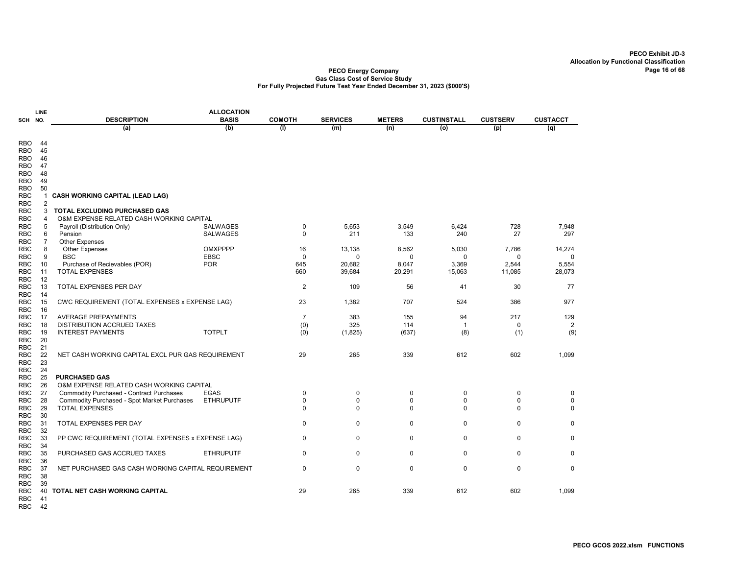#### PECO Energy Company Gas Class Cost of Service Study For Fully Projected Future Test Year Ended December 31, 2023 (\$000'S)

| <b>DESCRIPTION</b><br><b>BASIS</b><br><b>COMOTH</b><br><b>SERVICES</b><br><b>CUSTINSTALL</b><br><b>CUSTSERV</b><br><b>CUSTACCT</b><br><b>METERS</b><br>SCH NO.<br>(b)<br>(a)<br>(1)<br>(m)<br>(n)<br>(o)<br>(p)<br>(q)<br><b>RBO</b><br>44<br>45<br><b>RBO</b><br>46<br>RBO<br>47<br><b>RBO</b><br>48<br>RBO<br>49<br><b>RBO</b><br><b>RBO</b><br>50<br><b>RBC</b><br>$\mathbf{1}$<br>CASH WORKING CAPITAL (LEAD LAG)<br><b>RBC</b><br>$\overline{2}$<br>TOTAL EXCLUDING PURCHASED GAS<br><b>RBC</b><br>3<br><b>RBC</b><br>O&M EXPENSE RELATED CASH WORKING CAPITAL<br>$\overline{4}$<br><b>RBC</b><br><b>SALWAGES</b><br>5,653<br>3,549<br>6,424<br>728<br>7,948<br>5<br>Payroll (Distribution Only)<br>0<br>211<br>133<br>240<br>27<br>297<br><b>RBC</b><br>6<br>Pension<br><b>SALWAGES</b><br>0<br>$\overline{7}$<br><b>Other Expenses</b><br><b>RBC</b><br>8<br><b>RBC</b><br><b>OMXPPPP</b><br>16<br>13,138<br>8,562<br>5,030<br>7,786<br>14,274<br><b>Other Expenses</b><br><b>RBC</b><br>9<br><b>BSC</b><br><b>EBSC</b><br>0<br>0<br>$\mathbf 0$<br>0<br>0<br>$\mathbf 0$<br>10<br>Purchase of Recievables (POR)<br><b>POR</b><br>645<br>20,682<br>8,047<br>3,369<br>2,544<br>5,554<br><b>RBC</b><br><b>TOTAL EXPENSES</b><br>660<br>39,684<br>11,085<br><b>RBC</b><br>11<br>20,291<br>15,063<br>28,073<br>12<br><b>RBC</b><br>13<br><b>TOTAL EXPENSES PER DAY</b><br>$\overline{2}$<br>56<br>41<br><b>RBC</b><br>109<br>30<br>77<br><b>RBC</b><br>14<br><b>RBC</b><br>15<br>CWC REQUIREMENT (TOTAL EXPENSES x EXPENSE LAG)<br>23<br>1,382<br>707<br>524<br>386<br>977<br><b>RBC</b><br>16<br>17<br><b>AVERAGE PREPAYMENTS</b><br>$\overline{7}$<br>383<br>155<br>94<br>217<br>129<br><b>RBC</b><br>18<br>DISTRIBUTION ACCRUED TAXES<br>(0)<br>325<br>114<br>$\overline{2}$<br><b>RBC</b><br>$\overline{1}$<br>0<br><b>TOTPLT</b><br>19<br><b>INTEREST PAYMENTS</b><br>(8)<br>(1)<br>(9)<br><b>RBC</b><br>(0)<br>(1,825)<br>(637)<br>20<br><b>RBC</b><br><b>RBC</b><br>21<br>22<br>612<br><b>RBC</b><br>NET CASH WORKING CAPITAL EXCL PUR GAS REQUIREMENT<br>29<br>265<br>339<br>602<br>1,099<br>23<br><b>RBC</b><br>24<br>RBC<br>25<br><b>PURCHASED GAS</b><br><b>RBC</b><br><b>RBC</b><br>26<br>O&M EXPENSE RELATED CASH WORKING CAPITAL<br>27<br><b>EGAS</b><br>$\mathbf 0$<br>Commodity Purchased - Contract Purchases<br>0<br>$\mathbf 0$<br>0<br>0<br>0<br>$\Omega$<br>$\mathbf 0$<br><b>RBC</b><br>28<br>Commodity Purchased - Spot Market Purchases<br><b>ETHRUPUTF</b><br>$\Omega$<br>$\Omega$<br>$\Omega$<br>$\Omega$<br>29<br><b>TOTAL EXPENSES</b><br>$\Omega$<br>$\Omega$<br><b>RBC</b><br>$\Omega$<br>$\Omega$<br>$\Omega$<br>$\Omega$<br><b>RBC</b><br>30<br>$\mathbf 0$<br>31<br>TOTAL EXPENSES PER DAY<br>0<br>0<br>0<br>0<br>0<br>32<br>RBC<br>33<br>PP CWC REQUIREMENT (TOTAL EXPENSES x EXPENSE LAG)<br>0<br>0<br>0<br>0<br>0<br>0<br><b>RBC</b><br><b>RBC</b><br>34<br>35<br><b>ETHRUPUTF</b><br>0<br>0<br>$\mathbf 0$<br>$\mathbf 0$<br>$\mathbf 0$<br>$\mathbf 0$<br><b>RBC</b><br>PURCHASED GAS ACCRUED TAXES<br>36<br><b>RBC</b><br>$\Omega$<br>$\Omega$<br>$\Omega$<br>$\Omega$<br>$\Omega$<br>$\mathbf 0$<br><b>RBC</b><br>37<br>NET PURCHASED GAS CASH WORKING CAPITAL REQUIREMENT<br>38<br><b>RBC</b><br>39<br>RBC<br>TOTAL NET CASH WORKING CAPITAL<br>29<br>265<br>339<br>612<br>602<br>1,099<br>RBC<br>40 |            | <b>LINE</b> | <b>ALLOCATION</b> |  |  |  |
|--------------------------------------------------------------------------------------------------------------------------------------------------------------------------------------------------------------------------------------------------------------------------------------------------------------------------------------------------------------------------------------------------------------------------------------------------------------------------------------------------------------------------------------------------------------------------------------------------------------------------------------------------------------------------------------------------------------------------------------------------------------------------------------------------------------------------------------------------------------------------------------------------------------------------------------------------------------------------------------------------------------------------------------------------------------------------------------------------------------------------------------------------------------------------------------------------------------------------------------------------------------------------------------------------------------------------------------------------------------------------------------------------------------------------------------------------------------------------------------------------------------------------------------------------------------------------------------------------------------------------------------------------------------------------------------------------------------------------------------------------------------------------------------------------------------------------------------------------------------------------------------------------------------------------------------------------------------------------------------------------------------------------------------------------------------------------------------------------------------------------------------------------------------------------------------------------------------------------------------------------------------------------------------------------------------------------------------------------------------------------------------------------------------------------------------------------------------------------------------------------------------------------------------------------------------------------------------------------------------------------------------------------------------------------------------------------------------------------------------------------------------------------------------------------------------------------------------------------------------------------------------------------------------------------------------------------------------------------------------------------------------------------------------------------------------------------------------------------------------------------------------------------------------------------------------------------------------------------------------------------------------------------------------------------------------------------------------------------|------------|-------------|-------------------|--|--|--|
|                                                                                                                                                                                                                                                                                                                                                                                                                                                                                                                                                                                                                                                                                                                                                                                                                                                                                                                                                                                                                                                                                                                                                                                                                                                                                                                                                                                                                                                                                                                                                                                                                                                                                                                                                                                                                                                                                                                                                                                                                                                                                                                                                                                                                                                                                                                                                                                                                                                                                                                                                                                                                                                                                                                                                                                                                                                                                                                                                                                                                                                                                                                                                                                                                                                                                                                                                  |            |             |                   |  |  |  |
|                                                                                                                                                                                                                                                                                                                                                                                                                                                                                                                                                                                                                                                                                                                                                                                                                                                                                                                                                                                                                                                                                                                                                                                                                                                                                                                                                                                                                                                                                                                                                                                                                                                                                                                                                                                                                                                                                                                                                                                                                                                                                                                                                                                                                                                                                                                                                                                                                                                                                                                                                                                                                                                                                                                                                                                                                                                                                                                                                                                                                                                                                                                                                                                                                                                                                                                                                  |            |             |                   |  |  |  |
|                                                                                                                                                                                                                                                                                                                                                                                                                                                                                                                                                                                                                                                                                                                                                                                                                                                                                                                                                                                                                                                                                                                                                                                                                                                                                                                                                                                                                                                                                                                                                                                                                                                                                                                                                                                                                                                                                                                                                                                                                                                                                                                                                                                                                                                                                                                                                                                                                                                                                                                                                                                                                                                                                                                                                                                                                                                                                                                                                                                                                                                                                                                                                                                                                                                                                                                                                  |            |             |                   |  |  |  |
|                                                                                                                                                                                                                                                                                                                                                                                                                                                                                                                                                                                                                                                                                                                                                                                                                                                                                                                                                                                                                                                                                                                                                                                                                                                                                                                                                                                                                                                                                                                                                                                                                                                                                                                                                                                                                                                                                                                                                                                                                                                                                                                                                                                                                                                                                                                                                                                                                                                                                                                                                                                                                                                                                                                                                                                                                                                                                                                                                                                                                                                                                                                                                                                                                                                                                                                                                  |            |             |                   |  |  |  |
|                                                                                                                                                                                                                                                                                                                                                                                                                                                                                                                                                                                                                                                                                                                                                                                                                                                                                                                                                                                                                                                                                                                                                                                                                                                                                                                                                                                                                                                                                                                                                                                                                                                                                                                                                                                                                                                                                                                                                                                                                                                                                                                                                                                                                                                                                                                                                                                                                                                                                                                                                                                                                                                                                                                                                                                                                                                                                                                                                                                                                                                                                                                                                                                                                                                                                                                                                  |            |             |                   |  |  |  |
|                                                                                                                                                                                                                                                                                                                                                                                                                                                                                                                                                                                                                                                                                                                                                                                                                                                                                                                                                                                                                                                                                                                                                                                                                                                                                                                                                                                                                                                                                                                                                                                                                                                                                                                                                                                                                                                                                                                                                                                                                                                                                                                                                                                                                                                                                                                                                                                                                                                                                                                                                                                                                                                                                                                                                                                                                                                                                                                                                                                                                                                                                                                                                                                                                                                                                                                                                  |            |             |                   |  |  |  |
|                                                                                                                                                                                                                                                                                                                                                                                                                                                                                                                                                                                                                                                                                                                                                                                                                                                                                                                                                                                                                                                                                                                                                                                                                                                                                                                                                                                                                                                                                                                                                                                                                                                                                                                                                                                                                                                                                                                                                                                                                                                                                                                                                                                                                                                                                                                                                                                                                                                                                                                                                                                                                                                                                                                                                                                                                                                                                                                                                                                                                                                                                                                                                                                                                                                                                                                                                  |            |             |                   |  |  |  |
|                                                                                                                                                                                                                                                                                                                                                                                                                                                                                                                                                                                                                                                                                                                                                                                                                                                                                                                                                                                                                                                                                                                                                                                                                                                                                                                                                                                                                                                                                                                                                                                                                                                                                                                                                                                                                                                                                                                                                                                                                                                                                                                                                                                                                                                                                                                                                                                                                                                                                                                                                                                                                                                                                                                                                                                                                                                                                                                                                                                                                                                                                                                                                                                                                                                                                                                                                  |            |             |                   |  |  |  |
|                                                                                                                                                                                                                                                                                                                                                                                                                                                                                                                                                                                                                                                                                                                                                                                                                                                                                                                                                                                                                                                                                                                                                                                                                                                                                                                                                                                                                                                                                                                                                                                                                                                                                                                                                                                                                                                                                                                                                                                                                                                                                                                                                                                                                                                                                                                                                                                                                                                                                                                                                                                                                                                                                                                                                                                                                                                                                                                                                                                                                                                                                                                                                                                                                                                                                                                                                  |            |             |                   |  |  |  |
|                                                                                                                                                                                                                                                                                                                                                                                                                                                                                                                                                                                                                                                                                                                                                                                                                                                                                                                                                                                                                                                                                                                                                                                                                                                                                                                                                                                                                                                                                                                                                                                                                                                                                                                                                                                                                                                                                                                                                                                                                                                                                                                                                                                                                                                                                                                                                                                                                                                                                                                                                                                                                                                                                                                                                                                                                                                                                                                                                                                                                                                                                                                                                                                                                                                                                                                                                  |            |             |                   |  |  |  |
|                                                                                                                                                                                                                                                                                                                                                                                                                                                                                                                                                                                                                                                                                                                                                                                                                                                                                                                                                                                                                                                                                                                                                                                                                                                                                                                                                                                                                                                                                                                                                                                                                                                                                                                                                                                                                                                                                                                                                                                                                                                                                                                                                                                                                                                                                                                                                                                                                                                                                                                                                                                                                                                                                                                                                                                                                                                                                                                                                                                                                                                                                                                                                                                                                                                                                                                                                  |            |             |                   |  |  |  |
|                                                                                                                                                                                                                                                                                                                                                                                                                                                                                                                                                                                                                                                                                                                                                                                                                                                                                                                                                                                                                                                                                                                                                                                                                                                                                                                                                                                                                                                                                                                                                                                                                                                                                                                                                                                                                                                                                                                                                                                                                                                                                                                                                                                                                                                                                                                                                                                                                                                                                                                                                                                                                                                                                                                                                                                                                                                                                                                                                                                                                                                                                                                                                                                                                                                                                                                                                  |            |             |                   |  |  |  |
|                                                                                                                                                                                                                                                                                                                                                                                                                                                                                                                                                                                                                                                                                                                                                                                                                                                                                                                                                                                                                                                                                                                                                                                                                                                                                                                                                                                                                                                                                                                                                                                                                                                                                                                                                                                                                                                                                                                                                                                                                                                                                                                                                                                                                                                                                                                                                                                                                                                                                                                                                                                                                                                                                                                                                                                                                                                                                                                                                                                                                                                                                                                                                                                                                                                                                                                                                  |            |             |                   |  |  |  |
|                                                                                                                                                                                                                                                                                                                                                                                                                                                                                                                                                                                                                                                                                                                                                                                                                                                                                                                                                                                                                                                                                                                                                                                                                                                                                                                                                                                                                                                                                                                                                                                                                                                                                                                                                                                                                                                                                                                                                                                                                                                                                                                                                                                                                                                                                                                                                                                                                                                                                                                                                                                                                                                                                                                                                                                                                                                                                                                                                                                                                                                                                                                                                                                                                                                                                                                                                  |            |             |                   |  |  |  |
|                                                                                                                                                                                                                                                                                                                                                                                                                                                                                                                                                                                                                                                                                                                                                                                                                                                                                                                                                                                                                                                                                                                                                                                                                                                                                                                                                                                                                                                                                                                                                                                                                                                                                                                                                                                                                                                                                                                                                                                                                                                                                                                                                                                                                                                                                                                                                                                                                                                                                                                                                                                                                                                                                                                                                                                                                                                                                                                                                                                                                                                                                                                                                                                                                                                                                                                                                  |            |             |                   |  |  |  |
|                                                                                                                                                                                                                                                                                                                                                                                                                                                                                                                                                                                                                                                                                                                                                                                                                                                                                                                                                                                                                                                                                                                                                                                                                                                                                                                                                                                                                                                                                                                                                                                                                                                                                                                                                                                                                                                                                                                                                                                                                                                                                                                                                                                                                                                                                                                                                                                                                                                                                                                                                                                                                                                                                                                                                                                                                                                                                                                                                                                                                                                                                                                                                                                                                                                                                                                                                  |            |             |                   |  |  |  |
|                                                                                                                                                                                                                                                                                                                                                                                                                                                                                                                                                                                                                                                                                                                                                                                                                                                                                                                                                                                                                                                                                                                                                                                                                                                                                                                                                                                                                                                                                                                                                                                                                                                                                                                                                                                                                                                                                                                                                                                                                                                                                                                                                                                                                                                                                                                                                                                                                                                                                                                                                                                                                                                                                                                                                                                                                                                                                                                                                                                                                                                                                                                                                                                                                                                                                                                                                  |            |             |                   |  |  |  |
|                                                                                                                                                                                                                                                                                                                                                                                                                                                                                                                                                                                                                                                                                                                                                                                                                                                                                                                                                                                                                                                                                                                                                                                                                                                                                                                                                                                                                                                                                                                                                                                                                                                                                                                                                                                                                                                                                                                                                                                                                                                                                                                                                                                                                                                                                                                                                                                                                                                                                                                                                                                                                                                                                                                                                                                                                                                                                                                                                                                                                                                                                                                                                                                                                                                                                                                                                  |            |             |                   |  |  |  |
|                                                                                                                                                                                                                                                                                                                                                                                                                                                                                                                                                                                                                                                                                                                                                                                                                                                                                                                                                                                                                                                                                                                                                                                                                                                                                                                                                                                                                                                                                                                                                                                                                                                                                                                                                                                                                                                                                                                                                                                                                                                                                                                                                                                                                                                                                                                                                                                                                                                                                                                                                                                                                                                                                                                                                                                                                                                                                                                                                                                                                                                                                                                                                                                                                                                                                                                                                  |            |             |                   |  |  |  |
|                                                                                                                                                                                                                                                                                                                                                                                                                                                                                                                                                                                                                                                                                                                                                                                                                                                                                                                                                                                                                                                                                                                                                                                                                                                                                                                                                                                                                                                                                                                                                                                                                                                                                                                                                                                                                                                                                                                                                                                                                                                                                                                                                                                                                                                                                                                                                                                                                                                                                                                                                                                                                                                                                                                                                                                                                                                                                                                                                                                                                                                                                                                                                                                                                                                                                                                                                  |            |             |                   |  |  |  |
|                                                                                                                                                                                                                                                                                                                                                                                                                                                                                                                                                                                                                                                                                                                                                                                                                                                                                                                                                                                                                                                                                                                                                                                                                                                                                                                                                                                                                                                                                                                                                                                                                                                                                                                                                                                                                                                                                                                                                                                                                                                                                                                                                                                                                                                                                                                                                                                                                                                                                                                                                                                                                                                                                                                                                                                                                                                                                                                                                                                                                                                                                                                                                                                                                                                                                                                                                  |            |             |                   |  |  |  |
|                                                                                                                                                                                                                                                                                                                                                                                                                                                                                                                                                                                                                                                                                                                                                                                                                                                                                                                                                                                                                                                                                                                                                                                                                                                                                                                                                                                                                                                                                                                                                                                                                                                                                                                                                                                                                                                                                                                                                                                                                                                                                                                                                                                                                                                                                                                                                                                                                                                                                                                                                                                                                                                                                                                                                                                                                                                                                                                                                                                                                                                                                                                                                                                                                                                                                                                                                  |            |             |                   |  |  |  |
|                                                                                                                                                                                                                                                                                                                                                                                                                                                                                                                                                                                                                                                                                                                                                                                                                                                                                                                                                                                                                                                                                                                                                                                                                                                                                                                                                                                                                                                                                                                                                                                                                                                                                                                                                                                                                                                                                                                                                                                                                                                                                                                                                                                                                                                                                                                                                                                                                                                                                                                                                                                                                                                                                                                                                                                                                                                                                                                                                                                                                                                                                                                                                                                                                                                                                                                                                  |            |             |                   |  |  |  |
|                                                                                                                                                                                                                                                                                                                                                                                                                                                                                                                                                                                                                                                                                                                                                                                                                                                                                                                                                                                                                                                                                                                                                                                                                                                                                                                                                                                                                                                                                                                                                                                                                                                                                                                                                                                                                                                                                                                                                                                                                                                                                                                                                                                                                                                                                                                                                                                                                                                                                                                                                                                                                                                                                                                                                                                                                                                                                                                                                                                                                                                                                                                                                                                                                                                                                                                                                  |            |             |                   |  |  |  |
|                                                                                                                                                                                                                                                                                                                                                                                                                                                                                                                                                                                                                                                                                                                                                                                                                                                                                                                                                                                                                                                                                                                                                                                                                                                                                                                                                                                                                                                                                                                                                                                                                                                                                                                                                                                                                                                                                                                                                                                                                                                                                                                                                                                                                                                                                                                                                                                                                                                                                                                                                                                                                                                                                                                                                                                                                                                                                                                                                                                                                                                                                                                                                                                                                                                                                                                                                  |            |             |                   |  |  |  |
|                                                                                                                                                                                                                                                                                                                                                                                                                                                                                                                                                                                                                                                                                                                                                                                                                                                                                                                                                                                                                                                                                                                                                                                                                                                                                                                                                                                                                                                                                                                                                                                                                                                                                                                                                                                                                                                                                                                                                                                                                                                                                                                                                                                                                                                                                                                                                                                                                                                                                                                                                                                                                                                                                                                                                                                                                                                                                                                                                                                                                                                                                                                                                                                                                                                                                                                                                  |            |             |                   |  |  |  |
|                                                                                                                                                                                                                                                                                                                                                                                                                                                                                                                                                                                                                                                                                                                                                                                                                                                                                                                                                                                                                                                                                                                                                                                                                                                                                                                                                                                                                                                                                                                                                                                                                                                                                                                                                                                                                                                                                                                                                                                                                                                                                                                                                                                                                                                                                                                                                                                                                                                                                                                                                                                                                                                                                                                                                                                                                                                                                                                                                                                                                                                                                                                                                                                                                                                                                                                                                  |            |             |                   |  |  |  |
|                                                                                                                                                                                                                                                                                                                                                                                                                                                                                                                                                                                                                                                                                                                                                                                                                                                                                                                                                                                                                                                                                                                                                                                                                                                                                                                                                                                                                                                                                                                                                                                                                                                                                                                                                                                                                                                                                                                                                                                                                                                                                                                                                                                                                                                                                                                                                                                                                                                                                                                                                                                                                                                                                                                                                                                                                                                                                                                                                                                                                                                                                                                                                                                                                                                                                                                                                  |            |             |                   |  |  |  |
|                                                                                                                                                                                                                                                                                                                                                                                                                                                                                                                                                                                                                                                                                                                                                                                                                                                                                                                                                                                                                                                                                                                                                                                                                                                                                                                                                                                                                                                                                                                                                                                                                                                                                                                                                                                                                                                                                                                                                                                                                                                                                                                                                                                                                                                                                                                                                                                                                                                                                                                                                                                                                                                                                                                                                                                                                                                                                                                                                                                                                                                                                                                                                                                                                                                                                                                                                  |            |             |                   |  |  |  |
|                                                                                                                                                                                                                                                                                                                                                                                                                                                                                                                                                                                                                                                                                                                                                                                                                                                                                                                                                                                                                                                                                                                                                                                                                                                                                                                                                                                                                                                                                                                                                                                                                                                                                                                                                                                                                                                                                                                                                                                                                                                                                                                                                                                                                                                                                                                                                                                                                                                                                                                                                                                                                                                                                                                                                                                                                                                                                                                                                                                                                                                                                                                                                                                                                                                                                                                                                  |            |             |                   |  |  |  |
|                                                                                                                                                                                                                                                                                                                                                                                                                                                                                                                                                                                                                                                                                                                                                                                                                                                                                                                                                                                                                                                                                                                                                                                                                                                                                                                                                                                                                                                                                                                                                                                                                                                                                                                                                                                                                                                                                                                                                                                                                                                                                                                                                                                                                                                                                                                                                                                                                                                                                                                                                                                                                                                                                                                                                                                                                                                                                                                                                                                                                                                                                                                                                                                                                                                                                                                                                  |            |             |                   |  |  |  |
|                                                                                                                                                                                                                                                                                                                                                                                                                                                                                                                                                                                                                                                                                                                                                                                                                                                                                                                                                                                                                                                                                                                                                                                                                                                                                                                                                                                                                                                                                                                                                                                                                                                                                                                                                                                                                                                                                                                                                                                                                                                                                                                                                                                                                                                                                                                                                                                                                                                                                                                                                                                                                                                                                                                                                                                                                                                                                                                                                                                                                                                                                                                                                                                                                                                                                                                                                  |            |             |                   |  |  |  |
|                                                                                                                                                                                                                                                                                                                                                                                                                                                                                                                                                                                                                                                                                                                                                                                                                                                                                                                                                                                                                                                                                                                                                                                                                                                                                                                                                                                                                                                                                                                                                                                                                                                                                                                                                                                                                                                                                                                                                                                                                                                                                                                                                                                                                                                                                                                                                                                                                                                                                                                                                                                                                                                                                                                                                                                                                                                                                                                                                                                                                                                                                                                                                                                                                                                                                                                                                  |            |             |                   |  |  |  |
|                                                                                                                                                                                                                                                                                                                                                                                                                                                                                                                                                                                                                                                                                                                                                                                                                                                                                                                                                                                                                                                                                                                                                                                                                                                                                                                                                                                                                                                                                                                                                                                                                                                                                                                                                                                                                                                                                                                                                                                                                                                                                                                                                                                                                                                                                                                                                                                                                                                                                                                                                                                                                                                                                                                                                                                                                                                                                                                                                                                                                                                                                                                                                                                                                                                                                                                                                  |            |             |                   |  |  |  |
|                                                                                                                                                                                                                                                                                                                                                                                                                                                                                                                                                                                                                                                                                                                                                                                                                                                                                                                                                                                                                                                                                                                                                                                                                                                                                                                                                                                                                                                                                                                                                                                                                                                                                                                                                                                                                                                                                                                                                                                                                                                                                                                                                                                                                                                                                                                                                                                                                                                                                                                                                                                                                                                                                                                                                                                                                                                                                                                                                                                                                                                                                                                                                                                                                                                                                                                                                  | <b>RBC</b> |             |                   |  |  |  |
|                                                                                                                                                                                                                                                                                                                                                                                                                                                                                                                                                                                                                                                                                                                                                                                                                                                                                                                                                                                                                                                                                                                                                                                                                                                                                                                                                                                                                                                                                                                                                                                                                                                                                                                                                                                                                                                                                                                                                                                                                                                                                                                                                                                                                                                                                                                                                                                                                                                                                                                                                                                                                                                                                                                                                                                                                                                                                                                                                                                                                                                                                                                                                                                                                                                                                                                                                  |            |             |                   |  |  |  |
|                                                                                                                                                                                                                                                                                                                                                                                                                                                                                                                                                                                                                                                                                                                                                                                                                                                                                                                                                                                                                                                                                                                                                                                                                                                                                                                                                                                                                                                                                                                                                                                                                                                                                                                                                                                                                                                                                                                                                                                                                                                                                                                                                                                                                                                                                                                                                                                                                                                                                                                                                                                                                                                                                                                                                                                                                                                                                                                                                                                                                                                                                                                                                                                                                                                                                                                                                  |            |             |                   |  |  |  |
|                                                                                                                                                                                                                                                                                                                                                                                                                                                                                                                                                                                                                                                                                                                                                                                                                                                                                                                                                                                                                                                                                                                                                                                                                                                                                                                                                                                                                                                                                                                                                                                                                                                                                                                                                                                                                                                                                                                                                                                                                                                                                                                                                                                                                                                                                                                                                                                                                                                                                                                                                                                                                                                                                                                                                                                                                                                                                                                                                                                                                                                                                                                                                                                                                                                                                                                                                  |            |             |                   |  |  |  |
|                                                                                                                                                                                                                                                                                                                                                                                                                                                                                                                                                                                                                                                                                                                                                                                                                                                                                                                                                                                                                                                                                                                                                                                                                                                                                                                                                                                                                                                                                                                                                                                                                                                                                                                                                                                                                                                                                                                                                                                                                                                                                                                                                                                                                                                                                                                                                                                                                                                                                                                                                                                                                                                                                                                                                                                                                                                                                                                                                                                                                                                                                                                                                                                                                                                                                                                                                  | <b>RBC</b> |             |                   |  |  |  |
|                                                                                                                                                                                                                                                                                                                                                                                                                                                                                                                                                                                                                                                                                                                                                                                                                                                                                                                                                                                                                                                                                                                                                                                                                                                                                                                                                                                                                                                                                                                                                                                                                                                                                                                                                                                                                                                                                                                                                                                                                                                                                                                                                                                                                                                                                                                                                                                                                                                                                                                                                                                                                                                                                                                                                                                                                                                                                                                                                                                                                                                                                                                                                                                                                                                                                                                                                  |            |             |                   |  |  |  |
|                                                                                                                                                                                                                                                                                                                                                                                                                                                                                                                                                                                                                                                                                                                                                                                                                                                                                                                                                                                                                                                                                                                                                                                                                                                                                                                                                                                                                                                                                                                                                                                                                                                                                                                                                                                                                                                                                                                                                                                                                                                                                                                                                                                                                                                                                                                                                                                                                                                                                                                                                                                                                                                                                                                                                                                                                                                                                                                                                                                                                                                                                                                                                                                                                                                                                                                                                  |            |             |                   |  |  |  |
|                                                                                                                                                                                                                                                                                                                                                                                                                                                                                                                                                                                                                                                                                                                                                                                                                                                                                                                                                                                                                                                                                                                                                                                                                                                                                                                                                                                                                                                                                                                                                                                                                                                                                                                                                                                                                                                                                                                                                                                                                                                                                                                                                                                                                                                                                                                                                                                                                                                                                                                                                                                                                                                                                                                                                                                                                                                                                                                                                                                                                                                                                                                                                                                                                                                                                                                                                  |            |             |                   |  |  |  |
|                                                                                                                                                                                                                                                                                                                                                                                                                                                                                                                                                                                                                                                                                                                                                                                                                                                                                                                                                                                                                                                                                                                                                                                                                                                                                                                                                                                                                                                                                                                                                                                                                                                                                                                                                                                                                                                                                                                                                                                                                                                                                                                                                                                                                                                                                                                                                                                                                                                                                                                                                                                                                                                                                                                                                                                                                                                                                                                                                                                                                                                                                                                                                                                                                                                                                                                                                  |            |             |                   |  |  |  |
|                                                                                                                                                                                                                                                                                                                                                                                                                                                                                                                                                                                                                                                                                                                                                                                                                                                                                                                                                                                                                                                                                                                                                                                                                                                                                                                                                                                                                                                                                                                                                                                                                                                                                                                                                                                                                                                                                                                                                                                                                                                                                                                                                                                                                                                                                                                                                                                                                                                                                                                                                                                                                                                                                                                                                                                                                                                                                                                                                                                                                                                                                                                                                                                                                                                                                                                                                  |            |             |                   |  |  |  |
|                                                                                                                                                                                                                                                                                                                                                                                                                                                                                                                                                                                                                                                                                                                                                                                                                                                                                                                                                                                                                                                                                                                                                                                                                                                                                                                                                                                                                                                                                                                                                                                                                                                                                                                                                                                                                                                                                                                                                                                                                                                                                                                                                                                                                                                                                                                                                                                                                                                                                                                                                                                                                                                                                                                                                                                                                                                                                                                                                                                                                                                                                                                                                                                                                                                                                                                                                  |            |             |                   |  |  |  |
|                                                                                                                                                                                                                                                                                                                                                                                                                                                                                                                                                                                                                                                                                                                                                                                                                                                                                                                                                                                                                                                                                                                                                                                                                                                                                                                                                                                                                                                                                                                                                                                                                                                                                                                                                                                                                                                                                                                                                                                                                                                                                                                                                                                                                                                                                                                                                                                                                                                                                                                                                                                                                                                                                                                                                                                                                                                                                                                                                                                                                                                                                                                                                                                                                                                                                                                                                  |            |             |                   |  |  |  |
|                                                                                                                                                                                                                                                                                                                                                                                                                                                                                                                                                                                                                                                                                                                                                                                                                                                                                                                                                                                                                                                                                                                                                                                                                                                                                                                                                                                                                                                                                                                                                                                                                                                                                                                                                                                                                                                                                                                                                                                                                                                                                                                                                                                                                                                                                                                                                                                                                                                                                                                                                                                                                                                                                                                                                                                                                                                                                                                                                                                                                                                                                                                                                                                                                                                                                                                                                  |            |             |                   |  |  |  |
|                                                                                                                                                                                                                                                                                                                                                                                                                                                                                                                                                                                                                                                                                                                                                                                                                                                                                                                                                                                                                                                                                                                                                                                                                                                                                                                                                                                                                                                                                                                                                                                                                                                                                                                                                                                                                                                                                                                                                                                                                                                                                                                                                                                                                                                                                                                                                                                                                                                                                                                                                                                                                                                                                                                                                                                                                                                                                                                                                                                                                                                                                                                                                                                                                                                                                                                                                  | <b>RBC</b> | 41          |                   |  |  |  |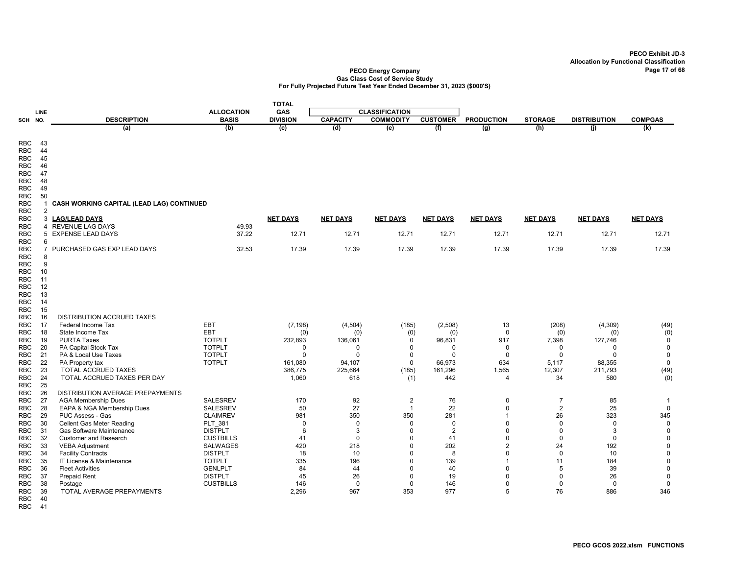### PECO Energy Company Page 17 of 68 Gas Class Cost of Service Study For Fully Projected Future Test Year Ended December 31, 2023 (\$000'S)

|                          |                |                                                     |                                 | <b>TOTAL</b>       |                   |                       |                   |                            |                 |                     |                            |
|--------------------------|----------------|-----------------------------------------------------|---------------------------------|--------------------|-------------------|-----------------------|-------------------|----------------------------|-----------------|---------------------|----------------------------|
|                          | <b>LINE</b>    |                                                     | <b>ALLOCATION</b>               | GAS                |                   | <b>CLASSIFICATION</b> |                   |                            |                 |                     |                            |
| SCH                      | NO.            | <b>DESCRIPTION</b>                                  | <b>BASIS</b>                    | <b>DIVISION</b>    | <b>CAPACITY</b>   | <b>COMMODITY</b>      | <b>CUSTOMER</b>   | <b>PRODUCTION</b>          | <b>STORAGE</b>  | <b>DISTRIBUTION</b> | <b>COMPGAS</b>             |
|                          |                | (a)                                                 | (b)                             | $\overline{c}$     | (d)               | (e)                   | (f)               | $\overline{(g)}$           | (h)             | (j)                 | $\overline{(\mathsf{k})}$  |
|                          |                |                                                     |                                 |                    |                   |                       |                   |                            |                 |                     |                            |
| <b>RBC</b>               | 43             |                                                     |                                 |                    |                   |                       |                   |                            |                 |                     |                            |
| <b>RBC</b>               | 44<br>45       |                                                     |                                 |                    |                   |                       |                   |                            |                 |                     |                            |
| <b>RBC</b><br><b>RBC</b> | 46             |                                                     |                                 |                    |                   |                       |                   |                            |                 |                     |                            |
| RBC                      | 47             |                                                     |                                 |                    |                   |                       |                   |                            |                 |                     |                            |
| <b>RBC</b>               | 48             |                                                     |                                 |                    |                   |                       |                   |                            |                 |                     |                            |
| RBC                      | 49             |                                                     |                                 |                    |                   |                       |                   |                            |                 |                     |                            |
| <b>RBC</b>               | 50             |                                                     |                                 |                    |                   |                       |                   |                            |                 |                     |                            |
| <b>RBC</b>               |                | CASH WORKING CAPITAL (LEAD LAG) CONTINUED           |                                 |                    |                   |                       |                   |                            |                 |                     |                            |
| RBC                      | $\overline{2}$ |                                                     |                                 |                    |                   |                       |                   |                            |                 |                     |                            |
| <b>RBC</b>               | 3              | <b>LAG/LEAD DAYS</b>                                |                                 | <b>NET DAYS</b>    | <b>NET DAYS</b>   | <b>NET DAYS</b>       | <b>NET DAYS</b>   | <b>NET DAYS</b>            | <b>NET DAYS</b> | <b>NET DAYS</b>     | <b>NET DAYS</b>            |
| <b>RBC</b>               |                | 4 REVENUE LAG DAYS                                  | 49.93                           |                    |                   |                       |                   |                            |                 |                     |                            |
| <b>RBC</b>               |                | 5 EXPENSE LEAD DAYS                                 | 37.22                           | 12.71              | 12.71             | 12.71                 | 12.71             | 12.71                      | 12.71           | 12.71               | 12.71                      |
| <b>RBC</b>               | 6              |                                                     |                                 |                    |                   |                       |                   |                            |                 |                     |                            |
| <b>RBC</b>               |                | 7 PURCHASED GAS EXP LEAD DAYS                       | 32.53                           | 17.39              | 17.39             | 17.39                 | 17.39             | 17.39                      | 17.39           | 17.39               | 17.39                      |
| <b>RBC</b>               | 8<br>9         |                                                     |                                 |                    |                   |                       |                   |                            |                 |                     |                            |
| <b>RBC</b><br>RBC        | 10             |                                                     |                                 |                    |                   |                       |                   |                            |                 |                     |                            |
| <b>RBC</b>               | 11             |                                                     |                                 |                    |                   |                       |                   |                            |                 |                     |                            |
| <b>RBC</b>               | 12             |                                                     |                                 |                    |                   |                       |                   |                            |                 |                     |                            |
| <b>RBC</b>               | 13             |                                                     |                                 |                    |                   |                       |                   |                            |                 |                     |                            |
| <b>RBC</b>               | 14             |                                                     |                                 |                    |                   |                       |                   |                            |                 |                     |                            |
| <b>RBC</b>               | 15             |                                                     |                                 |                    |                   |                       |                   |                            |                 |                     |                            |
| <b>RBC</b>               | 16             | DISTRIBUTION ACCRUED TAXES                          |                                 |                    |                   |                       |                   |                            |                 |                     |                            |
| <b>RBC</b>               | 17             | Federal Income Tax                                  | EBT                             | (7, 198)           | (4, 504)          | (185)                 | (2, 508)          | 13                         | (208)           | (4, 309)            | (49)                       |
| RBC                      | 18             | State Income Tax                                    | <b>EBT</b>                      | (0)                | (0)               | (0)                   | (0)               | $\mathbf 0$                | (0)             | (0)                 | (0)                        |
| <b>RBC</b>               | 19             | <b>PURTA Taxes</b>                                  | <b>TOTPLT</b>                   | 232,893            | 136,061           | 0                     | 96,831            | 917                        | 7,398           | 127,746             | $\mathbf 0$                |
| <b>RBC</b>               | 20             | PA Capital Stock Tax                                | <b>TOTPLT</b>                   | $\Omega$           | $\Omega$          | 0                     | 0                 | $\mathbf 0$                | $\mathbf 0$     | $\mathbf 0$         | $\pmb{0}$                  |
| <b>RBC</b>               | 21             | PA & Local Use Taxes                                | <b>TOTPLT</b>                   | $\Omega$           | $\Omega$          | 0                     | $\Omega$          | $\Omega$                   | $\Omega$        | $\Omega$            | $\mathbf 0$                |
| <b>RBC</b><br>RBC        | 22<br>23       | PA Property tax<br>TOTAL ACCRUED TAXES              | <b>TOTPLT</b>                   | 161,080<br>386,775 | 94,107<br>225,664 | $\mathbf 0$<br>(185)  | 66,973<br>161,296 | 634<br>1,565               | 5,117<br>12,307 | 88,355<br>211,793   | $\pmb{0}$<br>(49)          |
| RBC                      | 24             | TOTAL ACCRUED TAXES PER DAY                         |                                 | 1,060              | 618               | (1)                   | 442               | $\overline{4}$             | 34              | 580                 | (0)                        |
| <b>RBC</b>               | 25             |                                                     |                                 |                    |                   |                       |                   |                            |                 |                     |                            |
| RBC                      | 26             | DISTRIBUTION AVERAGE PREPAYMENTS                    |                                 |                    |                   |                       |                   |                            |                 |                     |                            |
| RBC                      | 27             | <b>AGA Membership Dues</b>                          | <b>SALESREV</b>                 | 170                | 92                | $\overline{2}$        | 76                | $\mathbf 0$                | $\overline{7}$  | 85                  | $\mathbf 1$                |
| <b>RBC</b>               | 28             | EAPA & NGA Membership Dues                          | <b>SALESREV</b>                 | 50                 | 27                | $\mathbf{1}$          | 22                | $\mathbf 0$                | $\overline{2}$  | 25                  | $\mathbf 0$                |
| <b>RBC</b>               | 29             | PUC Assess - Gas                                    | <b>CLAIMREV</b>                 | 981                | 350               | 350                   | 281               | $\mathbf{1}$               | 26              | 323                 | 345                        |
| <b>RBC</b>               | 30             | Cellent Gas Meter Reading                           | PLT 381                         | $\mathbf 0$        | $\mathbf 0$       | $\mathbf 0$           | $\mathbf 0$       | $\mathbf 0$                | $\mathbf 0$     | $\mathbf 0$         | $\mathbf 0$                |
| RBC                      | 31             | <b>Gas Software Maintenance</b>                     | <b>DISTPLT</b>                  | 6                  | 3                 | $\Omega$              | $\overline{2}$    | $\Omega$                   | $\Omega$        | 3                   | $\mathbf 0$                |
| RBC                      | 32             | <b>Customer and Research</b>                        | <b>CUSTBILLS</b>                | 41                 | $\mathbf 0$       | $\Omega$              | 41                | $\Omega$                   | $\mathbf 0$     | $\mathbf 0$         | $\mathbf 0$                |
| <b>RBC</b>               | 33             | <b>VEBA Adjustment</b>                              | <b>SALWAGES</b>                 | 420                | 218               | $\Omega$              | 202               | $\overline{2}$             | 24              | 192                 | $\pmb{0}$                  |
| <b>RBC</b>               | 34             | <b>Facility Contracts</b>                           | <b>DISTPLT</b>                  | 18                 | 10                | $\Omega$              | 8                 | $\Omega$<br>$\overline{1}$ | $\Omega$        | 10                  | $\mathbf 0$                |
| RBC<br>RBC               | 35<br>36       | IT License & Maintenance<br><b>Fleet Activities</b> | <b>TOTPLT</b><br><b>GENLPLT</b> | 335<br>84          | 196<br>44         | $\Omega$<br>$\Omega$  | 139<br>40         | $\Omega$                   | 11<br>5         | 184<br>39           | $\mathsf 0$<br>$\mathbf 0$ |
| RBC                      | 37             | <b>Prepaid Rent</b>                                 | <b>DISTPLT</b>                  | 45                 | 26                | $\Omega$              | 19                | $\Omega$                   | $\mathbf 0$     | 26                  | $\mathbf 0$                |
| <b>RBC</b>               | 38             | Postage                                             | <b>CUSTBILLS</b>                | 146                | $\mathbf 0$       | $\mathbf 0$           | 146               | $\mathbf 0$                | $\mathbf 0$     | $\Omega$            | $\mathbf 0$                |
| RBC                      | 39             | TOTAL AVERAGE PREPAYMENTS                           |                                 | 2,296              | 967               | 353                   | 977               | 5                          | 76              | 886                 | 346                        |
| <b>RBC</b>               | 40             |                                                     |                                 |                    |                   |                       |                   |                            |                 |                     |                            |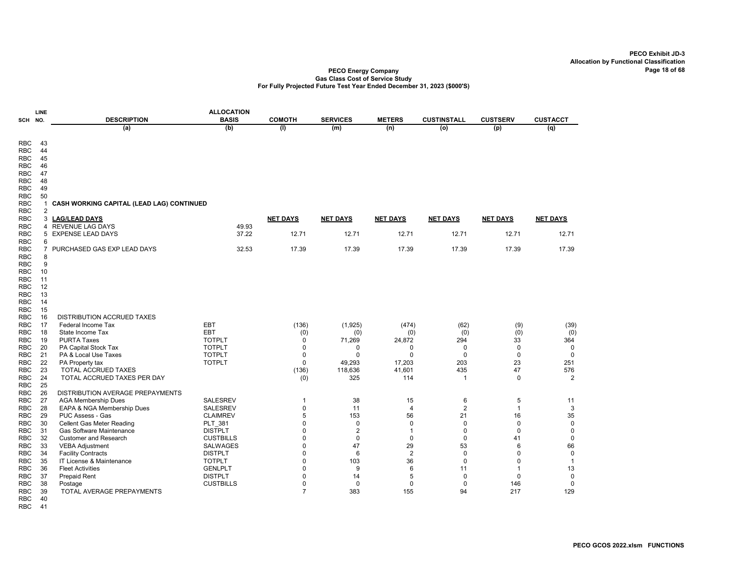#### PECO Energy Company Gas Class Cost of Service Study For Fully Projected Future Test Year Ended December 31, 2023 (\$000'S)

| SCH                                                                                                                        | LINE<br>NO.                                       | <b>DESCRIPTION</b>                                       | <b>ALLOCATION</b><br><b>BASIS</b> | <b>COMOTH</b>   | <b>SERVICES</b> | <b>METERS</b>        | <b>CUSTINSTALL</b>  | <b>CUSTSERV</b>   | <b>CUSTACCT</b> |
|----------------------------------------------------------------------------------------------------------------------------|---------------------------------------------------|----------------------------------------------------------|-----------------------------------|-----------------|-----------------|----------------------|---------------------|-------------------|-----------------|
|                                                                                                                            |                                                   | (a)                                                      | (b)                               | (1)             | (m)             | (n)                  | (0)                 | (p)               | (q)             |
| <b>RBC</b><br><b>RBC</b><br><b>RBC</b><br><b>RBC</b><br><b>RBC</b><br><b>RBC</b><br><b>RBC</b><br><b>RBC</b><br><b>RBC</b> | 43<br>44<br>45<br>46<br>47<br>48<br>49<br>50<br>1 | CASH WORKING CAPITAL (LEAD LAG) CONTINUED                |                                   |                 |                 |                      |                     |                   |                 |
| <b>RBC</b><br><b>RBC</b>                                                                                                   | 2<br>3                                            | <b>LAG/LEAD DAYS</b>                                     |                                   | <b>NET DAYS</b> | <b>NET DAYS</b> | <b>NET DAYS</b>      | <b>NET DAYS</b>     | <b>NET DAYS</b>   | <b>NET DAYS</b> |
| <b>RBC</b>                                                                                                                 | 4                                                 | <b>REVENUE LAG DAYS</b>                                  | 49.93                             |                 |                 |                      |                     |                   |                 |
| <b>RBC</b>                                                                                                                 |                                                   | 5 EXPENSE LEAD DAYS                                      | 37.22                             | 12.71           | 12.71           | 12.71                | 12.71               | 12.71             | 12.71           |
| <b>RBC</b>                                                                                                                 | 6                                                 |                                                          |                                   |                 |                 |                      |                     |                   |                 |
| <b>RBC</b>                                                                                                                 |                                                   | 7 PURCHASED GAS EXP LEAD DAYS                            | 32.53                             | 17.39           | 17.39           | 17.39                | 17.39               | 17.39             | 17.39           |
| <b>RBC</b>                                                                                                                 | 8                                                 |                                                          |                                   |                 |                 |                      |                     |                   |                 |
| <b>RBC</b>                                                                                                                 | 9                                                 |                                                          |                                   |                 |                 |                      |                     |                   |                 |
| <b>RBC</b>                                                                                                                 | 10                                                |                                                          |                                   |                 |                 |                      |                     |                   |                 |
| <b>RBC</b><br><b>RBC</b>                                                                                                   | 11<br>12                                          |                                                          |                                   |                 |                 |                      |                     |                   |                 |
| <b>RBC</b>                                                                                                                 | 13                                                |                                                          |                                   |                 |                 |                      |                     |                   |                 |
| <b>RBC</b>                                                                                                                 | 14                                                |                                                          |                                   |                 |                 |                      |                     |                   |                 |
| <b>RBC</b>                                                                                                                 | 15                                                |                                                          |                                   |                 |                 |                      |                     |                   |                 |
| <b>RBC</b>                                                                                                                 | 16                                                | <b>DISTRIBUTION ACCRUED TAXES</b>                        |                                   |                 |                 |                      |                     |                   |                 |
| <b>RBC</b>                                                                                                                 | 17                                                | Federal Income Tax                                       | EBT                               | (136)           | (1,925)         | (474)                | (62)                | (9)               | (39)            |
| <b>RBC</b>                                                                                                                 | 18                                                | State Income Tax                                         | EBT                               | (0)             | (0)             | (0)                  | (0)                 | (0)               | (0)             |
| <b>RBC</b>                                                                                                                 | 19                                                | <b>PURTA Taxes</b>                                       | <b>TOTPLT</b>                     | 0               | 71,269          | 24,872               | 294                 | 33                | 364             |
| <b>RBC</b>                                                                                                                 | 20                                                | PA Capital Stock Tax                                     | <b>TOTPLT</b>                     | $\mathbf 0$     | 0               | 0                    | $\mathbf 0$         | $\pmb{0}$         | $\mathbf 0$     |
| <b>RBC</b>                                                                                                                 | 21                                                | PA & Local Use Taxes                                     | <b>TOTPLT</b>                     | $\Omega$        | $\Omega$        | $\Omega$             | $\mathbf 0$         | $\mathbf 0$       | $\mathbf 0$     |
| <b>RBC</b>                                                                                                                 | 22                                                | PA Property tax                                          | <b>TOTPLT</b>                     | $\Omega$        | 49.293          | 17.203               | 203                 | 23                | 251             |
| <b>RBC</b>                                                                                                                 | 23                                                | <b>TOTAL ACCRUED TAXES</b>                               |                                   | (136)           | 118,636         | 41,601               | 435                 | 47                | 576             |
| <b>RBC</b>                                                                                                                 | 24                                                | TOTAL ACCRUED TAXES PER DAY                              |                                   | (0)             | 325             | 114                  | $\mathbf{1}$        | $\mathbf 0$       | 2               |
| <b>RBC</b>                                                                                                                 | 25                                                |                                                          |                                   |                 |                 |                      |                     |                   |                 |
| <b>RBC</b>                                                                                                                 | 26<br>27                                          | DISTRIBUTION AVERAGE PREPAYMENTS                         | <b>SALESREV</b>                   | $\mathbf{1}$    | 38              |                      |                     |                   | 11              |
| <b>RBC</b><br><b>RBC</b>                                                                                                   | 28                                                | <b>AGA Membership Dues</b><br>EAPA & NGA Membership Dues | SALESREV                          | 0               | 11              | 15<br>$\overline{4}$ | 6<br>$\overline{2}$ | 5<br>$\mathbf{1}$ | 3               |
| <b>RBC</b>                                                                                                                 | 29                                                | PUC Assess - Gas                                         | <b>CLAIMREV</b>                   | 5               | 153             | 56                   | 21                  | 16                | 35              |
| <b>RBC</b>                                                                                                                 | 30                                                | <b>Cellent Gas Meter Reading</b>                         | PLT 381                           | $\mathbf 0$     | $\mathbf 0$     | $\mathbf 0$          | $\mathbf 0$         | $\mathbf 0$       | $\pmb{0}$       |
| <b>RBC</b>                                                                                                                 | 31                                                | Gas Software Maintenance                                 | <b>DISTPLT</b>                    | $\mathbf 0$     | $\overline{2}$  | $\mathbf{1}$         | 0                   | $\mathbf 0$       | $\mathbf 0$     |
| <b>RBC</b>                                                                                                                 | 32                                                | <b>Customer and Research</b>                             | <b>CUSTBILLS</b>                  | $\mathbf 0$     | $\mathbf 0$     | $\pmb{0}$            | $\pmb{0}$           | 41                | $\pmb{0}$       |
| <b>RBC</b>                                                                                                                 | 33                                                | <b>VEBA Adjustment</b>                                   | <b>SALWAGES</b>                   | $\mathbf 0$     | 47              | 29                   | 53                  | 6                 | 66              |
| <b>RBC</b>                                                                                                                 | 34                                                | <b>Facility Contracts</b>                                | <b>DISTPLT</b>                    | $\mathbf 0$     | 6               | $\overline{2}$       | $\mathbf 0$         | $\mathbf 0$       | $\pmb{0}$       |
| <b>RBC</b>                                                                                                                 | 35                                                | IT License & Maintenance                                 | <b>TOTPLT</b>                     | $\mathbf 0$     | 103             | 36                   | $\mathbf 0$         | 0                 | $\mathbf{1}$    |
| <b>RBC</b>                                                                                                                 | 36                                                | <b>Fleet Activities</b>                                  | <b>GENLPLT</b>                    | $\mathbf 0$     | 9               | 6                    | 11                  | $\mathbf 1$       | 13              |
| <b>RBC</b>                                                                                                                 | 37                                                | <b>Prepaid Rent</b>                                      | <b>DISTPLT</b>                    | $\mathbf 0$     | 14              | 5                    | $\mathbf 0$         | $\mathbf 0$       | $\mathbf 0$     |
| <b>RBC</b>                                                                                                                 | 38                                                | Postage                                                  | <b>CUSTBILLS</b>                  | $\mathbf 0$     | $\mathbf 0$     | 0                    | $\mathbf 0$         | 146               | $\mathbf 0$     |
| <b>RBC</b>                                                                                                                 | 39                                                | TOTAL AVERAGE PREPAYMENTS                                |                                   | $\overline{7}$  | 383             | 155                  | 94                  | 217               | 129             |
| <b>RBC</b>                                                                                                                 | 40                                                |                                                          |                                   |                 |                 |                      |                     |                   |                 |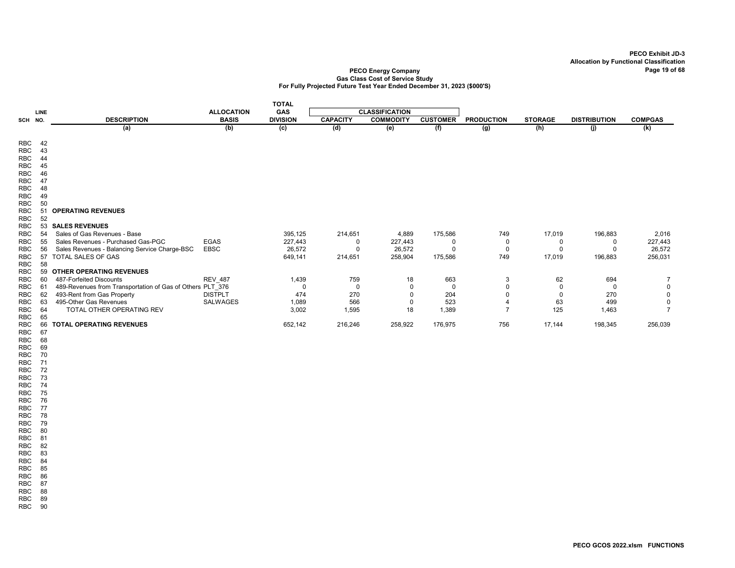#### PECO Energy Company Page 19 of 68 Gas Class Cost of Service Study For Fully Projected Future Test Year Ended December 31, 2023 (\$000'S)

|                          |             |                                                                        |                   | <b>TOTAL</b>    |                 |                       |                 |                    |                |                     |                |
|--------------------------|-------------|------------------------------------------------------------------------|-------------------|-----------------|-----------------|-----------------------|-----------------|--------------------|----------------|---------------------|----------------|
|                          | <b>LINE</b> |                                                                        | <b>ALLOCATION</b> | <b>GAS</b>      |                 | <b>CLASSIFICATION</b> |                 |                    |                |                     |                |
| SCH NO.                  |             | <b>DESCRIPTION</b>                                                     | <b>BASIS</b>      | <b>DIVISION</b> | <b>CAPACITY</b> | <b>COMMODITY</b>      | <b>CUSTOMER</b> | <b>PRODUCTION</b>  | <b>STORAGE</b> | <b>DISTRIBUTION</b> | <b>COMPGAS</b> |
|                          |             | (a)                                                                    | (b)               | (c)             | (d)             | (e)                   | (f)             | $\overline{(g)}$   | (h)            | (j)                 | (k)            |
|                          |             |                                                                        |                   |                 |                 |                       |                 |                    |                |                     |                |
| <b>RBC</b><br><b>RBC</b> | 42<br>43    |                                                                        |                   |                 |                 |                       |                 |                    |                |                     |                |
| <b>RBC</b>               | 44          |                                                                        |                   |                 |                 |                       |                 |                    |                |                     |                |
| <b>RBC</b>               | 45          |                                                                        |                   |                 |                 |                       |                 |                    |                |                     |                |
| <b>RBC</b>               | 46          |                                                                        |                   |                 |                 |                       |                 |                    |                |                     |                |
| <b>RBC</b>               | 47          |                                                                        |                   |                 |                 |                       |                 |                    |                |                     |                |
| <b>RBC</b>               | 48          |                                                                        |                   |                 |                 |                       |                 |                    |                |                     |                |
| <b>RBC</b>               | 49          |                                                                        |                   |                 |                 |                       |                 |                    |                |                     |                |
| <b>RBC</b>               | 50          |                                                                        |                   |                 |                 |                       |                 |                    |                |                     |                |
| <b>RBC</b>               | 51          | <b>OPERATING REVENUES</b>                                              |                   |                 |                 |                       |                 |                    |                |                     |                |
| <b>RBC</b>               | 52          |                                                                        |                   |                 |                 |                       |                 |                    |                |                     |                |
| <b>RBC</b>               |             | 53 SALES REVENUES                                                      |                   |                 |                 |                       |                 |                    |                |                     |                |
| <b>RBC</b>               | 54          | Sales of Gas Revenues - Base                                           |                   | 395,125         | 214,651         | 4,889                 | 175,586         | 749                | 17,019         | 196,883             | 2,016          |
| <b>RBC</b>               | 55          | Sales Revenues - Purchased Gas-PGC                                     | <b>EGAS</b>       | 227,443         | 0               | 227,443               | 0               | 0                  | 0              | 0                   | 227,443        |
| <b>RBC</b>               | 56          | Sales Revenues - Balancing Service Charge-BSC<br>57 TOTAL SALES OF GAS | <b>EBSC</b>       | 26,572          | $\overline{0}$  | 26,572                | $\mathbf 0$     | $\mathbf 0$<br>749 | $\mathbf 0$    | $\mathbf 0$         | 26,572         |
| <b>RBC</b><br><b>RBC</b> | 58          |                                                                        |                   | 649,141         | 214,651         | 258,904               | 175,586         |                    | 17,019         | 196,883             | 256,031        |
| <b>RBC</b>               |             | 59 OTHER OPERATING REVENUES                                            |                   |                 |                 |                       |                 |                    |                |                     |                |
| <b>RBC</b>               | 60          | 487-Forfeited Discounts                                                | <b>REV 487</b>    | 1,439           | 759             | 18                    | 663             | 3                  | 62             | 694                 | $\overline{7}$ |
| <b>RBC</b>               | 61          | 489-Revenues from Transportation of Gas of Others PLT 376              |                   | $\mathbf 0$     | $\mathbf 0$     | $\mathbf 0$           | $\mathbf 0$     | $\mathbf 0$        | $\mathbf 0$    | $\mathbf 0$         | 0              |
| <b>RBC</b>               | 62          | 493-Rent from Gas Property                                             | <b>DISTPLT</b>    | 474             | 270             | 0                     | 204             | $\Omega$           | $\mathbf 0$    | 270                 | $\mathbf 0$    |
| <b>RBC</b>               | 63          | 495-Other Gas Revenues                                                 | SALWAGES          | 1,089           | 566             | 0                     | 523             | $\overline{4}$     | 63             | 499                 | 0              |
| <b>RBC</b>               | 64          | TOTAL OTHER OPERATING REV                                              |                   | 3,002           | 1,595           | 18                    | 1,389           | $\overline{7}$     | 125            | 1,463               | $\overline{7}$ |
| RBC                      | 65          |                                                                        |                   |                 |                 |                       |                 |                    |                |                     |                |
| <b>RBC</b>               | 66          | <b>TOTAL OPERATING REVENUES</b>                                        |                   | 652,142         | 216,246         | 258,922               | 176,975         | 756                | 17,144         | 198,345             | 256,039        |
| <b>RBC</b>               | 67          |                                                                        |                   |                 |                 |                       |                 |                    |                |                     |                |
| <b>RBC</b>               | 68          |                                                                        |                   |                 |                 |                       |                 |                    |                |                     |                |
| <b>RBC</b>               | 69          |                                                                        |                   |                 |                 |                       |                 |                    |                |                     |                |
| <b>RBC</b>               | 70          |                                                                        |                   |                 |                 |                       |                 |                    |                |                     |                |
| <b>RBC</b>               | 71          |                                                                        |                   |                 |                 |                       |                 |                    |                |                     |                |
| RBC<br>RBC               | 72<br>73    |                                                                        |                   |                 |                 |                       |                 |                    |                |                     |                |
| <b>RBC</b>               | 74          |                                                                        |                   |                 |                 |                       |                 |                    |                |                     |                |
| RBC                      | 75          |                                                                        |                   |                 |                 |                       |                 |                    |                |                     |                |
| RBC                      | 76          |                                                                        |                   |                 |                 |                       |                 |                    |                |                     |                |
| <b>RBC</b>               | 77          |                                                                        |                   |                 |                 |                       |                 |                    |                |                     |                |
| <b>RBC</b>               | 78          |                                                                        |                   |                 |                 |                       |                 |                    |                |                     |                |
| RBC                      | 79          |                                                                        |                   |                 |                 |                       |                 |                    |                |                     |                |

RBC 81 RBC 82 RBC 83

RBC 84 RBC 85

RBC 86

RBC 87 RBC 88

RBC 89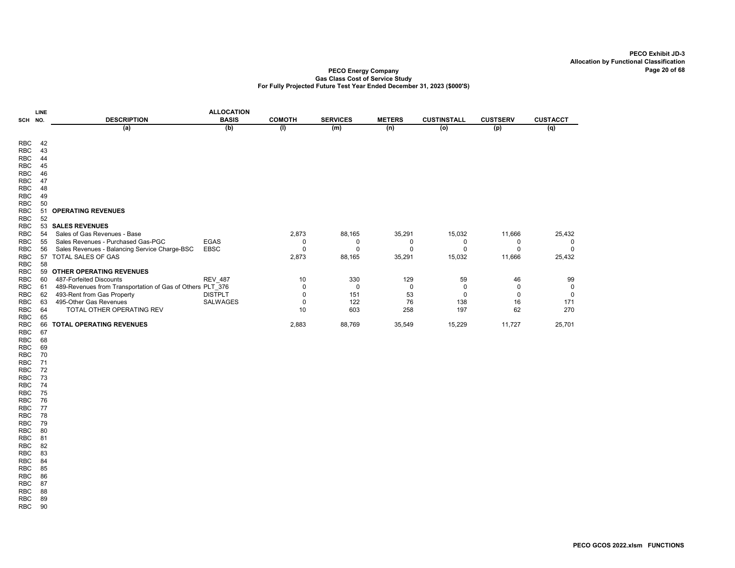### PECO Energy Company Gas Class Cost of Service Study For Fully Projected Future Test Year Ended December 31, 2023 (\$000'S)

|                          | <b>LINE</b> |                                                           | <b>ALLOCATION</b> |               |                 |               |                    |                 |                 |
|--------------------------|-------------|-----------------------------------------------------------|-------------------|---------------|-----------------|---------------|--------------------|-----------------|-----------------|
| SCH                      | NO.         | <b>DESCRIPTION</b>                                        | <b>BASIS</b>      | <b>COMOTH</b> | <b>SERVICES</b> | <b>METERS</b> | <b>CUSTINSTALL</b> | <b>CUSTSERV</b> | <b>CUSTACCT</b> |
|                          |             | (a)                                                       | (b)               | (1)           | (m)             | (n)           | (o)                | (p)             | (q)             |
|                          |             |                                                           |                   |               |                 |               |                    |                 |                 |
| <b>RBC</b>               | 42          |                                                           |                   |               |                 |               |                    |                 |                 |
| <b>RBC</b>               | 43          |                                                           |                   |               |                 |               |                    |                 |                 |
| <b>RBC</b>               | 44          |                                                           |                   |               |                 |               |                    |                 |                 |
| <b>RBC</b>               | 45          |                                                           |                   |               |                 |               |                    |                 |                 |
| <b>RBC</b>               | 46          |                                                           |                   |               |                 |               |                    |                 |                 |
| <b>RBC</b>               | 47          |                                                           |                   |               |                 |               |                    |                 |                 |
| <b>RBC</b>               | 48          |                                                           |                   |               |                 |               |                    |                 |                 |
| <b>RBC</b>               | 49          |                                                           |                   |               |                 |               |                    |                 |                 |
| <b>RBC</b><br><b>RBC</b> | 50<br>51    | <b>OPERATING REVENUES</b>                                 |                   |               |                 |               |                    |                 |                 |
| <b>RBC</b>               | 52          |                                                           |                   |               |                 |               |                    |                 |                 |
| <b>RBC</b>               | 53          | <b>SALES REVENUES</b>                                     |                   |               |                 |               |                    |                 |                 |
| <b>RBC</b>               | 54          | Sales of Gas Revenues - Base                              |                   | 2,873         | 88,165          | 35,291        | 15,032             | 11,666          | 25,432          |
| <b>RBC</b>               | 55          | Sales Revenues - Purchased Gas-PGC                        | <b>EGAS</b>       | 0             | ∩               | O             | O                  | 0               | 0               |
| <b>RBC</b>               | 56          | Sales Revenues - Balancing Service Charge-BSC             | <b>EBSC</b>       | U             | $\Omega$        | O             |                    | n               |                 |
| <b>RBC</b>               | 57          | TOTAL SALES OF GAS                                        |                   | 2,873         | 88,165          | 35,291        | 15,032             | 11,666          | 25,432          |
| <b>RBC</b>               | 58          |                                                           |                   |               |                 |               |                    |                 |                 |
| <b>RBC</b>               | 59          | <b>OTHER OPERATING REVENUES</b>                           |                   |               |                 |               |                    |                 |                 |
| RBC                      | 60          | 487-Forfeited Discounts                                   | <b>REV_487</b>    | 10            | 330             | 129           | 59                 | 46              | 99              |
| <b>RBC</b>               | 61          | 489-Revenues from Transportation of Gas of Others PLT 376 |                   | 0             | $\Omega$        | 0             | 0                  | 0               | 0               |
| <b>RBC</b>               | 62          | 493-Rent from Gas Property                                | <b>DISTPLT</b>    | 0             | 151             | 53            | $\Omega$           | 0               | 0               |
| <b>RBC</b>               | 63          | 495-Other Gas Revenues                                    | <b>SALWAGES</b>   | 0             | 122             | 76            | 138                | 16              | 171             |
| <b>RBC</b>               | 64          | <b>TOTAL OTHER OPERATING REV</b>                          |                   | 10            | 603             | 258           | 197                | 62              | 270             |
| <b>RBC</b>               | 65          |                                                           |                   |               |                 |               |                    |                 |                 |
| <b>RBC</b>               | 66          | <b>TOTAL OPERATING REVENUES</b>                           |                   | 2,883         | 88,769          | 35,549        | 15,229             | 11,727          | 25,701          |
| <b>RBC</b>               | 67          |                                                           |                   |               |                 |               |                    |                 |                 |

RBC 68 RBC 69

RBC 70 RBC 71 RBC 72 RBC 73 RBC 74 RBC 75 RBC 76 RBC 77 RBC 78 RBC 79 RBC 80 RBC 81 RBC 82 RBC 83 RBC 84 RBC 85 RBC 86 RBC 87 RBC 88 RBC 89 RBC 90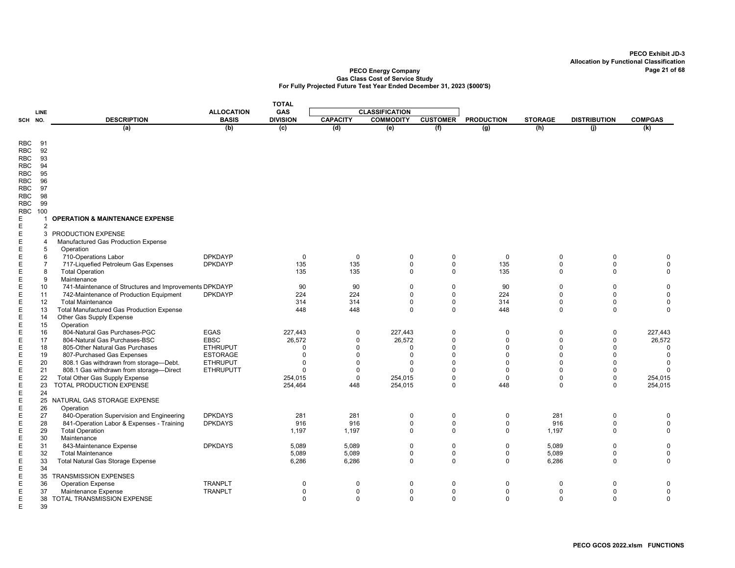|                            |                |                                                                                        |                   | <b>TOTAL</b>    |                 |                       |                       |                   |                         |                         |                  |
|----------------------------|----------------|----------------------------------------------------------------------------------------|-------------------|-----------------|-----------------|-----------------------|-----------------------|-------------------|-------------------------|-------------------------|------------------|
|                            | <b>LINE</b>    |                                                                                        | <b>ALLOCATION</b> | <b>GAS</b>      |                 | <b>CLASSIFICATION</b> |                       |                   |                         |                         |                  |
| SCH NO.                    |                | <b>DESCRIPTION</b>                                                                     | <b>BASIS</b>      | <b>DIVISION</b> | <b>CAPACITY</b> | <b>COMMODITY</b>      | <b>CUSTOMER</b>       | <b>PRODUCTION</b> | <b>STORAGE</b>          | <b>DISTRIBUTION</b>     | <b>COMPGAS</b>   |
|                            |                | (a)                                                                                    | (b)               | (c)             | (d)             | (e)                   | (f)                   | $\overline{g}$    | (h)                     | (i)                     | (k)              |
|                            |                |                                                                                        |                   |                 |                 |                       |                       |                   |                         |                         |                  |
| RBC                        | 91             |                                                                                        |                   |                 |                 |                       |                       |                   |                         |                         |                  |
| <b>RBC</b>                 | 92             |                                                                                        |                   |                 |                 |                       |                       |                   |                         |                         |                  |
| <b>RBC</b>                 | 93             |                                                                                        |                   |                 |                 |                       |                       |                   |                         |                         |                  |
| <b>RBC</b>                 | 94             |                                                                                        |                   |                 |                 |                       |                       |                   |                         |                         |                  |
| RBC                        | 95             |                                                                                        |                   |                 |                 |                       |                       |                   |                         |                         |                  |
| <b>RBC</b>                 | 96<br>97       |                                                                                        |                   |                 |                 |                       |                       |                   |                         |                         |                  |
| <b>RBC</b><br>RBC          | 98             |                                                                                        |                   |                 |                 |                       |                       |                   |                         |                         |                  |
| <b>RBC</b>                 | 99             |                                                                                        |                   |                 |                 |                       |                       |                   |                         |                         |                  |
| <b>RBC</b>                 | 100            |                                                                                        |                   |                 |                 |                       |                       |                   |                         |                         |                  |
| Ε                          |                | <b>OPERATION &amp; MAINTENANCE EXPENSE</b>                                             |                   |                 |                 |                       |                       |                   |                         |                         |                  |
| Е                          | 2              |                                                                                        |                   |                 |                 |                       |                       |                   |                         |                         |                  |
| Ε                          | 3              | <b>PRODUCTION EXPENSE</b>                                                              |                   |                 |                 |                       |                       |                   |                         |                         |                  |
| Е                          | 4              | Manufactured Gas Production Expense                                                    |                   |                 |                 |                       |                       |                   |                         |                         |                  |
| Ε                          | 5              | Operation                                                                              |                   |                 |                 |                       |                       |                   |                         |                         |                  |
| Е                          | 6              | 710-Operations Labor                                                                   | <b>DPKDAYP</b>    | $\mathbf 0$     | $\mathbf 0$     | 0                     | $\mathbf 0$           | $\mathbf 0$       | $\mathbf 0$             | $\mathbf 0$             | 0                |
| Ε                          | $\overline{7}$ | 717-Liquefied Petroleum Gas Expenses                                                   | <b>DPKDAYP</b>    | 135             | 135             | $\Omega$              | $\mathbf 0$           | 135               | 0                       | $\mathbf 0$             | $\mathbf 0$      |
| E                          | 8              | <b>Total Operation</b>                                                                 |                   | 135             | 135             | $\Omega$              | $\Omega$              | 135               | $\Omega$                | $\Omega$                | $\mathbf 0$      |
| E                          | 9              | Maintenance                                                                            |                   |                 |                 |                       |                       |                   |                         |                         |                  |
| Ε                          | 10             | 741-Maintenance of Structures and Improvements DPKDAYP                                 |                   | 90              | 90              | $\Omega$              | $\Omega$              | 90                | $\mathbf 0$             | $\mathbf 0$             | $\mathbf 0$      |
| E                          | 11             | 742-Maintenance of Production Equipment                                                | <b>DPKDAYP</b>    | 224             | 224             | $\Omega$              | $\mathbf 0$           | 224               | $\mathbf 0$             | $\mathbf 0$             | $\mathbf 0$      |
| $\mathsf E$<br>$\mathsf E$ | 12<br>13       | <b>Total Maintenance</b><br><b>Total Manufactured Gas Production Expense</b>           |                   | 314<br>448      | 314<br>448      | $\Omega$<br>$\Omega$  | $\pmb{0}$<br>$\Omega$ | 314<br>448        | $\mathbf 0$<br>$\Omega$ | $\mathbf 0$<br>$\Omega$ | 0<br>$\mathbf 0$ |
| E                          | 14             | Other Gas Supply Expense                                                               |                   |                 |                 |                       |                       |                   |                         |                         |                  |
| $\mathsf E$                | 15             | Operation                                                                              |                   |                 |                 |                       |                       |                   |                         |                         |                  |
|                            | 16             | 804-Natural Gas Purchases-PGC                                                          | <b>EGAS</b>       | 227,443         | $\mathbf 0$     | 227,443               | $\Omega$              | $\mathbf 0$       | $\mathbf 0$             | $\mathbf 0$             | 227,443          |
|                            | 17             | 804-Natural Gas Purchases-BSC                                                          | <b>EBSC</b>       | 26,572          | 0               | 26,572                | 0                     | $\mathbf 0$       | 0                       | $\mathbf 0$             | 26,572           |
|                            | 18             | 805-Other Natural Gas Purchases                                                        | <b>ETHRUPUT</b>   | $\Omega$        | $\Omega$        | $\Omega$              | $\Omega$              | $\Omega$          | $\Omega$                | $\Omega$                | $\Omega$         |
|                            | 19             | 807-Purchased Gas Expenses                                                             | <b>ESTORAGE</b>   | $\mathbf 0$     | $\Omega$        | $\Omega$              | $\Omega$              | $\Omega$          | $\Omega$                | $\Omega$                | $\mathbf 0$      |
| EEEEE                      | 20             | 808.1 Gas withdrawn from storage-Debt.                                                 | <b>ETHRUPUT</b>   | $\Omega$        | $\Omega$        | $\Omega$              | $\Omega$              | $\Omega$          | $\Omega$                | $\Omega$                | $\Omega$         |
|                            | 21             | 808.1 Gas withdrawn from storage-Direct                                                | <b>ETHRUPUTT</b>  | $\Omega$        | 0               | $\Omega$              | $\Omega$              | 0                 | $\Omega$                | $\mathbf 0$             | 0                |
| E                          | 22             | Total Other Gas Supply Expense                                                         |                   | 254,015         | $\mathbf 0$     | 254,015               | $\mathbf 0$           | $\mathbf 0$       | $\mathbf 0$             | $\mathbf 0$             | 254,015          |
| E                          | 23             | TOTAL PRODUCTION EXPENSE                                                               |                   | 254,464         | 448             | 254,015               | $\Omega$              | 448               | $\mathbf 0$             | $\mathbf 0$             | 254,015          |
| E<br>E                     | 24             |                                                                                        |                   |                 |                 |                       |                       |                   |                         |                         |                  |
|                            |                | 25 NATURAL GAS STORAGE EXPENSE                                                         |                   |                 |                 |                       |                       |                   |                         |                         |                  |
| E                          | 26<br>27       | Operation                                                                              | <b>DPKDAYS</b>    | 281             | 281             | 0                     | 0                     |                   | 281                     | $\mathbf 0$             |                  |
| E<br>E                     | 28             | 840-Operation Supervision and Engineering<br>841-Operation Labor & Expenses - Training | <b>DPKDAYS</b>    | 916             | 916             | 0                     | $\mathbf 0$           | $\mathbf 0$<br>0  | 916                     | $\mathbf 0$             | 0<br>$\mathbf 0$ |
| E                          | 29             | <b>Total Operation</b>                                                                 |                   | 1,197           | 1,197           | $\Omega$              | $\Omega$              | $\mathbf 0$       | 1,197                   | $\Omega$                | $\Omega$         |
|                            | 30             | Maintenance                                                                            |                   |                 |                 |                       |                       |                   |                         |                         |                  |
| E<br>E                     | 31             | 843-Maintenance Expense                                                                | <b>DPKDAYS</b>    | 5,089           | 5,089           | 0                     | $\mathbf 0$           | $\mathbf 0$       | 5,089                   | 0                       | 0                |
| E                          | 32             | <b>Total Maintenance</b>                                                               |                   | 5,089           | 5,089           | $\Omega$              | $\mathbf 0$           | $\mathbf 0$       | 5,089                   | $\Omega$                | 0                |
| E                          | 33             | <b>Total Natural Gas Storage Expense</b>                                               |                   | 6,286           | 6,286           | $\Omega$              | $\mathbf 0$           | $\mathbf 0$       | 6,286                   | $\Omega$                | $\Omega$         |
| E                          | 34             |                                                                                        |                   |                 |                 |                       |                       |                   |                         |                         |                  |
| E                          | 35             | <b>TRANSMISSION EXPENSES</b>                                                           |                   |                 |                 |                       |                       |                   |                         |                         |                  |
| Е                          | 36             | <b>Operation Expense</b>                                                               | <b>TRANPLT</b>    | 0               | $\mathbf 0$     | 0                     | 0                     | $\mathbf 0$       | $\mathbf 0$             | 0                       | 0                |
| Ε                          | 37             | Maintenance Expense                                                                    | <b>TRANPLT</b>    | $\mathbf 0$     | $\mathbf 0$     | $\mathbf 0$           | $\mathbf 0$           | $\mathsf 0$       | $\mathbf 0$             | $\mathbf 0$             | $\mathbf 0$      |
| E                          | 38             | TOTAL TRANSMISSION EXPENSE                                                             |                   | $\Omega$        | $\Omega$        | $\Omega$              | $\Omega$              | $\mathbf 0$       | $\Omega$                | $\Omega$                | $\Omega$         |
| E                          | 39             |                                                                                        |                   |                 |                 |                       |                       |                   |                         |                         |                  |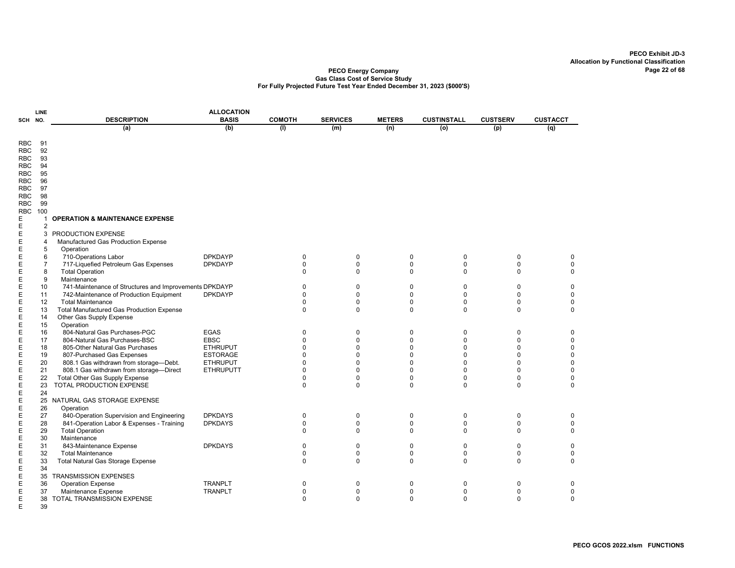|            | LINE           |                                                                              | <b>ALLOCATION</b> |                            |                         |                         |                         |                 |                          |
|------------|----------------|------------------------------------------------------------------------------|-------------------|----------------------------|-------------------------|-------------------------|-------------------------|-----------------|--------------------------|
| SCH NO.    |                | <b>DESCRIPTION</b>                                                           | <b>BASIS</b>      | <b>COMOTH</b>              | <b>SERVICES</b>         | <b>METERS</b>           | <b>CUSTINSTALL</b>      | <b>CUSTSERV</b> | <b>CUSTACCT</b>          |
|            |                | (a)                                                                          | (b)               | (1)                        | (m)                     | (n)                     | (o)                     | (p)             | (q)                      |
|            |                |                                                                              |                   |                            |                         |                         |                         |                 |                          |
| <b>RBC</b> | 91             |                                                                              |                   |                            |                         |                         |                         |                 |                          |
| <b>RBC</b> | 92             |                                                                              |                   |                            |                         |                         |                         |                 |                          |
| <b>RBC</b> | 93             |                                                                              |                   |                            |                         |                         |                         |                 |                          |
| RBC        | 94             |                                                                              |                   |                            |                         |                         |                         |                 |                          |
| RBC        | 95             |                                                                              |                   |                            |                         |                         |                         |                 |                          |
| RBC        | 96             |                                                                              |                   |                            |                         |                         |                         |                 |                          |
| <b>RBC</b> | 97             |                                                                              |                   |                            |                         |                         |                         |                 |                          |
| <b>RBC</b> | 98             |                                                                              |                   |                            |                         |                         |                         |                 |                          |
| RBC        | 99             |                                                                              |                   |                            |                         |                         |                         |                 |                          |
| <b>RBC</b> | 100            |                                                                              |                   |                            |                         |                         |                         |                 |                          |
| Ε          | 1              | <b>OPERATION &amp; MAINTENANCE EXPENSE</b>                                   |                   |                            |                         |                         |                         |                 |                          |
| Ε          | $\overline{2}$ |                                                                              |                   |                            |                         |                         |                         |                 |                          |
| Е          | 3              | <b>PRODUCTION EXPENSE</b>                                                    |                   |                            |                         |                         |                         |                 |                          |
| Ε          | 4              | Manufactured Gas Production Expense                                          |                   |                            |                         |                         |                         |                 |                          |
| Ε          | 5              | Operation                                                                    |                   |                            |                         |                         |                         |                 |                          |
| E          | 6              | 710-Operations Labor                                                         | <b>DPKDAYP</b>    | 0                          | $\mathbf 0$             | $\mathbf 0$             | 0                       | $\mathbf 0$     | 0                        |
| E          | $\overline{7}$ | 717-Liquefied Petroleum Gas Expenses                                         | <b>DPKDAYP</b>    | $\pmb{0}$                  | $\pmb{0}$               | $\mathbf 0$             | $\pmb{0}$               | 0               | $\pmb{0}$                |
| Ε          | 8              | <b>Total Operation</b>                                                       |                   | 0                          | $\Omega$                | $\Omega$                | $\Omega$                | $\Omega$        | $\mathbf 0$              |
| E          | 9              | Maintenance                                                                  |                   |                            |                         |                         |                         |                 |                          |
| Ε          | 10             | 741-Maintenance of Structures and Improvements DPKDAYP                       |                   | $\Omega$                   | $\mathbf 0$             | $\Omega$                | $\mathbf 0$             | $\Omega$        | $\mathbf 0$              |
| E          | 11             | 742-Maintenance of Production Equipment                                      | <b>DPKDAYP</b>    | $\mathbf 0$                | $\mathbf 0$             | $\mathbf 0$             | $\mathbf 0$             | 0               | $\pmb{0}$                |
| E          | 12             | <b>Total Maintenance</b><br><b>Total Manufactured Gas Production Expense</b> |                   | $\mathbf 0$<br>$\mathbf 0$ | $\mathbf 0$<br>$\Omega$ | $\mathbf 0$<br>$\Omega$ | $\mathbf 0$<br>$\Omega$ | 0<br>$\Omega$   | $\pmb{0}$<br>$\mathbf 0$ |
| E          | 13<br>14       | Other Gas Supply Expense                                                     |                   |                            |                         |                         |                         |                 |                          |
| E<br>E     |                | Operation                                                                    |                   |                            |                         |                         |                         |                 |                          |
|            | 15<br>16       | 804-Natural Gas Purchases-PGC                                                | <b>EGAS</b>       | $\mathbf 0$                | $\mathbf 0$             | $\mathbf 0$             | $\mathbf 0$             | 0               | 0                        |
| E<br>E     | 17             | 804-Natural Gas Purchases-BSC                                                | <b>EBSC</b>       | $\mathbf 0$                | $\mathbf 0$             | $\mathbf 0$             | $\mathbf 0$             | 0               | 0                        |
| E          | 18             | 805-Other Natural Gas Purchases                                              | <b>ETHRUPUT</b>   | $\mathbf 0$                | $\Omega$                | $\Omega$                | $\Omega$                | 0               | $\pmb{0}$                |
| E          | 19             | 807-Purchased Gas Expenses                                                   | <b>ESTORAGE</b>   | $\Omega$                   | $\Omega$                | 0                       | $\Omega$                | $\Omega$        | 0                        |
| E          | 20             | 808.1 Gas withdrawn from storage-Debt.                                       | <b>ETHRUPUT</b>   | $\mathbf 0$                | $\Omega$                | 0                       | 0                       | $\Omega$        | $\pmb{0}$                |
| E          | 21             | 808.1 Gas withdrawn from storage-Direct                                      | <b>ETHRUPUTT</b>  | $\mathbf{0}$               | $\Omega$                | $\Omega$                | $\mathbf 0$             | 0               | $\pmb{0}$                |
| Ε          | 22             | <b>Total Other Gas Supply Expense</b>                                        |                   | 0                          | $\mathbf 0$             | $\Omega$                | 0                       | 0               | 0                        |
| E          | 23             | TOTAL PRODUCTION EXPENSE                                                     |                   | $\mathbf 0$                | $\Omega$                | $\Omega$                | $\Omega$                | $\Omega$        | $\mathbf 0$              |
| E          | 24             |                                                                              |                   |                            |                         |                         |                         |                 |                          |
| E          | 25             | NATURAL GAS STORAGE EXPENSE                                                  |                   |                            |                         |                         |                         |                 |                          |
| E          | 26             | Operation                                                                    |                   |                            |                         |                         |                         |                 |                          |
| Ε          | 27             | 840-Operation Supervision and Engineering                                    | <b>DPKDAYS</b>    | 0                          | 0                       | 0                       | 0                       | 0               | 0                        |
| E          | 28             | 841-Operation Labor & Expenses - Training                                    | <b>DPKDAYS</b>    | $\mathbf 0$                | $\mathbf 0$             | $\mathbf 0$             | 0                       | 0               | $\mathbf 0$              |
| E          | 29             | <b>Total Operation</b>                                                       |                   | $\mathbf 0$                | $\mathbf 0$             | $\mathbf 0$             | 0                       | $\mathbf 0$     | $\mathbf 0$              |
| Е          | 30             | Maintenance                                                                  |                   |                            |                         |                         |                         |                 |                          |
| E          | 31             | 843-Maintenance Expense                                                      | <b>DPKDAYS</b>    | 0                          | $\mathbf 0$             | $\mathbf 0$             | 0                       | 0               | 0                        |
| Ε          | 32             | <b>Total Maintenance</b>                                                     |                   | $\mathbf 0$                | $\mathbf 0$             | $\Omega$                | 0                       | $\Omega$        | 0                        |
| E          | 33             | Total Natural Gas Storage Expense                                            |                   | $\mathbf 0$                | $\Omega$                | $\Omega$                | 0                       | 0               | $\mathbf 0$              |
| E          | 34             |                                                                              |                   |                            |                         |                         |                         |                 |                          |
| E          | 35             | <b>TRANSMISSION EXPENSES</b>                                                 |                   |                            |                         |                         |                         |                 |                          |
| Ε          | 36             | <b>Operation Expense</b>                                                     | <b>TRANPLT</b>    | 0                          | 0                       | $\mathbf 0$             | $\mathbf 0$             | $\mathbf 0$     | 0                        |
| Ε          | 37             | Maintenance Expense                                                          | <b>TRANPLT</b>    | 0                          | $\mathbf 0$             | $\Omega$                | 0                       | 0               | 0                        |
| Ε          | 38             | <b>TOTAL TRANSMISSION EXPENSE</b>                                            |                   | $\Omega$                   | $\Omega$                | $\Omega$                | $\Omega$                | $\Omega$        | $\Omega$                 |
| E          | 39             |                                                                              |                   |                            |                         |                         |                         |                 |                          |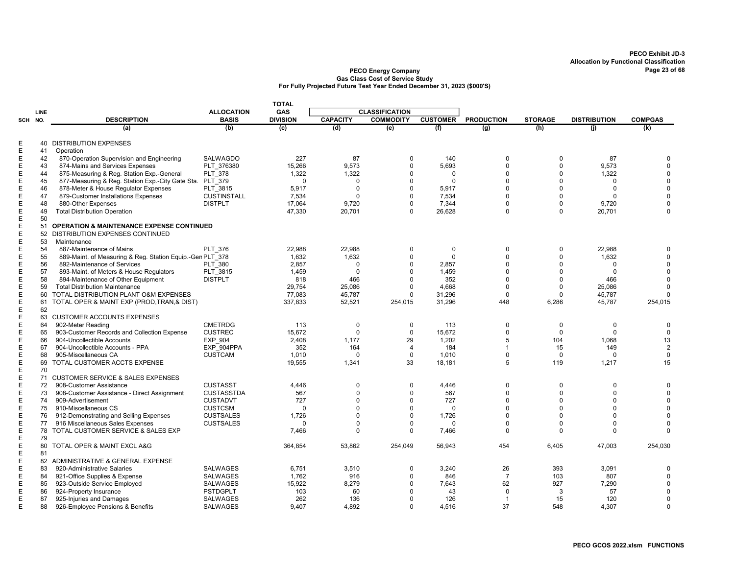|                  |          |                                                                  |                                      | <b>TOTAL</b>      |                      |                         |                  |                            |                         |                            |                              |
|------------------|----------|------------------------------------------------------------------|--------------------------------------|-------------------|----------------------|-------------------------|------------------|----------------------------|-------------------------|----------------------------|------------------------------|
|                  | LINE     |                                                                  | <b>ALLOCATION</b>                    | <b>GAS</b>        |                      | <b>CLASSIFICATION</b>   |                  |                            |                         |                            |                              |
| SCH NO.          |          | <b>DESCRIPTION</b>                                               | <b>BASIS</b>                         | <b>DIVISION</b>   | <b>CAPACITY</b>      | <b>COMMODITY</b>        | <b>CUSTOMER</b>  | <b>PRODUCTION</b>          | <b>STORAGE</b>          | <b>DISTRIBUTION</b>        | <b>COMPGAS</b>               |
|                  |          | (a)                                                              | (b)                                  | (c)               | (d)                  | (e)                     | (f)              | (g)                        | (h)                     | (i)                        | (k)                          |
| Ε                |          | <b>40 DISTRIBUTION EXPENSES</b>                                  |                                      |                   |                      |                         |                  |                            |                         |                            |                              |
| E                | 41       | Operation                                                        |                                      |                   |                      |                         |                  |                            |                         |                            |                              |
| Ε                | 42       | 870-Operation Supervision and Engineering                        | <b>SALWAGDO</b>                      | 227               | 87                   | 0                       | 140              | 0                          | 0                       | 87                         | $\Omega$                     |
| Ε                | 43       | 874-Mains and Services Expenses                                  | PLT 376380                           | 15,266            | 9,573                | $\Omega$                | 5.693            | $\Omega$                   | $\Omega$                | 9.573                      | $\Omega$                     |
| E                | 44       | 875-Measuring & Reg. Station Exp.-General                        | PLT 378                              | 1,322             | 1,322                | $\Omega$                | $\Omega$         | $\Omega$                   | $\Omega$                | 1,322                      | $\Omega$                     |
| $\mathsf E$      | 45       | 877-Measuring & Reg. Station Exp.-City Gate Sta.                 | PLT 379                              | $\Omega$          | $\Omega$             | $\Omega$                | $\mathbf 0$      | $\Omega$                   | $\Omega$                | $\Omega$                   | $\mathbf 0$                  |
| Е                | 46       | 878-Meter & House Regulator Expenses                             | PLT 3815                             | 5,917             | $\Omega$             | $\Omega$                | 5,917            | $\Omega$                   | $\Omega$                | $\Omega$                   | $\Omega$                     |
| Е                | 47       | 879-Customer Installations Expenses                              | <b>CUSTINSTALL</b>                   | 7,534             | $\Omega$             | $\Omega$                | 7,534            | $\Omega$                   | $\Omega$                | $\Omega$                   | $\Omega$<br>$\Omega$         |
| E<br>$\mathsf E$ | 48<br>49 | 880-Other Expenses<br><b>Total Distribution Operation</b>        | <b>DISTPLT</b>                       | 17,064<br>47.330  | 9,720<br>20,701      | $\Omega$<br>$\Omega$    | 7,344<br>26.628  | 0<br>$\Omega$              | $\mathbf 0$<br>$\Omega$ | 9,720<br>20,701            | $\Omega$                     |
| Ε                | 50       |                                                                  |                                      |                   |                      |                         |                  |                            |                         |                            |                              |
| E                | 51       | <b>OPERATION &amp; MAINTENANCE EXPENSE CONTINUED</b>             |                                      |                   |                      |                         |                  |                            |                         |                            |                              |
| E                | 52       | DISTRIBUTION EXPENSES CONTINUED                                  |                                      |                   |                      |                         |                  |                            |                         |                            |                              |
| Е                | 53       | Maintenance                                                      |                                      |                   |                      |                         |                  |                            |                         |                            |                              |
| Е                | 54       | 887-Maintenance of Mains                                         | <b>PLT 376</b>                       | 22,988            | 22,988               | 0                       | $\mathbf 0$      | 0                          | $\mathbf 0$             | 22,988                     | $\Omega$                     |
| $\mathsf E$      | 55       | 889-Maint. of Measuring & Reg. Station Equip.-Gen PLT 378        |                                      | 1,632             | 1,632                | $\Omega$                | $\Omega$         | $\Omega$                   | $\Omega$                | 1,632                      | $\Omega$                     |
| E                | 56       | 892-Maintenance of Services                                      | <b>PLT 380</b>                       | 2,857             | 0                    | $\Omega$                | 2,857            | $\Omega$                   | $\Omega$                | $\Omega$                   | $\mathbf 0$                  |
| Ε                | 57       | 893-Maint. of Meters & House Regulators                          | PLT 3815                             | 1,459             | $\Omega$             | $\Omega$                | 1.459            | $\Omega$                   | $\Omega$                | $\Omega$                   | $\Omega$                     |
| E                | 58       | 894-Maintenance of Other Equipment                               | <b>DISTPLT</b>                       | 818               | 466                  | $\Omega$                | 352              | $\Omega$                   | $\Omega$                | 466                        | $\mathbf 0$                  |
| Е                | 59       | <b>Total Distribution Maintenance</b>                            |                                      | 29,754            | 25,086               | $\Omega$<br>$\Omega$    | 4,668            | $\Omega$                   | $\Omega$<br>$\Omega$    | 25,086                     | $\Omega$<br>$\Omega$         |
| Ε<br>E           | 60<br>61 | TOTAL DISTRIBUTION PLANT O&M EXPENSES                            |                                      | 77.083<br>337,833 | 45,787<br>52,521     |                         | 31,296<br>31,296 | $\Omega$<br>448            | 6,286                   | 45,787<br>45,787           | 254,015                      |
| E                | 62       | TOTAL OPER & MAINT EXP (PROD, TRAN, & DIST)                      |                                      |                   |                      | 254,015                 |                  |                            |                         |                            |                              |
| Ε                |          | 63 CUSTOMER ACCOUNTS EXPENSES                                    |                                      |                   |                      |                         |                  |                            |                         |                            |                              |
| Е                | 64       | 902-Meter Reading                                                | <b>CMETRDG</b>                       | 113               | $\mathbf 0$          | $\mathbf 0$             | 113              | $\mathbf 0$                | $\mathbf 0$             | $\mathbf 0$                | $\mathbf 0$                  |
| Ε                | 65       | 903-Customer Records and Collection Expense                      | <b>CUSTREC</b>                       | 15,672            | $\Omega$             | $\mathbf 0$             | 15,672           | 0                          | $\Omega$                | $\mathbf 0$                | $\mathbf 0$                  |
| Ε                | 66       | 904-Uncollectible Accounts                                       | EXP 904                              | 2,408             | 1,177                | 29                      | 1,202            | 5                          | 104                     | 1,068                      | 13                           |
| E                | 67       | 904-Uncollectible Accounts - PPA                                 | EXP 904PPA                           | 352               | 164                  | $\overline{4}$          | 184              | $\overline{1}$             | 15                      | 149                        | $\overline{2}$               |
| Е                | 68       | 905-Miscellaneous CA                                             | <b>CUSTCAM</b>                       | 1,010             | 0                    | $\mathbf 0$             | 1,010            | $\mathbf 0$                | $\Omega$                | $\Omega$                   | $\mathbf 0$                  |
| Ε                | 69       | TOTAL CUSTOMER ACCTS EXPENSE                                     |                                      | 19,555            | 1,341                | 33                      | 18,181           | 5                          | 119                     | 1,217                      | 15                           |
| E                | 70       |                                                                  |                                      |                   |                      |                         |                  |                            |                         |                            |                              |
| E                |          | 71 CUSTOMER SERVICE & SALES EXPENSES                             |                                      |                   |                      |                         |                  |                            |                         |                            |                              |
| E<br>Ε           | 72<br>73 | 908-Customer Assistance                                          | <b>CUSTASST</b><br><b>CUSTASSTDA</b> | 4,446<br>567      | $\Omega$<br>$\Omega$ | $\mathbf 0$<br>$\Omega$ | 4,446<br>567     | $\mathbf 0$<br>$\mathbf 0$ | $\Omega$<br>$\Omega$    | $\mathbf 0$<br>$\mathbf 0$ | $\mathbf{0}$<br>$\mathbf{0}$ |
| E                | 74       | 908-Customer Assistance - Direct Assignment<br>909-Advertisement | <b>CUSTADVT</b>                      | 727               | $\Omega$             | $\Omega$                | 727              | $\Omega$                   | $\Omega$                | 0                          | $\mathbf 0$                  |
| E                | 75       | 910-Miscellaneous CS                                             | <b>CUSTCSM</b>                       | $\Omega$          | $\Omega$             | $\Omega$                | $\Omega$         | $\Omega$                   | $\Omega$                | $\Omega$                   | $\Omega$                     |
| E                | 76       | 912-Demonstrating and Selling Expenses                           | <b>CUSTSALES</b>                     | 1,726             | $\Omega$             | $\Omega$                | 1,726            | $\Omega$                   | $\Omega$                | $\Omega$                   | $\Omega$                     |
| Е                | 77       | 916 Miscellaneous Sales Expenses                                 | <b>CUSTSALES</b>                     | $\Omega$          | $\Omega$             | $\Omega$                | $\mathbf 0$      | $\Omega$                   | $\Omega$                | $\Omega$                   | $\Omega$                     |
| E                |          | 78 TOTAL CUSTOMER SERVICE & SALES EXP                            |                                      | 7,466             | $\Omega$             | $\Omega$                | 7,466            | $\Omega$                   | $\Omega$                | $\Omega$                   | $\Omega$                     |
| Ε                | 79       |                                                                  |                                      |                   |                      |                         |                  |                            |                         |                            |                              |
| Ε                |          | 80 TOTAL OPER & MAINT EXCL A&G                                   |                                      | 364,854           | 53,862               | 254,049                 | 56,943           | 454                        | 6,405                   | 47,003                     | 254,030                      |
| E                | 81       |                                                                  |                                      |                   |                      |                         |                  |                            |                         |                            |                              |
| Е                | 82       | ADMINISTRATIVE & GENERAL EXPENSE                                 |                                      |                   |                      |                         |                  |                            |                         |                            |                              |
| Е                | 83       | 920-Administrative Salaries                                      | <b>SALWAGES</b>                      | 6.751             | 3.510                | $\Omega$                | 3.240            | 26                         | 393                     | 3,091                      | <sup>0</sup>                 |
| Е                | 84<br>85 | 921-Office Supplies & Expense                                    | <b>SALWAGES</b>                      | 1,762<br>15,922   | 916                  | $\Omega$<br>$\Omega$    | 846<br>7,643     | $\overline{7}$<br>62       | 103<br>927              | 807<br>7,290               | $\Omega$<br>$\mathbf 0$      |
| Ε<br>Ε           | 86       | 923-Outside Service Employed<br>924-Property Insurance           | <b>SALWAGES</b><br><b>PSTDGPLT</b>   | 103               | 8,279<br>60          | $\Omega$                | 43               | $\Omega$                   | 3                       | 57                         | $\Omega$                     |
| Ε                | 87       | 925-Injuries and Damages                                         | <b>SALWAGES</b>                      | 262               | 136                  | $\Omega$                | 126              | $\overline{1}$             | 15                      | 120                        | $\mathbf 0$                  |
| Е                | 88       | 926-Employee Pensions & Benefits                                 | <b>SALWAGES</b>                      | 9,407             | 4,892                | $\Omega$                | 4,516            | 37                         | 548                     | 4,307                      | $\mathbf 0$                  |
|                  |          |                                                                  |                                      |                   |                      |                         |                  |                            |                         |                            |                              |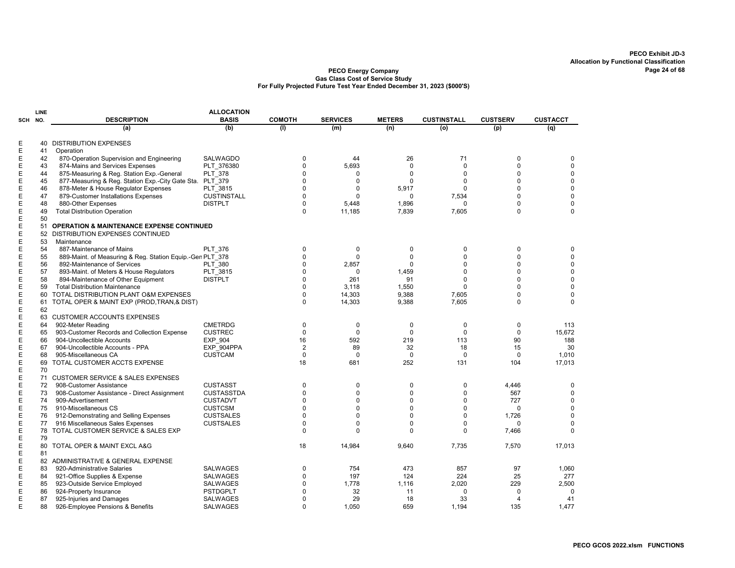|            | LINE |                                                           | <b>ALLOCATION</b>  |                |                 |               |                    |                 |                 |
|------------|------|-----------------------------------------------------------|--------------------|----------------|-----------------|---------------|--------------------|-----------------|-----------------|
| <b>SCH</b> | NO.  | <b>DESCRIPTION</b>                                        | <b>BASIS</b>       | <b>COMOTH</b>  | <b>SERVICES</b> | <b>METERS</b> | <b>CUSTINSTALL</b> | <b>CUSTSERV</b> | <b>CUSTACCT</b> |
|            |      | (a)                                                       | (b)                | (1)            | (m)             | (n)           | (o)                | (p)             | (q)             |
|            |      |                                                           |                    |                |                 |               |                    |                 |                 |
| E          | 40   | <b>DISTRIBUTION EXPENSES</b>                              |                    |                |                 |               |                    |                 |                 |
| E          | 41   | Operation                                                 |                    |                |                 |               |                    |                 |                 |
| Ε          | 42   | 870-Operation Supervision and Engineering                 | <b>SALWAGDO</b>    | $\mathbf 0$    | 44              | 26            | 71                 | 0               | 0               |
| Ε          | 43   | 874-Mains and Services Expenses                           | PLT 376380         | $\Omega$       | 5,693           | $\Omega$      | $\Omega$           | $\Omega$        | $\mathbf 0$     |
| E          | 44   | 875-Measuring & Reg. Station Exp.-General                 | <b>PLT 378</b>     | $\Omega$       | $\Omega$        | $\Omega$      | $\Omega$           | $\Omega$        | $\mathbf 0$     |
| Ε          | 45   | 877-Measuring & Reg. Station Exp.-City Gate Sta.          | PLT 379            | $\Omega$       | $\Omega$        | $\Omega$      | $\Omega$           | $\Omega$        | $\mathbf 0$     |
| E          | 46   | 878-Meter & House Regulator Expenses                      | PLT_3815           | $\mathbf 0$    | 0               | 5,917         | $\mathbf 0$        | $\Omega$        | $\pmb{0}$       |
| E          | 47   | 879-Customer Installations Expenses                       | <b>CUSTINSTALL</b> | $\mathbf 0$    | $\mathbf{0}$    | $\mathbf 0$   | 7,534              | $\Omega$        | $\pmb{0}$       |
| Ε          | 48   | 880-Other Expenses                                        | <b>DISTPLT</b>     | $\mathbf 0$    | 5,448           | 1,896         | $\Omega$           | $\Omega$        | $\mathbf 0$     |
| E          | 49   | <b>Total Distribution Operation</b>                       |                    | $\Omega$       | 11,185          | 7,839         | 7,605              | $\Omega$        | $\Omega$        |
| E          | 50   |                                                           |                    |                |                 |               |                    |                 |                 |
| Ε          | 51   | <b>OPERATION &amp; MAINTENANCE EXPENSE CONTINUED</b>      |                    |                |                 |               |                    |                 |                 |
| E          | 52   | DISTRIBUTION EXPENSES CONTINUED                           |                    |                |                 |               |                    |                 |                 |
| Ε          | 53   | Maintenance                                               |                    |                |                 |               |                    |                 |                 |
| Ε          | 54   | 887-Maintenance of Mains                                  | <b>PLT 376</b>     | $\mathbf 0$    | 0               | 0             | $\Omega$           | 0               | 0               |
| Ε          | 55   | 889-Maint. of Measuring & Reg. Station Equip.-Gen PLT 378 |                    | $\Omega$       | $\Omega$        | $\Omega$      | 0                  | $\Omega$        | $\Omega$        |
|            | 56   | 892-Maintenance of Services                               | <b>PLT 380</b>     | $\Omega$       | 2,857           | $\mathbf 0$   | $\Omega$           | 0               | $\mathbf 0$     |
| E<br>E     | 57   | 893-Maint. of Meters & House Regulators                   | PLT_3815           | $\mathbf 0$    | 0               | 1,459         | $\Omega$           | $\Omega$        | $\mathbf 0$     |
| Ε          | 58   | 894-Maintenance of Other Equipment                        | <b>DISTPLT</b>     | $\mathbf 0$    | 261             | 91            | $\Omega$           | $\Omega$        | $\mathbf 0$     |
| E          | 59   | <b>Total Distribution Maintenance</b>                     |                    | $\mathbf 0$    | 3,118           | 1,550         | 0                  | $\Omega$        | $\mathbf 0$     |
| Ε          | 60   | TOTAL DISTRIBUTION PLANT O&M EXPENSES                     |                    | $\mathbf 0$    | 14,303          | 9.388         | 7,605              | $\Omega$        | $\mathbf 0$     |
| E          | 61   | TOTAL OPER & MAINT EXP (PROD, TRAN, & DIST)               |                    | $\mathbf 0$    | 14,303          | 9,388         | 7,605              | 0               | $\mathbf 0$     |
| E          | 62   |                                                           |                    |                |                 |               |                    |                 |                 |
| E          | 63   | <b>CUSTOMER ACCOUNTS EXPENSES</b>                         |                    |                |                 |               |                    |                 |                 |
| E          |      |                                                           |                    |                |                 |               |                    |                 |                 |
|            | 64   | 902-Meter Reading                                         | <b>CMETRDG</b>     | 0<br>$\Omega$  | 0               | 0<br>$\Omega$ | 0<br>$\Omega$      | 0               | 113             |
| E          | 65   | 903-Customer Records and Collection Expense               | <b>CUSTREC</b>     |                | $\Omega$        |               |                    | $\Omega$        | 15.672          |
| E          | 66   | 904-Uncollectible Accounts                                | <b>EXP 904</b>     | 16             | 592             | 219           | 113                | 90              | 188             |
| Ε          | 67   | 904-Uncollectible Accounts - PPA                          | EXP 904PPA         | $\overline{2}$ | 89              | 32            | 18                 | 15              | 30              |
| E          | 68   | 905-Miscellaneous CA                                      | <b>CUSTCAM</b>     | $\mathbf 0$    | $\mathbf 0$     | $\mathbf 0$   | $\Omega$           | $\mathbf 0$     | 1,010           |
| Ε          | 69   | TOTAL CUSTOMER ACCTS EXPENSE                              |                    | 18             | 681             | 252           | 131                | 104             | 17,013          |
| Ε          | 70   |                                                           |                    |                |                 |               |                    |                 |                 |
| E          | 71   | <b>CUSTOMER SERVICE &amp; SALES EXPENSES</b>              |                    |                |                 |               |                    |                 |                 |
| Ε          | 72   | 908-Customer Assistance                                   | <b>CUSTASST</b>    | 0              | 0               | 0             | 0                  | 4,446           | 0               |
| Ε          | 73   | 908-Customer Assistance - Direct Assignment               | <b>CUSTASSTDA</b>  | $\mathbf 0$    | 0               | $\mathbf 0$   | 0                  | 567             | $\pmb{0}$       |
| Ε          | 74   | 909-Advertisement                                         | <b>CUSTADVT</b>    | $\Omega$       | $\Omega$        | $\Omega$      | $\Omega$           | 727             | $\mathbf 0$     |
| E          | 75   | 910-Miscellaneous CS                                      | <b>CUSTCSM</b>     | $\Omega$       | 0               | 0             | $\Omega$           | $\Omega$        | $\mathbf 0$     |
| E          | 76   | 912-Demonstrating and Selling Expenses                    | <b>CUSTSALES</b>   | $\Omega$       | $\Omega$        | $\Omega$      | 0                  | 1.726           | $\mathbf 0$     |
| Ε          | 77   | 916 Miscellaneous Sales Expenses                          | <b>CUSTSALES</b>   | $\mathbf 0$    | $\mathbf{0}$    | $\mathbf 0$   | 0                  | 0               | $\mathbf 0$     |
| E          | 78   | TOTAL CUSTOMER SERVICE & SALES EXP                        |                    | $\mathbf 0$    | $\mathbf{0}$    | $\Omega$      | $\Omega$           | 7,466           | $\Omega$        |
| Ε          | 79   |                                                           |                    |                |                 |               |                    |                 |                 |
| Ε          | 80   | TOTAL OPER & MAINT EXCL A&G                               |                    | 18             | 14,984          | 9.640         | 7.735              | 7,570           | 17,013          |
| E          | 81   |                                                           |                    |                |                 |               |                    |                 |                 |
| Ε          | 82   | ADMINISTRATIVE & GENERAL EXPENSE                          |                    |                |                 |               |                    |                 |                 |
| Ε          | 83   | 920-Administrative Salaries                               | <b>SALWAGES</b>    | 0              | 754             | 473           | 857                | 97              | 1,060           |
| Ε          | 84   | 921-Office Supplies & Expense                             | SALWAGES           | $\Omega$       | 197             | 124           | 224                | 25              | 277             |
| Ε          | 85   | 923-Outside Service Employed                              | <b>SALWAGES</b>    | $\Omega$       | 1,778           | 1,116         | 2,020              | 229             | 2,500           |
| E          | 86   | 924-Property Insurance                                    | <b>PSTDGPLT</b>    | $\Omega$       | 32              | 11            | $\Omega$           | $\Omega$        | $\Omega$        |
| E          | 87   | 925-Injuries and Damages                                  | SALWAGES           | $\mathbf 0$    | 29              | 18            | 33                 | 4               | 41              |
| E          | 88   | 926-Employee Pensions & Benefits                          | <b>SALWAGES</b>    | $\Omega$       | 1.050           | 659           | 1,194              | 135             | 1,477           |
|            |      |                                                           |                    |                |                 |               |                    |                 |                 |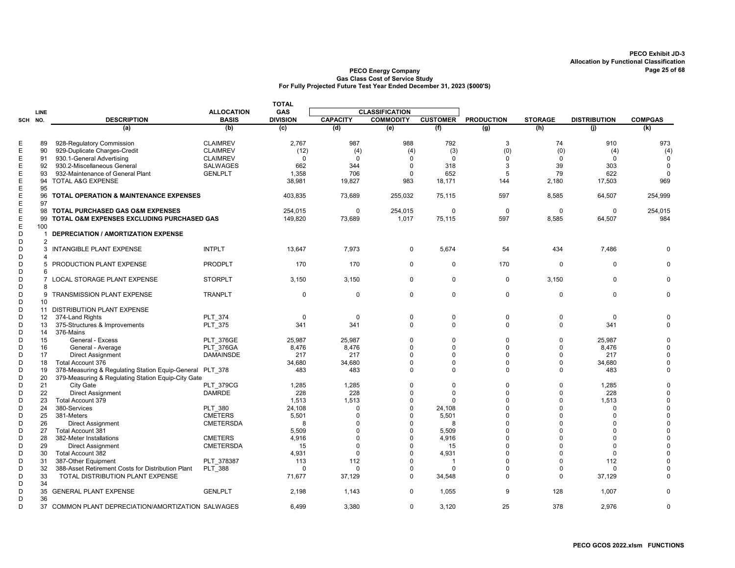|         |                 |                                                          |                   | <b>TOTAL</b>    |                 |                       |                 |                   |                |                     |                |
|---------|-----------------|----------------------------------------------------------|-------------------|-----------------|-----------------|-----------------------|-----------------|-------------------|----------------|---------------------|----------------|
|         | LINE            |                                                          | <b>ALLOCATION</b> | <b>GAS</b>      |                 | <b>CLASSIFICATION</b> |                 |                   |                |                     |                |
| SCH NO. |                 | <b>DESCRIPTION</b>                                       | <b>BASIS</b>      | <b>DIVISION</b> | <b>CAPACITY</b> | <b>COMMODITY</b>      | <b>CUSTOMER</b> | <b>PRODUCTION</b> | <b>STORAGE</b> | <b>DISTRIBUTION</b> | <b>COMPGAS</b> |
|         |                 | (a)                                                      | (b)               | (c)             | (d)             | (e)                   | (f)             | (q)               | (h)            | (i)                 | (k)            |
| Ε       | 89              | 928-Regulatory Commission                                | <b>CLAIMREV</b>   | 2,767           | 987             | 988                   | 792             | 3                 | 74             | 910                 | 973            |
| Ε       | 90              | 929-Duplicate Charges-Credit                             | <b>CLAIMREV</b>   | (12)            | (4)             | (4)                   | (3)             | (0)               | (0)            | (4)                 | (4)            |
| E       | 91              | 930.1-General Advertising                                | <b>CLAIMREV</b>   | $\mathbf 0$     | $\Omega$        | $\mathbf 0$           | $\mathbf 0$     | $\Omega$          | $\Omega$       | $\Omega$            | $\mathbf 0$    |
| Ε       | 92              | 930.2-Miscellaneous General                              | <b>SALWAGES</b>   | 662             | 344             | $\mathbf 0$           | 318             | 3                 | 39             | 303                 | 0              |
| E       | 93              | 932-Maintenance of General Plant                         | <b>GENLPLT</b>    | 1,358           | 706             | $\Omega$              | 652             | 5                 | 79             | 622                 | $\Omega$       |
| Ε       | 94              | TOTAL A&G EXPENSE                                        |                   | 38,981          | 19,827          | 983                   | 18,171          | 144               | 2,180          | 17,503              | 969            |
| Ε       | 95              |                                                          |                   |                 |                 |                       |                 |                   |                |                     |                |
| Ε       | 96              | <b>TOTAL OPERATION &amp; MAINTENANCE EXPENSES</b>        |                   | 403,835         | 73,689          | 255,032               | 75,115          | 597               | 8,585          | 64,507              | 254,999        |
| E       | 97              |                                                          |                   |                 |                 |                       |                 |                   |                |                     |                |
| Ε       | 98              | TOTAL PURCHASED GAS O&M EXPENSES                         |                   | 254,015         | $\mathbf 0$     | 254,015               | $\mathbf 0$     | $\mathbf 0$       | $\Omega$       | $\Omega$            | 254,015        |
| Ε       | 99              | TOTAL O&M EXPENSES EXCLUDING PURCHASED GAS               |                   | 149,820         | 73,689          | 1,017                 | 75,115          | 597               | 8,585          | 64,507              | 984            |
| E       | 100             |                                                          |                   |                 |                 |                       |                 |                   |                |                     |                |
| D       | -1              | DEPRECIATION / AMORTIZATION EXPENSE                      |                   |                 |                 |                       |                 |                   |                |                     |                |
| D       | 2               |                                                          |                   |                 |                 |                       |                 |                   |                |                     |                |
| D       | 3               |                                                          | <b>INTPLT</b>     | 13,647          | 7,973           | $\mathbf 0$           | 5,674           | 54                | 434            | 7,486               | $\Omega$       |
|         |                 | <b>INTANGIBLE PLANT EXPENSE</b>                          |                   |                 |                 |                       |                 |                   |                |                     |                |
| D       |                 |                                                          |                   |                 |                 |                       |                 |                   |                |                     |                |
| D       | 5               | PRODUCTION PLANT EXPENSE                                 | <b>PRODPLT</b>    | 170             | 170             | 0                     | $\mathbf 0$     | 170               | $\mathbf 0$    | 0                   | $\Omega$       |
| D       | ĥ               |                                                          |                   |                 |                 |                       |                 |                   |                |                     |                |
| D       |                 | LOCAL STORAGE PLANT EXPENSE                              | <b>STORPLT</b>    | 3,150           | 3,150           | $\mathbf 0$           | $\mathbf 0$     | $\mathbf 0$       | 3,150          | $\mathbf 0$         | $\Omega$       |
| D       | 8               |                                                          |                   |                 |                 |                       |                 |                   |                |                     |                |
| D       | 9               | <b>TRANSMISSION PLANT EXPENSE</b>                        | <b>TRANPLT</b>    | $\mathbf 0$     | $\Omega$        | $\Omega$              | $\mathbf 0$     | $\Omega$          | $\Omega$       | 0                   | $\Omega$       |
| D       | 10              |                                                          |                   |                 |                 |                       |                 |                   |                |                     |                |
| D       | 11              | DISTRIBUTION PLANT EXPENSE                               |                   |                 |                 |                       |                 |                   |                |                     |                |
| D       | 12 <sup>°</sup> | 374-Land Rights                                          | PLT 374           | $\mathbf 0$     | $\mathbf 0$     | 0                     | $\mathbf 0$     | 0                 | $\mathbf 0$    | $\mathbf 0$         | $\Omega$       |
| D       | 13              | 375-Structures & Improvements                            | PLT 375           | 341             | 341             | $\Omega$              | $\Omega$        | $\Omega$          | $\Omega$       | 341                 | $\Omega$       |
| D       | 14              | 376-Mains                                                |                   |                 |                 |                       |                 |                   |                |                     |                |
| D       | 15              | General - Excess                                         | <b>PLT 376GE</b>  | 25,987          | 25,987          | $\Omega$              | $\mathbf 0$     | 0                 | 0              | 25,987              | $\Omega$       |
| D       | 16              | General - Average                                        | PLT 376GA         | 8,476           | 8,476           | $\Omega$              | $\Omega$        | $\Omega$          | $\Omega$       | 8,476               | $\Omega$       |
| D       | 17              | <b>Direct Assignment</b>                                 | <b>DAMAINSDE</b>  | 217             | 217             | $\Omega$              | $\Omega$        | $\Omega$          | $\Omega$       | 217                 | $\mathbf 0$    |
| D       | 18              | Total Account 376                                        |                   | 34,680          | 34,680          | $\Omega$              | $\mathbf 0$     | $\mathbf 0$       | $\Omega$       | 34,680              | $\pmb{0}$      |
| D       | 19              | 378-Measuring & Regulating Station Equip-General PLT 378 |                   | 483             | 483             | $\Omega$              | $\Omega$        | $\Omega$          | $\Omega$       | 483                 | $\Omega$       |
| D       | 20              | 379-Measuring & Regulating Station Equip-City Gate       |                   |                 |                 |                       |                 |                   |                |                     |                |
| D       | 21              | City Gate                                                | <b>PLT 379CG</b>  | 1,285           | 1,285           | $\Omega$              | $\Omega$        | 0                 | $\mathbf 0$    | 1,285               | 0              |
| D       | 22              | <b>Direct Assignment</b>                                 | <b>DAMRDE</b>     | 228             | 228             | $\Omega$              | $\Omega$        | $\Omega$          | $\Omega$       | 228                 | $\Omega$       |
| D       | 23              | Total Account 379                                        |                   | 1,513           | 1,513           | $\Omega$              | $\Omega$        | $\Omega$          | $\Omega$       | 1,513               | $\Omega$       |
| D       | 24              | 380-Services                                             | PLT 380           | 24,108          | $\Omega$        | $\Omega$              | 24,108          | $\Omega$          | $\Omega$       | $\mathbf 0$         | $\mathbf 0$    |
| D       | 25              | 381-Meters                                               | <b>CMETERS</b>    | 5,501           | $\Omega$        | $\Omega$              | 5,501           | $\Omega$          | $\Omega$       | $\Omega$            | $\mathbf 0$    |
| D       | 26              |                                                          | <b>CMETERSDA</b>  | 8               | $\Omega$        | $\Omega$              | 8               | $\Omega$          | $\Omega$       | $\Omega$            | $\Omega$       |
| D       |                 | <b>Direct Assignment</b>                                 |                   |                 | $\Omega$        | $\Omega$              |                 | $\Omega$          | $\Omega$       | 0                   | $\Omega$       |
|         | 27              | <b>Total Account 381</b>                                 |                   | 5,509           | $\Omega$        | $\Omega$              | 5,509           | $\Omega$          | $\Omega$       | $\Omega$            | $\Omega$       |
| D       | 28              | 382-Meter Installations                                  | <b>CMETERS</b>    | 4.916           |                 |                       | 4,916           |                   |                |                     |                |
| D       | 29              | <b>Direct Assignment</b>                                 | <b>CMETERSDA</b>  | 15              | $\Omega$        | $\Omega$              | 15              | 0                 | $\Omega$       | $\Omega$            | $\Omega$       |
| D       | 30              | <b>Total Account 382</b>                                 |                   | 4,931           | $\Omega$        | $\Omega$              | 4,931           | $\Omega$          | $\Omega$       | $\Omega$            | $\Omega$       |
| D       | 31              | 387-Other Equipment                                      | PLT 378387        | 113             | 112             | $\Omega$              | -1              | $\Omega$          | $\Omega$       | 112                 | <sup>0</sup>   |
| D       | 32              | 388-Asset Retirement Costs for Distribution Plant        | <b>PLT 388</b>    | $\Omega$        | $\Omega$        | $\Omega$              | $\Omega$        | $\Omega$          | $\Omega$       | $\Omega$            | $\Omega$       |
| D       | 33              | TOTAL DISTRIBUTION PLANT EXPENSE                         |                   | 71,677          | 37,129          | $\mathbf 0$           | 34,548          | $\Omega$          | $\Omega$       | 37,129              | $\Omega$       |
| D       | 34              |                                                          |                   |                 |                 |                       |                 |                   |                |                     |                |
| D       | 35              | <b>GENERAL PLANT EXPENSE</b>                             | <b>GENLPLT</b>    | 2.198           | 1.143           | $\Omega$              | 1.055           | 9                 | 128            | 1,007               | $\Omega$       |
| D       | 36              |                                                          |                   |                 |                 |                       |                 |                   |                |                     |                |
| D       | 37              | COMMON PLANT DEPRECIATION/AMORTIZATION SALWAGES          |                   | 6,499           | 3,380           | 0                     | 3,120           | 25                | 378            | 2,976               | $\mathbf 0$    |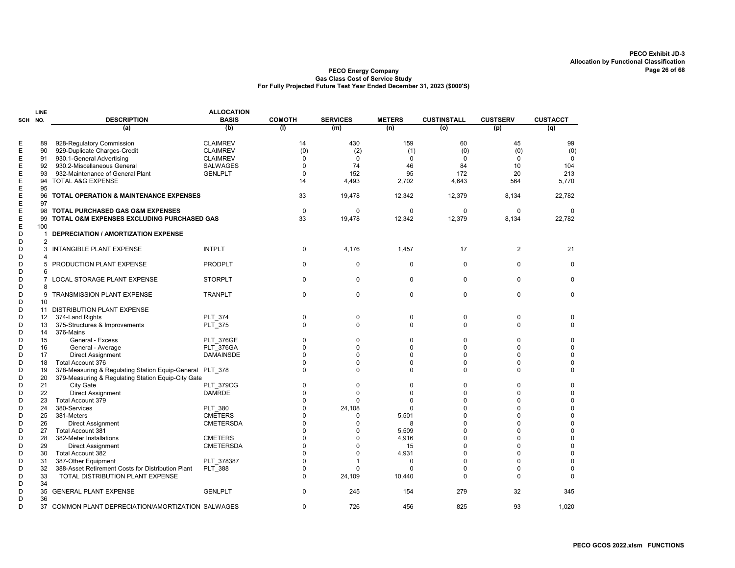|        | LINE           |                                                    | <b>ALLOCATION</b> |               |                 |               |                    |                 |                 |
|--------|----------------|----------------------------------------------------|-------------------|---------------|-----------------|---------------|--------------------|-----------------|-----------------|
| SCH    | NO.            | <b>DESCRIPTION</b>                                 | <b>BASIS</b>      | <b>COMOTH</b> | <b>SERVICES</b> | <b>METERS</b> | <b>CUSTINSTALL</b> | <b>CUSTSERV</b> | <b>CUSTACCT</b> |
|        |                | (a)                                                | (b)               | (1)           | (m)             | (n)           | (o)                | (p)             | (q)             |
| Е      | 89             | 928-Regulatory Commission                          | <b>CLAIMREV</b>   | 14            | 430             | 159           | 60                 | 45              | 99              |
| Ε      | 90             | 929-Duplicate Charges-Credit                       | <b>CLAIMREV</b>   | (0)           | (2)             | (1)           | (0)                | (0)             | (0)             |
| Е      | 91             | 930.1-General Advertising                          | <b>CLAIMREV</b>   | $\Omega$      | 0               | 0             | $\mathbf 0$        | $\Omega$        | 0               |
| Е      | 92             | 930.2-Miscellaneous General                        | <b>SALWAGES</b>   | $\Omega$      | 74              | 46            | 84                 | 10              | 104             |
| Ε      | 93             | 932-Maintenance of General Plant                   | <b>GENLPLT</b>    | $\mathbf 0$   | 152             | 95            | 172                | 20              | 213             |
| Е      | 94             | <b>TOTAL A&amp;G EXPENSE</b>                       |                   | 14            | 4,493           | 2,702         | 4,643              | 564             | 5,770           |
| Ε      | 95             |                                                    |                   |               |                 |               |                    |                 |                 |
| Ε      | 96             | <b>TOTAL OPERATION &amp; MAINTENANCE EXPENSES</b>  |                   | 33            | 19,478          | 12,342        | 12,379             | 8,134           | 22,782          |
| E      | 97             |                                                    |                   |               |                 |               |                    |                 |                 |
| Ε      | 98             | <b>TOTAL PURCHASED GAS O&amp;M EXPENSES</b>        |                   | $\mathbf 0$   | $\mathbf 0$     | $\mathbf 0$   | $\mathbf 0$        | $\mathbf 0$     | $\mathbf 0$     |
| Е      | 99             | TOTAL O&M EXPENSES EXCLUDING PURCHASED GAS         |                   | 33            | 19,478          | 12,342        | 12,379             | 8,134           | 22,782          |
| E      | 100            |                                                    |                   |               |                 |               |                    |                 |                 |
| D      | -1             | <b>DEPRECIATION / AMORTIZATION EXPENSE</b>         |                   |               |                 |               |                    |                 |                 |
| D      | $\overline{2}$ |                                                    |                   |               |                 |               |                    |                 |                 |
| D      | 3              | <b>INTANGIBLE PLANT EXPENSE</b>                    | <b>INTPLT</b>     | 0             |                 | 1,457         | 17                 | $\overline{2}$  | 21              |
| D      | Δ              |                                                    |                   |               | 4,176           |               |                    |                 |                 |
|        |                |                                                    |                   | $\Omega$      | $\Omega$        | $\Omega$      | $\Omega$           | $\Omega$        | $\Omega$        |
| D<br>D | 5<br>6         | PRODUCTION PLANT EXPENSE                           | <b>PRODPLT</b>    |               |                 |               |                    |                 |                 |
| D      |                |                                                    | <b>STORPLT</b>    | $\Omega$      | $\mathbf 0$     | $\Omega$      | $\Omega$           | $\Omega$        | $\Omega$        |
|        |                | LOCAL STORAGE PLANT EXPENSE                        |                   |               |                 |               |                    |                 |                 |
| D      | 8              |                                                    |                   |               |                 |               |                    |                 |                 |
| D      | 9              | TRANSMISSION PLANT EXPENSE                         | <b>TRANPLT</b>    | $\Omega$      | $\mathbf 0$     | $\Omega$      | $\Omega$           | $\Omega$        | $\Omega$        |
| D      | 10             |                                                    |                   |               |                 |               |                    |                 |                 |
| D      | 11             | DISTRIBUTION PLANT EXPENSE                         |                   |               |                 |               |                    |                 |                 |
| D      | 12             | 374-Land Rights                                    | <b>PLT 374</b>    | $\Omega$      | $\mathbf 0$     | $\Omega$      | $\Omega$           | $\Omega$        | 0               |
| D      | 13             | 375-Structures & Improvements                      | PLT_375           | $\Omega$      | $\Omega$        | $\Omega$      | $\Omega$           | $\Omega$        | 0               |
| D      | 14             | 376-Mains                                          |                   |               |                 |               |                    |                 |                 |
| D      | 15             | General - Excess                                   | <b>PLT 376GE</b>  | 0             | $\Omega$        | $\Omega$      | $\mathbf 0$        | 0               | $\mathbf 0$     |
| D      | 16             | General - Average                                  | PLT 376GA         | U             | $\Omega$        | 0             | $\Omega$           | U               | 0               |
| D      | 17             | <b>Direct Assignment</b>                           | DAMAINSDE         | U             | U               | $\Omega$      | $\Omega$           | $\Omega$        | $\mathbf 0$     |
| D      | 18             | Total Account 376                                  |                   | 0             | $\Omega$        | $\Omega$      | $\Omega$           | $\Omega$        | $\mathbf 0$     |
| D      | 19             | 378-Measuring & Regulating Station Equip-General   | <b>PLT 378</b>    | U             | $\Omega$        | $\Omega$      | $\Omega$           | $\Omega$        | 0               |
| D      | 20             | 379-Measuring & Regulating Station Equip-City Gate |                   |               |                 |               |                    |                 |                 |
| D      | 21             | City Gate                                          | <b>PLT_379CG</b>  | U             | $\Omega$        | 0             | $\Omega$           | $\Omega$        | 0               |
| D      | 22             | <b>Direct Assignment</b>                           | <b>DAMRDE</b>     | U             | $\Omega$        | $\Omega$      | $\Omega$           | U               | $\mathbf 0$     |
| D      | 23             | Total Account 379                                  |                   | 0             | $\Omega$        | 0             | $\Omega$           | $\Omega$        | $\mathbf 0$     |
| D      | 24             | 380-Services                                       | <b>PLT 380</b>    | U             | 24,108          | $\Omega$      | $\Omega$           | U               | $\mathbf 0$     |
| D      | 25             | 381-Meters                                         | <b>CMETERS</b>    | U             | 0               | 5,501         | $\Omega$           | U               | $\mathbf 0$     |
| D      | 26             | <b>Direct Assignment</b>                           | <b>CMETERSDA</b>  | U             | $\Omega$        | 8             | $\Omega$           | $\Omega$        | $\mathbf 0$     |
| D      | 27             | <b>Total Account 381</b>                           |                   | O             | O               | 5,509         | $\mathbf 0$        | U               | $\mathbf 0$     |
| D      | 28             | 382-Meter Installations                            | <b>CMETERS</b>    | $\Omega$      | $\Omega$        | 4,916         | $\Omega$           | 0               | $\pmb{0}$       |
| D      | 29             | <b>Direct Assignment</b>                           | <b>CMETERSDA</b>  | 0             | $\Omega$        | 15            | $\Omega$           | $\Omega$        | $\mathbf 0$     |
| D      | 30             | <b>Total Account 382</b>                           |                   | U             | n               | 4,931         | $\Omega$           | U               | $\mathbf 0$     |
| D      | 31             | 387-Other Equipment                                | PLT 378387        | 0             |                 | $\Omega$      | $\Omega$           | $\Omega$        | $\mathbf 0$     |
| D      | 32             | 388-Asset Retirement Costs for Distribution Plant  | PLT_388           | 0             | $\Omega$        | 0             | $\mathbf 0$        | 0               | $\mathbf 0$     |
| D      | 33             | TOTAL DISTRIBUTION PLANT EXPENSE                   |                   | $\Omega$      | 24,109          | 10,440        | $\Omega$           | $\Omega$        | $\Omega$        |
| D      | 34             |                                                    |                   |               |                 |               |                    |                 |                 |
| D      | 35             | <b>GENERAL PLANT EXPENSE</b>                       | <b>GENLPLT</b>    | $\Omega$      | 245             | 154           | 279                | 32              | 345             |
| D      | 36             |                                                    |                   |               |                 |               |                    |                 |                 |
| D      | 37             | COMMON PLANT DEPRECIATION/AMORTIZATION SALWAGES    |                   | $\Omega$      | 726             | 456           | 825                | 93              | 1,020           |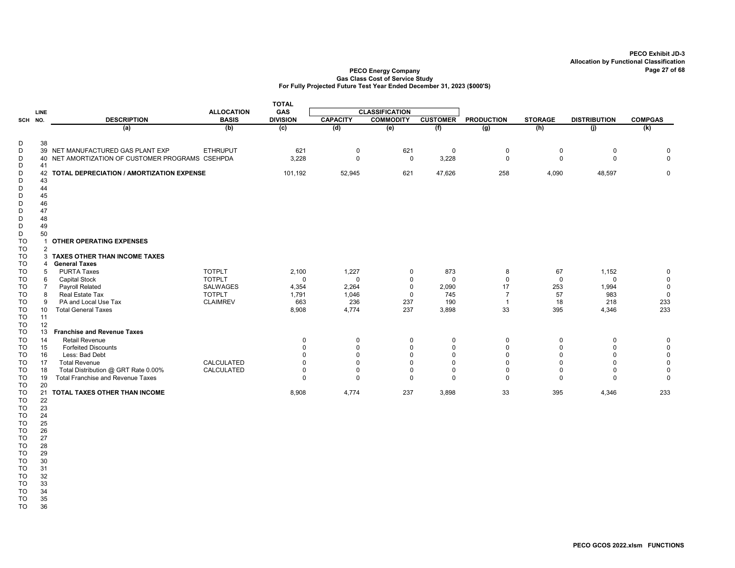#### PECO Energy Company Page 27 of 68 Gas Class Cost of Service Study For Fully Projected Future Test Year Ended December 31, 2023 (\$000'S)

|                        |                |                                                         |                   | <b>TOTAL</b>         |                      |                         |                      |                         |                      |                      |                            |
|------------------------|----------------|---------------------------------------------------------|-------------------|----------------------|----------------------|-------------------------|----------------------|-------------------------|----------------------|----------------------|----------------------------|
|                        | <b>LINE</b>    |                                                         | <b>ALLOCATION</b> | <b>GAS</b>           |                      | <b>CLASSIFICATION</b>   |                      |                         |                      |                      |                            |
| SCH NO.                |                | <b>DESCRIPTION</b>                                      | <b>BASIS</b>      | <b>DIVISION</b>      | <b>CAPACITY</b>      | <b>COMMODITY</b>        | <b>CUSTOMER</b>      | <b>PRODUCTION</b>       | <b>STORAGE</b>       | <b>DISTRIBUTION</b>  | <b>COMPGAS</b>             |
|                        |                | (a)                                                     | (b)               | (c)                  | (d)                  | (e)                     | (f)                  | $\overline{(g)}$        | (h)                  | (i)                  | (k)                        |
| D                      | 38             |                                                         |                   |                      |                      |                         |                      |                         |                      |                      |                            |
| D                      |                | 39 NET MANUFACTURED GAS PLANT EXP                       | <b>ETHRUPUT</b>   | 621                  | 0                    | 621                     | 0                    | 0                       | 0                    | 0                    | 0                          |
| D                      |                | 40 NET AMORTIZATION OF CUSTOMER PROGRAMS CSEHPDA        |                   | 3,228                | $\Omega$             | $\Omega$                | 3,228                | $\mathbf 0$             | $\Omega$             | $\Omega$             | $\mathbf{0}$               |
| D                      | 41             |                                                         |                   |                      |                      |                         |                      |                         |                      |                      |                            |
| D<br>D                 | 43             | 42 TOTAL DEPRECIATION / AMORTIZATION EXPENSE            |                   | 101,192              | 52,945               | 621                     | 47,626               | 258                     | 4,090                | 48,597               | $\mathbf 0$                |
| D                      | 44             |                                                         |                   |                      |                      |                         |                      |                         |                      |                      |                            |
| D                      | 45             |                                                         |                   |                      |                      |                         |                      |                         |                      |                      |                            |
| D                      | 46             |                                                         |                   |                      |                      |                         |                      |                         |                      |                      |                            |
| D                      | 47             |                                                         |                   |                      |                      |                         |                      |                         |                      |                      |                            |
| D                      | 48             |                                                         |                   |                      |                      |                         |                      |                         |                      |                      |                            |
| D                      | 49             |                                                         |                   |                      |                      |                         |                      |                         |                      |                      |                            |
| D                      | 50             |                                                         |                   |                      |                      |                         |                      |                         |                      |                      |                            |
| <b>TO</b>              |                | <b>OTHER OPERATING EXPENSES</b>                         |                   |                      |                      |                         |                      |                         |                      |                      |                            |
| TO                     | $\overline{2}$ |                                                         |                   |                      |                      |                         |                      |                         |                      |                      |                            |
| TO<br>TO               | 4              | 3 TAXES OTHER THAN INCOME TAXES<br><b>General Taxes</b> |                   |                      |                      |                         |                      |                         |                      |                      |                            |
| TO                     | 5              | <b>PURTA Taxes</b>                                      | <b>TOTPLT</b>     | 2,100                | 1,227                | 0                       | 873                  | 8                       | 67                   | 1,152                | 0                          |
| <b>TO</b>              | 6              | <b>Capital Stock</b>                                    | <b>TOTPLT</b>     | $\Omega$             | $\mathbf 0$          | $\mathbf 0$             | $\mathbf 0$          | $\mathbf 0$             | $\Omega$             | $\Omega$             | $\mathsf 0$                |
| <b>TO</b>              | $\overline{7}$ | Payroll Related                                         | SALWAGES          | 4,354                | 2,264                | $\Omega$                | 2,090                | 17                      | 253                  | 1,994                | $\mathsf 0$                |
| <b>TO</b>              | 8              | Real Estate Tax                                         | <b>TOTPLT</b>     | 1,791                | 1,046                | $\Omega$                | 745                  | $\overline{7}$          | 57                   | 983                  | $\mathsf 0$                |
| TO                     | 9              | PA and Local Use Tax                                    | <b>CLAIMREV</b>   | 663                  | 236                  | 237                     | 190                  | $\overline{1}$          | 18                   | 218                  | 233                        |
| <b>TO</b>              | 10             | <b>Total General Taxes</b>                              |                   | 8,908                | 4,774                | 237                     | 3,898                | 33                      | 395                  | 4,346                | 233                        |
| <b>TO</b>              | 11             |                                                         |                   |                      |                      |                         |                      |                         |                      |                      |                            |
| <b>TO</b>              | 12             |                                                         |                   |                      |                      |                         |                      |                         |                      |                      |                            |
| <b>TO</b>              | 13             | <b>Franchise and Revenue Taxes</b>                      |                   |                      |                      |                         |                      |                         |                      |                      |                            |
| <b>TO</b>              | 14             | <b>Retail Revenue</b>                                   |                   | $\Omega$<br>$\Omega$ | $\mathbf 0$          | $\mathbf 0$             | $\mathbf 0$          | $\mathbf 0$             | 0                    | $\mathbf 0$          | 0                          |
| <b>TO</b><br><b>TO</b> | 15<br>16       | <b>Forfeited Discounts</b><br>Less: Bad Debt            |                   |                      | $\Omega$<br>$\Omega$ | $\mathbf 0$<br>$\Omega$ | $\Omega$<br>$\Omega$ | $\mathbf 0$<br>$\Omega$ | $\Omega$<br>$\Omega$ | $\Omega$<br>$\Omega$ | $\mathsf 0$<br>$\mathsf 0$ |
| <b>TO</b>              | 17             | <b>Total Revenue</b>                                    | CALCULATED        |                      | $\Omega$             | $\Omega$                | $\Omega$             | $\mathbf 0$             | $\Omega$             | $\Omega$             | $\mathbf 0$                |
| TO                     | 18             | Total Distribution @ GRT Rate 0.00%                     | CALCULATED        | $\Omega$             | $\overline{0}$       | $\Omega$                | $\mathbf 0$          | $\mathbf 0$             | $\mathbf 0$          | $\Omega$             | $\mathbf 0$                |
| TO                     | 19             | <b>Total Franchise and Revenue Taxes</b>                |                   | $\Omega$             | $\Omega$             | $\Omega$                | $\Omega$             | $\Omega$                | $\Omega$             | $\Omega$             | $\mathbf 0$                |
| TO                     | 20             |                                                         |                   |                      |                      |                         |                      |                         |                      |                      |                            |
| TO                     | 21             | TOTAL TAXES OTHER THAN INCOME                           |                   | 8,908                | 4,774                | 237                     | 3,898                | 33                      | 395                  | 4,346                | 233                        |
| TO                     | 22             |                                                         |                   |                      |                      |                         |                      |                         |                      |                      |                            |
| TO                     | 23             |                                                         |                   |                      |                      |                         |                      |                         |                      |                      |                            |
| TO                     | 24             |                                                         |                   |                      |                      |                         |                      |                         |                      |                      |                            |
| TO                     | 25             |                                                         |                   |                      |                      |                         |                      |                         |                      |                      |                            |

TO 26

TO 27

TO 28 TO 29

TO 30

TO 31<br>TO 32

TO 32<br>TO 33 TO 33<br>TO 34

TO 34<br>TO 35 TO 35<br>TO 36

TO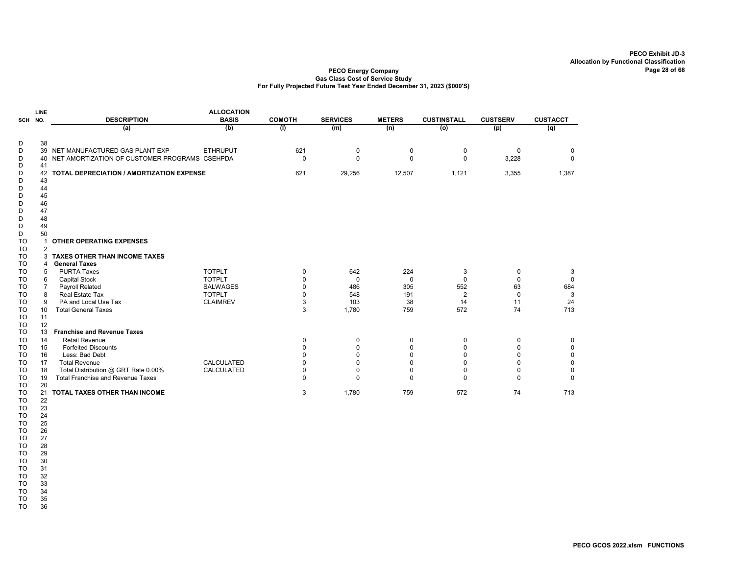#### PECO Energy Company Gas Class Cost of Service Study For Fully Projected Future Test Year Ended December 31, 2023 (\$000'S)

|         | <b>LINE</b> |                                               | <b>ALLOCATION</b> |               |                 |               |                    |                 |                 |
|---------|-------------|-----------------------------------------------|-------------------|---------------|-----------------|---------------|--------------------|-----------------|-----------------|
| SCH NO. |             | <b>DESCRIPTION</b>                            | <b>BASIS</b>      | <b>COMOTH</b> | <b>SERVICES</b> | <b>METERS</b> | <b>CUSTINSTALL</b> | <b>CUSTSERV</b> | <b>CUSTACCT</b> |
|         |             | (a)                                           | (b)               | (1)           | (m)             | (n)           | (o)                | (p)             | (q)             |
| D       | 38          |                                               |                   |               |                 |               |                    |                 |                 |
| D       |             | 39 NET MANUFACTURED GAS PLANT EXP             | <b>ETHRUPUT</b>   | 621           | 0               | 0             | 0                  | $\mathbf 0$     | 0               |
| D       | 40          | NET AMORTIZATION OF CUSTOMER PROGRAMS CSEHPDA |                   | $\Omega$      | $\Omega$        | $\mathbf 0$   | $\Omega$           | 3,228           | $\Omega$        |
| D       | 41          |                                               |                   |               |                 |               |                    |                 |                 |
| D       | 42          | TOTAL DEPRECIATION / AMORTIZATION EXPENSE     |                   | 621           | 29,256          | 12,507        | 1,121              | 3,355           | 1,387           |
| D       | 43          |                                               |                   |               |                 |               |                    |                 |                 |
| D       | 44          |                                               |                   |               |                 |               |                    |                 |                 |
| D       | 45          |                                               |                   |               |                 |               |                    |                 |                 |
| D       | 46          |                                               |                   |               |                 |               |                    |                 |                 |
| D       | 47          |                                               |                   |               |                 |               |                    |                 |                 |
| D       | 48          |                                               |                   |               |                 |               |                    |                 |                 |
| D       | 49          |                                               |                   |               |                 |               |                    |                 |                 |
| D       | 50          |                                               |                   |               |                 |               |                    |                 |                 |
| TO      |             | <b>OTHER OPERATING EXPENSES</b>               |                   |               |                 |               |                    |                 |                 |
| TO      | 2           |                                               |                   |               |                 |               |                    |                 |                 |
| TO      |             | 3 TAXES OTHER THAN INCOME TAXES               |                   |               |                 |               |                    |                 |                 |
| TO      | 4           | <b>General Taxes</b>                          |                   |               |                 |               |                    |                 |                 |
| TO      | 5           | <b>PURTA Taxes</b>                            | <b>TOTPLT</b>     | $\Omega$      | 642             | 224           | 3                  | 0               | 3               |
| TO      | 6           | <b>Capital Stock</b>                          | <b>TOTPLT</b>     |               | 0               | $\mathbf 0$   | 0                  | $\Omega$        | 0               |
| TO      |             | <b>Payroll Related</b>                        | <b>SALWAGES</b>   | $\Omega$      | 486             | 305           | 552                | 63              | 684             |
| TO      | 8           | Real Estate Tax                               | <b>TOTPLT</b>     | $\Omega$      | 548             | 191           | $\overline{2}$     | $\Omega$        | 3               |
| TO      | 9           | PA and Local Use Tax                          | <b>CLAIMREV</b>   | 3             | 103             | 38            | 14                 | 11              | 24              |
| TO      | 10          | <b>Total General Taxes</b>                    |                   | 3             | 1,780           | 759           | 572                | 74              | 713             |
| TO      | 11          |                                               |                   |               |                 |               |                    |                 |                 |
| TO      | 12          |                                               |                   |               |                 |               |                    |                 |                 |
| TO      | 13          | <b>Franchise and Revenue Taxes</b>            |                   |               |                 |               |                    |                 |                 |
| TO      | 14          | <b>Retail Revenue</b>                         |                   | $\Omega$      | 0               | 0             | 0                  | $\Omega$        | 0               |
| TO      | 15          | <b>Forfeited Discounts</b>                    |                   |               | ŋ               | 0             | $\Omega$           | O               | 0               |
| TO      | 16          | Less: Bad Debt                                |                   |               |                 | $\Omega$      | O                  | ŋ               | $\mathbf 0$     |
| TO      | 17          | <b>Total Revenue</b>                          | <b>CALCULATED</b> | $\Omega$      | ŋ               | 0             | O                  | O               | $\mathbf 0$     |
| TO      | 18          | Total Distribution @ GRT Rate 0.00%           | CALCULATED        | $\Omega$      | 0               | 0             | $\Omega$           | O               | 0               |
| TO      | 19          | <b>Total Franchise and Revenue Taxes</b>      |                   | $\Omega$      | 0               | 0             | $\Omega$           | 0               | $\Omega$        |
| TO      | 20          |                                               |                   |               |                 |               |                    |                 |                 |
| TO      | 21          | TOTAL TAXES OTHER THAN INCOME                 |                   | 3             | 1,780           | 759           | 572                | 74              | 713             |
| TO      | 22          |                                               |                   |               |                 |               |                    |                 |                 |

TO 25<br>TO 26 TO 26<br>TO 27 TO 27

TO 28 TO 28<br>TO 29<br>TO 30

TO 23 TO 24

TO 30<br>TO 31

TO 31<br>TO 32

TO 32<br>TO 33 TO 33<br>TO 34

TO 34<br>TO 35

TO

TO 36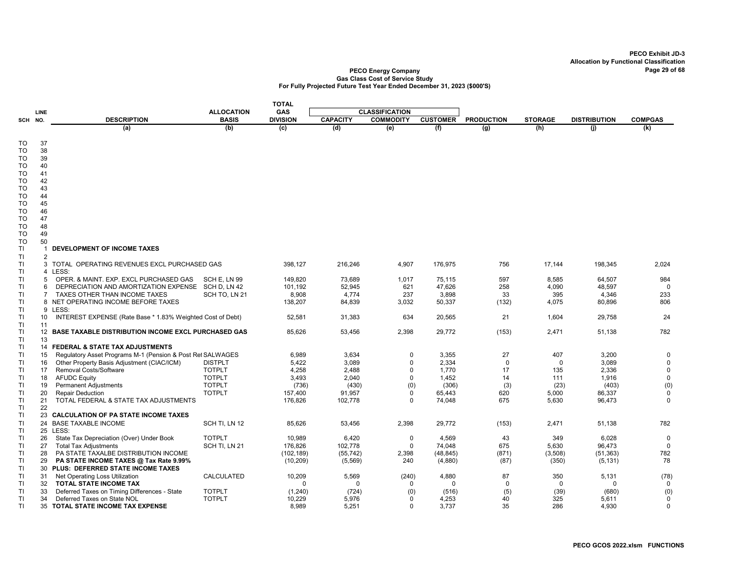|            |                 |                                                            |                                | <b>TOTAL</b>       |                 |                       |                   |                   |                    |                     |                  |
|------------|-----------------|------------------------------------------------------------|--------------------------------|--------------------|-----------------|-----------------------|-------------------|-------------------|--------------------|---------------------|------------------|
|            | <b>LINE</b>     |                                                            | <b>ALLOCATION</b>              | GAS                |                 | <b>CLASSIFICATION</b> |                   |                   |                    |                     |                  |
| <b>SCH</b> | NO.             | <b>DESCRIPTION</b>                                         | <b>BASIS</b>                   | <b>DIVISION</b>    | <b>CAPACITY</b> | <b>COMMODITY</b>      | <b>CUSTOMER</b>   | <b>PRODUCTION</b> | <b>STORAGE</b>     | <b>DISTRIBUTION</b> | <b>COMPGAS</b>   |
|            |                 | (a)                                                        | (b)                            | $\overline{c}$     | (d)             | (e)                   | (f)               | (g)               | (h)                | (i)                 | (k)              |
|            |                 |                                                            |                                |                    |                 |                       |                   |                   |                    |                     |                  |
| TO         | 37              |                                                            |                                |                    |                 |                       |                   |                   |                    |                     |                  |
| TO<br>TO   | 38<br>39        |                                                            |                                |                    |                 |                       |                   |                   |                    |                     |                  |
| TO         | 40              |                                                            |                                |                    |                 |                       |                   |                   |                    |                     |                  |
| TO         | 41              |                                                            |                                |                    |                 |                       |                   |                   |                    |                     |                  |
| TO         | 42              |                                                            |                                |                    |                 |                       |                   |                   |                    |                     |                  |
| TO         | 43              |                                                            |                                |                    |                 |                       |                   |                   |                    |                     |                  |
| TO         | 44              |                                                            |                                |                    |                 |                       |                   |                   |                    |                     |                  |
| TO         | 45              |                                                            |                                |                    |                 |                       |                   |                   |                    |                     |                  |
| TO         | 46              |                                                            |                                |                    |                 |                       |                   |                   |                    |                     |                  |
| TO         | 47              |                                                            |                                |                    |                 |                       |                   |                   |                    |                     |                  |
| TO         | 48              |                                                            |                                |                    |                 |                       |                   |                   |                    |                     |                  |
| TO         | 49              |                                                            |                                |                    |                 |                       |                   |                   |                    |                     |                  |
| <b>TO</b>  | 50              |                                                            |                                |                    |                 |                       |                   |                   |                    |                     |                  |
| <b>TI</b>  | $\mathbf{1}$    | DEVELOPMENT OF INCOME TAXES                                |                                |                    |                 |                       |                   |                   |                    |                     |                  |
| TI         | $\overline{2}$  |                                                            |                                |                    |                 |                       |                   |                   |                    |                     |                  |
| TI<br>ΤI   |                 | 3 TOTAL OPERATING REVENUES EXCL PURCHASED GAS<br>4 LESS:   |                                | 398,127            | 216,246         | 4,907                 | 176,975           | 756               | 17,144             | 198,345             | 2,024            |
| ΤI         | 5               | OPER. & MAINT. EXP. EXCL PURCHASED GAS                     | <b>SCH E, LN 99</b>            | 149,820            | 73,689          | 1,017                 | 75,115            | 597               | 8,585              | 64,507              | 984              |
| ΤI         | 6               | DEPRECIATION AND AMORTIZATION EXPENSE                      | SCH D, LN 42                   | 101,192            | 52,945          | 621                   | 47,626            | 258               | 4,090              | 48,597              | $\mathbf 0$      |
| ΤI         | 7               | TAXES OTHER THAN INCOME TAXES                              | SCH TO, LN 21                  | 8,908              | 4,774           | 237                   | 3,898             | 33                | 395                | 4,346               | 233              |
| ΤI         |                 | 8 NET OPERATING INCOME BEFORE TAXES                        |                                | 138,207            | 84,839          | 3,032                 | 50,337            | (132)             | 4,075              | 80,896              | 806              |
| <b>TI</b>  |                 | 9 LESS:                                                    |                                |                    |                 |                       |                   |                   |                    |                     |                  |
| ΤI         | 10 <sup>°</sup> | INTEREST EXPENSE (Rate Base * 1.83% Weighted Cost of Debt) |                                | 52,581             | 31,383          | 634                   | 20,565            | 21                | 1,604              | 29,758              | 24               |
| <b>TI</b>  | 11              |                                                            |                                |                    |                 |                       |                   |                   |                    |                     |                  |
| TI         |                 | 12 BASE TAXABLE DISTRIBUTION INCOME EXCL PURCHASED GAS     |                                | 85,626             | 53,456          | 2,398                 | 29,772            | (153)             | 2,471              | 51,138              | 782              |
| ΤI         | 13              |                                                            |                                |                    |                 |                       |                   |                   |                    |                     |                  |
| TI         |                 | 14 FEDERAL & STATE TAX ADJUSTMENTS                         |                                |                    |                 |                       |                   |                   |                    |                     |                  |
| ΤI         | 15              | Regulatory Asset Programs M-1 (Pension & Post Ret SALWAGES |                                | 6,989              | 3,634           | $\Omega$              | 3,355             | 27                | 407                | 3,200               | 0                |
| TI         | 16              | Other Property Basis Adjustment (CIAC/ICM)                 | <b>DISTPLT</b>                 | 5,422              | 3,089           | $\Omega$              | 2,334             | $\mathbf 0$       | $\mathbf 0$        | 3,089               | $\mathbf 0$      |
| ΤI<br>T1   | 17<br>18        | Removal Costs/Software<br><b>AFUDC Equity</b>              | <b>TOTPLT</b><br><b>TOTPLT</b> | 4,258<br>3.493     | 2,488<br>2,040  | 0<br>$\Omega$         | 1,770<br>1,452    | 17<br>14          | 135<br>111         | 2,336<br>1,916      | 0<br>$\mathsf 0$ |
| <b>TI</b>  | 19              | <b>Permanent Adjustments</b>                               | <b>TOTPLT</b>                  | (736)              | (430)           | (0)                   | (306)             | (3)               | (23)               | (403)               | (0)              |
| ΤI         | 20              | <b>Repair Deduction</b>                                    | <b>TOTPLT</b>                  | 157,400            | 91,957          | 0                     | 65,443            | 620               | 5,000              | 86,337              | $\mathbf 0$      |
| TI         | 21              | TOTAL FEDERAL & STATE TAX ADJUSTMENTS                      |                                | 176,826            | 102,778         | $\Omega$              | 74,048            | 675               | 5,630              | 96,473              | $\mathbf 0$      |
| TI         | 22              |                                                            |                                |                    |                 |                       |                   |                   |                    |                     |                  |
| ΤI         |                 | 23 CALCULATION OF PA STATE INCOME TAXES                    |                                |                    |                 |                       |                   |                   |                    |                     |                  |
| ΤI         | 24              | <b>BASE TAXABLE INCOME</b>                                 | SCH TI, LN 12                  | 85,626             | 53,456          | 2,398                 | 29,772            | (153)             | 2,471              | 51,138              | 782              |
| ΤI         |                 | 25 LESS:                                                   |                                |                    |                 |                       |                   |                   |                    |                     |                  |
| ΤI         | 26              | State Tax Depreciation (Over) Under Book                   | <b>TOTPLT</b>                  | 10,989             | 6,420           | 0                     | 4,569             | 43                | 349                | 6,028               | $\mathbf 0$      |
| ΤI         | 27              | <b>Total Tax Adjustments</b>                               | SCH TI, LN 21                  | 176,826            | 102,778         | $\mathbf 0$           | 74,048            | 675               | 5,630              | 96,473              | $\mathbf 0$      |
| <b>TI</b>  | 28              | PA STATE TAXALBE DISTRIBUTION INCOME                       |                                | (102, 189)         | (55, 742)       | 2,398                 | (48, 845)         | (871)             | (3,508)            | (51, 363)           | 782              |
| ΤI         | 29              | PA STATE INCOME TAXES @ Tax Rate 9.99%                     |                                | (10, 209)          | (5, 569)        | 240                   | (4,880)           | (87)              | (350)              | (5, 131)            | 78               |
| ΤI         |                 | 30 PLUS: DEFERRED STATE INCOME TAXES                       |                                |                    |                 |                       |                   |                   |                    |                     |                  |
| ΤI<br>ΤI   | 31<br>32        | Net Operating Loss Utilization<br>TOTAL STATE INCOME TAX   | CALCULATED                     | 10,209<br>$\Omega$ | 5,569<br>0      | (240)<br>0            | 4,880<br>$\Omega$ | 87<br>$\mathbf 0$ | 350<br>$\mathbf 0$ | 5,131<br>0          | (78)<br>0        |
| ΤI         | 33              | Deferred Taxes on Timing Differences - State               | <b>TOTPLT</b>                  | (1,240)            | (724)           |                       | (516)             |                   | (39)               | (680)               | (0)              |
| TI         | 34              | Deferred Taxes on State NOL                                | <b>TOTPLT</b>                  | 10,229             | 5,976           | (0)<br>$\Omega$       | 4,253             | (5)<br>40         | 325                | 5,611               | 0                |
| TI         | 35              | TOTAL STATE INCOME TAX EXPENSE                             |                                | 8,989              | 5,251           | 0                     | 3,737             | 35                | 286                | 4,930               | 0                |
|            |                 |                                                            |                                |                    |                 |                       |                   |                   |                    |                     |                  |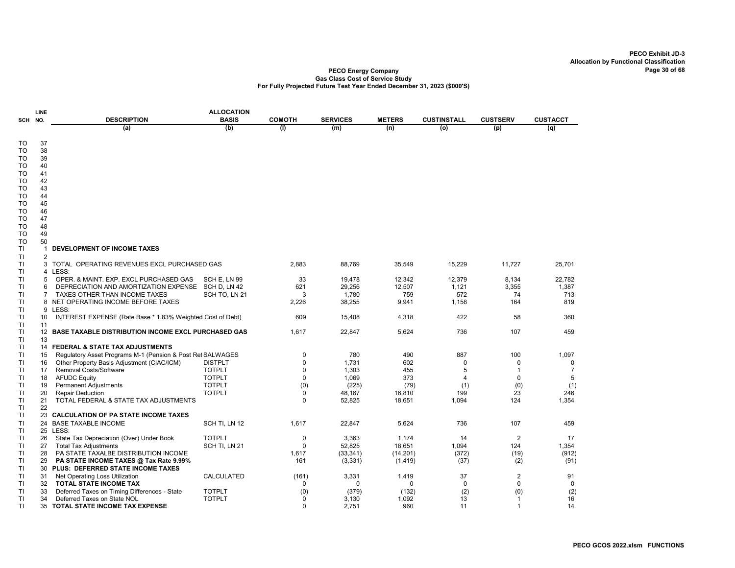|                 | LINE              |                                                                          | <b>ALLOCATION</b>               |               |                 |                 |                    |                 |                     |
|-----------------|-------------------|--------------------------------------------------------------------------|---------------------------------|---------------|-----------------|-----------------|--------------------|-----------------|---------------------|
| SCH NO.         |                   | <b>DESCRIPTION</b>                                                       | <b>BASIS</b>                    | <b>COMOTH</b> | <b>SERVICES</b> | <b>METERS</b>   | <b>CUSTINSTALL</b> | <b>CUSTSERV</b> | <b>CUSTACCT</b>     |
|                 |                   | (a)                                                                      | (b)                             | (1)           | (m)             | (n)             | (o)                | (p)             | (q)                 |
| TO              | 37                |                                                                          |                                 |               |                 |                 |                    |                 |                     |
| <b>TO</b>       | 38                |                                                                          |                                 |               |                 |                 |                    |                 |                     |
| то              | 39                |                                                                          |                                 |               |                 |                 |                    |                 |                     |
| TO              | 40                |                                                                          |                                 |               |                 |                 |                    |                 |                     |
| TO              | 41                |                                                                          |                                 |               |                 |                 |                    |                 |                     |
| то<br>TO        | 42<br>43          |                                                                          |                                 |               |                 |                 |                    |                 |                     |
| то              | 44                |                                                                          |                                 |               |                 |                 |                    |                 |                     |
| <b>TO</b>       | 45                |                                                                          |                                 |               |                 |                 |                    |                 |                     |
| то              | 46                |                                                                          |                                 |               |                 |                 |                    |                 |                     |
| то              | 47                |                                                                          |                                 |               |                 |                 |                    |                 |                     |
| TO              | 48                |                                                                          |                                 |               |                 |                 |                    |                 |                     |
| то<br><b>TO</b> | 49<br>50          |                                                                          |                                 |               |                 |                 |                    |                 |                     |
| TI              | 1                 | DEVELOPMENT OF INCOME TAXES                                              |                                 |               |                 |                 |                    |                 |                     |
| TI              | $\overline{2}$    |                                                                          |                                 |               |                 |                 |                    |                 |                     |
| <b>TI</b>       |                   | 3 TOTAL OPERATING REVENUES EXCL PURCHASED GAS                            |                                 | 2,883         | 88,769          | 35,549          | 15,229             | 11,727          | 25,701              |
| ΤI              |                   | 4 LESS:                                                                  |                                 |               |                 |                 |                    |                 |                     |
| TI              | 5                 | OPER. & MAINT. EXP. EXCL PURCHASED GAS                                   | SCH E, LN 99                    | 33            | 19,478          | 12,342          | 12,379             | 8,134           | 22,782              |
| <b>TI</b>       | 6                 | DEPRECIATION AND AMORTIZATION EXPENSE                                    | SCH D, LN 42                    | 621           | 29,256          | 12,507          | 1,121              | 3,355           | 1,387               |
| <b>TI</b>       |                   | <b>TAXES OTHER THAN INCOME TAXES</b>                                     | SCH TO, LN 21                   | 3             | 1,780           | 759             | 572                | 74              | 713                 |
| <b>TI</b><br>ΤI | 9                 | 8 NET OPERATING INCOME BEFORE TAXES<br>LESS:                             |                                 | 2,226         | 38,255          | 9,941           | 1,158              | 164             | 819                 |
| TI              | 10                | INTEREST EXPENSE (Rate Base * 1.83% Weighted Cost of Debt)               |                                 | 609           | 15,408          | 4,318           | 422                | 58              | 360                 |
| TI              | 11                |                                                                          |                                 |               |                 |                 |                    |                 |                     |
| TI              | $12 \overline{ }$ | <b>BASE TAXABLE DISTRIBUTION INCOME EXCL PURCHASED GAS</b>               |                                 | 1,617         | 22,847          | 5,624           | 736                | 107             | 459                 |
| TI              | 13                |                                                                          |                                 |               |                 |                 |                    |                 |                     |
| TI              |                   | 14 FEDERAL & STATE TAX ADJUSTMENTS                                       |                                 |               |                 |                 |                    |                 |                     |
| TI              | 15                | Regulatory Asset Programs M-1 (Pension & Post Ret SALWAGES               |                                 | 0             | 780             | 490             | 887                | 100             | 1,097               |
| <b>TI</b><br>TI | 16                | Other Property Basis Adjustment (CIAC/ICM)                               | <b>DISTPLT</b><br><b>TOTPLT</b> | 0<br>0        | 1,731<br>1,303  | 602             | 0<br>5             | 0<br>-1         | 0<br>$\overline{7}$ |
| TI              | 17<br>18          | Removal Costs/Software<br><b>AFUDC Equity</b>                            | <b>TOTPLT</b>                   | 0             | 1,069           | 455<br>373      | 4                  | 0               | 5                   |
| ΤI              | 19                | <b>Permanent Adjustments</b>                                             | <b>TOTPLT</b>                   | (0)           | (225)           | (79)            | (1)                | (0)             | (1)                 |
| TI              | 20                | <b>Repair Deduction</b>                                                  | <b>TOTPLT</b>                   | 0             | 48,167          | 16,810          | 199                | 23              | 246                 |
| ΤI              | 21                | TOTAL FEDERAL & STATE TAX ADJUSTMENTS                                    |                                 | $\Omega$      | 52,825          | 18,651          | 1,094              | 124             | 1,354               |
| ΤI              | 22                |                                                                          |                                 |               |                 |                 |                    |                 |                     |
| TI              |                   | 23 CALCULATION OF PA STATE INCOME TAXES                                  |                                 |               |                 |                 |                    |                 |                     |
| <b>TI</b>       | 24                | <b>BASE TAXABLE INCOME</b>                                               | SCH TI, LN 12                   | 1,617         | 22,847          | 5,624           | 736                | 107             | 459                 |
| TI              |                   | 25 LESS:                                                                 |                                 |               |                 |                 |                    | $\overline{2}$  | 17                  |
| TI<br><b>TI</b> | 26<br>27          | State Tax Depreciation (Over) Under Book<br><b>Total Tax Adjustments</b> | <b>TOTPLT</b><br>SCH TI, LN 21  | 0<br>$\Omega$ | 3,363<br>52,825 | 1,174<br>18,651 | 14<br>1,094        | 124             | 1,354               |
| TI              | 28                | PA STATE TAXALBE DISTRIBUTION INCOME                                     |                                 | 1,617         | (33, 341)       | (14, 201)       | (372)              | (19)            | (912)               |
| ΤI              | 29                | PA STATE INCOME TAXES @ Tax Rate 9.99%                                   |                                 | 161           | (3,331)         | (1, 419)        | (37)               | (2)             | (91)                |
| TI              | 30                | PLUS: DEFERRED STATE INCOME TAXES                                        |                                 |               |                 |                 |                    |                 |                     |
| TI              | 31                | Net Operating Loss Utilization                                           | CALCULATED                      | (161)         | 3,331           | 1,419           | 37                 | $\overline{2}$  | 91                  |
| ΤI              | 32                | TOTAL STATE INCOME TAX                                                   |                                 | 0             | 0               | $\mathbf 0$     | $\mathbf 0$        | 0               | 0                   |
| TI              | 33                | Deferred Taxes on Timing Differences - State                             | <b>TOTPLT</b>                   | (0)           | (379)           | (132)           | (2)                | (0)             | (2)                 |
| ΤI              | 34                | Deferred Taxes on State NOL                                              | <b>TOTPLT</b>                   | 0             | 3,130           | 1,092           | 13                 | -1              | 16                  |
| TI              | 35                | TOTAL STATE INCOME TAX EXPENSE                                           |                                 | 0             | 2,751           | 960             | 11                 | $\mathbf{1}$    | 14                  |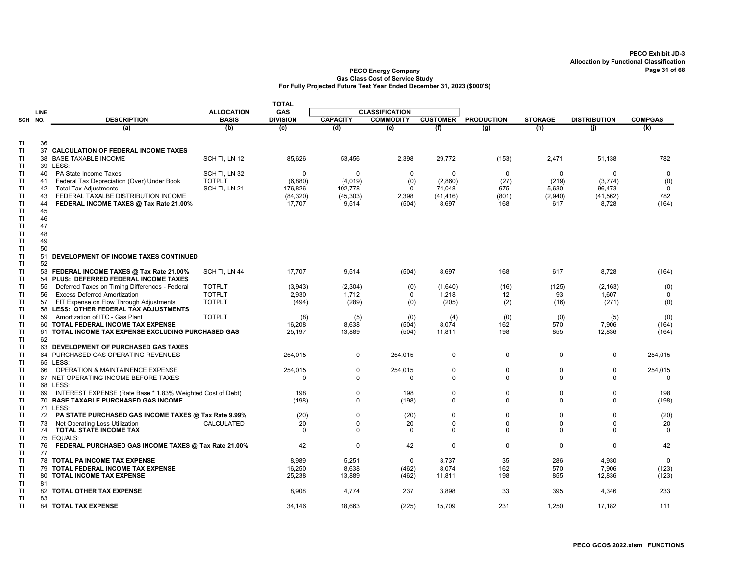|           |             |                                                                                |                                | <b>TOTAL</b>    |                 |                       |                 |                   |                |                     |                   |
|-----------|-------------|--------------------------------------------------------------------------------|--------------------------------|-----------------|-----------------|-----------------------|-----------------|-------------------|----------------|---------------------|-------------------|
|           | <b>LINE</b> |                                                                                | <b>ALLOCATION</b>              | <b>GAS</b>      |                 | <b>CLASSIFICATION</b> |                 |                   |                |                     |                   |
| SCH NO.   |             | <b>DESCRIPTION</b>                                                             | <b>BASIS</b>                   | <b>DIVISION</b> | <b>CAPACITY</b> | <b>COMMODITY</b>      | <b>CUSTOMER</b> | <b>PRODUCTION</b> | <b>STORAGE</b> | <b>DISTRIBUTION</b> | <b>COMPGAS</b>    |
|           |             | (a)                                                                            | (b)                            | (c)             | (d)             | (e)                   | (f)             | (g)               | (h)            | (j)                 | (k)               |
|           |             |                                                                                |                                |                 |                 |                       |                 |                   |                |                     |                   |
| ΤI        | 36          |                                                                                |                                |                 |                 |                       |                 |                   |                |                     |                   |
| ΤI        | 37          | <b>CALCULATION OF FEDERAL INCOME TAXES</b>                                     |                                |                 |                 |                       |                 |                   |                |                     |                   |
| <b>TI</b> |             | 38 BASE TAXABLE INCOME<br>39 LESS:                                             | SCH TI, LN 12                  | 85,626          | 53,456          | 2,398                 | 29,772          | (153)             | 2,471          | 51,138              | 782               |
| ΤI<br>ΤI  | 40          | PA State Income Taxes                                                          |                                | $\mathbf 0$     | 0               | 0                     | 0               | 0                 | $\mathbf 0$    | $\mathbf 0$         | $\mathbf 0$       |
| ΤI        | 41          | Federal Tax Depreciation (Over) Under Book                                     | SCH TI, LN 32<br><b>TOTPLT</b> | (6,880)         | (4,019)         | (0)                   | (2,860)         | (27)              | (219)          | (3, 774)            | (0)               |
| ΤI        | 42          | <b>Total Tax Adjustments</b>                                                   | SCH TI, LN 21                  | 176,826         | 102,778         | 0                     | 74,048          | 675               | 5,630          | 96,473              | $\mathbf 0$       |
| ΤI        | 43          | FEDERAL TAXALBE DISTRIBUTION INCOME                                            |                                | (84, 320)       | (45, 303)       | 2,398                 | (41, 416)       | (801)             | (2,940)        | (41, 562)           | 782               |
| -TI       | 44          | FEDERAL INCOME TAXES @ Tax Rate 21.00%                                         |                                | 17,707          | 9,514           | (504)                 | 8,697           | 168               | 617            | 8,728               | (164)             |
| ΤI        | 45          |                                                                                |                                |                 |                 |                       |                 |                   |                |                     |                   |
| TI        | 46          |                                                                                |                                |                 |                 |                       |                 |                   |                |                     |                   |
| TI        | 47          |                                                                                |                                |                 |                 |                       |                 |                   |                |                     |                   |
| T1        | 48          |                                                                                |                                |                 |                 |                       |                 |                   |                |                     |                   |
| ΤI        | 49          |                                                                                |                                |                 |                 |                       |                 |                   |                |                     |                   |
| TI        | 50          |                                                                                |                                |                 |                 |                       |                 |                   |                |                     |                   |
| ΤI        | 51          | DEVELOPMENT OF INCOME TAXES CONTINUED                                          |                                |                 |                 |                       |                 |                   |                |                     |                   |
| ΤI        | 52          |                                                                                |                                |                 |                 |                       |                 |                   |                |                     |                   |
| ΤI        |             | 53 FEDERAL INCOME TAXES @ Tax Rate 21.00%                                      | SCH TI, LN 44                  | 17,707          | 9,514           | (504)                 | 8,697           | 168               | 617            | 8,728               | (164)             |
| Π         | 54          | PLUS: DEFERRED FEDERAL INCOME TAXES                                            |                                |                 |                 |                       |                 |                   |                |                     |                   |
| TI        | 55          | Deferred Taxes on Timing Differences - Federal                                 | <b>TOTPLT</b>                  | (3,943)         | (2, 304)        | (0)                   | (1,640)         | (16)              | (125)          | (2, 163)            | (0)               |
| ΤI        | 56          | <b>Excess Deferred Amortization</b>                                            | <b>TOTPLT</b>                  | 2,930           | 1,712           | 0                     | 1,218           | 12                | 93             | 1,607               | $\mathbf 0$       |
| -TI<br>ΤI | 57<br>58    | FIT Expense on Flow Through Adjustments<br>LESS: OTHER FEDERAL TAX ADJUSTMENTS | <b>TOTPLT</b>                  | (494)           | (289)           | (0)                   | (205)           | (2)               | (16)           | (271)               | (0)               |
| <b>TI</b> | 59          | Amortization of ITC - Gas Plant                                                | <b>TOTPLT</b>                  |                 |                 |                       |                 | (0)               | (0)            |                     | (0)               |
| ΤI        | 60          | TOTAL FEDERAL INCOME TAX EXPENSE                                               |                                | (8)<br>16,208   | (5)<br>8,638    | (0)<br>(504)          | (4)<br>8,074    | 162               | 570            | (5)<br>7,906        | (164)             |
| ΤI        |             | 61 TOTAL INCOME TAX EXPENSE EXCLUDING PURCHASED GAS                            |                                | 25.197          | 13,889          | (504)                 | 11,811          | 198               | 855            | 12,836              | (164)             |
| ΤI        | 62          |                                                                                |                                |                 |                 |                       |                 |                   |                |                     |                   |
| ΤI        |             | 63 DEVELOPMENT OF PURCHASED GAS TAXES                                          |                                |                 |                 |                       |                 |                   |                |                     |                   |
| ΤI        |             | 64 PURCHASED GAS OPERATING REVENUES                                            |                                | 254,015         | 0               | 254,015               | 0               | 0                 | 0              | 0                   | 254,015           |
| T1        |             | 65 LESS:                                                                       |                                |                 |                 |                       |                 |                   |                |                     |                   |
| ΤI        | 66          | <b>OPERATION &amp; MAINTAINENCE EXPENSE</b>                                    |                                | 254,015         | 0               | 254,015               | $\mathbf 0$     | $\mathbf 0$       | $\mathbf 0$    | $\pmb{0}$           | 254,015           |
| ΤI        |             | 67 NET OPERATING INCOME BEFORE TAXES                                           |                                | $\Omega$        | $\mathbf 0$     | 0                     | $\mathbf 0$     | $\mathbf 0$       | $\mathbf 0$    | $\mathbf 0$         | $\mathbf 0$       |
| ΤI        |             | 68 LESS:                                                                       |                                |                 |                 |                       |                 |                   |                |                     |                   |
| -TI       | 69          | INTEREST EXPENSE (Rate Base * 1.83% Weighted Cost of Debt)                     |                                | 198             | 0               | 198                   | $\mathbf 0$     | $\mathbf 0$       | $\mathbf 0$    | $\mathbf 0$         | 198               |
| ΤI        |             | 70 BASE TAXABLE PURCHASED GAS INCOME                                           |                                | (198)           | $\mathbf 0$     | (198)                 | $\mathbf 0$     | $\Omega$          | $\mathbf 0$    | $\Omega$            | (198)             |
| <b>TI</b> |             | 71 LESS:                                                                       |                                |                 |                 |                       |                 |                   |                |                     |                   |
| ΤI        | 72          | PA STATE PURCHASED GAS INCOME TAXES @ Tax Rate 9.99%                           |                                | (20)            | 0               | (20)                  | $\pmb{0}$       | $\mathbf 0$       | $\mathbf 0$    | $\mathbf 0$         | (20)              |
| -TI       | 73          | Net Operating Loss Utilization                                                 | CALCULATED                     | 20              | $\mathbf 0$     | 20                    | $\mathbf 0$     | $\mathbf 0$       | $\mathbf 0$    | $\Omega$            | 20                |
| ΤI        | 74          | TOTAL STATE INCOME TAX                                                         |                                | $\mathbf 0$     | $\mathbf 0$     | $\mathbf 0$           | $\mathbf 0$     | 0                 | $\mathbf 0$    | 0                   | $\mathbf 0$       |
| T1        |             | 75 EQUALS:                                                                     |                                |                 |                 |                       |                 |                   |                |                     |                   |
| ΤI        | 76          | FEDERAL PURCHASED GAS INCOME TAXES @ Tax Rate 21.00%                           |                                | 42              | $\mathbf 0$     | 42                    | $\mathbf 0$     | $\mathbf 0$       | $\Omega$       | $\mathbf 0$         | 42                |
| ΤI        | 77          |                                                                                |                                |                 |                 |                       |                 |                   |                |                     |                   |
| -TI<br>TI |             | <b>78 TOTAL PA INCOME TAX EXPENSE</b><br>79 TOTAL FEDERAL INCOME TAX EXPENSE   |                                | 8,989<br>16,250 | 5,251<br>8,638  | $\mathbf 0$<br>(462)  | 3,737<br>8,074  | 35<br>162         | 286<br>570     | 4,930<br>7,906      | $\Omega$<br>(123) |
| ΤI        |             | 80 TOTAL INCOME TAX EXPENSE                                                    |                                | 25,238          | 13,889          | (462)                 | 11,811          | 198               | 855            | 12,836              | (123)             |
| ΤI        | 81          |                                                                                |                                |                 |                 |                       |                 |                   |                |                     |                   |
| TI        |             | 82 TOTAL OTHER TAX EXPENSE                                                     |                                | 8,908           | 4,774           | 237                   | 3,898           | 33                | 395            | 4,346               | 233               |
| TI        | 83          |                                                                                |                                |                 |                 |                       |                 |                   |                |                     |                   |
| ΤI        |             | 84 TOTAL TAX EXPENSE                                                           |                                | 34,146          | 18,663          | (225)                 | 15,709          | 231               | 1,250          | 17,182              | 111               |
|           |             |                                                                                |                                |                 |                 |                       |                 |                   |                |                     |                   |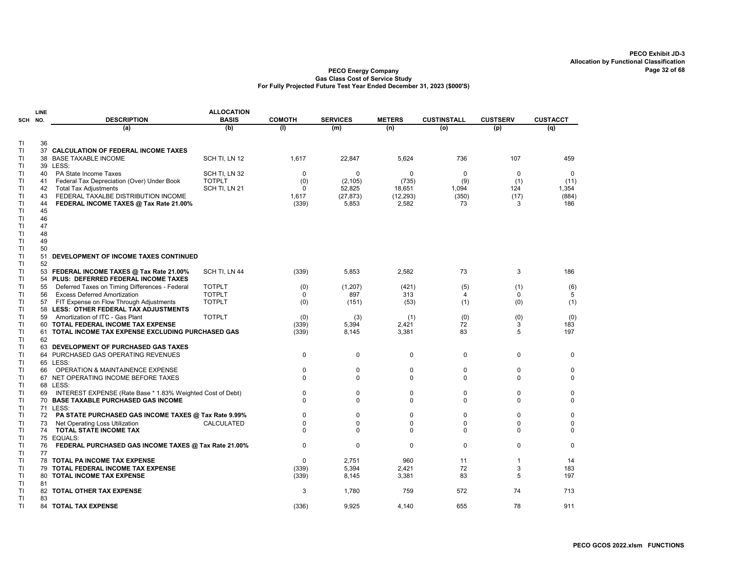|          | LINE     |                                                                                                    | <b>ALLOCATION</b> |               |                         |               |                    |                 |                  |
|----------|----------|----------------------------------------------------------------------------------------------------|-------------------|---------------|-------------------------|---------------|--------------------|-----------------|------------------|
| SCH      | NO.      | <b>DESCRIPTION</b>                                                                                 | <b>BASIS</b>      | <b>COMOTH</b> | <b>SERVICES</b>         | <b>METERS</b> | <b>CUSTINSTALL</b> | <b>CUSTSERV</b> | <b>CUSTACCT</b>  |
|          |          | (a)                                                                                                | (b)               | (1)           | (m)                     | (n)           | (o)                | (p)             | (q)              |
|          |          |                                                                                                    |                   |               |                         |               |                    |                 |                  |
| TI<br>TI | 36<br>37 | CALCULATION OF FEDERAL INCOME TAXES                                                                |                   |               |                         |               |                    |                 |                  |
| ΤI       | 38       | <b>BASE TAXABLE INCOME</b>                                                                         | SCH TI, LN 12     | 1,617         | 22,847                  | 5,624         | 736                | 107             | 459              |
| TI       | 39       | LESS:                                                                                              |                   |               |                         |               |                    |                 |                  |
| TI       | 40       | PA State Income Taxes                                                                              | SCH TI, LN 32     | 0             | 0                       | 0             | $\mathbf 0$        | $\mathbf 0$     | $\mathbf 0$      |
| TI       | 41       | Federal Tax Depreciation (Over) Under Book                                                         | <b>TOTPLT</b>     | (0)           | (2, 105)                | (735)         | (9)                | (1)             | (11)             |
| TI       | 42       | <b>Total Tax Adjustments</b>                                                                       | SCH TI, LN 21     | 0             | 52,825                  | 18,651        | 1,094              | 124             | 1,354            |
| TI       | 43       | FEDERAL TAXALBE DISTRIBUTION INCOME                                                                |                   | 1,617         | (27, 873)               | (12, 293)     | (350)              | (17)            | (884)            |
| TI       | 44       | FEDERAL INCOME TAXES @ Tax Rate 21.00%                                                             |                   | (339)         | 5,853                   | 2,582         | 73                 | 3               | 186              |
| TI       | 45       |                                                                                                    |                   |               |                         |               |                    |                 |                  |
| TI       | 46       |                                                                                                    |                   |               |                         |               |                    |                 |                  |
| TI       | 47       |                                                                                                    |                   |               |                         |               |                    |                 |                  |
| TI       | 48       |                                                                                                    |                   |               |                         |               |                    |                 |                  |
| TI       | 49       |                                                                                                    |                   |               |                         |               |                    |                 |                  |
| ΤI       | 50       |                                                                                                    |                   |               |                         |               |                    |                 |                  |
| TI       | 51       | DEVELOPMENT OF INCOME TAXES CONTINUED                                                              |                   |               |                         |               |                    |                 |                  |
| TI       | 52       |                                                                                                    |                   |               |                         |               |                    |                 |                  |
| ΤI<br>TI | 53<br>54 | FEDERAL INCOME TAXES @ Tax Rate 21.00%<br>PLUS: DEFERRED FEDERAL INCOME TAXES                      | SCH TI, LN 44     | (339)         | 5,853                   | 2,582         | 73                 | 3               | 186              |
| TI       | 55       | Deferred Taxes on Timing Differences - Federal                                                     | <b>TOTPLT</b>     | (0)           | (1, 207)                | (421)         | (5)                | (1)             | (6)              |
| TI       | 56       | <b>Excess Deferred Amortization</b>                                                                | <b>TOTPLT</b>     | 0             | 897                     | 313           | 4                  | $\mathbf 0$     | 5                |
| TI       | 57       | FIT Expense on Flow Through Adjustments                                                            | <b>TOTPLT</b>     | (0)           | (151)                   | (53)          | (1)                | (0)             | (1)              |
| ΤI       |          | 58 LESS: OTHER FEDERAL TAX ADJUSTMENTS                                                             |                   |               |                         |               |                    |                 |                  |
| TI       | 59       | Amortization of ITC - Gas Plant                                                                    | <b>TOTPLT</b>     | (0)           | (3)                     | (1)           | (0)                | (0)             | (0)              |
| TI       | 60       | TOTAL FEDERAL INCOME TAX EXPENSE                                                                   |                   | (339)         | 5,394                   | 2,421         | 72                 | 3               | 183              |
| ΤI       | 61       | TOTAL INCOME TAX EXPENSE EXCLUDING PURCHASED GAS                                                   |                   | (339)         | 8,145                   | 3,381         | 83                 | 5               | 197              |
| TI       | 62       |                                                                                                    |                   |               |                         |               |                    |                 |                  |
| TI       |          | 63 DEVELOPMENT OF PURCHASED GAS TAXES                                                              |                   |               |                         |               |                    |                 |                  |
| TI       |          | 64 PURCHASED GAS OPERATING REVENUES                                                                |                   | 0             | $\mathbf 0$             | $\mathbf 0$   | $\mathbf 0$        | $\mathbf 0$     | $\mathbf 0$      |
| TI       |          | 65 LESS:                                                                                           |                   |               |                         |               |                    |                 |                  |
| ΤI       | 66       | <b>OPERATION &amp; MAINTAINENCE EXPENSE</b>                                                        |                   | 0             | $\mathbf 0$             | $\Omega$      | 0                  | 0               | $\mathbf 0$      |
| TI       | 67       | NET OPERATING INCOME BEFORE TAXES                                                                  |                   | 0             | $\mathbf 0$             | 0             | 0                  | 0               | $\mathbf 0$      |
| TI       |          | 68 LESS:                                                                                           |                   |               |                         |               |                    |                 |                  |
| TI<br>ΤI | 69       | INTEREST EXPENSE (Rate Base * 1.83% Weighted Cost of Debt)<br>70 BASE TAXABLE PURCHASED GAS INCOME |                   | 0<br>$\Omega$ | $\mathbf 0$<br>$\Omega$ | 0<br>$\Omega$ | 0<br>$\Omega$      | 0<br>0          | 0<br>$\mathbf 0$ |
| TI       |          | 71 LESS:                                                                                           |                   |               |                         |               |                    |                 |                  |
| TI       | 72       | PA STATE PURCHASED GAS INCOME TAXES @ Tax Rate 9.99%                                               |                   | 0             | $\mathbf 0$             | 0             | 0                  | 0               | 0                |
| ΤI       | 73       | Net Operating Loss Utilization                                                                     | CALCULATED        | 0             | 0                       | 0             | 0                  | 0               | 0                |
| TI       | 74       | <b>TOTAL STATE INCOME TAX</b>                                                                      |                   | $\Omega$      | $\Omega$                | $\Omega$      | 0                  | $\Omega$        | 0                |
| TI       |          | 75 EQUALS:                                                                                         |                   |               |                         |               |                    |                 |                  |
| TI       | 76       | FEDERAL PURCHASED GAS INCOME TAXES @ Tax Rate 21.00%                                               |                   | 0             | $\mathbf 0$             | $\mathbf 0$   | 0                  | $\mathbf 0$     | $\mathbf 0$      |
| ΤI       | 77       |                                                                                                    |                   |               |                         |               |                    |                 |                  |
| ΤI       |          | <b>78 TOTAL PA INCOME TAX EXPENSE</b>                                                              |                   | $\Omega$      | 2,751                   | 960           | 11                 | -1              | 14               |
| TI       | 79       | TOTAL FEDERAL INCOME TAX EXPENSE                                                                   |                   | (339)         | 5,394                   | 2,421         | 72                 | 3               | 183              |
| TI       | 80       | <b>TOTAL INCOME TAX EXPENSE</b>                                                                    |                   | (339)         | 8,145                   | 3,381         | 83                 | 5               | 197              |
| TI       | 81       |                                                                                                    |                   |               |                         |               |                    |                 |                  |
| ΤI       | 82       | TOTAL OTHER TAX EXPENSE                                                                            |                   | 3             | 1,780                   | 759           | 572                | 74              | 713              |
| TI       | 83       |                                                                                                    |                   |               |                         |               |                    |                 |                  |
| TI       | 84       | <b>TOTAL TAX EXPENSE</b>                                                                           |                   | (336)         | 9,925                   | 4,140         | 655                | 78              | 911              |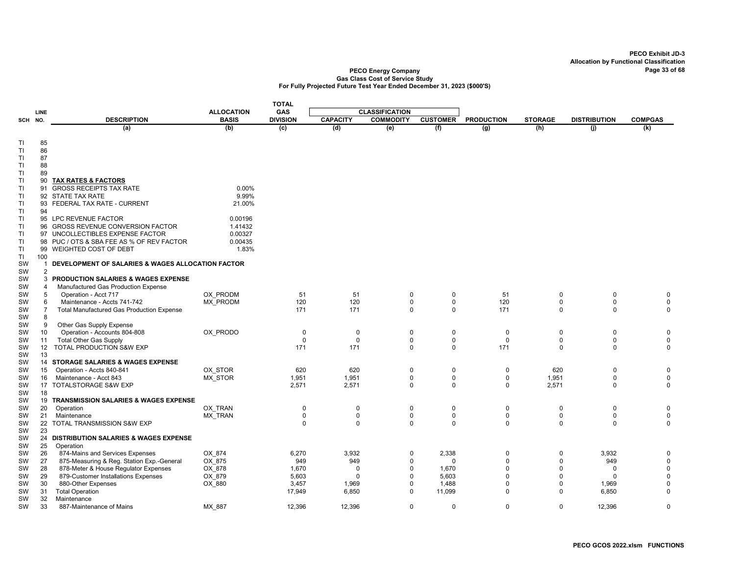|                 |                 |                                                                  |                   | <b>TOTAL</b>    |                      |                         |                 |                            |                         |                      |                           |
|-----------------|-----------------|------------------------------------------------------------------|-------------------|-----------------|----------------------|-------------------------|-----------------|----------------------------|-------------------------|----------------------|---------------------------|
|                 | <b>LINE</b>     |                                                                  | <b>ALLOCATION</b> | <b>GAS</b>      |                      | <b>CLASSIFICATION</b>   |                 |                            |                         |                      |                           |
| SCH             | NO.             | <b>DESCRIPTION</b>                                               | <b>BASIS</b>      | <b>DIVISION</b> | <b>CAPACITY</b>      | <b>COMMODITY</b>        | <b>CUSTOMER</b> | <b>PRODUCTION</b>          | <b>STORAGE</b>          | <b>DISTRIBUTION</b>  | <b>COMPGAS</b>            |
|                 |                 | (a)                                                              | (b)               | (c)             | (d)                  | (e)                     | (f)             | (g)                        | (h)                     | (i)                  | $\overline{(\mathsf{k})}$ |
|                 |                 |                                                                  |                   |                 |                      |                         |                 |                            |                         |                      |                           |
| ΤI              | 85              |                                                                  |                   |                 |                      |                         |                 |                            |                         |                      |                           |
| ΤI              | 86<br>87        |                                                                  |                   |                 |                      |                         |                 |                            |                         |                      |                           |
| TI<br>TI        | 88              |                                                                  |                   |                 |                      |                         |                 |                            |                         |                      |                           |
| ΤI              | 89              |                                                                  |                   |                 |                      |                         |                 |                            |                         |                      |                           |
| ΤI              | 90              | <b>TAX RATES &amp; FACTORS</b>                                   |                   |                 |                      |                         |                 |                            |                         |                      |                           |
| TI              | 91              | <b>GROSS RECEIPTS TAX RATE</b>                                   | 0.00%             |                 |                      |                         |                 |                            |                         |                      |                           |
| TI              | 92              | STATE TAX RATE                                                   | 9.99%             |                 |                      |                         |                 |                            |                         |                      |                           |
| TI              |                 | 93 FEDERAL TAX RATE - CURRENT                                    | 21.00%            |                 |                      |                         |                 |                            |                         |                      |                           |
| ΤI              | 94              |                                                                  |                   |                 |                      |                         |                 |                            |                         |                      |                           |
| TI              |                 | 95 LPC REVENUE FACTOR                                            | 0.00196           |                 |                      |                         |                 |                            |                         |                      |                           |
| TI              |                 | 96 GROSS REVENUE CONVERSION FACTOR                               | 1.41432           |                 |                      |                         |                 |                            |                         |                      |                           |
| ΤI              |                 | 97 UNCOLLECTIBLES EXPENSE FACTOR                                 | 0.00327           |                 |                      |                         |                 |                            |                         |                      |                           |
| TI              |                 | 98 PUC / OTS & SBA FEE AS % OF REV FACTOR                        | 0.00435           |                 |                      |                         |                 |                            |                         |                      |                           |
| TI              |                 | 99 WEIGHTED COST OF DEBT                                         | 1.83%             |                 |                      |                         |                 |                            |                         |                      |                           |
| TI<br><b>SW</b> | 100<br>-1       | DEVELOPMENT OF SALARIES & WAGES ALLOCATION FACTOR                |                   |                 |                      |                         |                 |                            |                         |                      |                           |
| SW              | $\overline{2}$  |                                                                  |                   |                 |                      |                         |                 |                            |                         |                      |                           |
| SW              | 3               | <b>PRODUCTION SALARIES &amp; WAGES EXPENSE</b>                   |                   |                 |                      |                         |                 |                            |                         |                      |                           |
| SW              | $\overline{4}$  | Manufactured Gas Production Expense                              |                   |                 |                      |                         |                 |                            |                         |                      |                           |
| SW              | 5               | Operation - Acct 717                                             | OX PRODM          | 51              | 51                   | $\mathbf 0$             | 0               | 51                         | $\mathbf 0$             | $\mathbf 0$          | 0                         |
| SW              | 6               | Maintenance - Accts 741-742                                      | <b>MX PRODM</b>   | 120             | 120                  | $\mathbf 0$             | $\mathsf 0$     | 120                        | $\mathbf 0$             | $\mathbf 0$          | $\mathbf 0$               |
| SW              | $\overline{7}$  | <b>Total Manufactured Gas Production Expense</b>                 |                   | 171             | 171                  | $\Omega$                | $\Omega$        | 171                        | $\mathbf 0$             | $\Omega$             | $\mathbf 0$               |
| SW              | 8               |                                                                  |                   |                 |                      |                         |                 |                            |                         |                      |                           |
| <b>SW</b>       | 9               | Other Gas Supply Expense                                         |                   |                 |                      |                         |                 |                            |                         |                      |                           |
| <b>SW</b>       | 10              | Operation - Accounts 804-808                                     | OX_PRODO          | $\mathbf 0$     | $\mathbf 0$          | 0                       | $\mathbf 0$     | $\mathbf 0$                | $\mathbf 0$             | $\mathbf 0$          | $\pmb{0}$                 |
| <b>SW</b>       | 11              | <b>Total Other Gas Supply</b>                                    |                   | 0               | 0                    | 0                       | 0               | $\mathbf 0$                | 0                       | 0                    | $\pmb{0}$                 |
| SW              | 12 <sup>2</sup> | TOTAL PRODUCTION S&W EXP                                         |                   | 171             | 171                  | $\Omega$                | $\mathbf 0$     | 171                        | $\Omega$                | $\Omega$             | 0                         |
| SW              | 13              |                                                                  |                   |                 |                      |                         |                 |                            |                         |                      |                           |
| SW<br>SW        | 15              | 14 STORAGE SALARIES & WAGES EXPENSE<br>Operation - Accts 840-841 | OX STOR           | 620             | 620                  | $\mathbf 0$             | $\mathbf 0$     | $\mathbf 0$                | 620                     | $\mathbf 0$          | $\pmb{0}$                 |
| SW              | 16              | Maintenance - Acct 843                                           | <b>MX STOR</b>    | 1,951           | 1,951                | $\Omega$                | $\mathbf 0$     | $\pmb{0}$                  | 1,951                   | $\mathbf 0$          | $\pmb{0}$                 |
| <b>SW</b>       |                 | 17 TOTALSTORAGE S&W EXP                                          |                   | 2,571           | 2,571                | $\mathbf 0$             | $\mathbf 0$     | $\mathbf 0$                | 2,571                   | $\mathbf 0$          | $\pmb{0}$                 |
| SW              | 18              |                                                                  |                   |                 |                      |                         |                 |                            |                         |                      |                           |
| SW              |                 | 19 TRANSMISSION SALARIES & WAGES EXPENSE                         |                   |                 |                      |                         |                 |                            |                         |                      |                           |
| <b>SW</b>       | 20              | Operation                                                        | OX TRAN           | 0               | 0                    | 0                       | 0               | 0                          | $\mathbf 0$             | 0                    | 0                         |
| SW              | 21              | Maintenance                                                      | MX_TRAN           | $\mathbf 0$     | $\mathbf 0$          | $\mathbf 0$             | $\mathbf 0$     | $\pmb{0}$                  | $\mathbf 0$             | $\mathbf 0$          | $\pmb{0}$                 |
| <b>SW</b>       |                 | 22 TOTAL TRANSMISSION S&W EXP                                    |                   | $\mathbf 0$     | $\mathbf 0$          | $\Omega$                | $\Omega$        | $\mathbf 0$                | $\mathbf 0$             | $\Omega$             | $\mathbf 0$               |
| SW              | 23              |                                                                  |                   |                 |                      |                         |                 |                            |                         |                      |                           |
| SW              |                 | 24 DISTRIBUTION SALARIES & WAGES EXPENSE                         |                   |                 |                      |                         |                 |                            |                         |                      |                           |
| SW              | 25              | Operation                                                        |                   |                 |                      |                         |                 |                            |                         |                      |                           |
| SW              | 26              | 874-Mains and Services Expenses                                  | OX 874            | 6,270           | 3,932                | 0                       | 2,338           | $\mathbf 0$                | 0                       | 3,932                | 0                         |
| SW              | 27              | 875-Measuring & Reg. Station Exp.-General                        | OX 875            | 949             | 949                  | $\Omega$                | $\Omega$        | $\mathbf 0$                | $\Omega$                | 949                  | $\mathbf 0$               |
| <b>SW</b><br>SW | 28<br>29        | 878-Meter & House Regulator Expenses                             | OX 878<br>OX 879  | 1,670<br>5,603  | $\Omega$<br>$\Omega$ | $\mathbf 0$<br>$\Omega$ | 1,670<br>5,603  | $\mathbf 0$<br>$\mathbf 0$ | $\Omega$<br>$\mathbf 0$ | $\Omega$<br>$\Omega$ | $\pmb{0}$<br>$\mathbf 0$  |
| <b>SW</b>       | 30              | 879-Customer Installations Expenses<br>880-Other Expenses        | OX_880            | 3,457           | 1,969                | $\mathbf 0$             | 1,488           | $\mathbf 0$                | $\Omega$                | 1,969                | $\pmb{0}$                 |
| SW              | 31              | <b>Total Operation</b>                                           |                   | 17,949          | 6,850                | $\mathbf 0$             | 11,099          | $\mathbf 0$                | $\mathbf 0$             | 6,850                | $\mathbf 0$               |
| <b>SW</b>       | 32              | Maintenance                                                      |                   |                 |                      |                         |                 |                            |                         |                      |                           |
| SW              | 33              | 887-Maintenance of Mains                                         | MX 887            | 12,396          | 12,396               | 0                       | 0               | 0                          | 0                       | 12,396               | 0                         |
|                 |                 |                                                                  |                   |                 |                      |                         |                 |                            |                         |                      |                           |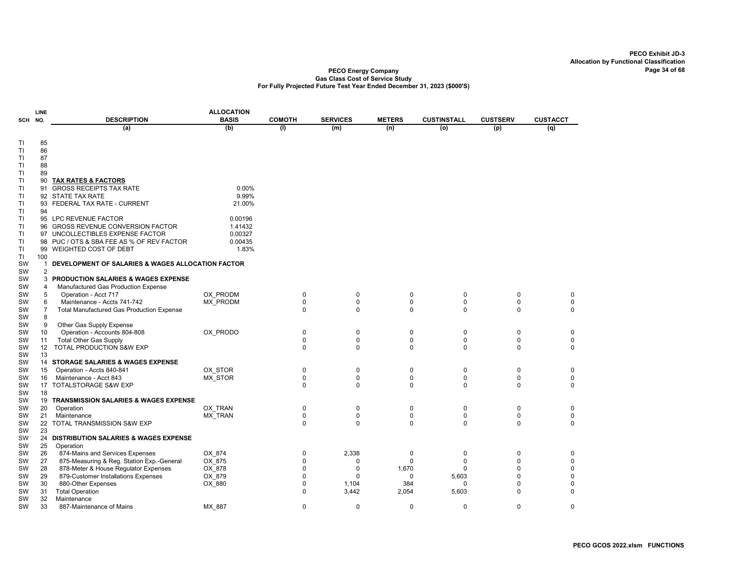|           | LINE                |                                                             | <b>ALLOCATION</b> |               |                 |                          |                    |                 |                  |
|-----------|---------------------|-------------------------------------------------------------|-------------------|---------------|-----------------|--------------------------|--------------------|-----------------|------------------|
| SCH NO.   |                     | <b>DESCRIPTION</b>                                          | <b>BASIS</b>      | <b>COMOTH</b> | <b>SERVICES</b> | <b>METERS</b>            | <b>CUSTINSTALL</b> | <b>CUSTSERV</b> | <b>CUSTACCT</b>  |
|           |                     | (a)                                                         | (b)               | (1)           | (m)             | (n)                      | (o)                | (p)             | (q)              |
| TI        | 85                  |                                                             |                   |               |                 |                          |                    |                 |                  |
| TI        | 86                  |                                                             |                   |               |                 |                          |                    |                 |                  |
| TI        | 87                  |                                                             |                   |               |                 |                          |                    |                 |                  |
| TI        | 88                  |                                                             |                   |               |                 |                          |                    |                 |                  |
| <b>TI</b> | 89                  |                                                             |                   |               |                 |                          |                    |                 |                  |
| TI        | 90                  | <b>TAX RATES &amp; FACTORS</b>                              |                   |               |                 |                          |                    |                 |                  |
| TI        | 91                  | <b>GROSS RECEIPTS TAX RATE</b>                              | 0.00%             |               |                 |                          |                    |                 |                  |
| TI        |                     | 92 STATE TAX RATE                                           | 9.99%             |               |                 |                          |                    |                 |                  |
| TI        | 93                  | FEDERAL TAX RATE - CURRENT                                  | 21.00%            |               |                 |                          |                    |                 |                  |
| TI        | 94                  |                                                             |                   |               |                 |                          |                    |                 |                  |
| TI        |                     | 95 LPC REVENUE FACTOR                                       | 0.00196           |               |                 |                          |                    |                 |                  |
| TI        | 96                  | <b>GROSS REVENUE CONVERSION FACTOR</b>                      | 1.41432           |               |                 |                          |                    |                 |                  |
| TI        |                     | 97 UNCOLLECTIBLES EXPENSE FACTOR                            | 0.00327           |               |                 |                          |                    |                 |                  |
| TI        | 98                  | PUC / OTS & SBA FEE AS % OF REV FACTOR                      | 0.00435           |               |                 |                          |                    |                 |                  |
| TI        |                     | 99 WEIGHTED COST OF DEBT                                    | 1.83%             |               |                 |                          |                    |                 |                  |
| TI        | 100                 |                                                             |                   |               |                 |                          |                    |                 |                  |
| SW        | $\mathbf{1}$        | DEVELOPMENT OF SALARIES & WAGES ALLOCATION FACTOR           |                   |               |                 |                          |                    |                 |                  |
| SW<br>SW  | $\overline{2}$<br>3 | <b>PRODUCTION SALARIES &amp; WAGES EXPENSE</b>              |                   |               |                 |                          |                    |                 |                  |
|           | 4                   |                                                             |                   |               |                 |                          |                    |                 |                  |
| SW<br>SW  | 5                   | Manufactured Gas Production Expense<br>Operation - Acct 717 | OX PRODM          | 0             | 0               | $\mathbf 0$              | 0                  | 0               | 0                |
| SW        | 6                   | Maintenance - Accts 741-742                                 | MX PRODM          | $\mathbf 0$   | $\mathbf 0$     | $\mathbf 0$              | 0                  | 0               | 0                |
| SW        | $\overline{7}$      | <b>Total Manufactured Gas Production Expense</b>            |                   | 0             | 0               | $\mathbf 0$              | $\Omega$           | 0               | 0                |
| SW        | 8                   |                                                             |                   |               |                 |                          |                    |                 |                  |
| SW        | 9                   | Other Gas Supply Expense                                    |                   |               |                 |                          |                    |                 |                  |
| SW        | 10                  | Operation - Accounts 804-808                                | OX PRODO          | 0             | 0               | $\mathbf 0$              | $\mathbf 0$        | 0               | $\mathbf 0$      |
| SW        | 11                  | <b>Total Other Gas Supply</b>                               |                   | $\mathbf 0$   | $\mathbf 0$     | $\mathbf 0$              | $\mathbf 0$        | 0               | 0                |
| SW        | 12                  | TOTAL PRODUCTION S&W EXP                                    |                   | 0             | $\mathbf 0$     | 0                        | 0                  | 0               | 0                |
| SW        | 13                  |                                                             |                   |               |                 |                          |                    |                 |                  |
| SW        |                     | 14 STORAGE SALARIES & WAGES EXPENSE                         |                   |               |                 |                          |                    |                 |                  |
| SW        | 15                  | Operation - Accts 840-841                                   | OX STOR           | 0             | 0               | $\mathbf 0$              | 0                  | $\mathbf 0$     | $\mathbf 0$      |
| SW        | 16                  | Maintenance - Acct 843                                      | MX STOR           | 0             | $\mathbf 0$     | $\pmb{0}$                | 0                  | 0               | 0                |
| SW        |                     | 17 TOTALSTORAGE S&W EXP                                     |                   | 0             | 0               | $\mathbf 0$              | 0                  | 0               | 0                |
| SW        | 18                  |                                                             |                   |               |                 |                          |                    |                 |                  |
| <b>SW</b> | 19                  | <b>TRANSMISSION SALARIES &amp; WAGES EXPENSE</b>            |                   |               |                 |                          |                    |                 |                  |
| SW        | 20                  | Operation                                                   | OX TRAN           | 0             | 0               | $\mathbf 0$              | 0                  | 0               | 0                |
| SW        | 21                  | Maintenance                                                 | MX_TRAN           | 0             | 0               | $\pmb{0}$<br>$\mathbf 0$ | $\mathbf 0$        | 0               | 0<br>$\mathbf 0$ |
| SW<br>SW  | 22<br>23            | <b>TOTAL TRANSMISSION S&amp;W EXP</b>                       |                   | 0             | 0               |                          | 0                  | 0               |                  |
| <b>SW</b> |                     | 24 DISTRIBUTION SALARIES & WAGES EXPENSE                    |                   |               |                 |                          |                    |                 |                  |
| SW        | 25                  | Operation                                                   |                   |               |                 |                          |                    |                 |                  |
| SW        | 26                  | 874-Mains and Services Expenses                             | OX 874            | 0             | 2,338           | $\mathbf 0$              | $\pmb{0}$          | $\Omega$        | 0                |
| SW        | 27                  | 875-Measuring & Reg. Station Exp.-General                   | OX 875            | 0             | 0               | $\Omega$                 | $\Omega$           | $\Omega$        | 0                |
| SW        | 28                  | 878-Meter & House Regulator Expenses                        | OX 878            | 0             | $\mathbf 0$     | 1,670                    | 0                  | $\Omega$        | $\mathbf 0$      |
| SW        | 29                  | 879-Customer Installations Expenses                         | OX_879            | 0             | $\Omega$        | $\Omega$                 | 5,603              | O               | 0                |
| SW        | 30                  | 880-Other Expenses                                          | OX_880            | 0             | 1,104           | 384                      | 0                  | O               | 0                |
| SW        | 31                  | <b>Total Operation</b>                                      |                   | $\Omega$      | 3,442           | 2,054                    | 5,603              | 0               | $\mathbf 0$      |
| SW        | 32                  | Maintenance                                                 |                   |               |                 |                          |                    |                 |                  |
| SW        | 33                  | 887-Maintenance of Mains                                    | MX 887            | 0             | $\mathbf 0$     | $\mathbf 0$              | $\mathbf 0$        | 0               | $\mathbf 0$      |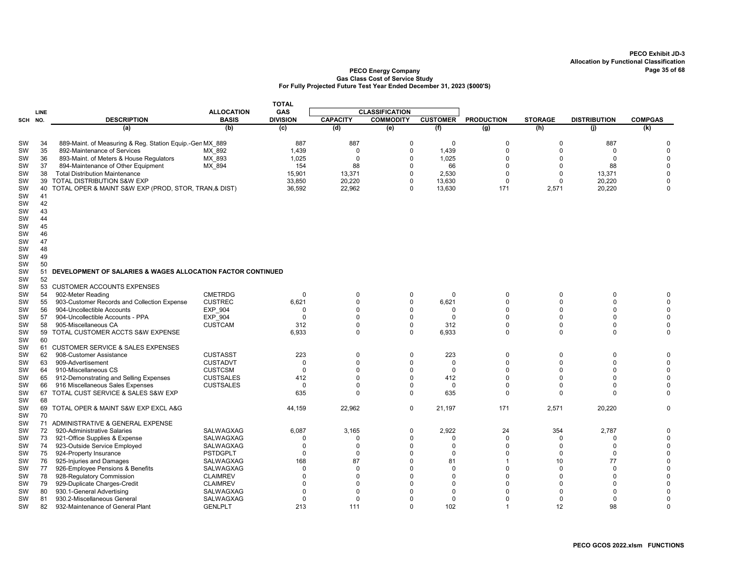|                        |          |                                                               |                        | <b>TOTAL</b>      |                            |                       |                   |                            |                            |                            |                            |
|------------------------|----------|---------------------------------------------------------------|------------------------|-------------------|----------------------------|-----------------------|-------------------|----------------------------|----------------------------|----------------------------|----------------------------|
|                        | LINE     |                                                               | <b>ALLOCATION</b>      | <b>GAS</b>        |                            | <b>CLASSIFICATION</b> |                   |                            |                            |                            |                            |
| SCH NO.                |          | <b>DESCRIPTION</b>                                            | <b>BASIS</b>           | <b>DIVISION</b>   | <b>CAPACITY</b>            | <b>COMMODITY</b>      | <b>CUSTOMER</b>   | <b>PRODUCTION</b>          | <b>STORAGE</b>             | <b>DISTRIBUTION</b>        | <b>COMPGAS</b>             |
|                        |          | (a)                                                           | (b)                    | (c)               | (d)                        | (e)                   | (f)               | (g)                        | (h)                        | (i)                        | (k)                        |
| SW                     | 34       | 889-Maint. of Measuring & Reg. Station Equip.-Gen MX 889      |                        | 887               | 887                        | $\Omega$              | $\Omega$          | $\Omega$                   | 0                          | 887                        | 0                          |
| <b>SW</b>              | 35       | 892-Maintenance of Services                                   | MX 892                 | 1,439             | $\mathbf 0$                | 0                     | 1,439             | $\mathbf 0$                | $\Omega$                   | $\Omega$                   | $\mathbf 0$                |
| <b>SW</b>              | 36       | 893-Maint. of Meters & House Regulators                       | MX 893                 | 1,025             | $\mathbf 0$                | $\mathbf 0$           | 1,025             | $\Omega$                   | $\Omega$                   | $\Omega$                   | $\mathbf 0$                |
| <b>SW</b>              | 37       | 894-Maintenance of Other Equipment                            | MX 894                 | 154               | 88                         | $\Omega$              | 66                | $\Omega$                   | $\Omega$                   | 88                         | $\mathbf 0$                |
| <b>SW</b>              | 38       | <b>Total Distribution Maintenance</b>                         |                        | 15,901            | 13,371                     | $\Omega$              | 2,530             | $\Omega$                   | $\mathbf 0$                | 13,371                     | $\pmb{0}$                  |
| SW                     | 39       | TOTAL DISTRIBUTION S&W EXP                                    |                        | 33,850            | 20,220                     | 0                     | 13,630            | $\Omega$                   | $\mathbf 0$                | 20,220                     | $\mathbf 0$                |
| <b>SW</b>              |          | 40 TOTAL OPER & MAINT S&W EXP (PROD, STOR, TRAN,& DIST)       |                        | 36,592            | 22,962                     | $\Omega$              | 13,630            | 171                        | 2,571                      | 20,220                     | $\mathbf 0$                |
| <b>SW</b>              | 41       |                                                               |                        |                   |                            |                       |                   |                            |                            |                            |                            |
| <b>SW</b>              | 42       |                                                               |                        |                   |                            |                       |                   |                            |                            |                            |                            |
| SW                     | 43       |                                                               |                        |                   |                            |                       |                   |                            |                            |                            |                            |
| <b>SW</b>              | 44<br>45 |                                                               |                        |                   |                            |                       |                   |                            |                            |                            |                            |
| <b>SW</b><br><b>SW</b> | 46       |                                                               |                        |                   |                            |                       |                   |                            |                            |                            |                            |
| SW                     | 47       |                                                               |                        |                   |                            |                       |                   |                            |                            |                            |                            |
| <b>SW</b>              | 48       |                                                               |                        |                   |                            |                       |                   |                            |                            |                            |                            |
| SW                     | 49       |                                                               |                        |                   |                            |                       |                   |                            |                            |                            |                            |
| SW                     | 50       |                                                               |                        |                   |                            |                       |                   |                            |                            |                            |                            |
| <b>SW</b>              | 51       | DEVELOPMENT OF SALARIES & WAGES ALLOCATION FACTOR CONTINUED   |                        |                   |                            |                       |                   |                            |                            |                            |                            |
| SW                     | 52       |                                                               |                        |                   |                            |                       |                   |                            |                            |                            |                            |
| <b>SW</b>              | 53       | <b>CUSTOMER ACCOUNTS EXPENSES</b>                             |                        |                   |                            |                       |                   |                            |                            |                            |                            |
| <b>SW</b>              | 54       | 902-Meter Reading                                             | <b>CMETRDG</b>         | $\Omega$          | $\mathbf 0$                | $\mathbf 0$           | $\mathbf 0$       | $\Omega$                   | $\Omega$                   | $\mathbf 0$                | $\mathbf 0$                |
| SW                     | 55       | 903-Customer Records and Collection Expense                   | <b>CUSTREC</b>         | 6,621             | $\Omega$                   | $\Omega$              | 6,621             | $\Omega$                   | $\Omega$                   | $\Omega$                   | $\pmb{0}$                  |
| SW                     | 56       | 904-Uncollectible Accounts                                    | EXP_904                | $\Omega$          | $\Omega$                   | $\Omega$              | 0                 | $\mathbf 0$                | $\Omega$                   | $\Omega$                   | $\mathbf 0$                |
| <b>SW</b>              | 57       | 904-Uncollectible Accounts - PPA                              | <b>EXP 904</b>         | $\Omega$          | $\Omega$                   | $\Omega$              | $\Omega$          | $\Omega$                   | $\Omega$                   | $\Omega$                   | $\mathbf 0$                |
| SW                     | 58       | 905-Miscellaneous CA                                          | <b>CUSTCAM</b>         | 312<br>6,933      | $\overline{0}$<br>$\Omega$ | $\Omega$<br>0         | 312<br>6,933      | $\mathbf 0$<br>$\mathbf 0$ | $\mathbf 0$<br>$\mathbf 0$ | $\mathbf 0$<br>$\mathbf 0$ | $\mathbf 0$<br>$\mathbf 0$ |
| <b>SW</b><br>SW        | 59<br>60 | TOTAL CUSTOMER ACCTS S&W EXPENSE                              |                        |                   |                            |                       |                   |                            |                            |                            |                            |
| SW                     |          | 61 CUSTOMER SERVICE & SALES EXPENSES                          |                        |                   |                            |                       |                   |                            |                            |                            |                            |
| <b>SW</b>              | 62       | 908-Customer Assistance                                       | <b>CUSTASST</b>        | 223               | $\mathbf 0$                | 0                     | 223               | $\overline{0}$             | $\mathbf 0$                | $\mathbf 0$                | $\pmb{0}$                  |
| SW                     | 63       | 909-Advertisement                                             | <b>CUSTADVT</b>        | $\Omega$          | $\Omega$                   | $\Omega$              | $\mathbf 0$       | $\Omega$                   | $\Omega$                   | $\Omega$                   | $\mathbf 0$                |
| SW                     | 64       | 910-Miscellaneous CS                                          | <b>CUSTCSM</b>         | $\mathbf 0$       | $\Omega$                   | $\Omega$              | $\mathbf 0$       | $\Omega$                   | $\Omega$                   | $\Omega$                   | $\mathbf 0$                |
| <b>SW</b>              | 65       | 912-Demonstrating and Selling Expenses                        | <b>CUSTSALES</b>       | 412               | $\Omega$                   | $\Omega$              | 412               | $\Omega$                   | $\Omega$                   | $\Omega$                   | $\mathbf 0$                |
| SW                     | 66       | 916 Miscellaneous Sales Expenses                              | <b>CUSTSALES</b>       | $\Omega$          | $\Omega$                   | $\Omega$              | $\mathbf 0$       | $\Omega$                   | $\Omega$                   | $\Omega$                   | $\mathbf 0$                |
| <b>SW</b>              |          | 67 TOTAL CUST SERVICE & SALES S&W EXP                         |                        | 635               | $\Omega$                   | 0                     | 635               | $\Omega$                   | $\Omega$                   | $\Omega$                   | $\mathbf 0$                |
| SW                     | 68       |                                                               |                        |                   |                            |                       |                   |                            |                            |                            |                            |
| SW                     |          | 69 TOTAL OPER & MAINT S&W EXP EXCL A&G                        |                        | 44,159            | 22,962                     | $\mathbf 0$           | 21,197            | 171                        | 2,571                      | 20,220                     | $\mathbf 0$                |
| <b>SW</b>              | 70       |                                                               |                        |                   |                            |                       |                   |                            |                            |                            |                            |
| <b>SW</b>              |          | 71 ADMINISTRATIVE & GENERAL EXPENSE                           |                        |                   |                            |                       |                   |                            |                            |                            |                            |
| <b>SW</b>              | 72       | 920-Administrative Salaries                                   | SALWAGXAG              | 6,087<br>$\Omega$ | 3,165<br>$\Omega$          | $\mathbf 0$<br>0      | 2,922<br>$\Omega$ | 24<br>$\Omega$             | 354<br>$\mathbf 0$         | 2,787<br>$\Omega$          | $\pmb{0}$                  |
| SW<br><b>SW</b>        | 73<br>74 | 921-Office Supplies & Expense<br>923-Outside Service Employed | SALWAGXAG<br>SALWAGXAG | $\Omega$          | $\mathbf 0$                | $\Omega$              | $\Omega$          | $\Omega$                   | $\mathbf 0$                | $\Omega$                   | $\pmb{0}$<br>$\mathbf 0$   |
| <b>SW</b>              | 75       | 924-Property Insurance                                        | <b>PSTDGPLT</b>        | $\Omega$          | $\mathbf 0$                | $\Omega$              | $\mathbf 0$       | $\Omega$                   | $\mathbf 0$                | $\Omega$                   | $\mathbf 0$                |
| <b>SW</b>              | 76       | 925-Injuries and Damages                                      | SALWAGXAG              | 168               | 87                         | $\Omega$              | 81                |                            | 10                         | 77                         | $\mathbf 0$                |
| <b>SW</b>              | 77       | 926-Employee Pensions & Benefits                              | SALWAGXAG              | $\Omega$          | $\mathbf 0$                | $\Omega$              | 0                 | $\Omega$                   | $\Omega$                   | $\Omega$                   | 0                          |
| <b>SW</b>              | 78       | 928-Regulatory Commission                                     | <b>CLAIMREV</b>        | $\Omega$          | $\Omega$                   | $\Omega$              | $\Omega$          | $\Omega$                   | $\Omega$                   | $\Omega$                   | $\mathbf 0$                |
| <b>SW</b>              | 79       | 929-Duplicate Charges-Credit                                  | <b>CLAIMREV</b>        | $\Omega$          | $\Omega$                   | $\Omega$              | $\Omega$          | $\Omega$                   | $\Omega$                   | $\Omega$                   | $\mathbf 0$                |
| <b>SW</b>              | 80       | 930.1-General Advertising                                     | SALWAGXAG              | $\Omega$          | $\Omega$                   | O                     | $\Omega$          | $\Omega$                   | $\Omega$                   | <sup>n</sup>               | $\mathbf 0$                |
| SW                     | 81       | 930.2-Miscellaneous General                                   | SALWAGXAG              | $\Omega$          | $\Omega$                   | $\Omega$              | $\mathbf 0$       | $\Omega$                   | $\Omega$                   | $\Omega$                   | $\mathbf 0$                |
| SW                     | 82       | 932-Maintenance of General Plant                              | <b>GENLPLT</b>         | 213               | 111                        | $\Omega$              | 102               | $\overline{1}$             | 12                         | 98                         | $\mathbf 0$                |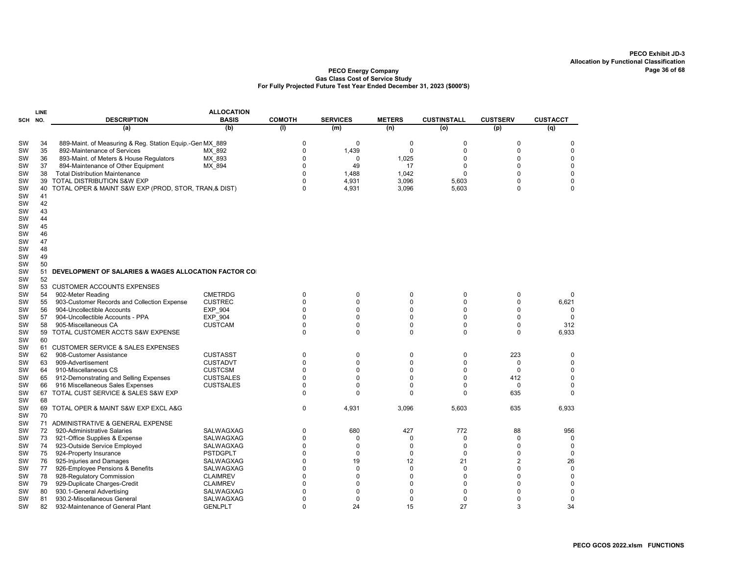| <b>ALLOCATION</b><br>LINE |     |                                                          |                  |                |                 |               |                    |                 |                 |
|---------------------------|-----|----------------------------------------------------------|------------------|----------------|-----------------|---------------|--------------------|-----------------|-----------------|
| SCH                       | NO. | <b>DESCRIPTION</b>                                       | <b>BASIS</b>     | <b>COMOTH</b>  | <b>SERVICES</b> | <b>METERS</b> | <b>CUSTINSTALL</b> | <b>CUSTSERV</b> | <b>CUSTACCT</b> |
|                           |     | (a)                                                      | (b)              | (1)            | (m)             | (n)           | (o)                | (p)             | (q)             |
| SW                        | 34  | 889-Maint. of Measuring & Reg. Station Equip.-Gen MX 889 |                  | $\Omega$       | $\mathbf 0$     | 0             | 0                  | $\mathbf 0$     | 0               |
| SW                        | 35  | 892-Maintenance of Services                              | MX 892           | $\Omega$       | 1,439           | 0             | 0                  | $\Omega$        | 0               |
| SW                        | 36  | 893-Maint. of Meters & House Regulators                  | MX_893           | $\Omega$       | $\mathbf 0$     | 1,025         | 0                  | $\Omega$        | $\mathbf 0$     |
| <b>SW</b>                 | 37  | 894-Maintenance of Other Equipment                       | MX_894           | $\Omega$       | 49              | 17            | 0                  | $\mathbf 0$     | $\mathbf 0$     |
| SW                        | 38  | <b>Total Distribution Maintenance</b>                    |                  | $\Omega$       | 1,488           | 1,042         | $\mathbf 0$        | $\Omega$        | $\mathbf 0$     |
| SW                        | 39  | TOTAL DISTRIBUTION S&W EXP                               |                  | $\Omega$       | 4,931           | 3,096         | 5,603              | $\Omega$        | $\mathbf 0$     |
| SW                        | 40  | TOTAL OPER & MAINT S&W EXP (PROD, STOR, TRAN,& DIST)     |                  | $\Omega$       | 4,931           | 3,096         | 5,603              | $\Omega$        | $\Omega$        |
| SW                        | 41  |                                                          |                  |                |                 |               |                    |                 |                 |
| <b>SW</b>                 | 42  |                                                          |                  |                |                 |               |                    |                 |                 |
| SW                        | 43  |                                                          |                  |                |                 |               |                    |                 |                 |
| <b>SW</b>                 | 44  |                                                          |                  |                |                 |               |                    |                 |                 |
| SW                        | 45  |                                                          |                  |                |                 |               |                    |                 |                 |
| <b>SW</b>                 | 46  |                                                          |                  |                |                 |               |                    |                 |                 |
| <b>SW</b>                 | 47  |                                                          |                  |                |                 |               |                    |                 |                 |
| SW                        | 48  |                                                          |                  |                |                 |               |                    |                 |                 |
| SW                        | 49  |                                                          |                  |                |                 |               |                    |                 |                 |
| SW                        | 50  |                                                          |                  |                |                 |               |                    |                 |                 |
| SW                        | 51  | DEVELOPMENT OF SALARIES & WAGES ALLOCATION FACTOR COI    |                  |                |                 |               |                    |                 |                 |
| <b>SW</b>                 | 52  |                                                          |                  |                |                 |               |                    |                 |                 |
| SW                        | 53  | <b>CUSTOMER ACCOUNTS EXPENSES</b>                        |                  |                |                 |               |                    |                 |                 |
| SW                        | 54  | 902-Meter Reading                                        | <b>CMETRDG</b>   | $\Omega$       | 0               | 0             | 0                  | 0               | 0               |
| SW                        | 55  | 903-Customer Records and Collection Expense              | <b>CUSTREC</b>   | $\Omega$       | $\Omega$        | $\Omega$      | 0                  | 0               | 6,621           |
| <b>SW</b>                 | 56  | 904-Uncollectible Accounts                               | EXP_904          | $\Omega$       | $\Omega$        | $\Omega$      | 0                  | $\Omega$        | $\Omega$        |
| SW                        | 57  | 904-Uncollectible Accounts - PPA                         | <b>EXP 904</b>   | $\mathbf 0$    | $\Omega$        | $\Omega$      | 0                  | 0               | 0               |
| SW                        | 58  | 905-Miscellaneous CA                                     | <b>CUSTCAM</b>   | $\Omega$       | $\mathbf 0$     | 0             | 0                  | 0               | 312             |
| SW                        | 59  | TOTAL CUSTOMER ACCTS S&W EXPENSE                         |                  | 0              | $\Omega$        | $\Omega$      | 0                  | 0               | 6,933           |
| SW                        | 60  |                                                          |                  |                |                 |               |                    |                 |                 |
| SW                        |     | 61 CUSTOMER SERVICE & SALES EXPENSES                     |                  |                |                 |               |                    |                 |                 |
| SW                        | 62  | 908-Customer Assistance                                  | <b>CUSTASST</b>  | 0              | $\mathbf 0$     | 0             | 0                  | 223             | 0               |
| SW                        | 63  | 909-Advertisement                                        | <b>CUSTADVT</b>  | $\Omega$       | $\mathbf 0$     | $\Omega$      | 0                  | 0               | $\mathbf 0$     |
| SW                        | 64  | 910-Miscellaneous CS                                     | <b>CUSTCSM</b>   | $\Omega$       | $\Omega$        | $\Omega$      | 0                  | $\Omega$        | 0               |
| SW                        | 65  | 912-Demonstrating and Selling Expenses                   | <b>CUSTSALES</b> | $\Omega$       | $\Omega$        | $\Omega$      | 0                  | 412             | $\mathbf 0$     |
| SW                        | 66  | 916 Miscellaneous Sales Expenses                         | <b>CUSTSALES</b> | $\Omega$       | $\Omega$        | $\Omega$      | 0                  | $\Omega$        | $\mathbf 0$     |
| SW                        | 67  | TOTAL CUST SERVICE & SALES S&W EXP                       |                  | $\Omega$       | $\Omega$        | $\Omega$      | 0                  | 635             | $\Omega$        |
| SW                        | 68  |                                                          |                  |                |                 |               |                    |                 |                 |
| SW                        | 69  | TOTAL OPER & MAINT S&W EXP EXCL A&G                      |                  | 0              | 4,931           | 3,096         | 5,603              | 635             | 6,933           |
| SW                        | 70  |                                                          |                  |                |                 |               |                    |                 |                 |
| SW                        |     | 71 ADMINISTRATIVE & GENERAL EXPENSE                      |                  |                |                 |               |                    |                 |                 |
| SW                        | 72  | 920-Administrative Salaries                              | <b>SALWAGXAG</b> | $\Omega$       | 680             | 427           | 772                | 88              | 956             |
| SW                        | 73  | 921-Office Supplies & Expense                            | SALWAGXAG        | $\overline{0}$ | 0               | 0             | 0                  | 0               | 0               |
| SW                        | 74  | 923-Outside Service Employed                             | SALWAGXAG        | $\Omega$       | $\mathbf 0$     | $\Omega$      | 0                  | $\Omega$        | $\mathbf 0$     |
| SW                        | 75  | 924-Property Insurance                                   | <b>PSTDGPLT</b>  | $\Omega$       | $\mathbf 0$     | 0             | 0                  | 0               | 0               |
| SW                        | 76  | 925-Injuries and Damages                                 | SALWAGXAG        | $\Omega$       | 19              | 12            | 21                 | 2               | 26              |
| SW                        | 77  | 926-Employee Pensions & Benefits                         | SALWAGXAG        | $\Omega$       | $\mathbf 0$     | $\mathbf 0$   | $\mathbf 0$        | $\Omega$        | $\mathsf 0$     |
| SW                        | 78  | 928-Regulatory Commission                                | <b>CLAIMREV</b>  | $\Omega$       | $\Omega$        | $\Omega$      | 0                  | $\Omega$        | $\mathbf 0$     |
| <b>SW</b>                 | 79  | 929-Duplicate Charges-Credit                             | <b>CLAIMREV</b>  | $\Omega$       | $\Omega$        | $\Omega$      | 0                  | $\Omega$        | 0               |
| SW                        | 80  | 930.1-General Advertising                                | SALWAGXAG        | $\Omega$       | $\Omega$        | $\Omega$      | $\mathbf 0$        | $\Omega$        | $\mathbf 0$     |
| SW                        | 81  | 930.2-Miscellaneous General                              | SALWAGXAG        | $\Omega$       | $\mathbf 0$     | 0             | 0                  | $\Omega$        | 0               |
| SW                        | 82  | 932-Maintenance of General Plant                         | <b>GENLPLT</b>   | $\Omega$       | 24              | 15            | 27                 | 3               | 34              |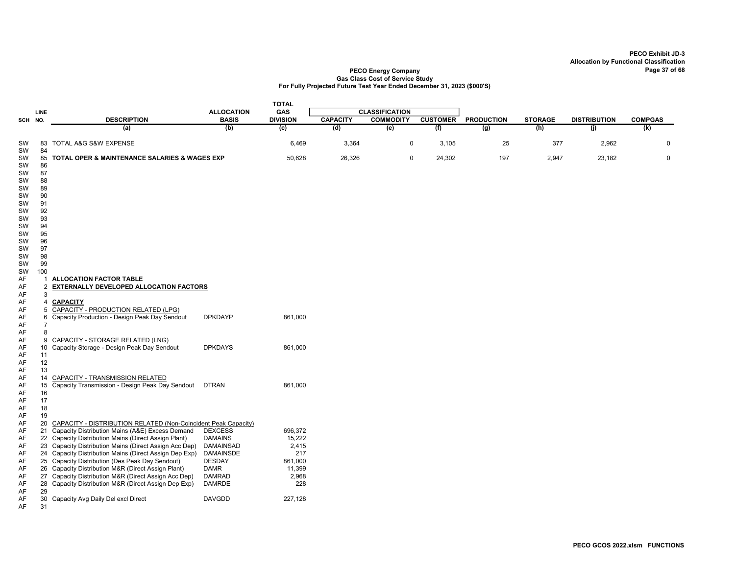|          |                 |                                                                |                   | <b>TOTAL</b>    |                 |                       |                 |                   |                |                     |                |
|----------|-----------------|----------------------------------------------------------------|-------------------|-----------------|-----------------|-----------------------|-----------------|-------------------|----------------|---------------------|----------------|
|          | LINE            |                                                                | <b>ALLOCATION</b> | GAS             |                 | <b>CLASSIFICATION</b> |                 |                   |                |                     |                |
| SCH NO.  |                 | <b>DESCRIPTION</b>                                             | <b>BASIS</b>      | <b>DIVISION</b> | <b>CAPACITY</b> | <b>COMMODITY</b>      | <b>CUSTOMER</b> | <b>PRODUCTION</b> | <b>STORAGE</b> | <b>DISTRIBUTION</b> | <b>COMPGAS</b> |
|          |                 | (a)                                                            | (b)               | (c)             | (d)             | (e)                   | (f)             | $\overline{(g)}$  | (h)            | (i)                 | (k)            |
| SW<br>SW | 83<br>84        | <b>TOTAL A&amp;G S&amp;W EXPENSE</b>                           |                   | 6,469           | 3,364           | 0                     | 3,105           | 25                | 377            | 2,962               | 0              |
| SW       |                 | 85 TOTAL OPER & MAINTENANCE SALARIES & WAGES EXP               |                   | 50,628          | 26,326          | $\mathbf 0$           | 24,302          | 197               | 2,947          | 23,182              | $\mathbf 0$    |
| SW       | 86              |                                                                |                   |                 |                 |                       |                 |                   |                |                     |                |
| SW<br>SW | 87<br>88        |                                                                |                   |                 |                 |                       |                 |                   |                |                     |                |
| SW       | 89              |                                                                |                   |                 |                 |                       |                 |                   |                |                     |                |
| SW       | 90              |                                                                |                   |                 |                 |                       |                 |                   |                |                     |                |
| SW       | 91              |                                                                |                   |                 |                 |                       |                 |                   |                |                     |                |
| SW       | 92              |                                                                |                   |                 |                 |                       |                 |                   |                |                     |                |
| SW       | 93              |                                                                |                   |                 |                 |                       |                 |                   |                |                     |                |
| SW       | 94              |                                                                |                   |                 |                 |                       |                 |                   |                |                     |                |
| SW<br>SW | 95<br>96        |                                                                |                   |                 |                 |                       |                 |                   |                |                     |                |
| SW       | 97              |                                                                |                   |                 |                 |                       |                 |                   |                |                     |                |
| SW       | 98              |                                                                |                   |                 |                 |                       |                 |                   |                |                     |                |
| SW       | 99              |                                                                |                   |                 |                 |                       |                 |                   |                |                     |                |
| SW       | 100             |                                                                |                   |                 |                 |                       |                 |                   |                |                     |                |
| AF       | 1               | <b>ALLOCATION FACTOR TABLE</b>                                 |                   |                 |                 |                       |                 |                   |                |                     |                |
| AF       | $\overline{2}$  | EXTERNALLY DEVELOPED ALLOCATION FACTORS                        |                   |                 |                 |                       |                 |                   |                |                     |                |
| AF       | 3               |                                                                |                   |                 |                 |                       |                 |                   |                |                     |                |
| AF       | 4               | <b>CAPACITY</b>                                                |                   |                 |                 |                       |                 |                   |                |                     |                |
| AF       | 5               | CAPACITY - PRODUCTION RELATED (LPG)                            |                   |                 |                 |                       |                 |                   |                |                     |                |
| AF       | 6               | Capacity Production - Design Peak Day Sendout                  | <b>DPKDAYP</b>    | 861,000         |                 |                       |                 |                   |                |                     |                |
| AF       | $\overline{7}$  |                                                                |                   |                 |                 |                       |                 |                   |                |                     |                |
| AF<br>AF | 8<br>9          | CAPACITY - STORAGE RELATED (LNG)                               |                   |                 |                 |                       |                 |                   |                |                     |                |
| AF       | 10 <sup>1</sup> | Capacity Storage - Design Peak Day Sendout                     | <b>DPKDAYS</b>    | 861,000         |                 |                       |                 |                   |                |                     |                |
| AF       | 11              |                                                                |                   |                 |                 |                       |                 |                   |                |                     |                |
| AF       | 12              |                                                                |                   |                 |                 |                       |                 |                   |                |                     |                |
| AF       | 13              |                                                                |                   |                 |                 |                       |                 |                   |                |                     |                |
| AF       | 14              | CAPACITY - TRANSMISSION RELATED                                |                   |                 |                 |                       |                 |                   |                |                     |                |
| AF       |                 | 15 Capacity Transmission - Design Peak Day Sendout             | <b>DTRAN</b>      | 861,000         |                 |                       |                 |                   |                |                     |                |
| AF       | 16              |                                                                |                   |                 |                 |                       |                 |                   |                |                     |                |
| AF       | 17              |                                                                |                   |                 |                 |                       |                 |                   |                |                     |                |
| AF       | 18              |                                                                |                   |                 |                 |                       |                 |                   |                |                     |                |
| AF<br>AF | 19<br>20        | CAPACITY - DISTRIBUTION RELATED (Non-Coincident Peak Capacity) |                   |                 |                 |                       |                 |                   |                |                     |                |
| AF       |                 | 21 Capacity Distribution Mains (A&E) Excess Demand             | <b>DEXCESS</b>    | 696,372         |                 |                       |                 |                   |                |                     |                |
| AF       |                 | 22 Capacity Distribution Mains (Direct Assign Plant)           | <b>DAMAINS</b>    | 15,222          |                 |                       |                 |                   |                |                     |                |
| AF       |                 | 23 Capacity Distribution Mains (Direct Assign Acc Dep)         | DAMAINSAD         | 2,415           |                 |                       |                 |                   |                |                     |                |
| AF       |                 | 24 Capacity Distribution Mains (Direct Assign Dep Exp)         | DAMAINSDE         | 217             |                 |                       |                 |                   |                |                     |                |
| AF       |                 | 25 Capacity Distribution (Des Peak Day Sendout)                | <b>DESDAY</b>     | 861,000         |                 |                       |                 |                   |                |                     |                |
| AF       |                 | 26 Capacity Distribution M&R (Direct Assign Plant)             | <b>DAMR</b>       | 11,399          |                 |                       |                 |                   |                |                     |                |
| AF       |                 | 27 Capacity Distribution M&R (Direct Assign Acc Dep)           | <b>DAMRAD</b>     | 2,968           |                 |                       |                 |                   |                |                     |                |
| AF       |                 | 28 Capacity Distribution M&R (Direct Assign Dep Exp)           | <b>DAMRDE</b>     | 228             |                 |                       |                 |                   |                |                     |                |
| AF       | 29              |                                                                |                   |                 |                 |                       |                 |                   |                |                     |                |
| AF       |                 | 30 Capacity Avg Daily Del excl Direct                          | <b>DAVGDD</b>     | 227,128         |                 |                       |                 |                   |                |                     |                |
| AF       | 31              |                                                                |                   |                 |                 |                       |                 |                   |                |                     |                |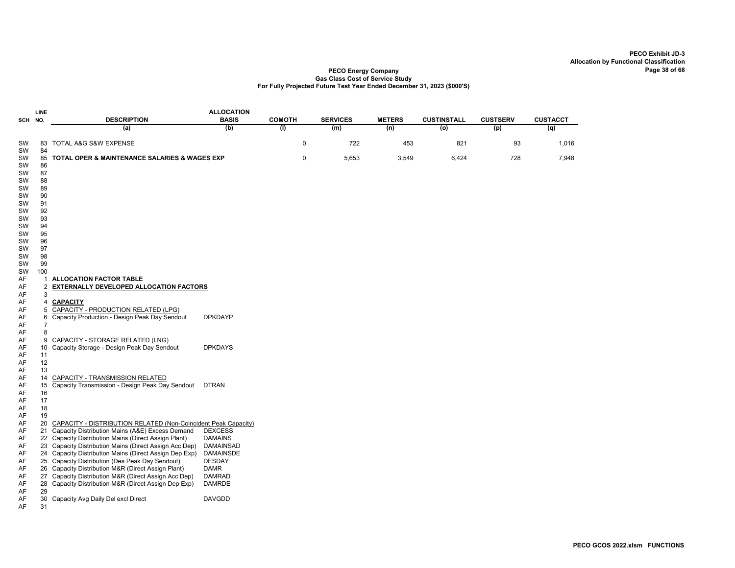|         | LINE           |                                                                | <b>ALLOCATION</b> |               |                 |               |                    |                 |                 |
|---------|----------------|----------------------------------------------------------------|-------------------|---------------|-----------------|---------------|--------------------|-----------------|-----------------|
| SCH NO. |                | <b>DESCRIPTION</b>                                             | <b>BASIS</b>      | <b>COMOTH</b> | <b>SERVICES</b> | <b>METERS</b> | <b>CUSTINSTALL</b> | <b>CUSTSERV</b> | <b>CUSTACCT</b> |
|         |                | (a)                                                            | (b)               | (I)           | (m)             | (n)           | (o)                | (p)             | (q)             |
| SW      |                | 83 TOTAL A&G S&W EXPENSE                                       |                   | 0             | 722             | 453           | 821                | 93              | 1,016           |
| SW      | 84             |                                                                |                   |               |                 |               |                    |                 |                 |
| SW      |                | 85 TOTAL OPER & MAINTENANCE SALARIES & WAGES EXP               |                   | 0             | 5,653           | 3,549         | 6,424              | 728             | 7,948           |
| SW      | 86             |                                                                |                   |               |                 |               |                    |                 |                 |
| SW      | 87             |                                                                |                   |               |                 |               |                    |                 |                 |
| SW      | 88             |                                                                |                   |               |                 |               |                    |                 |                 |
| SW      | 89             |                                                                |                   |               |                 |               |                    |                 |                 |
| SW      | 90             |                                                                |                   |               |                 |               |                    |                 |                 |
| SW      | 91             |                                                                |                   |               |                 |               |                    |                 |                 |
| SW      | 92             |                                                                |                   |               |                 |               |                    |                 |                 |
| SW      | 93             |                                                                |                   |               |                 |               |                    |                 |                 |
| SW      | 94             |                                                                |                   |               |                 |               |                    |                 |                 |
| SW      | 95             |                                                                |                   |               |                 |               |                    |                 |                 |
| SW      | 96             |                                                                |                   |               |                 |               |                    |                 |                 |
| SW      | 97             |                                                                |                   |               |                 |               |                    |                 |                 |
| SW      | 98             |                                                                |                   |               |                 |               |                    |                 |                 |
| SW      | 99             |                                                                |                   |               |                 |               |                    |                 |                 |
| SW      | 100            |                                                                |                   |               |                 |               |                    |                 |                 |
| AF      |                | 1 ALLOCATION FACTOR TABLE                                      |                   |               |                 |               |                    |                 |                 |
| AF      | $\overline{2}$ | <b>EXTERNALLY DEVELOPED ALLOCATION FACTORS</b>                 |                   |               |                 |               |                    |                 |                 |
| AF      | 3              |                                                                |                   |               |                 |               |                    |                 |                 |
| AF      |                | 4 CAPACITY                                                     |                   |               |                 |               |                    |                 |                 |
| AF      |                | 5 CAPACITY - PRODUCTION RELATED (LPG)                          |                   |               |                 |               |                    |                 |                 |
| AF      |                | 6 Capacity Production - Design Peak Day Sendout                | <b>DPKDAYP</b>    |               |                 |               |                    |                 |                 |
| AF      | $\overline{7}$ |                                                                |                   |               |                 |               |                    |                 |                 |
| AF      | 8              |                                                                |                   |               |                 |               |                    |                 |                 |
| AF      | 9              | CAPACITY - STORAGE RELATED (LNG)                               |                   |               |                 |               |                    |                 |                 |
| AF      | 10             | Capacity Storage - Design Peak Day Sendout                     | <b>DPKDAYS</b>    |               |                 |               |                    |                 |                 |
| AF      | 11             |                                                                |                   |               |                 |               |                    |                 |                 |
| AF      | 12             |                                                                |                   |               |                 |               |                    |                 |                 |
| AF      | 13             |                                                                |                   |               |                 |               |                    |                 |                 |
| AF      | 14             | CAPACITY - TRANSMISSION RELATED                                |                   |               |                 |               |                    |                 |                 |
| AF      | 15             | Capacity Transmission - Design Peak Day Sendout                | <b>DTRAN</b>      |               |                 |               |                    |                 |                 |
| AF      | 16             |                                                                |                   |               |                 |               |                    |                 |                 |
| AF      | 17             |                                                                |                   |               |                 |               |                    |                 |                 |
| AF      | 18             |                                                                |                   |               |                 |               |                    |                 |                 |
| AF      | 19             |                                                                |                   |               |                 |               |                    |                 |                 |
| AF      | 20             | CAPACITY - DISTRIBUTION RELATED (Non-Coincident Peak Capacity) |                   |               |                 |               |                    |                 |                 |
| AF      |                | 21 Capacity Distribution Mains (A&E) Excess Demand             | <b>DEXCESS</b>    |               |                 |               |                    |                 |                 |
| AF      |                | 22 Capacity Distribution Mains (Direct Assign Plant)           | <b>DAMAINS</b>    |               |                 |               |                    |                 |                 |
| AF      |                | 23 Capacity Distribution Mains (Direct Assign Acc Dep)         | DAMAINSAD         |               |                 |               |                    |                 |                 |
| AF      |                | 24 Capacity Distribution Mains (Direct Assign Dep Exp)         | <b>DAMAINSDE</b>  |               |                 |               |                    |                 |                 |
| AF      |                | 25 Capacity Distribution (Des Peak Day Sendout)                | <b>DESDAY</b>     |               |                 |               |                    |                 |                 |
| AF      |                | 26 Capacity Distribution M&R (Direct Assign Plant)             | <b>DAMR</b>       |               |                 |               |                    |                 |                 |
| AF      |                | 27 Capacity Distribution M&R (Direct Assign Acc Dep)           | DAMRAD            |               |                 |               |                    |                 |                 |
| AF      |                | 28 Capacity Distribution M&R (Direct Assign Dep Exp)           | <b>DAMRDE</b>     |               |                 |               |                    |                 |                 |
| AF      | 29             |                                                                |                   |               |                 |               |                    |                 |                 |
| AF      | 30             | Capacity Avg Daily Del excl Direct                             | <b>DAVGDD</b>     |               |                 |               |                    |                 |                 |
| AF      | 31             |                                                                |                   |               |                 |               |                    |                 |                 |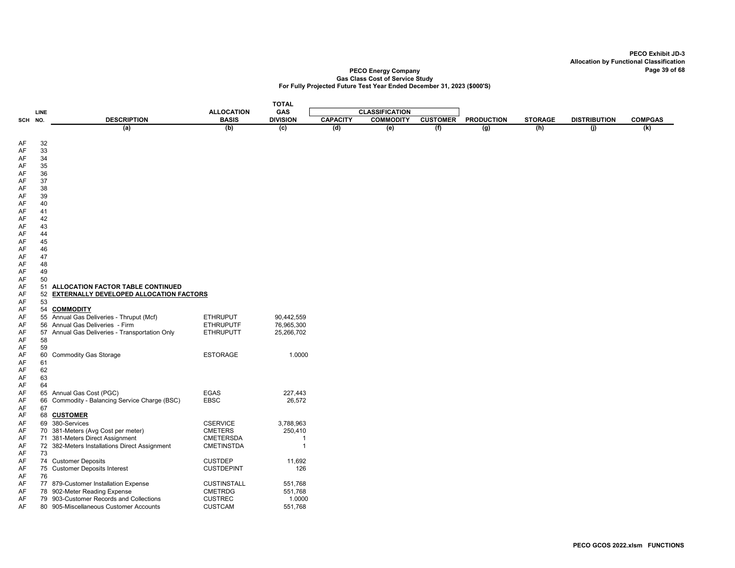|          |          |                                                |                    | <b>TOTAL</b>    |                 |                       |                 |                   |                |                     |                |
|----------|----------|------------------------------------------------|--------------------|-----------------|-----------------|-----------------------|-----------------|-------------------|----------------|---------------------|----------------|
|          | LINE     |                                                | <b>ALLOCATION</b>  | <b>GAS</b>      |                 | <b>CLASSIFICATION</b> |                 |                   |                |                     |                |
| SCH NO.  |          | <b>DESCRIPTION</b>                             | <b>BASIS</b>       | <b>DIVISION</b> | <b>CAPACITY</b> | <b>COMMODITY</b>      | <b>CUSTOMER</b> | <b>PRODUCTION</b> | <b>STORAGE</b> | <b>DISTRIBUTION</b> | <b>COMPGAS</b> |
|          |          | (a)                                            | (b)                | (c)             | (d)             | (e)                   | (f)             | $\overline{(g)}$  | (h)            | (j)                 | (k)            |
|          |          |                                                |                    |                 |                 |                       |                 |                   |                |                     |                |
| AF       | 32       |                                                |                    |                 |                 |                       |                 |                   |                |                     |                |
| AF       | 33       |                                                |                    |                 |                 |                       |                 |                   |                |                     |                |
| AF       | 34       |                                                |                    |                 |                 |                       |                 |                   |                |                     |                |
| AF       | 35       |                                                |                    |                 |                 |                       |                 |                   |                |                     |                |
| AF<br>AF | 36<br>37 |                                                |                    |                 |                 |                       |                 |                   |                |                     |                |
| AF       | 38       |                                                |                    |                 |                 |                       |                 |                   |                |                     |                |
| AF       | 39       |                                                |                    |                 |                 |                       |                 |                   |                |                     |                |
| AF       | 40       |                                                |                    |                 |                 |                       |                 |                   |                |                     |                |
| AF       | 41       |                                                |                    |                 |                 |                       |                 |                   |                |                     |                |
| AF       | 42       |                                                |                    |                 |                 |                       |                 |                   |                |                     |                |
| AF       | 43       |                                                |                    |                 |                 |                       |                 |                   |                |                     |                |
| AF       | 44       |                                                |                    |                 |                 |                       |                 |                   |                |                     |                |
| AF       | 45       |                                                |                    |                 |                 |                       |                 |                   |                |                     |                |
| AF       | 46       |                                                |                    |                 |                 |                       |                 |                   |                |                     |                |
| AF       | 47       |                                                |                    |                 |                 |                       |                 |                   |                |                     |                |
| AF       | 48       |                                                |                    |                 |                 |                       |                 |                   |                |                     |                |
| AF       | 49       |                                                |                    |                 |                 |                       |                 |                   |                |                     |                |
| AF       | 50       |                                                |                    |                 |                 |                       |                 |                   |                |                     |                |
| AF       | 51       | ALLOCATION FACTOR TABLE CONTINUED              |                    |                 |                 |                       |                 |                   |                |                     |                |
| AF<br>AF | 52<br>53 | <b>EXTERNALLY DEVELOPED ALLOCATION FACTORS</b> |                    |                 |                 |                       |                 |                   |                |                     |                |
| AF       | 54       | <b>COMMODITY</b>                               |                    |                 |                 |                       |                 |                   |                |                     |                |
| AF       |          | 55 Annual Gas Deliveries - Thruput (Mcf)       | <b>ETHRUPUT</b>    | 90,442,559      |                 |                       |                 |                   |                |                     |                |
| AF       |          | 56 Annual Gas Deliveries - Firm                | <b>ETHRUPUTF</b>   | 76,965,300      |                 |                       |                 |                   |                |                     |                |
| AF       |          | 57 Annual Gas Deliveries - Transportation Only | <b>ETHRUPUTT</b>   | 25,266,702      |                 |                       |                 |                   |                |                     |                |
| AF       | 58       |                                                |                    |                 |                 |                       |                 |                   |                |                     |                |
| AF       | 59       |                                                |                    |                 |                 |                       |                 |                   |                |                     |                |
| AF       | 60       | <b>Commodity Gas Storage</b>                   | <b>ESTORAGE</b>    | 1.0000          |                 |                       |                 |                   |                |                     |                |
| AF       | 61       |                                                |                    |                 |                 |                       |                 |                   |                |                     |                |
| AF       | 62       |                                                |                    |                 |                 |                       |                 |                   |                |                     |                |
| AF       | 63       |                                                |                    |                 |                 |                       |                 |                   |                |                     |                |
| AF       | 64       |                                                |                    |                 |                 |                       |                 |                   |                |                     |                |
| AF       | 65       | Annual Gas Cost (PGC)                          | EGAS               | 227,443         |                 |                       |                 |                   |                |                     |                |
| AF       | 66       | Commodity - Balancing Service Charge (BSC)     | <b>EBSC</b>        | 26,572          |                 |                       |                 |                   |                |                     |                |
| AF<br>AF | 67       | 68 CUSTOMER                                    |                    |                 |                 |                       |                 |                   |                |                     |                |
| AF       | 69       | 380-Services                                   | <b>CSERVICE</b>    | 3,788,963       |                 |                       |                 |                   |                |                     |                |
| AF       |          | 70 381-Meters (Avg Cost per meter)             | <b>CMETERS</b>     | 250,410         |                 |                       |                 |                   |                |                     |                |
| AF       |          | 71 381-Meters Direct Assignment                | CMETERSDA          | -1              |                 |                       |                 |                   |                |                     |                |
| AF       |          | 72 382-Meters Installations Direct Assignment  | <b>CMETINSTDA</b>  | $\overline{1}$  |                 |                       |                 |                   |                |                     |                |
| AF       | 73       |                                                |                    |                 |                 |                       |                 |                   |                |                     |                |
| AF       |          | 74 Customer Deposits                           | <b>CUSTDEP</b>     | 11,692          |                 |                       |                 |                   |                |                     |                |
| AF       |          | 75 Customer Deposits Interest                  | <b>CUSTDEPINT</b>  | 126             |                 |                       |                 |                   |                |                     |                |
| AF       | 76       |                                                |                    |                 |                 |                       |                 |                   |                |                     |                |
| AF       |          | 77 879-Customer Installation Expense           | <b>CUSTINSTALL</b> | 551,768         |                 |                       |                 |                   |                |                     |                |
| AF       |          | 78 902-Meter Reading Expense                   | <b>CMETRDG</b>     | 551,768         |                 |                       |                 |                   |                |                     |                |
| AF       |          | 79 903-Customer Records and Collections        | <b>CUSTREC</b>     | 1.0000          |                 |                       |                 |                   |                |                     |                |
| AF       |          | 80 905-Miscellaneous Customer Accounts         | <b>CUSTCAM</b>     | 551,768         |                 |                       |                 |                   |                |                     |                |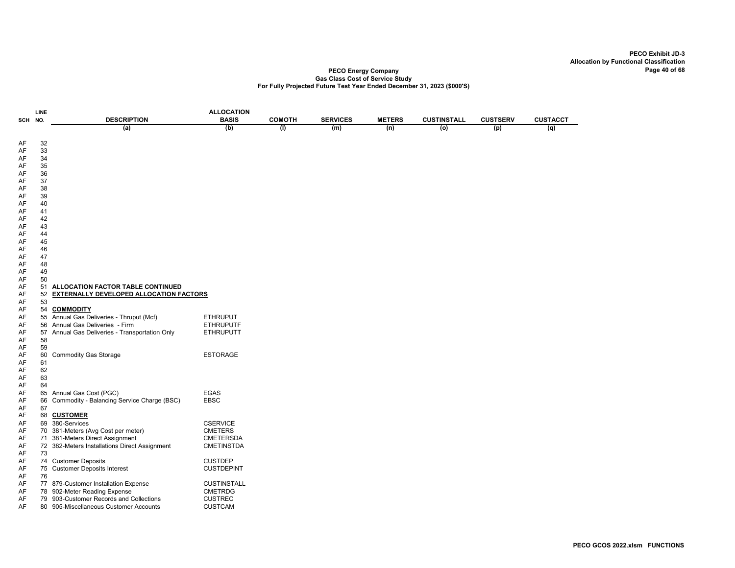|          | LINE     |                                                                                        | <b>ALLOCATION</b>  |               |                 |               |                    |                 |                 |
|----------|----------|----------------------------------------------------------------------------------------|--------------------|---------------|-----------------|---------------|--------------------|-----------------|-----------------|
| SCH      | NO.      | <b>DESCRIPTION</b>                                                                     | <b>BASIS</b>       | <b>COMOTH</b> | <b>SERVICES</b> | <b>METERS</b> | <b>CUSTINSTALL</b> | <b>CUSTSERV</b> | <b>CUSTACCT</b> |
|          |          | (a)                                                                                    | (b)                | (1)           | (m)             | (n)           | $\overline{0}$     | (p)             | (q)             |
|          |          |                                                                                        |                    |               |                 |               |                    |                 |                 |
| AF       | 32       |                                                                                        |                    |               |                 |               |                    |                 |                 |
| AF       | 33       |                                                                                        |                    |               |                 |               |                    |                 |                 |
| AF       | 34       |                                                                                        |                    |               |                 |               |                    |                 |                 |
| AF<br>AF | 35<br>36 |                                                                                        |                    |               |                 |               |                    |                 |                 |
| AF       | 37       |                                                                                        |                    |               |                 |               |                    |                 |                 |
| AF       | 38       |                                                                                        |                    |               |                 |               |                    |                 |                 |
| AF       | 39       |                                                                                        |                    |               |                 |               |                    |                 |                 |
| AF       | 40       |                                                                                        |                    |               |                 |               |                    |                 |                 |
| AF       | 41       |                                                                                        |                    |               |                 |               |                    |                 |                 |
| AF       | 42       |                                                                                        |                    |               |                 |               |                    |                 |                 |
| AF       | 43       |                                                                                        |                    |               |                 |               |                    |                 |                 |
| AF       | 44       |                                                                                        |                    |               |                 |               |                    |                 |                 |
| AF       | 45       |                                                                                        |                    |               |                 |               |                    |                 |                 |
| AF       | 46       |                                                                                        |                    |               |                 |               |                    |                 |                 |
| AF       | 47       |                                                                                        |                    |               |                 |               |                    |                 |                 |
| AF       | 48       |                                                                                        |                    |               |                 |               |                    |                 |                 |
| AF       | 49       |                                                                                        |                    |               |                 |               |                    |                 |                 |
| AF       | 50       |                                                                                        |                    |               |                 |               |                    |                 |                 |
| AF<br>AF | 52       | 51 ALLOCATION FACTOR TABLE CONTINUED<br><b>EXTERNALLY DEVELOPED ALLOCATION FACTORS</b> |                    |               |                 |               |                    |                 |                 |
| AF       | 53       |                                                                                        |                    |               |                 |               |                    |                 |                 |
| AF       | 54       | <b>COMMODITY</b>                                                                       |                    |               |                 |               |                    |                 |                 |
| AF       |          | 55 Annual Gas Deliveries - Thruput (Mcf)                                               | <b>ETHRUPUT</b>    |               |                 |               |                    |                 |                 |
| AF       |          | 56 Annual Gas Deliveries - Firm                                                        | <b>ETHRUPUTF</b>   |               |                 |               |                    |                 |                 |
| AF       | 57       | Annual Gas Deliveries - Transportation Only                                            | <b>ETHRUPUTT</b>   |               |                 |               |                    |                 |                 |
| AF       | 58       |                                                                                        |                    |               |                 |               |                    |                 |                 |
| AF       | 59       |                                                                                        |                    |               |                 |               |                    |                 |                 |
| AF       | 60       | <b>Commodity Gas Storage</b>                                                           | <b>ESTORAGE</b>    |               |                 |               |                    |                 |                 |
| AF       | 61       |                                                                                        |                    |               |                 |               |                    |                 |                 |
| AF       | 62       |                                                                                        |                    |               |                 |               |                    |                 |                 |
| AF       | 63       |                                                                                        |                    |               |                 |               |                    |                 |                 |
| AF       | 64       |                                                                                        |                    |               |                 |               |                    |                 |                 |
| AF       | 65       | Annual Gas Cost (PGC)                                                                  | EGAS               |               |                 |               |                    |                 |                 |
| AF<br>AF | 66<br>67 | Commodity - Balancing Service Charge (BSC)                                             | <b>EBSC</b>        |               |                 |               |                    |                 |                 |
| AF       |          | 68 CUSTOMER                                                                            |                    |               |                 |               |                    |                 |                 |
| AF       | 69       | 380-Services                                                                           | <b>CSERVICE</b>    |               |                 |               |                    |                 |                 |
| AF       |          | 70 381-Meters (Avg Cost per meter)                                                     | <b>CMETERS</b>     |               |                 |               |                    |                 |                 |
| AF       |          | 71 381-Meters Direct Assignment                                                        | <b>CMETERSDA</b>   |               |                 |               |                    |                 |                 |
| AF       |          | 72 382-Meters Installations Direct Assignment                                          | <b>CMETINSTDA</b>  |               |                 |               |                    |                 |                 |
| AF       | 73       |                                                                                        |                    |               |                 |               |                    |                 |                 |
| AF       |          | 74 Customer Deposits                                                                   | <b>CUSTDEP</b>     |               |                 |               |                    |                 |                 |
| AF       | 75       | <b>Customer Deposits Interest</b>                                                      | <b>CUSTDEPINT</b>  |               |                 |               |                    |                 |                 |
| AF       | 76       |                                                                                        |                    |               |                 |               |                    |                 |                 |
| AF       |          | 77 879-Customer Installation Expense                                                   | <b>CUSTINSTALL</b> |               |                 |               |                    |                 |                 |
| AF       |          | 78 902-Meter Reading Expense                                                           | <b>CMETRDG</b>     |               |                 |               |                    |                 |                 |
| AF       |          | 79 903-Customer Records and Collections                                                | <b>CUSTREC</b>     |               |                 |               |                    |                 |                 |
| AF       |          | 80 905-Miscellaneous Customer Accounts                                                 | <b>CUSTCAM</b>     |               |                 |               |                    |                 |                 |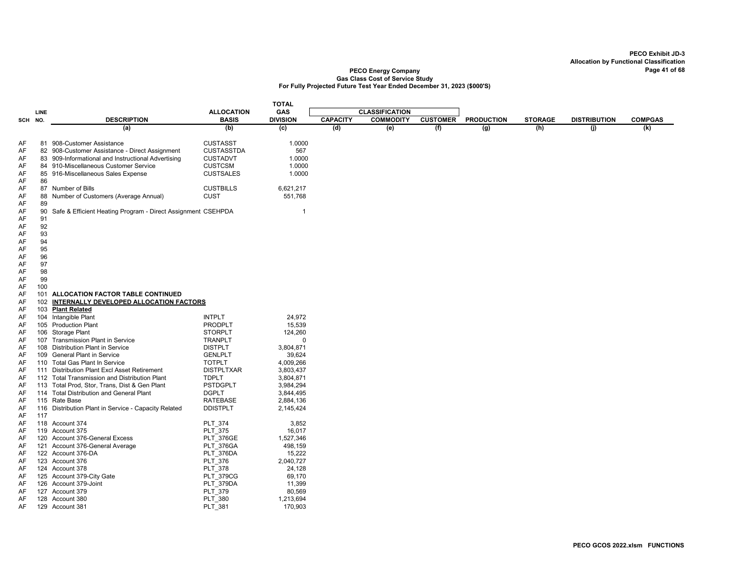|          |      |                                                                                                  |                                   | <b>TOTAL</b>           |                 |                       |                 |                   |                |                     |                |
|----------|------|--------------------------------------------------------------------------------------------------|-----------------------------------|------------------------|-----------------|-----------------------|-----------------|-------------------|----------------|---------------------|----------------|
|          | LINE |                                                                                                  | <b>ALLOCATION</b>                 | GAS                    |                 | <b>CLASSIFICATION</b> |                 |                   |                |                     |                |
| SCH NO.  |      | <b>DESCRIPTION</b>                                                                               | <b>BASIS</b>                      | <b>DIVISION</b>        | <b>CAPACITY</b> | <b>COMMODITY</b>      | <b>CUSTOMER</b> | <b>PRODUCTION</b> | <b>STORAGE</b> | <b>DISTRIBUTION</b> | <b>COMPGAS</b> |
|          |      | (a)                                                                                              | (b)                               | $\overline{c}$         | (d)             | (e)                   | (f)             | $\overline{g}$    | (h)            | (j)                 | (k)            |
| AF       |      | 81 908-Customer Assistance                                                                       | <b>CUSTASST</b>                   | 1.0000                 |                 |                       |                 |                   |                |                     |                |
| AF       |      | 82 908-Customer Assistance - Direct Assignment                                                   | <b>CUSTASSTDA</b>                 | 567                    |                 |                       |                 |                   |                |                     |                |
| AF       |      | 83 909-Informational and Instructional Advertising                                               | <b>CUSTADVT</b>                   | 1.0000                 |                 |                       |                 |                   |                |                     |                |
| AF       | 84   | 910-Miscellaneous Customer Service                                                               | <b>CUSTCSM</b>                    | 1.0000                 |                 |                       |                 |                   |                |                     |                |
| AF       |      | 85 916-Miscellaneous Sales Expense                                                               | <b>CUSTSALES</b>                  | 1.0000                 |                 |                       |                 |                   |                |                     |                |
| AF       | 86   |                                                                                                  |                                   |                        |                 |                       |                 |                   |                |                     |                |
| AF       |      | 87 Number of Bills                                                                               | <b>CUSTBILLS</b>                  | 6,621,217              |                 |                       |                 |                   |                |                     |                |
| AF       |      | 88 Number of Customers (Average Annual)                                                          | <b>CUST</b>                       | 551,768                |                 |                       |                 |                   |                |                     |                |
| AF       | 89   |                                                                                                  |                                   |                        |                 |                       |                 |                   |                |                     |                |
| AF       | 90   | Safe & Efficient Heating Program - Direct Assignment CSEHPDA                                     |                                   | 1                      |                 |                       |                 |                   |                |                     |                |
| AF       | 91   |                                                                                                  |                                   |                        |                 |                       |                 |                   |                |                     |                |
| AF       | 92   |                                                                                                  |                                   |                        |                 |                       |                 |                   |                |                     |                |
| AF       | 93   |                                                                                                  |                                   |                        |                 |                       |                 |                   |                |                     |                |
| AF       | 94   |                                                                                                  |                                   |                        |                 |                       |                 |                   |                |                     |                |
| AF       | 95   |                                                                                                  |                                   |                        |                 |                       |                 |                   |                |                     |                |
| AF       | 96   |                                                                                                  |                                   |                        |                 |                       |                 |                   |                |                     |                |
| AF       | 97   |                                                                                                  |                                   |                        |                 |                       |                 |                   |                |                     |                |
| AF       | 98   |                                                                                                  |                                   |                        |                 |                       |                 |                   |                |                     |                |
| AF       | 99   |                                                                                                  |                                   |                        |                 |                       |                 |                   |                |                     |                |
| AF       | 100  |                                                                                                  |                                   |                        |                 |                       |                 |                   |                |                     |                |
| AF       |      | 101 ALLOCATION FACTOR TABLE CONTINUED                                                            |                                   |                        |                 |                       |                 |                   |                |                     |                |
| AF       | 102  | <b>INTERNALLY DEVELOPED ALLOCATION FACTORS</b>                                                   |                                   |                        |                 |                       |                 |                   |                |                     |                |
| AF       | 103  | <b>Plant Related</b>                                                                             |                                   |                        |                 |                       |                 |                   |                |                     |                |
| AF       | 104  | Intangible Plant                                                                                 | <b>INTPLT</b>                     | 24,972                 |                 |                       |                 |                   |                |                     |                |
| AF       |      | 105 Production Plant                                                                             | <b>PRODPLT</b>                    | 15,539                 |                 |                       |                 |                   |                |                     |                |
| AF       |      | 106 Storage Plant                                                                                | <b>STORPLT</b>                    | 124,260                |                 |                       |                 |                   |                |                     |                |
| AF       | 107  | Transmission Plant in Service                                                                    | <b>TRANPLT</b>                    | $\Omega$               |                 |                       |                 |                   |                |                     |                |
| AF       |      | 108 Distribution Plant in Service                                                                | <b>DISTPLT</b>                    | 3,804,871              |                 |                       |                 |                   |                |                     |                |
| AF       |      | 109 General Plant in Service                                                                     | <b>GENLPLT</b>                    | 39,624                 |                 |                       |                 |                   |                |                     |                |
| AF       |      | 110 Total Gas Plant In Service                                                                   | <b>TOTPLT</b>                     | 4,009,266              |                 |                       |                 |                   |                |                     |                |
| AF<br>AF | 111  | <b>Distribution Plant Excl Asset Retirement</b><br>112 Total Transmission and Distribution Plant | <b>DISTPLTXAR</b><br><b>TDPLT</b> | 3,803,437              |                 |                       |                 |                   |                |                     |                |
| AF       | 113  | Total Prod, Stor, Trans, Dist & Gen Plant                                                        | <b>PSTDGPLT</b>                   | 3,804,871<br>3,984,294 |                 |                       |                 |                   |                |                     |                |
| AF       |      | 114 Total Distribution and General Plant                                                         | <b>DGPLT</b>                      | 3,844,495              |                 |                       |                 |                   |                |                     |                |
| AF       |      | 115 Rate Base                                                                                    | RATEBASE                          | 2,884,136              |                 |                       |                 |                   |                |                     |                |
| AF       | 116  | Distribution Plant in Service - Capacity Related                                                 | <b>DDISTPLT</b>                   | 2,145,424              |                 |                       |                 |                   |                |                     |                |
| AF       | 117  |                                                                                                  |                                   |                        |                 |                       |                 |                   |                |                     |                |
| AF       |      | 118 Account 374                                                                                  | <b>PLT 374</b>                    | 3,852                  |                 |                       |                 |                   |                |                     |                |
| AF       |      | 119 Account 375                                                                                  | <b>PLT 375</b>                    | 16,017                 |                 |                       |                 |                   |                |                     |                |
| AF       |      | 120 Account 376-General Excess                                                                   | <b>PLT 376GE</b>                  | 1,527,346              |                 |                       |                 |                   |                |                     |                |
| AF       |      | 121 Account 376-General Average                                                                  | PLT 376GA                         | 498,159                |                 |                       |                 |                   |                |                     |                |
| AF       |      | 122 Account 376-DA                                                                               | PLT 376DA                         | 15,222                 |                 |                       |                 |                   |                |                     |                |
| AF       |      | 123 Account 376                                                                                  | PLT_376                           | 2,040,727              |                 |                       |                 |                   |                |                     |                |
| AF       |      | 124 Account 378                                                                                  | <b>PLT 378</b>                    | 24,128                 |                 |                       |                 |                   |                |                     |                |
| AF       |      | 125 Account 379-City Gate                                                                        | <b>PLT 379CG</b>                  | 69,170                 |                 |                       |                 |                   |                |                     |                |
| AF       |      | 126 Account 379-Joint                                                                            | PLT 379DA                         | 11,399                 |                 |                       |                 |                   |                |                     |                |
| AF       |      | 127 Account 379                                                                                  | <b>PLT 379</b>                    | 80,569                 |                 |                       |                 |                   |                |                     |                |
| AF       |      | 128 Account 380                                                                                  | <b>PLT 380</b>                    | 1,213,694              |                 |                       |                 |                   |                |                     |                |
| AF       |      | 129 Account 381                                                                                  | PLT 381                           | 170,903                |                 |                       |                 |                   |                |                     |                |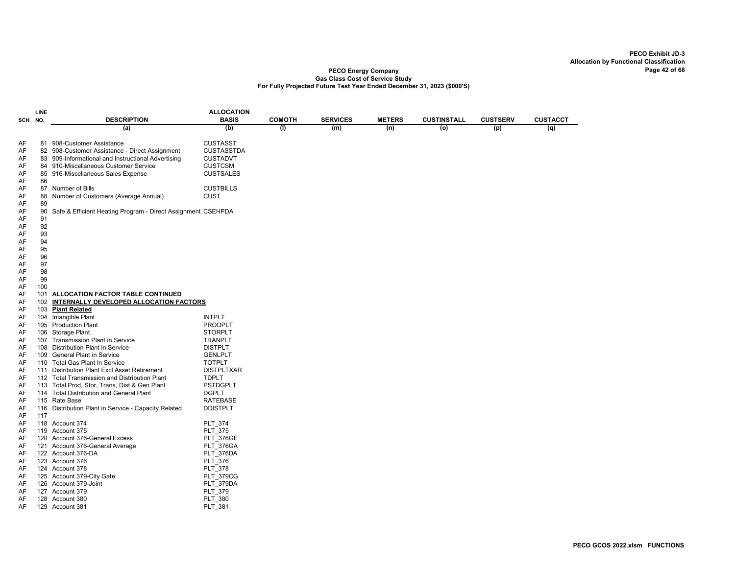|            | LINE |                                                              | <b>ALLOCATION</b> |               |                 |               |                    |                 |                 |
|------------|------|--------------------------------------------------------------|-------------------|---------------|-----------------|---------------|--------------------|-----------------|-----------------|
| <b>SCH</b> | NO.  | <b>DESCRIPTION</b>                                           | <b>BASIS</b>      | <b>COMOTH</b> | <b>SERVICES</b> | <b>METERS</b> | <b>CUSTINSTALL</b> | <b>CUSTSERV</b> | <b>CUSTACCT</b> |
|            |      | (a)                                                          | (b)               | (1)           | (m)             | (n)           | (o)                | (p)             | (q)             |
|            |      |                                                              |                   |               |                 |               |                    |                 |                 |
| AF         |      | 81 908-Customer Assistance                                   | <b>CUSTASST</b>   |               |                 |               |                    |                 |                 |
| AF         |      | 82 908-Customer Assistance - Direct Assignment               | <b>CUSTASSTDA</b> |               |                 |               |                    |                 |                 |
| AF         |      | 83 909-Informational and Instructional Advertising           | <b>CUSTADVT</b>   |               |                 |               |                    |                 |                 |
| AF         |      | 84 910-Miscellaneous Customer Service                        | <b>CUSTCSM</b>    |               |                 |               |                    |                 |                 |
| AF         |      | 85 916-Miscellaneous Sales Expense                           | <b>CUSTSALES</b>  |               |                 |               |                    |                 |                 |
| AF         | 86   |                                                              |                   |               |                 |               |                    |                 |                 |
| AF         |      | 87 Number of Bills                                           | <b>CUSTBILLS</b>  |               |                 |               |                    |                 |                 |
| AF         |      | 88 Number of Customers (Average Annual)                      | <b>CUST</b>       |               |                 |               |                    |                 |                 |
| AF         | 89   |                                                              |                   |               |                 |               |                    |                 |                 |
| AF         | 90   | Safe & Efficient Heating Program - Direct Assignment CSEHPDA |                   |               |                 |               |                    |                 |                 |
| AF         | 91   |                                                              |                   |               |                 |               |                    |                 |                 |
| AF         | 92   |                                                              |                   |               |                 |               |                    |                 |                 |
| AF         | 93   |                                                              |                   |               |                 |               |                    |                 |                 |
| AF         | 94   |                                                              |                   |               |                 |               |                    |                 |                 |
| AF         | 95   |                                                              |                   |               |                 |               |                    |                 |                 |
| AF         | 96   |                                                              |                   |               |                 |               |                    |                 |                 |
| AF         | 97   |                                                              |                   |               |                 |               |                    |                 |                 |
| AF         | 98   |                                                              |                   |               |                 |               |                    |                 |                 |
| AF         | 99   |                                                              |                   |               |                 |               |                    |                 |                 |
| AF         | 100  |                                                              |                   |               |                 |               |                    |                 |                 |
| AF         |      | 101 ALLOCATION FACTOR TABLE CONTINUED                        |                   |               |                 |               |                    |                 |                 |
| AF         |      | 102 INTERNALLY DEVELOPED ALLOCATION FACTORS                  |                   |               |                 |               |                    |                 |                 |
| AF         |      | 103 Plant Related                                            |                   |               |                 |               |                    |                 |                 |
| AF         |      | 104 Intangible Plant                                         | <b>INTPLT</b>     |               |                 |               |                    |                 |                 |
| AF         |      | 105 Production Plant                                         | <b>PRODPLT</b>    |               |                 |               |                    |                 |                 |
| AF         |      | 106 Storage Plant                                            | <b>STORPLT</b>    |               |                 |               |                    |                 |                 |
| AF         |      | 107 Transmission Plant in Service                            | <b>TRANPLT</b>    |               |                 |               |                    |                 |                 |
| AF         |      | 108 Distribution Plant in Service                            | <b>DISTPLT</b>    |               |                 |               |                    |                 |                 |
| AF         |      | 109 General Plant in Service                                 | <b>GENLPLT</b>    |               |                 |               |                    |                 |                 |
| AF         |      | 110 Total Gas Plant In Service                               | <b>TOTPLT</b>     |               |                 |               |                    |                 |                 |
| AF         |      | 111 Distribution Plant Excl Asset Retirement                 | <b>DISTPLTXAR</b> |               |                 |               |                    |                 |                 |
| AF         |      | 112 Total Transmission and Distribution Plant                | <b>TDPLT</b>      |               |                 |               |                    |                 |                 |
| AF         |      | 113 Total Prod, Stor, Trans, Dist & Gen Plant                | <b>PSTDGPLT</b>   |               |                 |               |                    |                 |                 |
| AF         |      | 114 Total Distribution and General Plant                     | <b>DGPLT</b>      |               |                 |               |                    |                 |                 |
| AF         |      | 115 Rate Base                                                | <b>RATEBASE</b>   |               |                 |               |                    |                 |                 |
| AF         |      | 116 Distribution Plant in Service - Capacity Related         | <b>DDISTPLT</b>   |               |                 |               |                    |                 |                 |
| AF         | 117  |                                                              |                   |               |                 |               |                    |                 |                 |
|            |      | 118 Account 374                                              |                   |               |                 |               |                    |                 |                 |
| AF<br>AF   |      | 119 Account 375                                              | <b>PLT 374</b>    |               |                 |               |                    |                 |                 |
|            |      |                                                              | <b>PLT 375</b>    |               |                 |               |                    |                 |                 |
| AF         |      | 120 Account 376-General Excess                               | <b>PLT 376GE</b>  |               |                 |               |                    |                 |                 |
| AF         |      | 121 Account 376-General Average                              | PLT_376GA         |               |                 |               |                    |                 |                 |
| AF         |      | 122 Account 376-DA                                           | PLT 376DA         |               |                 |               |                    |                 |                 |
| AF         |      | 123 Account 376                                              | <b>PLT 376</b>    |               |                 |               |                    |                 |                 |
| AF         |      | 124 Account 378                                              | <b>PLT 378</b>    |               |                 |               |                    |                 |                 |
| AF         |      | 125 Account 379-City Gate                                    | <b>PLT 379CG</b>  |               |                 |               |                    |                 |                 |
| AF         |      | 126 Account 379-Joint                                        | PLT 379DA         |               |                 |               |                    |                 |                 |
| AF         |      | 127 Account 379                                              | PLT 379           |               |                 |               |                    |                 |                 |
| AF         |      | 128 Account 380                                              | <b>PLT 380</b>    |               |                 |               |                    |                 |                 |
| AF         |      | 129 Account 381                                              | PLT 381           |               |                 |               |                    |                 |                 |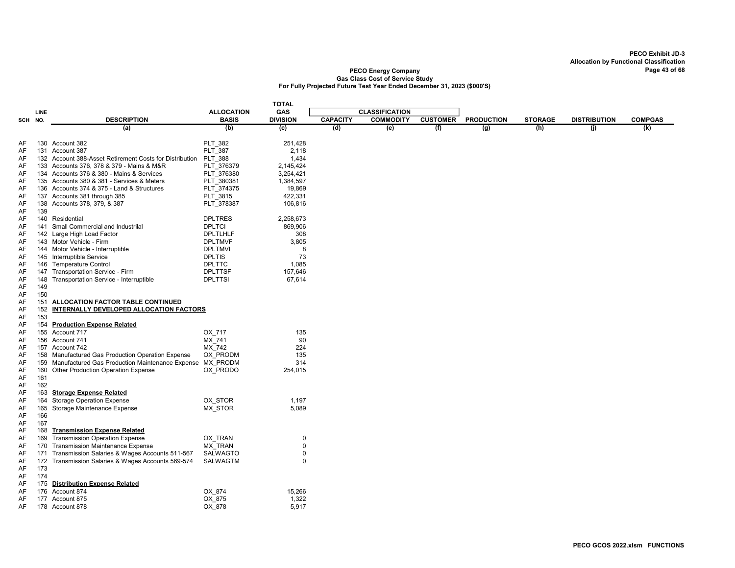|          |            |                                                                                         |                   | <b>TOTAL</b>    |                 |                       |                 |                   |                |                     |                |
|----------|------------|-----------------------------------------------------------------------------------------|-------------------|-----------------|-----------------|-----------------------|-----------------|-------------------|----------------|---------------------|----------------|
|          | LINE       |                                                                                         | <b>ALLOCATION</b> | GAS             |                 | <b>CLASSIFICATION</b> |                 |                   |                |                     |                |
| SCH NO.  |            | <b>DESCRIPTION</b>                                                                      | <b>BASIS</b>      | <b>DIVISION</b> | <b>CAPACITY</b> | <b>COMMODITY</b>      | <b>CUSTOMER</b> | <b>PRODUCTION</b> | <b>STORAGE</b> | <b>DISTRIBUTION</b> | <b>COMPGAS</b> |
|          |            | (a)                                                                                     | (b)               | (c)             | (d)             | (e)                   | (f)             | (g)               | (h)            | (i)                 | (k)            |
|          |            |                                                                                         |                   |                 |                 |                       |                 |                   |                |                     |                |
| AF       |            | 130 Account 382                                                                         | <b>PLT 382</b>    | 251,428         |                 |                       |                 |                   |                |                     |                |
| AF       |            | 131 Account 387                                                                         | <b>PLT 387</b>    | 2,118           |                 |                       |                 |                   |                |                     |                |
| AF       |            | 132 Account 388-Asset Retirement Costs for Distribution PLT 388                         |                   | 1,434           |                 |                       |                 |                   |                |                     |                |
| AF       |            | 133 Accounts 376, 378 & 379 - Mains & M&R                                               | PLT 376379        | 2,145,424       |                 |                       |                 |                   |                |                     |                |
| AF<br>AF |            | 134 Accounts 376 & 380 - Mains & Services<br>135 Accounts 380 & 381 - Services & Meters | PLT 376380        | 3,254,421       |                 |                       |                 |                   |                |                     |                |
|          |            | 136 Accounts 374 & 375 - Land & Structures                                              | PLT 380381        | 1,384,597       |                 |                       |                 |                   |                |                     |                |
| AF       |            |                                                                                         | PLT 374375        | 19,869          |                 |                       |                 |                   |                |                     |                |
| AF       |            | 137 Accounts 381 through 385                                                            | PLT 3815          | 422,331         |                 |                       |                 |                   |                |                     |                |
| AF<br>AF | 139        | 138 Accounts 378, 379, & 387                                                            | PLT_378387        | 106,816         |                 |                       |                 |                   |                |                     |                |
| AF       |            | 140 Residential                                                                         | <b>DPLTRES</b>    | 2,258,673       |                 |                       |                 |                   |                |                     |                |
| AF       | 141        | Small Commercial and Industrilal                                                        | <b>DPLTCI</b>     | 869,906         |                 |                       |                 |                   |                |                     |                |
| AF       |            | 142 Large High Load Factor                                                              | <b>DPLTLHLF</b>   | 308             |                 |                       |                 |                   |                |                     |                |
| AF       |            | 143 Motor Vehicle - Firm                                                                | <b>DPLTMVF</b>    | 3,805           |                 |                       |                 |                   |                |                     |                |
| AF       |            | 144 Motor Vehicle - Interruptible                                                       | <b>DPLTMVI</b>    | 8               |                 |                       |                 |                   |                |                     |                |
| AF       |            | 145 Interruptible Service                                                               | <b>DPLTIS</b>     | 73              |                 |                       |                 |                   |                |                     |                |
| AF       | 146        | <b>Temperature Control</b>                                                              | <b>DPLTTC</b>     | 1.085           |                 |                       |                 |                   |                |                     |                |
| AF       |            | 147 Transportation Service - Firm                                                       | <b>DPLTTSF</b>    | 157,646         |                 |                       |                 |                   |                |                     |                |
| AF       | 148        | Transportation Service - Interruptible                                                  | <b>DPLTTSI</b>    | 67,614          |                 |                       |                 |                   |                |                     |                |
| AF       | 149        |                                                                                         |                   |                 |                 |                       |                 |                   |                |                     |                |
| AF       | 150        |                                                                                         |                   |                 |                 |                       |                 |                   |                |                     |                |
| AF       | 151        | ALLOCATION FACTOR TABLE CONTINUED                                                       |                   |                 |                 |                       |                 |                   |                |                     |                |
| AF       | 152        | INTERNALLY DEVELOPED ALLOCATION FACTORS                                                 |                   |                 |                 |                       |                 |                   |                |                     |                |
| AF       | 153        |                                                                                         |                   |                 |                 |                       |                 |                   |                |                     |                |
| AF       | 154        | <b>Production Expense Related</b>                                                       |                   |                 |                 |                       |                 |                   |                |                     |                |
| AF       |            | 155 Account 717                                                                         | OX 717            | 135             |                 |                       |                 |                   |                |                     |                |
| AF       |            | 156 Account 741                                                                         | MX 741            | 90              |                 |                       |                 |                   |                |                     |                |
| AF       |            | 157 Account 742                                                                         | MX 742            | 224             |                 |                       |                 |                   |                |                     |                |
| AF       | 158        | Manufactured Gas Production Operation Expense                                           | OX PRODM          | 135             |                 |                       |                 |                   |                |                     |                |
| AF       | 159        | Manufactured Gas Production Maintenance Expense MX PRODM                                |                   | 314             |                 |                       |                 |                   |                |                     |                |
| AF       | 160        | Other Production Operation Expense                                                      | OX PRODO          | 254,015         |                 |                       |                 |                   |                |                     |                |
| AF       | 161        |                                                                                         |                   |                 |                 |                       |                 |                   |                |                     |                |
| AF       | 162        |                                                                                         |                   |                 |                 |                       |                 |                   |                |                     |                |
| AF       | 163        | <b>Storage Expense Related</b>                                                          |                   |                 |                 |                       |                 |                   |                |                     |                |
| AF       | 164        | <b>Storage Operation Expense</b>                                                        | OX STOR           | 1,197           |                 |                       |                 |                   |                |                     |                |
| AF       | 165        | Storage Maintenance Expense                                                             | MX STOR           | 5,089           |                 |                       |                 |                   |                |                     |                |
| AF       | 166        |                                                                                         |                   |                 |                 |                       |                 |                   |                |                     |                |
| AF       | 167        |                                                                                         |                   |                 |                 |                       |                 |                   |                |                     |                |
| AF       | 168        | <b>Transmission Expense Related</b>                                                     |                   |                 |                 |                       |                 |                   |                |                     |                |
| AF       | 169        | <b>Transmission Operation Expense</b>                                                   | OX TRAN           | $\mathbf 0$     |                 |                       |                 |                   |                |                     |                |
| AF       | 170        | <b>Transmission Maintenance Expense</b>                                                 | MX_TRAN           | 0               |                 |                       |                 |                   |                |                     |                |
| AF       | 171        | Transmission Salaries & Wages Accounts 511-567                                          | <b>SALWAGTO</b>   | 0               |                 |                       |                 |                   |                |                     |                |
| AF       | 172        | Transmission Salaries & Wages Accounts 569-574                                          | <b>SALWAGTM</b>   | 0               |                 |                       |                 |                   |                |                     |                |
| AF       | 173        |                                                                                         |                   |                 |                 |                       |                 |                   |                |                     |                |
| AF       | 174<br>175 | <b>Distribution Expense Related</b>                                                     |                   |                 |                 |                       |                 |                   |                |                     |                |
| AF<br>AF |            | 176 Account 874                                                                         | OX 874            | 15.266          |                 |                       |                 |                   |                |                     |                |
| AF       |            | 177 Account 875                                                                         | OX 875            | 1,322           |                 |                       |                 |                   |                |                     |                |
| AF       |            | 178 Account 878                                                                         | OX_878            | 5,917           |                 |                       |                 |                   |                |                     |                |
|          |            |                                                                                         |                   |                 |                 |                       |                 |                   |                |                     |                |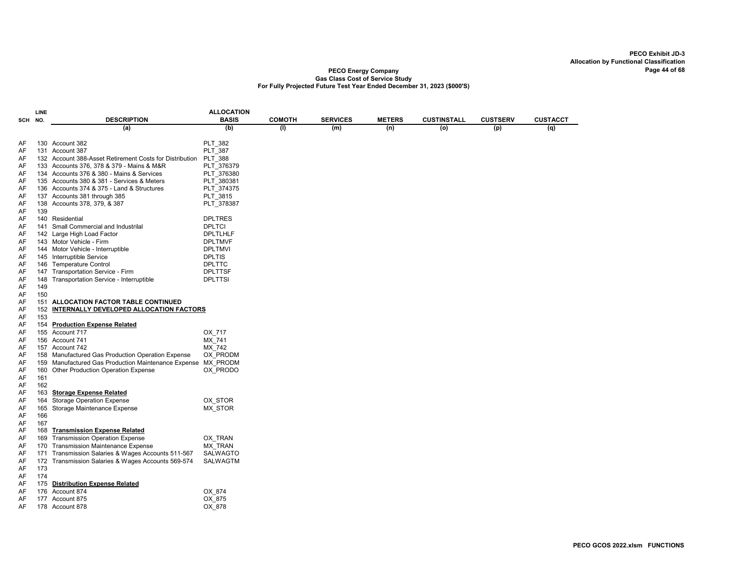|     | LINE |                                                          | <b>ALLOCATION</b> |               |                 |               |             |                 |                 |
|-----|------|----------------------------------------------------------|-------------------|---------------|-----------------|---------------|-------------|-----------------|-----------------|
| SCH | NO.  | <b>DESCRIPTION</b>                                       | <b>BASIS</b>      | <b>COMOTH</b> | <b>SERVICES</b> | <b>METERS</b> | CUSTINSTALL | <b>CUSTSERV</b> | <b>CUSTACCT</b> |
|     |      | (a)                                                      | (b)               | (1)           | (m)             | (n)           | (o)         | (p)             | (q)             |
|     |      |                                                          |                   |               |                 |               |             |                 |                 |
| AF  |      | 130 Account 382                                          | PLT 382           |               |                 |               |             |                 |                 |
| AF  |      | 131 Account 387                                          | PLT_387           |               |                 |               |             |                 |                 |
| AF  |      | 132 Account 388-Asset Retirement Costs for Distribution  | <b>PLT 388</b>    |               |                 |               |             |                 |                 |
| AF  |      | 133 Accounts 376, 378 & 379 - Mains & M&R                | PLT 376379        |               |                 |               |             |                 |                 |
| AF  |      | 134 Accounts 376 & 380 - Mains & Services                | PLT 376380        |               |                 |               |             |                 |                 |
| AF  |      | 135 Accounts 380 & 381 - Services & Meters               | PLT 380381        |               |                 |               |             |                 |                 |
| AF  |      | 136 Accounts 374 & 375 - Land & Structures               | PLT_374375        |               |                 |               |             |                 |                 |
| AF  |      | 137 Accounts 381 through 385                             | PLT 3815          |               |                 |               |             |                 |                 |
| AF  | 138  | Accounts 378, 379, & 387                                 | PLT 378387        |               |                 |               |             |                 |                 |
| AF  | 139  |                                                          |                   |               |                 |               |             |                 |                 |
| AF  |      | 140 Residential                                          | <b>DPLTRES</b>    |               |                 |               |             |                 |                 |
| AF  | 141  | Small Commercial and Industrilal                         | <b>DPLTCI</b>     |               |                 |               |             |                 |                 |
| AF  |      | 142 Large High Load Factor                               | <b>DPLTLHLF</b>   |               |                 |               |             |                 |                 |
| AF  |      | 143 Motor Vehicle - Firm                                 | <b>DPLTMVF</b>    |               |                 |               |             |                 |                 |
| AF  |      | 144 Motor Vehicle - Interruptible                        | <b>DPLTMVI</b>    |               |                 |               |             |                 |                 |
| AF  |      | 145 Interruptible Service                                | <b>DPLTIS</b>     |               |                 |               |             |                 |                 |
| AF  |      | 146 Temperature Control                                  | <b>DPLTTC</b>     |               |                 |               |             |                 |                 |
| AF  |      | 147 Transportation Service - Firm                        | <b>DPLTTSF</b>    |               |                 |               |             |                 |                 |
| AF  | 148  | Transportation Service - Interruptible                   | <b>DPLTTSI</b>    |               |                 |               |             |                 |                 |
| AF  | 149  |                                                          |                   |               |                 |               |             |                 |                 |
| AF  | 150  |                                                          |                   |               |                 |               |             |                 |                 |
| AF  | 151  | ALLOCATION FACTOR TABLE CONTINUED                        |                   |               |                 |               |             |                 |                 |
| AF  | 152  | INTERNALLY DEVELOPED ALLOCATION FACTORS                  |                   |               |                 |               |             |                 |                 |
| AF  | 153  |                                                          |                   |               |                 |               |             |                 |                 |
| AF  | 154  | <b>Production Expense Related</b>                        |                   |               |                 |               |             |                 |                 |
| AF  |      | 155 Account 717                                          | OX 717            |               |                 |               |             |                 |                 |
| AF  |      | 156 Account 741                                          | MX 741            |               |                 |               |             |                 |                 |
| AF  |      | 157 Account 742                                          |                   |               |                 |               |             |                 |                 |
|     |      |                                                          | MX 742            |               |                 |               |             |                 |                 |
| AF  |      | 158 Manufactured Gas Production Operation Expense        | OX PRODM          |               |                 |               |             |                 |                 |
| AF  | 159  | Manufactured Gas Production Maintenance Expense MX PRODM |                   |               |                 |               |             |                 |                 |
| AF  | 160  | Other Production Operation Expense                       | OX PRODO          |               |                 |               |             |                 |                 |
| AF  | 161  |                                                          |                   |               |                 |               |             |                 |                 |
| AF  | 162  |                                                          |                   |               |                 |               |             |                 |                 |
| AF  | 163  | <b>Storage Expense Related</b>                           |                   |               |                 |               |             |                 |                 |
| AF  | 164  | <b>Storage Operation Expense</b>                         | OX STOR           |               |                 |               |             |                 |                 |
| AF  | 165  | Storage Maintenance Expense                              | <b>MX STOR</b>    |               |                 |               |             |                 |                 |
| AF  | 166  |                                                          |                   |               |                 |               |             |                 |                 |
| AF  | 167  |                                                          |                   |               |                 |               |             |                 |                 |
| AF  | 168  | <b>Transmission Expense Related</b>                      |                   |               |                 |               |             |                 |                 |
| AF  | 169  | <b>Transmission Operation Expense</b>                    | OX TRAN           |               |                 |               |             |                 |                 |
| AF  | 170  | <b>Transmission Maintenance Expense</b>                  | <b>MX TRAN</b>    |               |                 |               |             |                 |                 |
| AF  | 171  | Transmission Salaries & Wages Accounts 511-567           | <b>SALWAGTO</b>   |               |                 |               |             |                 |                 |
| AF  | 172  | Transmission Salaries & Wages Accounts 569-574           | SALWAGTM          |               |                 |               |             |                 |                 |
| AF  | 173  |                                                          |                   |               |                 |               |             |                 |                 |
| AF  | 174  |                                                          |                   |               |                 |               |             |                 |                 |
| AF  | 175  | <b>Distribution Expense Related</b>                      |                   |               |                 |               |             |                 |                 |
| AF  |      | 176 Account 874                                          | OX 874            |               |                 |               |             |                 |                 |
| AF  |      | 177 Account 875                                          | OX 875            |               |                 |               |             |                 |                 |
| AF  |      | 178 Account 878                                          | OX 878            |               |                 |               |             |                 |                 |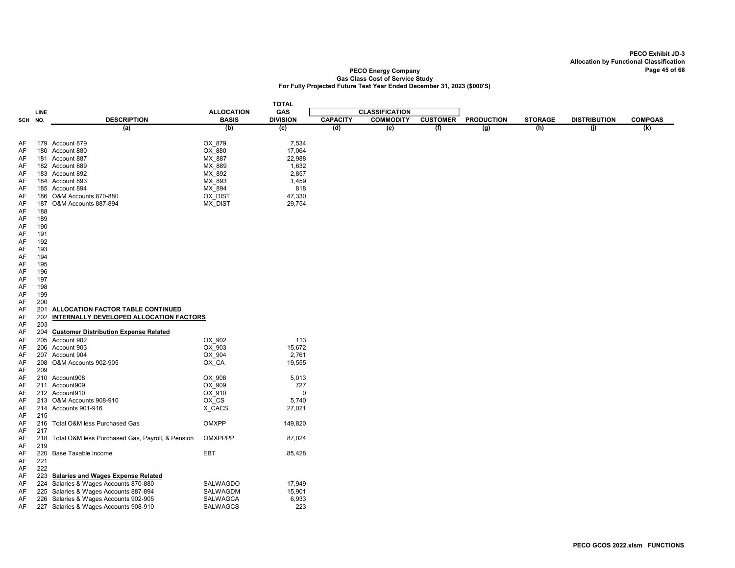|          |      |                                                  |                     | <b>TOTAL</b>    |                 |                       |                 |                   |                |                     |                |
|----------|------|--------------------------------------------------|---------------------|-----------------|-----------------|-----------------------|-----------------|-------------------|----------------|---------------------|----------------|
|          | LINE |                                                  | <b>ALLOCATION</b>   | GAS             |                 | <b>CLASSIFICATION</b> |                 |                   |                |                     |                |
| SCH NO.  |      | <b>DESCRIPTION</b>                               | <b>BASIS</b>        | <b>DIVISION</b> | <b>CAPACITY</b> | <b>COMMODITY</b>      | <b>CUSTOMER</b> | <b>PRODUCTION</b> | <b>STORAGE</b> | <b>DISTRIBUTION</b> | <b>COMPGAS</b> |
|          |      | (a)                                              | (b)                 | (c)             | (d)             | (e)                   | (f)             | (g)               | (h)            | (j)                 | (k)            |
|          |      |                                                  |                     |                 |                 |                       |                 |                   |                |                     |                |
| AF       |      | 179 Account 879                                  | OX 879              | 7,534           |                 |                       |                 |                   |                |                     |                |
| AF       |      | 180 Account 880                                  | OX 880              | 17,064          |                 |                       |                 |                   |                |                     |                |
| AF       |      | 181 Account 887                                  | MX 887              | 22,988          |                 |                       |                 |                   |                |                     |                |
| AF       |      | 182 Account 889                                  | MX_889              | 1,632           |                 |                       |                 |                   |                |                     |                |
| AF       |      | 183 Account 892                                  | MX 892              | 2,857           |                 |                       |                 |                   |                |                     |                |
| AF       |      | 184 Account 893                                  | MX 893              | 1,459           |                 |                       |                 |                   |                |                     |                |
| AF       |      | 185 Account 894                                  | MX 894              | 818             |                 |                       |                 |                   |                |                     |                |
| AF       |      | 186 O&M Accounts 870-880                         | OX DIST             | 47,330          |                 |                       |                 |                   |                |                     |                |
| AF       | 187  | O&M Accounts 887-894                             | MX_DIST             | 29,754          |                 |                       |                 |                   |                |                     |                |
| AF       | 188  |                                                  |                     |                 |                 |                       |                 |                   |                |                     |                |
| AF       | 189  |                                                  |                     |                 |                 |                       |                 |                   |                |                     |                |
| AF       | 190  |                                                  |                     |                 |                 |                       |                 |                   |                |                     |                |
| AF       | 191  |                                                  |                     |                 |                 |                       |                 |                   |                |                     |                |
| AF       | 192  |                                                  |                     |                 |                 |                       |                 |                   |                |                     |                |
| AF       | 193  |                                                  |                     |                 |                 |                       |                 |                   |                |                     |                |
| AF       | 194  |                                                  |                     |                 |                 |                       |                 |                   |                |                     |                |
| AF       | 195  |                                                  |                     |                 |                 |                       |                 |                   |                |                     |                |
| AF       | 196  |                                                  |                     |                 |                 |                       |                 |                   |                |                     |                |
| AF       | 197  |                                                  |                     |                 |                 |                       |                 |                   |                |                     |                |
| AF       | 198  |                                                  |                     |                 |                 |                       |                 |                   |                |                     |                |
| AF       | 199  |                                                  |                     |                 |                 |                       |                 |                   |                |                     |                |
| AF       | 200  |                                                  |                     |                 |                 |                       |                 |                   |                |                     |                |
| AF       | 201  | ALLOCATION FACTOR TABLE CONTINUED                |                     |                 |                 |                       |                 |                   |                |                     |                |
| AF       | 202  | INTERNALLY DEVELOPED ALLOCATION FACTORS          |                     |                 |                 |                       |                 |                   |                |                     |                |
| AF       | 203  |                                                  |                     |                 |                 |                       |                 |                   |                |                     |                |
| AF       | 204  | <b>Customer Distribution Expense Related</b>     |                     |                 |                 |                       |                 |                   |                |                     |                |
|          |      | 205 Account 902                                  |                     | 113             |                 |                       |                 |                   |                |                     |                |
| AF<br>AF |      | 206 Account 903                                  | OX_902<br>OX 903    | 15,672          |                 |                       |                 |                   |                |                     |                |
|          |      | 207 Account 904                                  |                     | 2,761           |                 |                       |                 |                   |                |                     |                |
| AF       |      |                                                  | OX 904              |                 |                 |                       |                 |                   |                |                     |                |
| AF       |      | 208 O&M Accounts 902-905                         | OX_CA               | 19,555          |                 |                       |                 |                   |                |                     |                |
| AF       | 209  |                                                  |                     |                 |                 |                       |                 |                   |                |                     |                |
| AF       |      | 210 Account908                                   | OX_908              | 5,013           |                 |                       |                 |                   |                |                     |                |
| AF       |      | 211 Account909                                   | OX_909              | 727<br>$\Omega$ |                 |                       |                 |                   |                |                     |                |
| AF       |      | 212 Account910                                   | OX 910<br>$OX$ $CS$ |                 |                 |                       |                 |                   |                |                     |                |
| AF       |      | 213 O&M Accounts 908-910                         |                     | 5,740           |                 |                       |                 |                   |                |                     |                |
| AF       |      | 214 Accounts 901-916                             | X_CACS              | 27,021          |                 |                       |                 |                   |                |                     |                |
| AF       | 215  |                                                  |                     |                 |                 |                       |                 |                   |                |                     |                |
| AF       | 216  | Total O&M less Purchased Gas                     | OMXPP               | 149,820         |                 |                       |                 |                   |                |                     |                |
| AF       | 217  |                                                  |                     |                 |                 |                       |                 |                   |                |                     |                |
| AF       | 218  | Total O&M less Purchased Gas, Payroll, & Pension | OMXPPPP             | 87,024          |                 |                       |                 |                   |                |                     |                |
| AF       | 219  |                                                  |                     |                 |                 |                       |                 |                   |                |                     |                |
| AF       | 220  | Base Taxable Income                              | EBT                 | 85,428          |                 |                       |                 |                   |                |                     |                |
| AF       | 221  |                                                  |                     |                 |                 |                       |                 |                   |                |                     |                |
| AF       | 222  |                                                  |                     |                 |                 |                       |                 |                   |                |                     |                |
| AF       | 223  | Salaries and Wages Expense Related               |                     |                 |                 |                       |                 |                   |                |                     |                |
| AF       |      | 224 Salaries & Wages Accounts 870-880            | SALWAGDO            | 17,949          |                 |                       |                 |                   |                |                     |                |
| AF       | 225  | Salaries & Wages Accounts 887-894                | SALWAGDM            | 15,901          |                 |                       |                 |                   |                |                     |                |
| AF       | 226  | Salaries & Wages Accounts 902-905                | SALWAGCA            | 6,933           |                 |                       |                 |                   |                |                     |                |
| AF       |      | 227 Salaries & Wages Accounts 908-910            | <b>SALWAGCS</b>     | 223             |                 |                       |                 |                   |                |                     |                |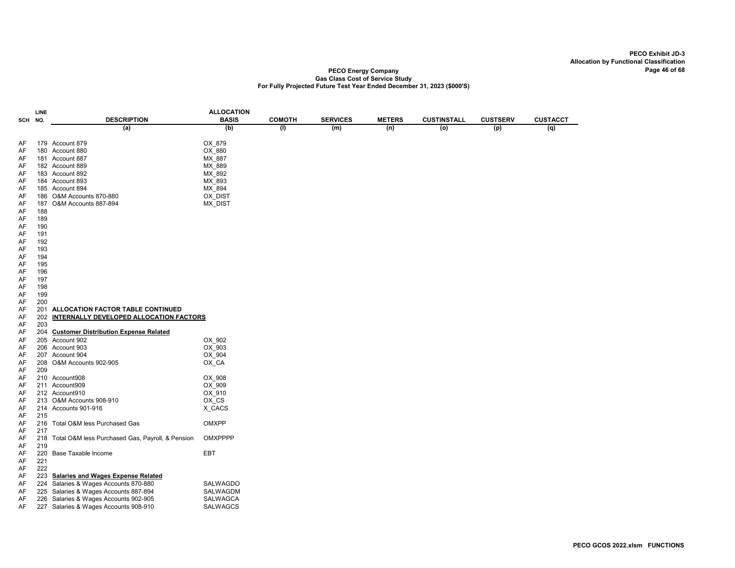|     | LINE |                                                  | <b>ALLOCATION</b> |               |                 |               |                    |                 |                 |
|-----|------|--------------------------------------------------|-------------------|---------------|-----------------|---------------|--------------------|-----------------|-----------------|
| SCH | NO.  | <b>DESCRIPTION</b>                               | <b>BASIS</b>      | <b>COMOTH</b> | <b>SERVICES</b> | <b>METERS</b> | <b>CUSTINSTALL</b> | <b>CUSTSERV</b> | <b>CUSTACCT</b> |
|     |      | (a)                                              | (b)               | (1)           | (m)             | (n)           | $\overline{o}$     | (p)             | (q)             |
|     |      |                                                  |                   |               |                 |               |                    |                 |                 |
| AF  |      | 179 Account 879                                  | OX 879            |               |                 |               |                    |                 |                 |
| AF  |      | 180 Account 880                                  | $OX$ $880$        |               |                 |               |                    |                 |                 |
| AF  |      | 181 Account 887                                  | MX 887            |               |                 |               |                    |                 |                 |
| AF  |      | 182 Account 889                                  | MX 889            |               |                 |               |                    |                 |                 |
| AF  |      | 183 Account 892                                  | MX_892            |               |                 |               |                    |                 |                 |
| AF  |      | 184 Account 893                                  | MX_893            |               |                 |               |                    |                 |                 |
| AF  |      | 185 Account 894                                  | MX 894            |               |                 |               |                    |                 |                 |
| AF  |      | 186 O&M Accounts 870-880                         | OX DIST           |               |                 |               |                    |                 |                 |
| AF  | 187  | O&M Accounts 887-894                             | MX_DIST           |               |                 |               |                    |                 |                 |
| AF  | 188  |                                                  |                   |               |                 |               |                    |                 |                 |
| AF  | 189  |                                                  |                   |               |                 |               |                    |                 |                 |
| AF  | 190  |                                                  |                   |               |                 |               |                    |                 |                 |
| AF  | 191  |                                                  |                   |               |                 |               |                    |                 |                 |
| AF  | 192  |                                                  |                   |               |                 |               |                    |                 |                 |
| AF  | 193  |                                                  |                   |               |                 |               |                    |                 |                 |
| AF  | 194  |                                                  |                   |               |                 |               |                    |                 |                 |
| AF  | 195  |                                                  |                   |               |                 |               |                    |                 |                 |
| AF  | 196  |                                                  |                   |               |                 |               |                    |                 |                 |
| AF  | 197  |                                                  |                   |               |                 |               |                    |                 |                 |
|     |      |                                                  |                   |               |                 |               |                    |                 |                 |
| AF  | 198  |                                                  |                   |               |                 |               |                    |                 |                 |
| AF  | 199  |                                                  |                   |               |                 |               |                    |                 |                 |
| AF  | 200  |                                                  |                   |               |                 |               |                    |                 |                 |
| AF  | 201  | ALLOCATION FACTOR TABLE CONTINUED                |                   |               |                 |               |                    |                 |                 |
| AF  | 202  | INTERNALLY DEVELOPED ALLOCATION FACTORS          |                   |               |                 |               |                    |                 |                 |
| AF  | 203  |                                                  |                   |               |                 |               |                    |                 |                 |
| AF  | 204  | <b>Customer Distribution Expense Related</b>     |                   |               |                 |               |                    |                 |                 |
| AF  |      | 205 Account 902                                  | OX_902            |               |                 |               |                    |                 |                 |
| AF  |      | 206 Account 903                                  | OX 903            |               |                 |               |                    |                 |                 |
| AF  |      | 207 Account 904                                  | OX 904            |               |                 |               |                    |                 |                 |
| AF  |      | 208 O&M Accounts 902-905                         | OX_CA             |               |                 |               |                    |                 |                 |
| AF  | 209  |                                                  |                   |               |                 |               |                    |                 |                 |
| AF  |      | 210 Account908                                   | OX 908            |               |                 |               |                    |                 |                 |
| AF  |      | 211 Account909                                   | OX 909            |               |                 |               |                    |                 |                 |
| AF  |      | 212 Account910                                   | OX 910            |               |                 |               |                    |                 |                 |
| AF  |      | 213 O&M Accounts 908-910                         | $OX_C S$          |               |                 |               |                    |                 |                 |
| AF  |      | 214 Accounts 901-916                             | X_CACS            |               |                 |               |                    |                 |                 |
| AF  | 215  |                                                  |                   |               |                 |               |                    |                 |                 |
| AF  | 216  | Total O&M less Purchased Gas                     | OMXPP             |               |                 |               |                    |                 |                 |
| AF  | 217  |                                                  |                   |               |                 |               |                    |                 |                 |
| AF  | 218  | Total O&M less Purchased Gas, Payroll, & Pension | <b>OMXPPPP</b>    |               |                 |               |                    |                 |                 |
| AF  | 219  |                                                  |                   |               |                 |               |                    |                 |                 |
| AF  | 220  | <b>Base Taxable Income</b>                       | EBT               |               |                 |               |                    |                 |                 |
| AF  | 221  |                                                  |                   |               |                 |               |                    |                 |                 |
| AF  | 222  |                                                  |                   |               |                 |               |                    |                 |                 |
| AF  | 223  | <b>Salaries and Wages Expense Related</b>        |                   |               |                 |               |                    |                 |                 |
| AF  | 224  | Salaries & Wages Accounts 870-880                | SALWAGDO          |               |                 |               |                    |                 |                 |
| AF  |      | 225 Salaries & Wages Accounts 887-894            | SALWAGDM          |               |                 |               |                    |                 |                 |
| AF  |      | 226 Salaries & Wages Accounts 902-905            | SALWAGCA          |               |                 |               |                    |                 |                 |
| AF  |      | 227 Salaries & Wages Accounts 908-910            | SALWAGCS          |               |                 |               |                    |                 |                 |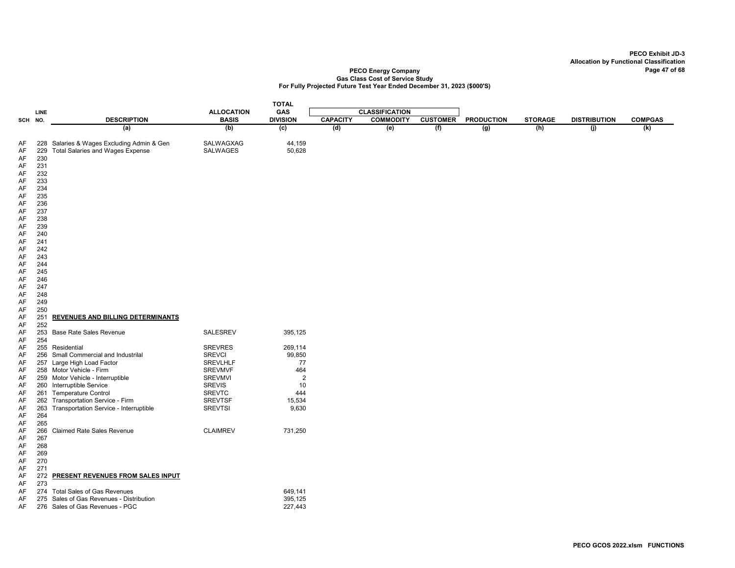|                                                                                                                                  |                                                                                                                                                        |                                                                                                                                                                                                                                                                                               |                                                                                                                                                              | <b>TOTAL</b>                                                                     |                 |                       |                 |                   |                |                     |                |
|----------------------------------------------------------------------------------------------------------------------------------|--------------------------------------------------------------------------------------------------------------------------------------------------------|-----------------------------------------------------------------------------------------------------------------------------------------------------------------------------------------------------------------------------------------------------------------------------------------------|--------------------------------------------------------------------------------------------------------------------------------------------------------------|----------------------------------------------------------------------------------|-----------------|-----------------------|-----------------|-------------------|----------------|---------------------|----------------|
|                                                                                                                                  | LINE                                                                                                                                                   |                                                                                                                                                                                                                                                                                               | <b>ALLOCATION</b>                                                                                                                                            | GAS                                                                              |                 | <b>CLASSIFICATION</b> |                 |                   |                |                     |                |
| SCH                                                                                                                              | NO.                                                                                                                                                    | <b>DESCRIPTION</b>                                                                                                                                                                                                                                                                            | <b>BASIS</b>                                                                                                                                                 | <b>DIVISION</b>                                                                  | <b>CAPACITY</b> | <b>COMMODITY</b>      | <b>CUSTOMER</b> | <b>PRODUCTION</b> | <b>STORAGE</b> | <b>DISTRIBUTION</b> | <b>COMPGAS</b> |
|                                                                                                                                  |                                                                                                                                                        | (a)                                                                                                                                                                                                                                                                                           | (b)                                                                                                                                                          | $\overline{c}$                                                                   | (d)             | (e)                   | (f)             | (g)               | (h)            | (j)                 | (k)            |
| AF<br>AF<br>AF<br>AF<br>AF<br>AF<br>AF<br>AF<br>AF<br>AF<br>AF<br>AF<br>AF<br>AF<br>AF<br>AF<br>AF<br>AF<br>AF<br>AF<br>AF<br>AF | 228<br>229<br>230<br>231<br>232<br>233<br>234<br>235<br>236<br>237<br>238<br>239<br>240<br>241<br>242<br>243<br>244<br>245<br>246<br>247<br>248<br>249 | Salaries & Wages Excluding Admin & Gen<br><b>Total Salaries and Wages Expense</b>                                                                                                                                                                                                             | SALWAGXAG<br><b>SALWAGES</b>                                                                                                                                 | 44,159<br>50,628                                                                 |                 |                       |                 |                   |                |                     |                |
| AF<br>AF                                                                                                                         | 250<br>251                                                                                                                                             | <b>REVENUES AND BILLING DETERMINANTS</b>                                                                                                                                                                                                                                                      |                                                                                                                                                              |                                                                                  |                 |                       |                 |                   |                |                     |                |
| AF<br>AF<br>AF                                                                                                                   | 252<br>254                                                                                                                                             | 253 Base Rate Sales Revenue                                                                                                                                                                                                                                                                   | <b>SALESREV</b>                                                                                                                                              | 395,125                                                                          |                 |                       |                 |                   |                |                     |                |
| AF<br>AF<br>AF<br>AF<br>AF<br>AF<br>AF<br>AF<br>AF<br>AF<br>AF                                                                   | 263<br>264<br>265                                                                                                                                      | 255 Residential<br>256 Small Commercial and Industrilal<br>257 Large High Load Factor<br>258 Motor Vehicle - Firm<br>259 Motor Vehicle - Interruptible<br>260 Interruptible Service<br>261 Temperature Control<br>262 Transportation Service - Firm<br>Transportation Service - Interruptible | <b>SREVRES</b><br><b>SREVCI</b><br><b>SREVLHLF</b><br><b>SREVMVF</b><br><b>SREVMVI</b><br><b>SREVIS</b><br><b>SREVTC</b><br><b>SREVTSF</b><br><b>SREVTSI</b> | 269,114<br>99,850<br>77<br>464<br>$\overline{2}$<br>10<br>444<br>15,534<br>9,630 |                 |                       |                 |                   |                |                     |                |
| AF<br>AF<br>AF<br>AF<br>AF<br>AF<br>AF<br>AF<br>AF<br>AF<br>AF                                                                   | 266<br>267<br>268<br>269<br>270<br>271<br>272<br>273<br>275                                                                                            | Claimed Rate Sales Revenue<br>PRESENT REVENUES FROM SALES INPUT<br>274 Total Sales of Gas Revenues<br>Sales of Gas Revenues - Distribution<br>276 Sales of Gas Revenues - PGC                                                                                                                 | <b>CLAIMREV</b>                                                                                                                                              | 731,250<br>649,141<br>395,125<br>227,443                                         |                 |                       |                 |                   |                |                     |                |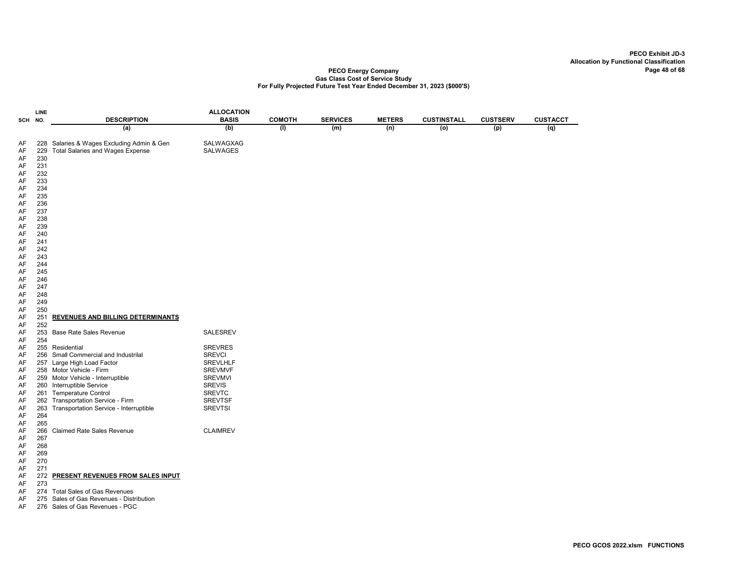|                            | <b>LINE</b>              |                                                                                       | <b>ALLOCATION</b>               |               |                 |               |                    |                 |                 |
|----------------------------|--------------------------|---------------------------------------------------------------------------------------|---------------------------------|---------------|-----------------|---------------|--------------------|-----------------|-----------------|
| SCH                        | NO.                      | <b>DESCRIPTION</b>                                                                    | <b>BASIS</b>                    | <b>COMOTH</b> | <b>SERVICES</b> | <b>METERS</b> | <b>CUSTINSTALL</b> | <b>CUSTSERV</b> | <b>CUSTACCT</b> |
|                            |                          | (a)                                                                                   | (b)                             | (1)           | (m)             | (n)           | $\overline{o}$     | (p)             | (q)             |
| AF<br>AF<br>AF<br>AF<br>AF | 229<br>230<br>231<br>232 | 228 Salaries & Wages Excluding Admin & Gen<br><b>Total Salaries and Wages Expense</b> | SALWAGXAG<br><b>SALWAGES</b>    |               |                 |               |                    |                 |                 |
| AF                         | 233                      |                                                                                       |                                 |               |                 |               |                    |                 |                 |
| AF                         | 234                      |                                                                                       |                                 |               |                 |               |                    |                 |                 |
| AF                         | 235                      |                                                                                       |                                 |               |                 |               |                    |                 |                 |
| AF                         | 236                      |                                                                                       |                                 |               |                 |               |                    |                 |                 |
| AF<br>AF                   | 237<br>238               |                                                                                       |                                 |               |                 |               |                    |                 |                 |
| AF                         | 239                      |                                                                                       |                                 |               |                 |               |                    |                 |                 |
| AF                         | 240                      |                                                                                       |                                 |               |                 |               |                    |                 |                 |
| AF                         | 241                      |                                                                                       |                                 |               |                 |               |                    |                 |                 |
| AF                         | 242                      |                                                                                       |                                 |               |                 |               |                    |                 |                 |
| AF                         | 243                      |                                                                                       |                                 |               |                 |               |                    |                 |                 |
| AF                         | 244                      |                                                                                       |                                 |               |                 |               |                    |                 |                 |
| AF                         | 245                      |                                                                                       |                                 |               |                 |               |                    |                 |                 |
| AF<br>AF                   | 246<br>247               |                                                                                       |                                 |               |                 |               |                    |                 |                 |
| AF                         | 248                      |                                                                                       |                                 |               |                 |               |                    |                 |                 |
| AF                         | 249                      |                                                                                       |                                 |               |                 |               |                    |                 |                 |
| AF                         | 250                      |                                                                                       |                                 |               |                 |               |                    |                 |                 |
| AF                         | 251                      | REVENUES AND BILLING DETERMINANTS                                                     |                                 |               |                 |               |                    |                 |                 |
| AF                         | 252                      |                                                                                       |                                 |               |                 |               |                    |                 |                 |
| AF                         | 253                      | <b>Base Rate Sales Revenue</b>                                                        | <b>SALESREV</b>                 |               |                 |               |                    |                 |                 |
| AF                         | 254                      |                                                                                       |                                 |               |                 |               |                    |                 |                 |
| AF<br>AF                   |                          | 255 Residential<br>256 Small Commercial and Industrilal                               | <b>SREVRES</b><br><b>SREVCI</b> |               |                 |               |                    |                 |                 |
| AF                         |                          | 257 Large High Load Factor                                                            | <b>SREVLHLF</b>                 |               |                 |               |                    |                 |                 |
| AF                         |                          | 258 Motor Vehicle - Firm                                                              | <b>SREVMVF</b>                  |               |                 |               |                    |                 |                 |
| AF                         |                          | 259 Motor Vehicle - Interruptible                                                     | <b>SREVMVI</b>                  |               |                 |               |                    |                 |                 |
| AF                         |                          | 260 Interruptible Service                                                             | <b>SREVIS</b>                   |               |                 |               |                    |                 |                 |
| AF                         |                          | 261 Temperature Control                                                               | <b>SREVTC</b>                   |               |                 |               |                    |                 |                 |
| AF                         |                          | 262 Transportation Service - Firm                                                     | <b>SREVTSF</b>                  |               |                 |               |                    |                 |                 |
| AF<br>AF                   | 263<br>264               | Transportation Service - Interruptible                                                | <b>SREVTSI</b>                  |               |                 |               |                    |                 |                 |
| AF                         | 265                      |                                                                                       |                                 |               |                 |               |                    |                 |                 |
| AF                         | 266                      | Claimed Rate Sales Revenue                                                            | <b>CLAIMREV</b>                 |               |                 |               |                    |                 |                 |
| AF                         | 267                      |                                                                                       |                                 |               |                 |               |                    |                 |                 |
| AF                         | 268                      |                                                                                       |                                 |               |                 |               |                    |                 |                 |
| AF                         | 269                      |                                                                                       |                                 |               |                 |               |                    |                 |                 |
| AF                         | 270                      |                                                                                       |                                 |               |                 |               |                    |                 |                 |
| AF                         | 271                      |                                                                                       |                                 |               |                 |               |                    |                 |                 |
| AF<br>AF                   | 273                      | 272 PRESENT REVENUES FROM SALES INPUT                                                 |                                 |               |                 |               |                    |                 |                 |
| AF                         |                          | 274 Total Sales of Gas Revenues                                                       |                                 |               |                 |               |                    |                 |                 |
| AF                         |                          | 275 Sales of Gas Revenues - Distribution                                              |                                 |               |                 |               |                    |                 |                 |
| AF                         |                          | 276 Sales of Gas Revenues - PGC                                                       |                                 |               |                 |               |                    |                 |                 |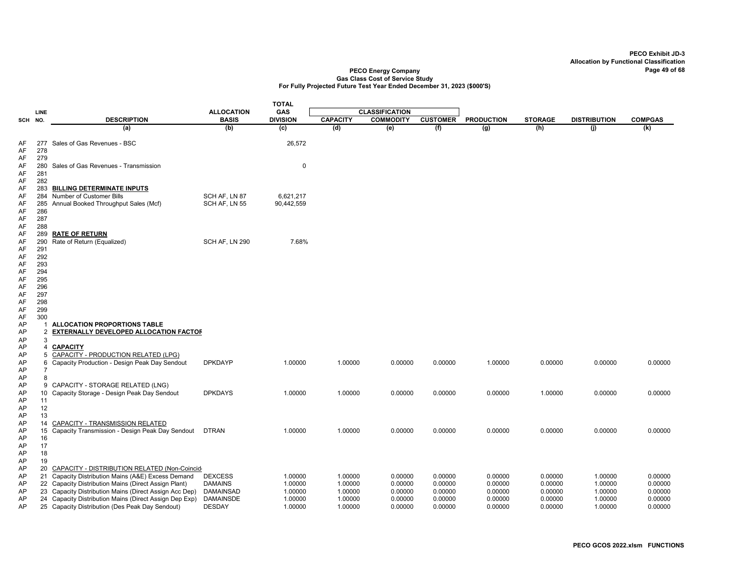|          |                       |                                                                                                                |                                    | <b>TOTAL</b>       |                    |                       |                    |                    |                    |                     |                    |
|----------|-----------------------|----------------------------------------------------------------------------------------------------------------|------------------------------------|--------------------|--------------------|-----------------------|--------------------|--------------------|--------------------|---------------------|--------------------|
|          | LINE                  |                                                                                                                | <b>ALLOCATION</b>                  | <b>GAS</b>         |                    | <b>CLASSIFICATION</b> |                    |                    |                    |                     |                    |
| SCH NO.  |                       | <b>DESCRIPTION</b>                                                                                             | <b>BASIS</b>                       | <b>DIVISION</b>    | <b>CAPACITY</b>    | <b>COMMODITY</b>      | <b>CUSTOMER</b>    | <b>PRODUCTION</b>  | <b>STORAGE</b>     | <b>DISTRIBUTION</b> | <b>COMPGAS</b>     |
|          |                       | (a)                                                                                                            | (b)                                | (c)                | (d)                | (e)                   | (f)                | (g)                | (h)                | (i)                 | (k)                |
| AF       |                       | 277 Sales of Gas Revenues - BSC                                                                                |                                    | 26,572             |                    |                       |                    |                    |                    |                     |                    |
| AF       | 278                   |                                                                                                                |                                    |                    |                    |                       |                    |                    |                    |                     |                    |
| AF       | 279                   |                                                                                                                |                                    |                    |                    |                       |                    |                    |                    |                     |                    |
| AF       |                       | 280 Sales of Gas Revenues - Transmission                                                                       |                                    | 0                  |                    |                       |                    |                    |                    |                     |                    |
| AF       | 281                   |                                                                                                                |                                    |                    |                    |                       |                    |                    |                    |                     |                    |
| AF<br>AF | 282                   | 283 BILLING DETERMINATE INPUTS                                                                                 |                                    |                    |                    |                       |                    |                    |                    |                     |                    |
| AF       |                       | 284 Number of Customer Bills                                                                                   | SCH AF, LN 87                      | 6,621,217          |                    |                       |                    |                    |                    |                     |                    |
| AF       |                       | 285 Annual Booked Throughput Sales (Mcf)                                                                       | SCH AF, LN 55                      | 90,442,559         |                    |                       |                    |                    |                    |                     |                    |
| AF       | 286                   |                                                                                                                |                                    |                    |                    |                       |                    |                    |                    |                     |                    |
| AF       | 287                   |                                                                                                                |                                    |                    |                    |                       |                    |                    |                    |                     |                    |
| AF<br>AF | 288<br>289            | <b>RATE OF RETURN</b>                                                                                          |                                    |                    |                    |                       |                    |                    |                    |                     |                    |
| AF       | 290                   | Rate of Return (Equalized)                                                                                     | SCH AF, LN 290                     | 7.68%              |                    |                       |                    |                    |                    |                     |                    |
| AF       | 291                   |                                                                                                                |                                    |                    |                    |                       |                    |                    |                    |                     |                    |
| AF       | 292                   |                                                                                                                |                                    |                    |                    |                       |                    |                    |                    |                     |                    |
| AF       | 293<br>294            |                                                                                                                |                                    |                    |                    |                       |                    |                    |                    |                     |                    |
| AF<br>AF | 295                   |                                                                                                                |                                    |                    |                    |                       |                    |                    |                    |                     |                    |
| AF       | 296                   |                                                                                                                |                                    |                    |                    |                       |                    |                    |                    |                     |                    |
| AF       | 297                   |                                                                                                                |                                    |                    |                    |                       |                    |                    |                    |                     |                    |
| AF       | 298                   |                                                                                                                |                                    |                    |                    |                       |                    |                    |                    |                     |                    |
| AF<br>AF | 299<br>300            |                                                                                                                |                                    |                    |                    |                       |                    |                    |                    |                     |                    |
| AP       | 1                     | <b>ALLOCATION PROPORTIONS TABLE</b>                                                                            |                                    |                    |                    |                       |                    |                    |                    |                     |                    |
| AP       | $\overline{2}$        | EXTERNALLY DEVELOPED ALLOCATION FACTOF                                                                         |                                    |                    |                    |                       |                    |                    |                    |                     |                    |
| AP       | 3                     |                                                                                                                |                                    |                    |                    |                       |                    |                    |                    |                     |                    |
| AP       | 4                     | <b>CAPACITY</b>                                                                                                |                                    |                    |                    |                       |                    |                    |                    |                     |                    |
| AP<br>AP | 5<br>6                | <b>CAPACITY - PRODUCTION RELATED (LPG)</b><br>Capacity Production - Design Peak Day Sendout                    | <b>DPKDAYP</b>                     | 1.00000            | 1.00000            | 0.00000               | 0.00000            | 1.00000            | 0.00000            | 0.00000             | 0.00000            |
| AP       |                       |                                                                                                                |                                    |                    |                    |                       |                    |                    |                    |                     |                    |
| AP       | 8                     |                                                                                                                |                                    |                    |                    |                       |                    |                    |                    |                     |                    |
| AP       | 9                     | CAPACITY - STORAGE RELATED (LNG)                                                                               |                                    |                    |                    |                       |                    |                    |                    |                     |                    |
| AP<br>AP | 10 <sup>°</sup><br>11 | Capacity Storage - Design Peak Day Sendout                                                                     | <b>DPKDAYS</b>                     | 1.00000            | 1.00000            | 0.00000               | 0.00000            | 0.00000            | 1.00000            | 0.00000             | 0.00000            |
| AP       | 12                    |                                                                                                                |                                    |                    |                    |                       |                    |                    |                    |                     |                    |
| AP       | 13                    |                                                                                                                |                                    |                    |                    |                       |                    |                    |                    |                     |                    |
| AP       | 14                    | <b>CAPACITY - TRANSMISSION RELATED</b>                                                                         |                                    |                    |                    |                       |                    |                    |                    |                     |                    |
| AP       | 15                    | Capacity Transmission - Design Peak Day Sendout                                                                | <b>DTRAN</b>                       | 1.00000            | 1.00000            | 0.00000               | 0.00000            | 0.00000            | 0.00000            | 0.00000             | 0.00000            |
| AP<br>AP | 16<br>17              |                                                                                                                |                                    |                    |                    |                       |                    |                    |                    |                     |                    |
| AP       | 18                    |                                                                                                                |                                    |                    |                    |                       |                    |                    |                    |                     |                    |
| AP       | 19                    |                                                                                                                |                                    |                    |                    |                       |                    |                    |                    |                     |                    |
| AP       |                       | 20 CAPACITY - DISTRIBUTION RELATED (Non-Coincid                                                                |                                    |                    |                    |                       |                    |                    |                    |                     |                    |
| AP       |                       | 21 Capacity Distribution Mains (A&E) Excess Demand                                                             | <b>DEXCESS</b>                     | 1.00000            | 1.00000            | 0.00000               | 0.00000            | 0.00000            | 0.00000            | 1.00000             | 0.00000            |
| AP<br>AP |                       | 22 Capacity Distribution Mains (Direct Assign Plant)<br>23 Capacity Distribution Mains (Direct Assign Acc Dep) | <b>DAMAINS</b><br><b>DAMAINSAD</b> | 1.00000<br>1.00000 | 1.00000<br>1.00000 | 0.00000<br>0.00000    | 0.00000<br>0.00000 | 0.00000<br>0.00000 | 0.00000<br>0.00000 | 1.00000<br>1.00000  | 0.00000<br>0.00000 |
| AP       |                       | 24 Capacity Distribution Mains (Direct Assign Dep Exp)                                                         | <b>DAMAINSDE</b>                   | 1.00000            | 1.00000            | 0.00000               | 0.00000            | 0.00000            | 0.00000            | 1.00000             | 0.00000            |
| AP       |                       | 25 Capacity Distribution (Des Peak Day Sendout)                                                                | <b>DESDAY</b>                      | 1.00000            | 1.00000            | 0.00000               | 0.00000            | 0.00000            | 0.00000            | 1.00000             | 0.00000            |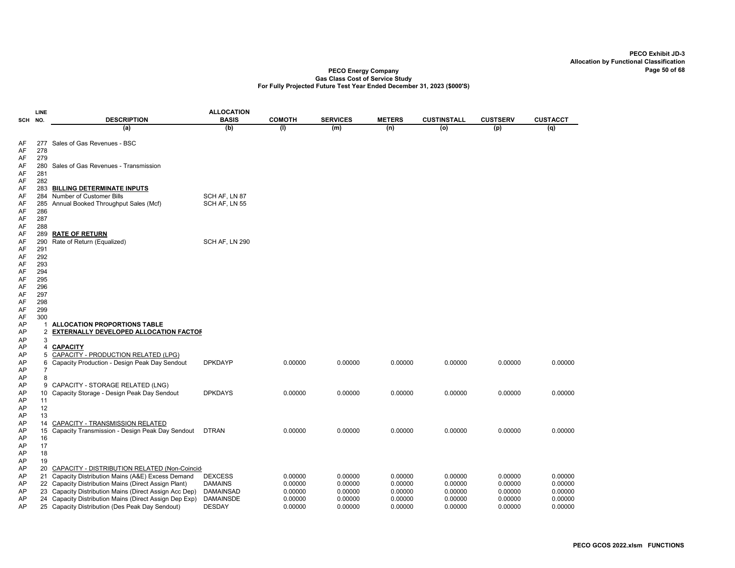|          | LINE           |                                                                                                          | <b>ALLOCATION</b>                  |                      |                        |                    |                    |                    |                    |
|----------|----------------|----------------------------------------------------------------------------------------------------------|------------------------------------|----------------------|------------------------|--------------------|--------------------|--------------------|--------------------|
| SCH      | NO.            | <b>DESCRIPTION</b><br>(a)                                                                                | <b>BASIS</b><br>(b)                | <b>COMOTH</b><br>(1) | <b>SERVICES</b><br>(m) | <b>METERS</b>      | <b>CUSTINSTALL</b> | <b>CUSTSERV</b>    | <b>CUSTACCT</b>    |
|          |                |                                                                                                          |                                    |                      |                        | (n)                | (o)                | (p)                | (q)                |
| AF       | 277            | Sales of Gas Revenues - BSC                                                                              |                                    |                      |                        |                    |                    |                    |                    |
| AF       | 278            |                                                                                                          |                                    |                      |                        |                    |                    |                    |                    |
| AF       | 279            |                                                                                                          |                                    |                      |                        |                    |                    |                    |                    |
| AF       | 280            | Sales of Gas Revenues - Transmission                                                                     |                                    |                      |                        |                    |                    |                    |                    |
| AF       | 281            |                                                                                                          |                                    |                      |                        |                    |                    |                    |                    |
| AF       | 282            |                                                                                                          |                                    |                      |                        |                    |                    |                    |                    |
| AF<br>AF | 283<br>284     | <b>BILLING DETERMINATE INPUTS</b><br>Number of Customer Bills                                            |                                    |                      |                        |                    |                    |                    |                    |
| AF       | 285            | Annual Booked Throughput Sales (Mcf)                                                                     | SCH AF, LN 87<br>SCH AF, LN 55     |                      |                        |                    |                    |                    |                    |
| AF       | 286            |                                                                                                          |                                    |                      |                        |                    |                    |                    |                    |
| AF       | 287            |                                                                                                          |                                    |                      |                        |                    |                    |                    |                    |
| AF       | 288            |                                                                                                          |                                    |                      |                        |                    |                    |                    |                    |
| AF       | 289            | <b>RATE OF RETURN</b>                                                                                    |                                    |                      |                        |                    |                    |                    |                    |
| AF       | 290            | Rate of Return (Equalized)                                                                               | SCH AF, LN 290                     |                      |                        |                    |                    |                    |                    |
| AF       | 291            |                                                                                                          |                                    |                      |                        |                    |                    |                    |                    |
| AF       | 292            |                                                                                                          |                                    |                      |                        |                    |                    |                    |                    |
| AF       | 293            |                                                                                                          |                                    |                      |                        |                    |                    |                    |                    |
| AF       | 294            |                                                                                                          |                                    |                      |                        |                    |                    |                    |                    |
| AF       | 295            |                                                                                                          |                                    |                      |                        |                    |                    |                    |                    |
| AF<br>AF | 296<br>297     |                                                                                                          |                                    |                      |                        |                    |                    |                    |                    |
| AF       | 298            |                                                                                                          |                                    |                      |                        |                    |                    |                    |                    |
| AF       | 299            |                                                                                                          |                                    |                      |                        |                    |                    |                    |                    |
| AF       | 300            |                                                                                                          |                                    |                      |                        |                    |                    |                    |                    |
| AP       | 1              | <b>ALLOCATION PROPORTIONS TABLE</b>                                                                      |                                    |                      |                        |                    |                    |                    |                    |
| AP       | 2              | <b>EXTERNALLY DEVELOPED ALLOCATION FACTOF</b>                                                            |                                    |                      |                        |                    |                    |                    |                    |
| AP       | 3              |                                                                                                          |                                    |                      |                        |                    |                    |                    |                    |
| AP       | 4              | <b>CAPACITY</b>                                                                                          |                                    |                      |                        |                    |                    |                    |                    |
| AP       | 5              | CAPACITY - PRODUCTION RELATED (LPG)                                                                      |                                    |                      |                        |                    |                    |                    |                    |
| AP       | 6              | Capacity Production - Design Peak Day Sendout                                                            | <b>DPKDAYP</b>                     | 0.00000              | 0.00000                | 0.00000            | 0.00000            | 0.00000            | 0.00000            |
| AP       | $\overline{7}$ |                                                                                                          |                                    |                      |                        |                    |                    |                    |                    |
| AP       | 8              |                                                                                                          |                                    |                      |                        |                    |                    |                    |                    |
| AP<br>AP | 9<br>10        | CAPACITY - STORAGE RELATED (LNG)<br>Capacity Storage - Design Peak Day Sendout                           | <b>DPKDAYS</b>                     | 0.00000              | 0.00000                | 0.00000            | 0.00000            | 0.00000            | 0.00000            |
| AP       | 11             |                                                                                                          |                                    |                      |                        |                    |                    |                    |                    |
| AP       | 12             |                                                                                                          |                                    |                      |                        |                    |                    |                    |                    |
| AP       | 13             |                                                                                                          |                                    |                      |                        |                    |                    |                    |                    |
| AP       | 14             | <b>CAPACITY - TRANSMISSION RELATED</b>                                                                   |                                    |                      |                        |                    |                    |                    |                    |
| AP       | 15             | Capacity Transmission - Design Peak Day Sendout                                                          | <b>DTRAN</b>                       | 0.00000              | 0.00000                | 0.00000            | 0.00000            | 0.00000            | 0.00000            |
| AP       | 16             |                                                                                                          |                                    |                      |                        |                    |                    |                    |                    |
| AP       | 17             |                                                                                                          |                                    |                      |                        |                    |                    |                    |                    |
| AP       | 18             |                                                                                                          |                                    |                      |                        |                    |                    |                    |                    |
| AP       | 19             |                                                                                                          |                                    |                      |                        |                    |                    |                    |                    |
| AP       | 20             | CAPACITY - DISTRIBUTION RELATED (Non-Coincid                                                             |                                    |                      |                        |                    |                    |                    |                    |
| AP       | 21             | Capacity Distribution Mains (A&E) Excess Demand                                                          | <b>DEXCESS</b>                     | 0.00000              | 0.00000                | 0.00000            | 0.00000            | 0.00000            | 0.00000            |
| AP<br>AP | 22<br>23       | Capacity Distribution Mains (Direct Assign Plant)<br>Capacity Distribution Mains (Direct Assign Acc Dep) | <b>DAMAINS</b><br><b>DAMAINSAD</b> | 0.00000              | 0.00000                | 0.00000            | 0.00000            | 0.00000            | 0.00000            |
| AP       | 24             | Capacity Distribution Mains (Direct Assign Dep Exp)                                                      | <b>DAMAINSDE</b>                   | 0.00000<br>0.00000   | 0.00000<br>0.00000     | 0.00000<br>0.00000 | 0.00000<br>0.00000 | 0.00000<br>0.00000 | 0.00000<br>0.00000 |
| AP       |                | 25 Capacity Distribution (Des Peak Day Sendout)                                                          | <b>DESDAY</b>                      | 0.00000              | 0.00000                | 0.00000            | 0.00000            | 0.00000            | 0.00000            |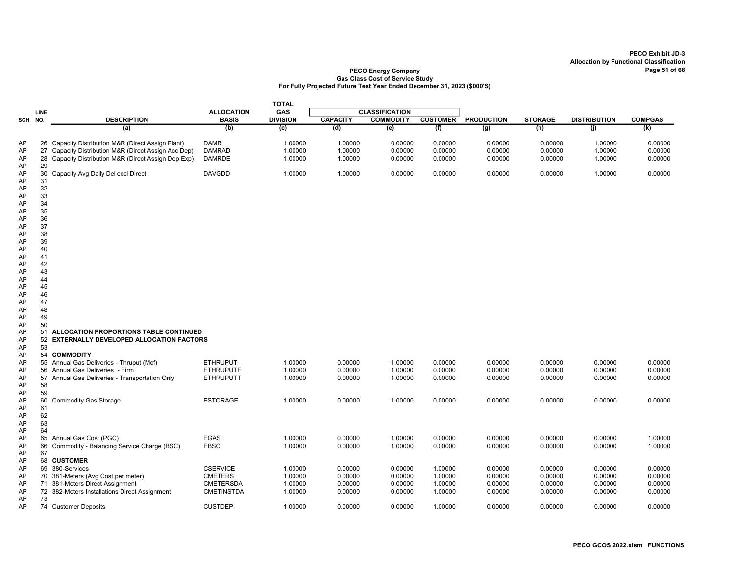|          |          |                                                    |                   | <b>TOTAL</b>    |                 |                       |                 |                   |                |                     |                |
|----------|----------|----------------------------------------------------|-------------------|-----------------|-----------------|-----------------------|-----------------|-------------------|----------------|---------------------|----------------|
|          | LINE     |                                                    | <b>ALLOCATION</b> | <b>GAS</b>      |                 | <b>CLASSIFICATION</b> |                 |                   |                |                     |                |
| SCH NO.  |          | <b>DESCRIPTION</b>                                 | <b>BASIS</b>      | <b>DIVISION</b> | <b>CAPACITY</b> | <b>COMMODITY</b>      | <b>CUSTOMER</b> | <b>PRODUCTION</b> | <b>STORAGE</b> | <b>DISTRIBUTION</b> | <b>COMPGAS</b> |
|          |          | (a)                                                | (b)               | (c)             | (d)             | (e)                   | (f)             | (g)               | (h)            | (i)                 | (k)            |
| AP       |          | 26 Capacity Distribution M&R (Direct Assign Plant) | <b>DAMR</b>       | 1.00000         | 1.00000         | 0.00000               | 0.00000         | 0.00000           | 0.00000        | 1.00000             | 0.00000        |
| AP       | 27       | Capacity Distribution M&R (Direct Assign Acc Dep)  | <b>DAMRAD</b>     | 1.00000         | 1.00000         | 0.00000               | 0.00000         | 0.00000           | 0.00000        | 1.00000             | 0.00000        |
| AP       | 28       | Capacity Distribution M&R (Direct Assign Dep Exp)  | <b>DAMRDE</b>     | 1.00000         | 1.00000         | 0.00000               | 0.00000         | 0.00000           | 0.00000        | 1.00000             | 0.00000        |
| AP       | 29       |                                                    |                   |                 |                 |                       |                 |                   |                |                     |                |
| AP       | 30       | Capacity Avg Daily Del excl Direct                 | <b>DAVGDD</b>     | 1.00000         | 1.00000         | 0.00000               | 0.00000         | 0.00000           | 0.00000        | 1.00000             | 0.00000        |
| AP       | 31       |                                                    |                   |                 |                 |                       |                 |                   |                |                     |                |
| AP       | 32       |                                                    |                   |                 |                 |                       |                 |                   |                |                     |                |
| AP       | 33       |                                                    |                   |                 |                 |                       |                 |                   |                |                     |                |
| AP       | 34       |                                                    |                   |                 |                 |                       |                 |                   |                |                     |                |
| AP       | 35       |                                                    |                   |                 |                 |                       |                 |                   |                |                     |                |
| AP       | 36       |                                                    |                   |                 |                 |                       |                 |                   |                |                     |                |
| AP       | 37       |                                                    |                   |                 |                 |                       |                 |                   |                |                     |                |
| AP       | 38       |                                                    |                   |                 |                 |                       |                 |                   |                |                     |                |
| AP<br>AP | 39<br>40 |                                                    |                   |                 |                 |                       |                 |                   |                |                     |                |
| AP       | 41       |                                                    |                   |                 |                 |                       |                 |                   |                |                     |                |
| AP       | 42       |                                                    |                   |                 |                 |                       |                 |                   |                |                     |                |
| AP       | 43       |                                                    |                   |                 |                 |                       |                 |                   |                |                     |                |
| AP       | 44       |                                                    |                   |                 |                 |                       |                 |                   |                |                     |                |
| AP       | 45       |                                                    |                   |                 |                 |                       |                 |                   |                |                     |                |
| AP       | 46       |                                                    |                   |                 |                 |                       |                 |                   |                |                     |                |
| AP       | 47       |                                                    |                   |                 |                 |                       |                 |                   |                |                     |                |
| AP       | 48       |                                                    |                   |                 |                 |                       |                 |                   |                |                     |                |
| AP       | 49       |                                                    |                   |                 |                 |                       |                 |                   |                |                     |                |
| AP       | 50<br>51 | ALLOCATION PROPORTIONS TABLE CONTINUED             |                   |                 |                 |                       |                 |                   |                |                     |                |
| AP<br>AP | 52       | <b>EXTERNALLY DEVELOPED ALLOCATION FACTORS</b>     |                   |                 |                 |                       |                 |                   |                |                     |                |
| AP       | 53       |                                                    |                   |                 |                 |                       |                 |                   |                |                     |                |
| AP       |          | 54 COMMODITY                                       |                   |                 |                 |                       |                 |                   |                |                     |                |
| AP       |          | 55 Annual Gas Deliveries - Thruput (Mcf)           | <b>ETHRUPUT</b>   | 1.00000         | 0.00000         | 1.00000               | 0.00000         | 0.00000           | 0.00000        | 0.00000             | 0.00000        |
| AP       |          | 56 Annual Gas Deliveries - Firm                    | <b>ETHRUPUTF</b>  | 1.00000         | 0.00000         | 1.00000               | 0.00000         | 0.00000           | 0.00000        | 0.00000             | 0.00000        |
| AP       |          | 57 Annual Gas Deliveries - Transportation Only     | <b>ETHRUPUTT</b>  | 1.00000         | 0.00000         | 1.00000               | 0.00000         | 0.00000           | 0.00000        | 0.00000             | 0.00000        |
| AP       | 58       |                                                    |                   |                 |                 |                       |                 |                   |                |                     |                |
| AP       | 59       |                                                    |                   |                 |                 |                       |                 |                   |                |                     |                |
| AP       | 60       | <b>Commodity Gas Storage</b>                       | <b>ESTORAGE</b>   | 1.00000         | 0.00000         | 1.00000               | 0.00000         | 0.00000           | 0.00000        | 0.00000             | 0.00000        |
| AP       | 61       |                                                    |                   |                 |                 |                       |                 |                   |                |                     |                |
| AP       | 62       |                                                    |                   |                 |                 |                       |                 |                   |                |                     |                |
| AP<br>AP | 63<br>64 |                                                    |                   |                 |                 |                       |                 |                   |                |                     |                |
| AP       |          | 65 Annual Gas Cost (PGC)                           | <b>EGAS</b>       | 1.00000         | 0.00000         | 1.00000               | 0.00000         | 0.00000           | 0.00000        | 0.00000             | 1.00000        |
| AP       | 66       | Commodity - Balancing Service Charge (BSC)         | <b>EBSC</b>       | 1.00000         | 0.00000         | 1.00000               | 0.00000         | 0.00000           | 0.00000        | 0.00000             | 1.00000        |
| AP       | 67       |                                                    |                   |                 |                 |                       |                 |                   |                |                     |                |
| AP       |          | 68 CUSTOMER                                        |                   |                 |                 |                       |                 |                   |                |                     |                |
| AP       |          | 69 380-Services                                    | <b>CSERVICE</b>   | 1.00000         | 0.00000         | 0.00000               | 1.00000         | 0.00000           | 0.00000        | 0.00000             | 0.00000        |
| AP       |          | 70 381-Meters (Avg Cost per meter)                 | <b>CMETERS</b>    | 1.00000         | 0.00000         | 0.00000               | 1.00000         | 0.00000           | 0.00000        | 0.00000             | 0.00000        |
| AP       |          | 71 381-Meters Direct Assignment                    | <b>CMETERSDA</b>  | 1.00000         | 0.00000         | 0.00000               | 1.00000         | 0.00000           | 0.00000        | 0.00000             | 0.00000        |
| AP       |          | 72 382-Meters Installations Direct Assignment      | <b>CMETINSTDA</b> | 1.00000         | 0.00000         | 0.00000               | 1.00000         | 0.00000           | 0.00000        | 0.00000             | 0.00000        |
| AP       | 73       |                                                    |                   |                 |                 |                       |                 |                   |                |                     |                |
| AP       |          | 74 Customer Deposits                               | <b>CUSTDEP</b>    | 1.00000         | 0.00000         | 0.00000               | 1.00000         | 0.00000           | 0.00000        | 0.00000             | 0.00000        |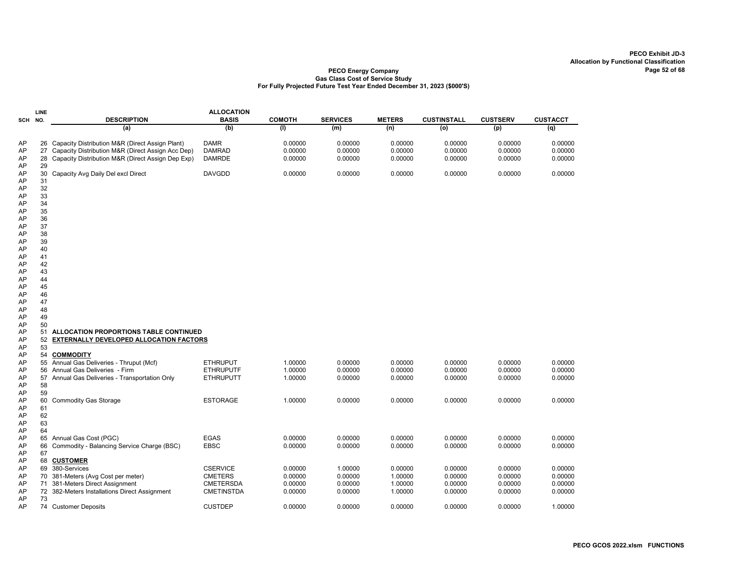|                                                                                  | LINE                                                                             |                                                                                                                                                              | <b>ALLOCATION</b>                                                          |                                          |                                          |                                          |                                          |                                          |                                          |
|----------------------------------------------------------------------------------|----------------------------------------------------------------------------------|--------------------------------------------------------------------------------------------------------------------------------------------------------------|----------------------------------------------------------------------------|------------------------------------------|------------------------------------------|------------------------------------------|------------------------------------------|------------------------------------------|------------------------------------------|
| SCH NO.                                                                          |                                                                                  | <b>DESCRIPTION</b>                                                                                                                                           | <b>BASIS</b>                                                               | <b>COMOTH</b>                            | <b>SERVICES</b>                          | <b>METERS</b>                            | <b>CUSTINSTALL</b>                       | <b>CUSTSERV</b>                          | <b>CUSTACCT</b>                          |
|                                                                                  |                                                                                  | (a)                                                                                                                                                          | (b)                                                                        | (1)                                      | (m)                                      | (n)                                      | (o)                                      | (p)                                      | (q)                                      |
| AP<br>AP<br>AP<br>AP                                                             | 27<br>28<br>29                                                                   | 26 Capacity Distribution M&R (Direct Assign Plant)<br>Capacity Distribution M&R (Direct Assign Acc Dep)<br>Capacity Distribution M&R (Direct Assign Dep Exp) | <b>DAMR</b><br><b>DAMRAD</b><br><b>DAMRDE</b>                              | 0.00000<br>0.00000<br>0.00000            | 0.00000<br>0.00000<br>0.00000            | 0.00000<br>0.00000<br>0.00000            | 0.00000<br>0.00000<br>0.00000            | 0.00000<br>0.00000<br>0.00000            | 0.00000<br>0.00000<br>0.00000            |
| AP<br>AP<br>AP<br>AP<br>AP<br>AP<br>AP<br>AP<br>AP<br>AP<br>AP<br>AP<br>AP<br>AP | 30<br>31<br>32<br>33<br>34<br>35<br>36<br>37<br>38<br>39<br>40<br>41<br>42<br>43 | Capacity Avg Daily Del excl Direct                                                                                                                           | <b>DAVGDD</b>                                                              | 0.00000                                  | 0.00000                                  | 0.00000                                  | 0.00000                                  | 0.00000                                  | 0.00000                                  |
| AP<br>AP<br>AP<br>AP<br>AP<br>AP<br>AP<br>AP<br>AP                               | 44<br>45<br>46<br>47<br>48<br>49<br>50<br>51<br>52                               | ALLOCATION PROPORTIONS TABLE CONTINUED<br><b>EXTERNALLY DEVELOPED ALLOCATION FACTORS</b>                                                                     |                                                                            |                                          |                                          |                                          |                                          |                                          |                                          |
| AP<br>AP<br>AP<br>AP<br>AP<br>AP<br>AP                                           | 53<br>55<br>56<br>57<br>58<br>59                                                 | 54 COMMODITY<br>Annual Gas Deliveries - Thruput (Mcf)<br>Annual Gas Deliveries - Firm<br>Annual Gas Deliveries - Transportation Only                         | <b>ETHRUPUT</b><br><b>ETHRUPUTF</b><br><b>ETHRUPUTT</b>                    | 1.00000<br>1.00000<br>1.00000            | 0.00000<br>0.00000<br>0.00000            | 0.00000<br>0.00000<br>0.00000            | 0.00000<br>0.00000<br>0.00000            | 0.00000<br>0.00000<br>0.00000            | 0.00000<br>0.00000<br>0.00000            |
| AP<br>AP<br>AP<br>AP<br>AP                                                       | 60<br>61<br>62<br>63<br>64                                                       | <b>Commodity Gas Storage</b>                                                                                                                                 | <b>ESTORAGE</b>                                                            | 1.00000                                  | 0.00000                                  | 0.00000                                  | 0.00000                                  | 0.00000                                  | 0.00000                                  |
| AP<br>AP<br>AP<br>AP                                                             | 65<br>66<br>67                                                                   | Annual Gas Cost (PGC)<br>Commodity - Balancing Service Charge (BSC)<br>68 CUSTOMER                                                                           | <b>EGAS</b><br><b>EBSC</b>                                                 | 0.00000<br>0.00000                       | 0.00000<br>0.00000                       | 0.00000<br>0.00000                       | 0.00000<br>0.00000                       | 0.00000<br>0.00000                       | 0.00000<br>0.00000                       |
| AP<br>AP<br>AP<br>AP<br>AP                                                       | 70<br>71<br>72<br>73                                                             | 69 380-Services<br>381-Meters (Avg Cost per meter)<br>381-Meters Direct Assignment<br>382-Meters Installations Direct Assignment                             | <b>CSERVICE</b><br><b>CMETERS</b><br><b>CMETERSDA</b><br><b>CMETINSTDA</b> | 0.00000<br>0.00000<br>0.00000<br>0.00000 | 1.00000<br>0.00000<br>0.00000<br>0.00000 | 0.00000<br>1.00000<br>1.00000<br>1.00000 | 0.00000<br>0.00000<br>0.00000<br>0.00000 | 0.00000<br>0.00000<br>0.00000<br>0.00000 | 0.00000<br>0.00000<br>0.00000<br>0.00000 |
| AP                                                                               |                                                                                  | 74 Customer Deposits                                                                                                                                         | <b>CUSTDEP</b>                                                             | 0.00000                                  | 0.00000                                  | 0.00000                                  | 0.00000                                  | 0.00000                                  | 1.00000                                  |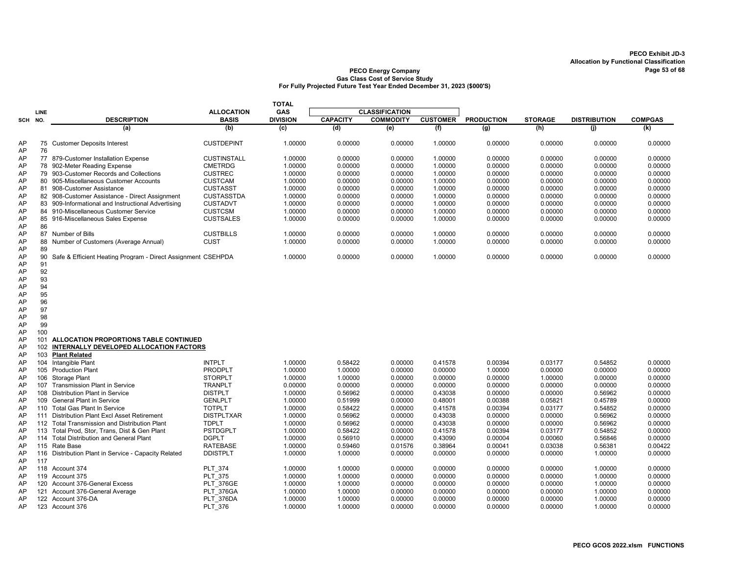|            |      |                                                              |                    | <b>TOTAL</b>    |                 |                       |                 |                   |                |                     |                |
|------------|------|--------------------------------------------------------------|--------------------|-----------------|-----------------|-----------------------|-----------------|-------------------|----------------|---------------------|----------------|
|            | LINE |                                                              | <b>ALLOCATION</b>  | <b>GAS</b>      |                 | <b>CLASSIFICATION</b> |                 |                   |                |                     |                |
| <b>SCH</b> | NO.  | <b>DESCRIPTION</b>                                           | <b>BASIS</b>       | <b>DIVISION</b> | <b>CAPACITY</b> | <b>COMMODITY</b>      | <b>CUSTOMER</b> | <b>PRODUCTION</b> | <b>STORAGE</b> | <b>DISTRIBUTION</b> | <b>COMPGAS</b> |
|            |      | (a)                                                          | (b)                | (c)             | (d)             | (e)                   | (f)             | (g)               | (h)            | (i)                 | (k)            |
| AP<br>AP   | 76   | 75 Customer Deposits Interest                                | <b>CUSTDEPINT</b>  | 1.00000         | 0.00000         | 0.00000               | 1.00000         | 0.00000           | 0.00000        | 0.00000             | 0.00000        |
| AP         |      | 77 879-Customer Installation Expense                         | <b>CUSTINSTALL</b> | 1.00000         | 0.00000         | 0.00000               | 1.00000         | 0.00000           | 0.00000        | 0.00000             | 0.00000        |
| AP         |      | 78 902-Meter Reading Expense                                 | <b>CMETRDG</b>     | 1.00000         | 0.00000         | 0.00000               | 1.00000         | 0.00000           | 0.00000        | 0.00000             | 0.00000        |
| AP         |      | 79 903-Customer Records and Collections                      | <b>CUSTREC</b>     | 1.00000         | 0.00000         | 0.00000               | 1.00000         | 0.00000           | 0.00000        | 0.00000             | 0.00000        |
| AP         |      | 80 905-Miscellaneous Customer Accounts                       | <b>CUSTCAM</b>     | 1.00000         | 0.00000         | 0.00000               | 1.00000         | 0.00000           | 0.00000        | 0.00000             | 0.00000        |
| AP         |      | 81 908-Customer Assistance                                   | <b>CUSTASST</b>    | 1.00000         | 0.00000         | 0.00000               | 1.00000         | 0.00000           | 0.00000        | 0.00000             | 0.00000        |
| AP         |      | 82 908-Customer Assistance - Direct Assignment               | <b>CUSTASSTDA</b>  | 1.00000         | 0.00000         | 0.00000               | 1.00000         | 0.00000           | 0.00000        | 0.00000             | 0.00000        |
| AP         |      | 83 909-Informational and Instructional Advertising           | <b>CUSTADVT</b>    | 1.00000         | 0.00000         | 0.00000               | 1.00000         | 0.00000           | 0.00000        | 0.00000             | 0.00000        |
| AP         |      | 84 910-Miscellaneous Customer Service                        | <b>CUSTCSM</b>     | 1.00000         | 0.00000         | 0.00000               | 1.00000         | 0.00000           | 0.00000        | 0.00000             | 0.00000        |
| AP         |      | 85 916-Miscellaneous Sales Expense                           | <b>CUSTSALES</b>   | 1.00000         | 0.00000         | 0.00000               | 1.00000         | 0.00000           | 0.00000        | 0.00000             | 0.00000        |
| AP         | 86   |                                                              |                    |                 |                 |                       |                 |                   |                |                     |                |
| AP         |      | 87 Number of Bills                                           | <b>CUSTBILLS</b>   | 1.00000         | 0.00000         | 0.00000               | 1.00000         | 0.00000           | 0.00000        | 0.00000             | 0.00000        |
| AP         |      | 88 Number of Customers (Average Annual)                      | CUST               | 1.00000         | 0.00000         | 0.00000               | 1.00000         | 0.00000           | 0.00000        | 0.00000             | 0.00000        |
| AP         | 89   |                                                              |                    |                 |                 |                       |                 |                   |                |                     |                |
| AP         | 90   | Safe & Efficient Heating Program - Direct Assignment CSEHPDA |                    | 1.00000         | 0.00000         | 0.00000               | 1.00000         | 0.00000           | 0.00000        | 0.00000             | 0.00000        |
| AP         | 91   |                                                              |                    |                 |                 |                       |                 |                   |                |                     |                |
| AP         | 92   |                                                              |                    |                 |                 |                       |                 |                   |                |                     |                |
| AP         | 93   |                                                              |                    |                 |                 |                       |                 |                   |                |                     |                |
| AP         | 94   |                                                              |                    |                 |                 |                       |                 |                   |                |                     |                |
| AP         | 95   |                                                              |                    |                 |                 |                       |                 |                   |                |                     |                |
| AP         | 96   |                                                              |                    |                 |                 |                       |                 |                   |                |                     |                |
| AP         | 97   |                                                              |                    |                 |                 |                       |                 |                   |                |                     |                |
| AP         | 98   |                                                              |                    |                 |                 |                       |                 |                   |                |                     |                |
| AP         | 99   |                                                              |                    |                 |                 |                       |                 |                   |                |                     |                |
| AP<br>AP   | 100  | 101 ALLOCATION PROPORTIONS TABLE CONTINUED                   |                    |                 |                 |                       |                 |                   |                |                     |                |
| AP         |      | 102 INTERNALLY DEVELOPED ALLOCATION FACTORS                  |                    |                 |                 |                       |                 |                   |                |                     |                |
| AP         | 103  | <b>Plant Related</b>                                         |                    |                 |                 |                       |                 |                   |                |                     |                |
| AP         | 104  | Intangible Plant                                             | <b>INTPLT</b>      | 1.00000         | 0.58422         | 0.00000               | 0.41578         | 0.00394           | 0.03177        | 0.54852             | 0.00000        |
| AP         |      | 105 Production Plant                                         | PRODPLT            | 1.00000         | 1.00000         | 0.00000               | 0.00000         | 1.00000           | 0.00000        | 0.00000             | 0.00000        |
| AP         |      | 106 Storage Plant                                            | <b>STORPLT</b>     | 1.00000         | 1.00000         | 0.00000               | 0.00000         | 0.00000           | 1.00000        | 0.00000             | 0.00000        |
| AP         |      | 107 Transmission Plant in Service                            | <b>TRANPLT</b>     | 0.00000         | 0.00000         | 0.00000               | 0.00000         | 0.00000           | 0.00000        | 0.00000             | 0.00000        |
| AP         |      | 108 Distribution Plant in Service                            | <b>DISTPLT</b>     | 1.00000         | 0.56962         | 0.00000               | 0.43038         | 0.00000           | 0.00000        | 0.56962             | 0.00000        |
| AP         |      | 109 General Plant in Service                                 | <b>GENLPLT</b>     | 1.00000         | 0.51999         | 0.00000               | 0.48001         | 0.00388           | 0.05821        | 0.45789             | 0.00000        |
| AP         |      | 110 Total Gas Plant In Service                               | <b>TOTPLT</b>      | 1.00000         | 0.58422         | 0.00000               | 0.41578         | 0.00394           | 0.03177        | 0.54852             | 0.00000        |
| AP         |      | 111 Distribution Plant Excl Asset Retirement                 | <b>DISTPLTXAR</b>  | 1.00000         | 0.56962         | 0.00000               | 0.43038         | 0.00000           | 0.00000        | 0.56962             | 0.00000        |
| AP         |      | 112 Total Transmission and Distribution Plant                | <b>TDPLT</b>       | 1.00000         | 0.56962         | 0.00000               | 0.43038         | 0.00000           | 0.00000        | 0.56962             | 0.00000        |
| AP         |      | 113 Total Prod, Stor, Trans, Dist & Gen Plant                | <b>PSTDGPLT</b>    | 1.00000         | 0.58422         | 0.00000               | 0.41578         | 0.00394           | 0.03177        | 0.54852             | 0.00000        |
| AP         |      | 114 Total Distribution and General Plant                     | <b>DGPLT</b>       | 1.00000         | 0.56910         | 0.00000               | 0.43090         | 0.00004           | 0.00060        | 0.56846             | 0.00000        |
| AP         |      | 115 Rate Base                                                | <b>RATEBASE</b>    | 1.00000         | 0.59460         | 0.01576               | 0.38964         | 0.00041           | 0.03038        | 0.56381             | 0.00422        |
| AP         |      | 116 Distribution Plant in Service - Capacity Related         | <b>DDISTPLT</b>    | 1.00000         | 1.00000         | 0.00000               | 0.00000         | 0.00000           | 0.00000        | 1.00000             | 0.00000        |
| AP         | 117  |                                                              |                    |                 |                 |                       |                 |                   |                |                     |                |
| AP         |      | 118 Account 374                                              | PLT 374            | 1.00000         | 1.00000         | 0.00000               | 0.00000         | 0.00000           | 0.00000        | 1.00000             | 0.00000        |
| AP         |      | 119 Account 375                                              | <b>PLT 375</b>     | 1.00000         | 1.00000         | 0.00000               | 0.00000         | 0.00000           | 0.00000        | 1.00000             | 0.00000        |
| AP         |      | 120 Account 376-General Excess                               | <b>PLT 376GE</b>   | 1.00000         | 1.00000         | 0.00000               | 0.00000         | 0.00000           | 0.00000        | 1.00000             | 0.00000        |
| AP         |      | 121 Account 376-General Average                              | PLT 376GA          | 1.00000         | 1.00000         | 0.00000               | 0.00000         | 0.00000           | 0.00000        | 1.00000             | 0.00000        |
| AP         |      | 122 Account 376-DA                                           | PLT 376DA          | 1.00000         | 1.00000         | 0.00000               | 0.00000         | 0.00000           | 0.00000        | 1.00000             | 0.00000        |
| AP         |      | 123 Account 376                                              | PLT_376            | 1.00000         | 1.00000         | 0.00000               | 0.00000         | 0.00000           | 0.00000        | 1.00000             | 0.00000        |
|            |      |                                                              |                    |                 |                 |                       |                 |                   |                |                     |                |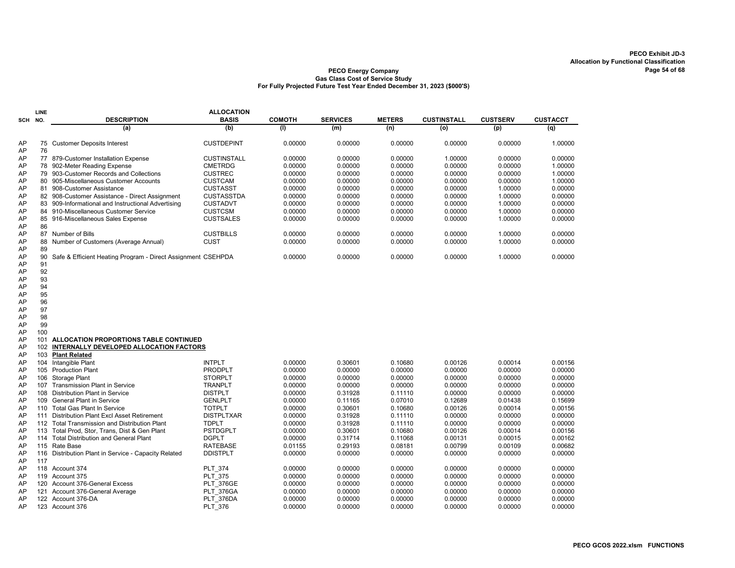|          | LINE |                                                              | <b>ALLOCATION</b>  |               |                 |               |                    |                 |                 |
|----------|------|--------------------------------------------------------------|--------------------|---------------|-----------------|---------------|--------------------|-----------------|-----------------|
| SCH      | NO.  | <b>DESCRIPTION</b>                                           | <b>BASIS</b>       | <b>COMOTH</b> | <b>SERVICES</b> | <b>METERS</b> | <b>CUSTINSTALL</b> | <b>CUSTSERV</b> | <b>CUSTACCT</b> |
|          |      | (a)                                                          | (b)                | (1)           | (m)             | (n)           | (o)                | (p)             | (q)             |
| AP<br>AP | 76   | 75 Customer Deposits Interest                                | <b>CUSTDEPINT</b>  | 0.00000       | 0.00000         | 0.00000       | 0.00000            | 0.00000         | 1.00000         |
| AP       |      | 77 879-Customer Installation Expense                         | <b>CUSTINSTALL</b> | 0.00000       | 0.00000         | 0.00000       | 1.00000            | 0.00000         | 0.00000         |
| AP       |      | 78 902-Meter Reading Expense                                 | <b>CMETRDG</b>     | 0.00000       | 0.00000         | 0.00000       | 0.00000            | 0.00000         | 1.00000         |
| AP       | 79   | 903-Customer Records and Collections                         | <b>CUSTREC</b>     | 0.00000       | 0.00000         | 0.00000       | 0.00000            | 0.00000         | 1.00000         |
| AP       |      | 80 905-Miscellaneous Customer Accounts                       | <b>CUSTCAM</b>     | 0.00000       | 0.00000         | 0.00000       | 0.00000            | 0.00000         | 1.00000         |
| AP       | 81   | 908-Customer Assistance                                      | <b>CUSTASST</b>    | 0.00000       | 0.00000         | 0.00000       | 0.00000            | 1.00000         | 0.00000         |
| AP       |      | 82 908-Customer Assistance - Direct Assignment               | <b>CUSTASSTDA</b>  | 0.00000       | 0.00000         | 0.00000       | 0.00000            | 1.00000         | 0.00000         |
| AP       |      | 83 909-Informational and Instructional Advertising           | <b>CUSTADVT</b>    | 0.00000       | 0.00000         | 0.00000       | 0.00000            | 1.00000         | 0.00000         |
| AP       |      | 84 910-Miscellaneous Customer Service                        | <b>CUSTCSM</b>     | 0.00000       | 0.00000         | 0.00000       | 0.00000            | 1.00000         | 0.00000         |
| AP       |      | 85 916-Miscellaneous Sales Expense                           | <b>CUSTSALES</b>   | 0.00000       | 0.00000         | 0.00000       | 0.00000            | 1.00000         | 0.00000         |
| AP       | 86   |                                                              |                    |               |                 |               |                    |                 |                 |
| AP       | 87   | Number of Bills                                              | <b>CUSTBILLS</b>   | 0.00000       | 0.00000         | 0.00000       | 0.00000            | 1.00000         | 0.00000         |
| AP       | 88   | Number of Customers (Average Annual)                         | <b>CUST</b>        | 0.00000       | 0.00000         | 0.00000       | 0.00000            | 1.00000         | 0.00000         |
| AP       | 89   |                                                              |                    |               |                 |               |                    |                 |                 |
| AP       | 90   | Safe & Efficient Heating Program - Direct Assignment CSEHPDA |                    | 0.00000       | 0.00000         | 0.00000       | 0.00000            | 1.00000         | 0.00000         |
| AP       | 91   |                                                              |                    |               |                 |               |                    |                 |                 |
| AP       | 92   |                                                              |                    |               |                 |               |                    |                 |                 |
| AP       | 93   |                                                              |                    |               |                 |               |                    |                 |                 |
| AP       | 94   |                                                              |                    |               |                 |               |                    |                 |                 |
| AP       | 95   |                                                              |                    |               |                 |               |                    |                 |                 |
| AP       | 96   |                                                              |                    |               |                 |               |                    |                 |                 |
| AP       | 97   |                                                              |                    |               |                 |               |                    |                 |                 |
| AP       | 98   |                                                              |                    |               |                 |               |                    |                 |                 |
| AP       | 99   |                                                              |                    |               |                 |               |                    |                 |                 |
| AP       | 100  |                                                              |                    |               |                 |               |                    |                 |                 |
| AP       | 101  | ALLOCATION PROPORTIONS TABLE CONTINUED                       |                    |               |                 |               |                    |                 |                 |
| AP       | 102  | INTERNALLY DEVELOPED ALLOCATION FACTORS                      |                    |               |                 |               |                    |                 |                 |
| AP       | 103  | <b>Plant Related</b>                                         |                    |               |                 |               |                    |                 |                 |
| AP       | 104  | Intangible Plant                                             | <b>INTPLT</b>      | 0.00000       | 0.30601         | 0.10680       | 0.00126            | 0.00014         | 0.00156         |
| AP       | 105  | <b>Production Plant</b>                                      | <b>PRODPLT</b>     | 0.00000       | 0.00000         | 0.00000       | 0.00000            | 0.00000         | 0.00000         |
| AP       | 106  | Storage Plant                                                | <b>STORPLT</b>     | 0.00000       | 0.00000         | 0.00000       | 0.00000            | 0.00000         | 0.00000         |
| AP       | 107  | <b>Transmission Plant in Service</b>                         | <b>TRANPLT</b>     | 0.00000       | 0.00000         | 0.00000       | 0.00000            | 0.00000         | 0.00000         |
| AP       | 108  | <b>Distribution Plant in Service</b>                         | <b>DISTPLT</b>     | 0.00000       | 0.31928         | 0.11110       | 0.00000            | 0.00000         | 0.00000         |
| AP       | 109  | <b>General Plant in Service</b>                              | <b>GENLPLT</b>     | 0.00000       | 0.11165         | 0.07010       | 0.12689            | 0.01438         | 0.15699         |
| AP       | 110  | <b>Total Gas Plant In Service</b>                            | <b>TOTPLT</b>      | 0.00000       | 0.30601         | 0.10680       | 0.00126            | 0.00014         | 0.00156         |
| AP       | 111  | Distribution Plant Excl Asset Retirement                     | <b>DISTPLTXAR</b>  | 0.00000       | 0.31928         | 0.11110       | 0.00000            | 0.00000         | 0.00000         |
| AP       |      | 112 Total Transmission and Distribution Plant                | <b>TDPLT</b>       | 0.00000       | 0.31928         | 0.11110       | 0.00000            | 0.00000         | 0.00000         |
| AP       | 113  | Total Prod, Stor, Trans, Dist & Gen Plant                    | <b>PSTDGPLT</b>    | 0.00000       | 0.30601         | 0.10680       | 0.00126            | 0.00014         | 0.00156         |
| AP       |      | 114 Total Distribution and General Plant                     | <b>DGPLT</b>       | 0.00000       | 0.31714         | 0.11068       | 0.00131            | 0.00015         | 0.00162         |
| AP       |      | 115 Rate Base                                                | <b>RATEBASE</b>    | 0.01155       | 0.29193         | 0.08181       | 0.00799            | 0.00109         | 0.00682         |
| AP       | 116  | Distribution Plant in Service - Capacity Related             | <b>DDISTPLT</b>    | 0.00000       | 0.00000         | 0.00000       | 0.00000            | 0.00000         | 0.00000         |
| AP       | 117  |                                                              |                    |               |                 |               |                    |                 |                 |
| AP       |      | 118 Account 374                                              | <b>PLT 374</b>     | 0.00000       | 0.00000         | 0.00000       | 0.00000            | 0.00000         | 0.00000         |
| AP       | 119  | Account 375                                                  | <b>PLT 375</b>     | 0.00000       | 0.00000         | 0.00000       | 0.00000            | 0.00000         | 0.00000         |
| AP       | 120  | Account 376-General Excess                                   | <b>PLT 376GE</b>   | 0.00000       | 0.00000         | 0.00000       | 0.00000            | 0.00000         | 0.00000         |
| AP       | 121  | Account 376-General Average                                  | <b>PLT 376GA</b>   | 0.00000       | 0.00000         | 0.00000       | 0.00000            | 0.00000         | 0.00000         |
| AP       | 122  | Account 376-DA                                               | PLT 376DA          | 0.00000       | 0.00000         | 0.00000       | 0.00000            | 0.00000         | 0.00000         |
| AP       |      | 123 Account 376                                              | <b>PLT 376</b>     | 0.00000       | 0.00000         | 0.00000       | 0.00000            | 0.00000         | 0.00000         |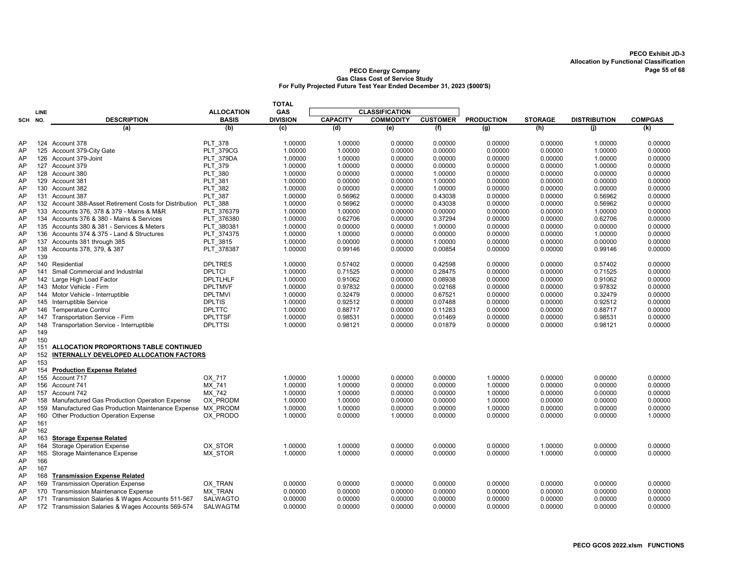|         |             |                                                                 |                   | <b>TOTAL</b>    |                 |                       |                 |                   |                |                     |                |
|---------|-------------|-----------------------------------------------------------------|-------------------|-----------------|-----------------|-----------------------|-----------------|-------------------|----------------|---------------------|----------------|
|         | <b>LINE</b> |                                                                 | <b>ALLOCATION</b> | GAS             |                 | <b>CLASSIFICATION</b> |                 |                   |                |                     |                |
| SCH NO. |             | <b>DESCRIPTION</b>                                              | <b>BASIS</b>      | <b>DIVISION</b> | <b>CAPACITY</b> | <b>COMMODITY</b>      | <b>CUSTOMER</b> | <b>PRODUCTION</b> | <b>STORAGE</b> | <b>DISTRIBUTION</b> | <b>COMPGAS</b> |
|         |             | (a)                                                             | (b)               | (c)             | (d)             | (e)                   | (f)             | (g)               | (h)            | (i)                 | (k)            |
| AP      |             | 124 Account 378                                                 | <b>PLT 378</b>    | 1.00000         | 1.00000         | 0.00000               | 0.00000         | 0.00000           | 0.00000        | 1.00000             | 0.00000        |
| AP      |             | 125 Account 379-City Gate                                       | <b>PLT</b> 379CG  | 1.00000         | 1.00000         | 0.00000               | 0.00000         | 0.00000           | 0.00000        | 1.00000             | 0.00000        |
| AP      |             | 126 Account 379-Joint                                           | PLT 379DA         | 1.00000         | 1.00000         | 0.00000               | 0.00000         | 0.00000           | 0.00000        | 1.00000             | 0.00000        |
| AP      |             | 127 Account 379                                                 | PLT 379           | 1.00000         | 1.00000         | 0.00000               | 0.00000         | 0.00000           | 0.00000        | 1.00000             | 0.00000        |
| AP      |             | 128 Account 380                                                 | <b>PLT 380</b>    | 1.00000         | 0.00000         | 0.00000               | 1.00000         | 0.00000           | 0.00000        | 0.00000             | 0.00000        |
| AP      |             | 129 Account 381                                                 | PLT 381           | 1.00000         | 0.00000         | 0.00000               | 1.00000         | 0.00000           | 0.00000        | 0.00000             | 0.00000        |
| AP      |             | 130 Account 382                                                 | <b>PLT 382</b>    | 1.00000         | 0.00000         | 0.00000               | 1.00000         | 0.00000           | 0.00000        | 0.00000             | 0.00000        |
| AP      |             | 131 Account 387                                                 | <b>PLT 387</b>    | 1.00000         | 0.56962         | 0.00000               | 0.43038         | 0.00000           | 0.00000        | 0.56962             | 0.00000        |
| AP      |             | 132 Account 388-Asset Retirement Costs for Distribution PLT 388 |                   | 1.00000         | 0.56962         | 0.00000               | 0.43038         | 0.00000           | 0.00000        | 0.56962             | 0.00000        |
| AP      |             | 133 Accounts 376, 378 & 379 - Mains & M&R                       | PLT 376379        | 1.00000         | 1.00000         | 0.00000               | 0.00000         | 0.00000           | 0.00000        | 1.00000             | 0.00000        |
| AP      |             | 134 Accounts 376 & 380 - Mains & Services                       | PLT 376380        | 1.00000         | 0.62706         | 0.00000               | 0.37294         | 0.00000           | 0.00000        | 0.62706             | 0.00000        |
| AP      |             | 135 Accounts 380 & 381 - Services & Meters                      | PLT 380381        | 1.00000         | 0.00000         | 0.00000               | 1.00000         | 0.00000           | 0.00000        | 0.00000             | 0.00000        |
| AP      |             | 136 Accounts 374 & 375 - Land & Structures                      | PLT 374375        | 1.00000         | 1.00000         | 0.00000               | 0.00000         | 0.00000           | 0.00000        | 1.00000             | 0.00000        |
| AP      |             | 137 Accounts 381 through 385                                    | PLT 3815          | 1.00000         | 0.00000         | 0.00000               | 1.00000         | 0.00000           | 0.00000        | 0.00000             | 0.00000        |
| AP      |             | 138 Accounts 378, 379, & 387                                    | PLT 378387        | 1.00000         | 0.99146         | 0.00000               | 0.00854         | 0.00000           | 0.00000        | 0.99146             | 0.00000        |
| AP      | 139         |                                                                 |                   |                 |                 |                       |                 |                   |                |                     |                |
| AP      |             | 140 Residential                                                 | <b>DPLTRES</b>    | 1.00000         | 0.57402         | 0.00000               | 0.42598         | 0.00000           | 0.00000        | 0.57402             | 0.00000        |
| AP      |             | 141 Small Commercial and Industrilal                            | <b>DPLTCI</b>     | 1.00000         | 0.71525         | 0.00000               | 0.28475         | 0.00000           | 0.00000        | 0.71525             | 0.00000        |
| AP      |             | 142 Large High Load Factor                                      | <b>DPLTLHLF</b>   | 1.00000         | 0.91062         | 0.00000               | 0.08938         | 0.00000           | 0.00000        | 0.91062             | 0.00000        |
| AP      |             | 143 Motor Vehicle - Firm                                        | <b>DPLTMVF</b>    | 1.00000         | 0.97832         | 0.00000               | 0.02168         | 0.00000           | 0.00000        | 0.97832             | 0.00000        |
| AP      |             | 144 Motor Vehicle - Interruptible                               | <b>DPLTMVI</b>    | 1.00000         | 0.32479         | 0.00000               | 0.67521         | 0.00000           | 0.00000        | 0.32479             | 0.00000        |
| AP      |             | 145 Interruptible Service                                       | <b>DPLTIS</b>     | 1.00000         | 0.92512         | 0.00000               | 0.07488         | 0.00000           | 0.00000        | 0.92512             | 0.00000        |
| AP      |             | 146 Temperature Control                                         | <b>DPLTTC</b>     | 1.00000         | 0.88717         | 0.00000               | 0.11283         | 0.00000           | 0.00000        | 0.88717             | 0.00000        |
| AP      | 147         | Transportation Service - Firm                                   | <b>DPLTTSF</b>    | 1.00000         | 0.98531         | 0.00000               | 0.01469         | 0.00000           | 0.00000        | 0.98531             | 0.00000        |
| AP      | 148         | Transportation Service - Interruptible                          | <b>DPLTTSI</b>    | 1.00000         | 0.98121         | 0.00000               | 0.01879         | 0.00000           | 0.00000        | 0.98121             | 0.00000        |
| AP      | 149         |                                                                 |                   |                 |                 |                       |                 |                   |                |                     |                |
| AP      | 150         |                                                                 |                   |                 |                 |                       |                 |                   |                |                     |                |
| AP      |             | 151 ALLOCATION PROPORTIONS TABLE CONTINUED                      |                   |                 |                 |                       |                 |                   |                |                     |                |
| AP      | 152         | INTERNALLY DEVELOPED ALLOCATION FACTORS                         |                   |                 |                 |                       |                 |                   |                |                     |                |
| AP      | 153         |                                                                 |                   |                 |                 |                       |                 |                   |                |                     |                |
| AP      |             | 154 Production Expense Related                                  |                   |                 |                 |                       |                 |                   |                |                     |                |
| AP      |             | 155 Account 717                                                 | OX 717            | 1.00000         | 1.00000         | 0.00000               | 0.00000         | 1.00000           | 0.00000        | 0.00000             | 0.00000        |
| AP      |             | 156 Account 741                                                 | MX 741            | 1.00000         | 1.00000         | 0.00000               | 0.00000         | 1.00000           | 0.00000        | 0.00000             | 0.00000        |
| AP      |             | 157 Account 742                                                 | MX 742            | 1.00000         | 1.00000         | 0.00000               | 0.00000         | 1.00000           | 0.00000        | 0.00000             | 0.00000        |
| AP      |             | 158 Manufactured Gas Production Operation Expense               | OX PRODM          | 1.00000         | 1.00000         | 0.00000               | 0.00000         | 1.00000           | 0.00000        | 0.00000             | 0.00000        |
| AP      |             | 159 Manufactured Gas Production Maintenance Expense MX PRODM    |                   | 1.00000         | 1.00000         | 0.00000               | 0.00000         | 1.00000           | 0.00000        | 0.00000             | 0.00000        |
| AP      |             | 160 Other Production Operation Expense                          | OX PRODO          | 1.00000         | 0.00000         | 1.00000               | 0.00000         | 0.00000           | 0.00000        | 0.00000             | 1.00000        |
| AP      | 161         |                                                                 |                   |                 |                 |                       |                 |                   |                |                     |                |
| AP      | 162         |                                                                 |                   |                 |                 |                       |                 |                   |                |                     |                |
| AP      | 163         | <b>Storage Expense Related</b>                                  |                   |                 |                 |                       |                 |                   |                |                     |                |
| AP      | 164         | <b>Storage Operation Expense</b>                                | OX STOR           | 1.00000         | 1.00000         | 0.00000               | 0.00000         | 0.00000           | 1.00000        | 0.00000             | 0.00000        |
| AP      | 165         | Storage Maintenance Expense                                     | MX STOR           | 1.00000         | 1.00000         | 0.00000               | 0.00000         | 0.00000           | 1.00000        | 0.00000             | 0.00000        |
| AP      | 166         |                                                                 |                   |                 |                 |                       |                 |                   |                |                     |                |
| AP      | 167         |                                                                 |                   |                 |                 |                       |                 |                   |                |                     |                |
| AP      | 168         | <b>Transmission Expense Related</b>                             |                   |                 |                 |                       |                 |                   |                |                     |                |
| AP      | 169         | <b>Transmission Operation Expense</b>                           | OX TRAN           | 0.00000         | 0.00000         | 0.00000               | 0.00000         | 0.00000           | 0.00000        | 0.00000             | 0.00000        |
| AP      | 170         | <b>Transmission Maintenance Expense</b>                         | <b>MX TRAN</b>    | 0.00000         | 0.00000         | 0.00000               | 0.00000         | 0.00000           | 0.00000        | 0.00000             | 0.00000        |
| AP      |             | 171 Transmission Salaries & Wages Accounts 511-567              | <b>SALWAGTO</b>   | 0.00000         | 0.00000         | 0.00000               | 0.00000         | 0.00000           | 0.00000        | 0.00000             | 0.00000        |
| AP      |             | 172 Transmission Salaries & Wages Accounts 569-574              | <b>SALWAGTM</b>   | 0.00000         | 0.00000         | 0.00000               | 0.00000         | 0.00000           | 0.00000        | 0.00000             | 0.00000        |
|         |             |                                                                 |                   |                 |                 |                       |                 |                   |                |                     |                |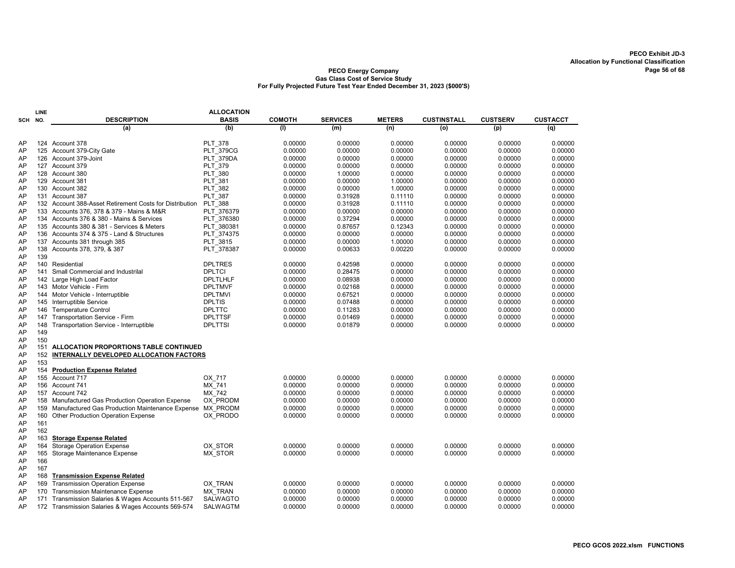|          | LINE |                                                          | <b>ALLOCATION</b>         |                    |                    |                    |                    |                    |                    |
|----------|------|----------------------------------------------------------|---------------------------|--------------------|--------------------|--------------------|--------------------|--------------------|--------------------|
| SCH      | NO.  | <b>DESCRIPTION</b>                                       | <b>BASIS</b>              | <b>COMOTH</b>      | <b>SERVICES</b>    | <b>METERS</b>      | <b>CUSTINSTALL</b> | <b>CUSTSERV</b>    | <b>CUSTACCT</b>    |
|          |      | (a)                                                      | (b)                       | (1)                | (m)                | (n)                | (o)                | (p)                | (q)                |
| AP       |      | 124 Account 378                                          | <b>PLT 378</b>            | 0.00000            | 0.00000            | 0.00000            | 0.00000            | 0.00000            | 0.00000            |
| AP       |      | 125 Account 379-City Gate                                | <b>PLT 379CG</b>          |                    | 0.00000            | 0.00000            | 0.00000            | 0.00000            | 0.00000            |
| AP       |      | 126 Account 379-Joint                                    | PLT 379DA                 | 0.00000<br>0.00000 | 0.00000            | 0.00000            | 0.00000            | 0.00000            | 0.00000            |
| AP       |      |                                                          |                           | 0.00000            | 0.00000            | 0.00000            | 0.00000            | 0.00000            | 0.00000            |
|          |      | 127 Account 379                                          | PLT 379                   |                    |                    |                    |                    |                    |                    |
| AP<br>AP |      | 128 Account 380<br>129 Account 381                       | <b>PLT 380</b><br>PLT 381 | 0.00000<br>0.00000 | 1.00000<br>0.00000 | 0.00000<br>1.00000 | 0.00000<br>0.00000 | 0.00000<br>0.00000 | 0.00000<br>0.00000 |
| AP       |      | 130 Account 382                                          | <b>PLT 382</b>            | 0.00000            | 0.00000            | 1.00000            | 0.00000            | 0.00000            | 0.00000            |
| AP       |      |                                                          |                           |                    |                    |                    |                    |                    |                    |
|          |      | 131 Account 387                                          | <b>PLT 387</b>            | 0.00000            | 0.31928            | 0.11110            | 0.00000            | 0.00000            | 0.00000            |
| AP       |      | 132 Account 388-Asset Retirement Costs for Distribution  | <b>PLT 388</b>            | 0.00000            | 0.31928            | 0.11110            | 0.00000            | 0.00000            | 0.00000            |
| AP       |      | 133 Accounts 376, 378 & 379 - Mains & M&R                | PLT 376379                | 0.00000            | 0.00000            | 0.00000            | 0.00000            | 0.00000            | 0.00000            |
| AP       |      | 134 Accounts 376 & 380 - Mains & Services                | PLT 376380                | 0.00000            | 0.37294            | 0.00000            | 0.00000            | 0.00000            | 0.00000            |
| AP       |      | 135 Accounts 380 & 381 - Services & Meters               | PLT 380381                | 0.00000            | 0.87657            | 0.12343            | 0.00000            | 0.00000            | 0.00000            |
| AP       |      | 136 Accounts 374 & 375 - Land & Structures               | PLT 374375                | 0.00000            | 0.00000            | 0.00000            | 0.00000            | 0.00000            | 0.00000            |
| AP       | 137  | Accounts 381 through 385                                 | PLT 3815                  | 0.00000            | 0.00000            | 1.00000            | 0.00000            | 0.00000            | 0.00000            |
| AP       | 138  | Accounts 378, 379, & 387                                 | PLT 378387                | 0.00000            | 0.00633            | 0.00220            | 0.00000            | 0.00000            | 0.00000            |
| AP       | 139  |                                                          |                           |                    |                    |                    |                    |                    |                    |
| AP       |      | 140 Residential                                          | <b>DPLTRES</b>            | 0.00000            | 0.42598            | 0.00000            | 0.00000            | 0.00000            | 0.00000            |
| AP       | 141  | Small Commercial and Industrilal                         | <b>DPLTCI</b>             | 0.00000            | 0.28475            | 0.00000            | 0.00000            | 0.00000            | 0.00000            |
| AP       | 142  | Large High Load Factor                                   | DPLTLHLF                  | 0.00000            | 0.08938            | 0.00000            | 0.00000            | 0.00000            | 0.00000            |
| AP       | 143  | Motor Vehicle - Firm                                     | <b>DPLTMVF</b>            | 0.00000            | 0.02168            | 0.00000            | 0.00000            | 0.00000            | 0.00000            |
| AP       |      | 144 Motor Vehicle - Interruptible                        | <b>DPLTMVI</b>            | 0.00000            | 0.67521            | 0.00000            | 0.00000            | 0.00000            | 0.00000            |
| AP       | 145  | Interruptible Service                                    | <b>DPLTIS</b>             | 0.00000            | 0.07488            | 0.00000            | 0.00000            | 0.00000            | 0.00000            |
| AP       |      | 146 Temperature Control                                  | <b>DPLTTC</b>             | 0.00000            | 0.11283            | 0.00000            | 0.00000            | 0.00000            | 0.00000            |
| AP       | 147  | Transportation Service - Firm                            | <b>DPLTTSF</b>            | 0.00000            | 0.01469            | 0.00000            | 0.00000            | 0.00000            | 0.00000            |
| AP       | 148  | Transportation Service - Interruptible                   | <b>DPLTTSI</b>            | 0.00000            | 0.01879            | 0.00000            | 0.00000            | 0.00000            | 0.00000            |
| AP       | 149  |                                                          |                           |                    |                    |                    |                    |                    |                    |
| AP       | 150  |                                                          |                           |                    |                    |                    |                    |                    |                    |
| AP       | 151  | ALLOCATION PROPORTIONS TABLE CONTINUED                   |                           |                    |                    |                    |                    |                    |                    |
| AP       | 152  | INTERNALLY DEVELOPED ALLOCATION FACTORS                  |                           |                    |                    |                    |                    |                    |                    |
| AP       | 153  |                                                          |                           |                    |                    |                    |                    |                    |                    |
| AP       | 154  | <b>Production Expense Related</b>                        |                           |                    |                    |                    |                    |                    |                    |
| AP       |      | 155 Account 717                                          | OX 717                    | 0.00000            | 0.00000            | 0.00000            | 0.00000            | 0.00000            | 0.00000            |
| AP       |      | 156 Account 741                                          | MX 741                    | 0.00000            | 0.00000            | 0.00000            | 0.00000            | 0.00000            | 0.00000            |
| AP       |      | 157 Account 742                                          | MX 742                    | 0.00000            | 0.00000            | 0.00000            | 0.00000            | 0.00000            | 0.00000            |
| AP       |      | 158 Manufactured Gas Production Operation Expense        | OX PRODM                  | 0.00000            | 0.00000            | 0.00000            | 0.00000            | 0.00000            | 0.00000            |
| AP       | 159  | Manufactured Gas Production Maintenance Expense MX PRODM |                           | 0.00000            | 0.00000            | 0.00000            | 0.00000            | 0.00000            | 0.00000            |
| AP       | 160  | Other Production Operation Expense                       | OX PRODO                  | 0.00000            | 0.00000            | 0.00000            | 0.00000            | 0.00000            | 0.00000            |
| AP       | 161  |                                                          |                           |                    |                    |                    |                    |                    |                    |
| AP       | 162  |                                                          |                           |                    |                    |                    |                    |                    |                    |
| AP       | 163  | <b>Storage Expense Related</b>                           |                           |                    |                    |                    |                    |                    |                    |
| AP       | 164  | <b>Storage Operation Expense</b>                         | OX STOR                   | 0.00000            | 0.00000            | 0.00000            | 0.00000            | 0.00000            | 0.00000            |
| AP       | 165  | Storage Maintenance Expense                              | MX STOR                   | 0.00000            | 0.00000            | 0.00000            | 0.00000            | 0.00000            | 0.00000            |
| AP       | 166  |                                                          |                           |                    |                    |                    |                    |                    |                    |
| AP       | 167  |                                                          |                           |                    |                    |                    |                    |                    |                    |
| AP       | 168  | <b>Transmission Expense Related</b>                      |                           |                    |                    |                    |                    |                    |                    |
| AP       | 169  | <b>Transmission Operation Expense</b>                    | OX TRAN                   | 0.00000            | 0.00000            | 0.00000            | 0.00000            | 0.00000            | 0.00000            |
| AP       | 170  | <b>Transmission Maintenance Expense</b>                  | <b>MX TRAN</b>            | 0.00000            | 0.00000            | 0.00000            | 0.00000            | 0.00000            | 0.00000            |
| AP       |      | 171 Transmission Salaries & Wages Accounts 511-567       | <b>SALWAGTO</b>           | 0.00000            | 0.00000            | 0.00000            | 0.00000            | 0.00000            | 0.00000            |
| AP       |      | 172 Transmission Salaries & Wages Accounts 569-574       | SALWAGTM                  | 0.00000            | 0.00000            | 0.00000            | 0.00000            | 0.00000            | 0.00000            |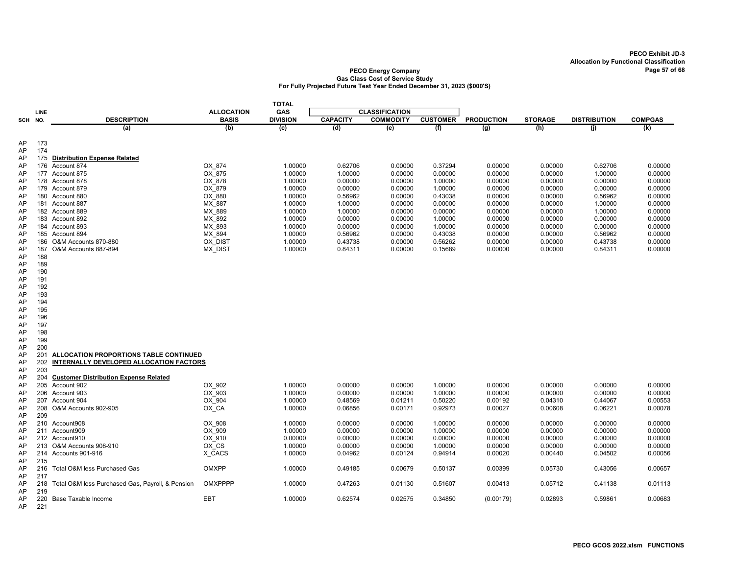|          |            |                                                      |                   | <b>TOTAL</b>    |                 |                       |                 |                   |                |                     |                |
|----------|------------|------------------------------------------------------|-------------------|-----------------|-----------------|-----------------------|-----------------|-------------------|----------------|---------------------|----------------|
|          | LINE       |                                                      | <b>ALLOCATION</b> | GAS             |                 | <b>CLASSIFICATION</b> |                 |                   |                |                     |                |
|          | SCH NO.    | <b>DESCRIPTION</b>                                   | <b>BASIS</b>      | <b>DIVISION</b> | <b>CAPACITY</b> | <b>COMMODITY</b>      | <b>CUSTOMER</b> | <b>PRODUCTION</b> | <b>STORAGE</b> | <b>DISTRIBUTION</b> | <b>COMPGAS</b> |
|          |            | (a)                                                  | (b)               | (c)             | (d)             | $\overline{e}$        | (f)             | $\overline{g}$    | (h)            | (i)                 | (k)            |
|          |            |                                                      |                   |                 |                 |                       |                 |                   |                |                     |                |
| AP<br>AP | 173<br>174 |                                                      |                   |                 |                 |                       |                 |                   |                |                     |                |
| AP       |            | 175 Distribution Expense Related                     |                   |                 |                 |                       |                 |                   |                |                     |                |
| AP       | 176        | Account 874                                          | OX 874            | 1.00000         | 0.62706         | 0.00000               | 0.37294         | 0.00000           | 0.00000        | 0.62706             | 0.00000        |
| AP       |            | 177 Account 875                                      | OX 875            | 1.00000         | 1.00000         | 0.00000               | 0.00000         | 0.00000           | 0.00000        | 1.00000             | 0.00000        |
| AP       |            | 178 Account 878                                      | OX 878            | 1.00000         | 0.00000         | 0.00000               | 1.00000         | 0.00000           | 0.00000        | 0.00000             | 0.00000        |
| AP       |            | 179 Account 879                                      | OX 879            | 1.00000         | 0.00000         | 0.00000               | 1.00000         | 0.00000           | 0.00000        | 0.00000             | 0.00000        |
| AP       |            | 180 Account 880                                      | OX_880            | 1.00000         | 0.56962         | 0.00000               | 0.43038         | 0.00000           | 0.00000        | 0.56962             | 0.00000        |
| AP       |            | 181 Account 887                                      | MX 887            | 1.00000         | 1.00000         | 0.00000               | 0.00000         | 0.00000           | 0.00000        | 1.00000             | 0.00000        |
| AP       |            | 182 Account 889                                      | MX 889            | 1.00000         | 1.00000         | 0.00000               | 0.00000         | 0.00000           | 0.00000        | 1.00000             | 0.00000        |
| AP       |            | 183 Account 892                                      | MX 892            | 1.00000         | 0.00000         | 0.00000               | 1.00000         | 0.00000           | 0.00000        | 0.00000             | 0.00000        |
| AP       |            | 184 Account 893                                      | MX 893            | 1.00000         | 0.00000         | 0.00000               | 1.00000         | 0.00000           | 0.00000        | 0.00000             | 0.00000        |
| AP       |            | 185 Account 894                                      | MX 894            | 1.00000         | 0.56962         | 0.00000               | 0.43038         | 0.00000           | 0.00000        | 0.56962             | 0.00000        |
| AP       | 186        | O&M Accounts 870-880                                 | OX DIST           | 1.00000         | 0.43738         | 0.00000               | 0.56262         | 0.00000           | 0.00000        | 0.43738             | 0.00000        |
| AP       | 187        | O&M Accounts 887-894                                 | <b>MX DIST</b>    | 1.00000         | 0.84311         | 0.00000               | 0.15689         | 0.00000           | 0.00000        | 0.84311             | 0.00000        |
| AP       | 188<br>189 |                                                      |                   |                 |                 |                       |                 |                   |                |                     |                |
| AP<br>AP | 190        |                                                      |                   |                 |                 |                       |                 |                   |                |                     |                |
| AP       | 191        |                                                      |                   |                 |                 |                       |                 |                   |                |                     |                |
| AP       | 192        |                                                      |                   |                 |                 |                       |                 |                   |                |                     |                |
| AP       | 193        |                                                      |                   |                 |                 |                       |                 |                   |                |                     |                |
| AP       | 194        |                                                      |                   |                 |                 |                       |                 |                   |                |                     |                |
| AP       | 195        |                                                      |                   |                 |                 |                       |                 |                   |                |                     |                |
| AP       | 196        |                                                      |                   |                 |                 |                       |                 |                   |                |                     |                |
| AP       | 197        |                                                      |                   |                 |                 |                       |                 |                   |                |                     |                |
| AP       | 198        |                                                      |                   |                 |                 |                       |                 |                   |                |                     |                |
| AP       | 199        |                                                      |                   |                 |                 |                       |                 |                   |                |                     |                |
| AP       | 200        |                                                      |                   |                 |                 |                       |                 |                   |                |                     |                |
| AP       | 201        | ALLOCATION PROPORTIONS TABLE CONTINUED               |                   |                 |                 |                       |                 |                   |                |                     |                |
| AP       | 202        | INTERNALLY DEVELOPED ALLOCATION FACTORS              |                   |                 |                 |                       |                 |                   |                |                     |                |
| AP<br>AP | 203<br>204 | <b>Customer Distribution Expense Related</b>         |                   |                 |                 |                       |                 |                   |                |                     |                |
| AP       |            | 205 Account 902                                      | OX 902            | 1.00000         | 0.00000         | 0.00000               | 1.00000         | 0.00000           | 0.00000        | 0.00000             | 0.00000        |
| AP       |            | 206 Account 903                                      | OX 903            | 1.00000         | 0.00000         | 0.00000               | 1.00000         | 0.00000           | 0.00000        | 0.00000             | 0.00000        |
| AP       |            | 207 Account 904                                      | OX 904            | 1.00000         | 0.48569         | 0.01211               | 0.50220         | 0.00192           | 0.04310        | 0.44067             | 0.00553        |
| AP       |            | 208 O&M Accounts 902-905                             | OX CA             | 1.00000         | 0.06856         | 0.00171               | 0.92973         | 0.00027           | 0.00608        | 0.06221             | 0.00078        |
| AP       | 209        |                                                      |                   |                 |                 |                       |                 |                   |                |                     |                |
| AP       |            | 210 Account908                                       | OX 908            | 1.00000         | 0.00000         | 0.00000               | 1.00000         | 0.00000           | 0.00000        | 0.00000             | 0.00000        |
| AP       |            | 211 Account909                                       | OX_909            | 1.00000         | 0.00000         | 0.00000               | 1.00000         | 0.00000           | 0.00000        | 0.00000             | 0.00000        |
| AP       |            | 212 Account910                                       | OX 910            | 0.00000         | 0.00000         | 0.00000               | 0.00000         | 0.00000           | 0.00000        | 0.00000             | 0.00000        |
| AP       |            | 213 O&M Accounts 908-910                             | OX CS             | 1.00000         | 0.00000         | 0.00000               | 1.00000         | 0.00000           | 0.00000        | 0.00000             | 0.00000        |
| AP       |            | 214 Accounts 901-916                                 | X_CACS            | 1.00000         | 0.04962         | 0.00124               | 0.94914         | 0.00020           | 0.00440        | 0.04502             | 0.00056        |
| AP       | 215        |                                                      |                   |                 |                 |                       |                 |                   |                |                     |                |
| AP       |            | 216 Total O&M less Purchased Gas                     | OMXPP             | 1.00000         | 0.49185         | 0.00679               | 0.50137         | 0.00399           | 0.05730        | 0.43056             | 0.00657        |
| AP       | 217        |                                                      |                   |                 |                 |                       |                 |                   |                |                     |                |
| AP       | 219        | 218 Total O&M less Purchased Gas, Payroll, & Pension | OMXPPPP           | 1.00000         | 0.47263         | 0.01130               | 0.51607         | 0.00413           | 0.05712        | 0.41138             | 0.01113        |
| AP<br>AP | 220        | Base Taxable Income                                  | EBT               | 1.00000         | 0.62574         | 0.02575               | 0.34850         | (0.00179)         | 0.02893        | 0.59861             | 0.00683        |
| AP       | 221        |                                                      |                   |                 |                 |                       |                 |                   |                |                     |                |
|          |            |                                                      |                   |                 |                 |                       |                 |                   |                |                     |                |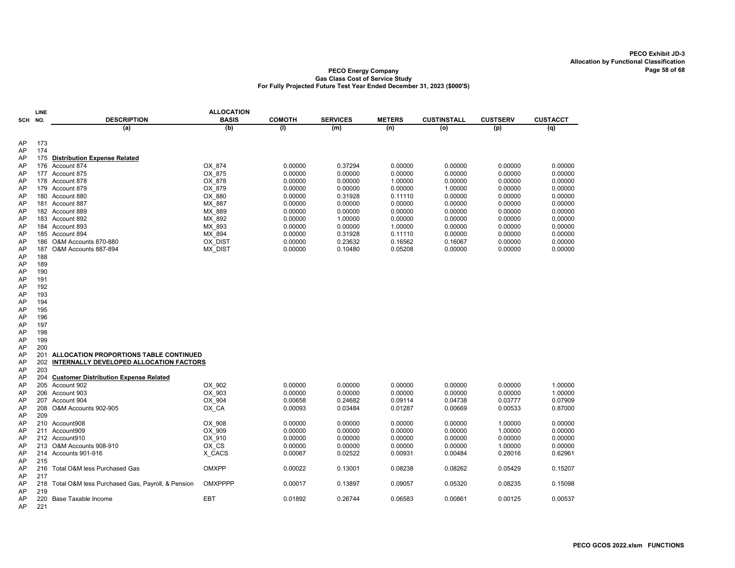|            | <b>ALLOCATION</b><br>LINE |                                                  |              |               |                 |               |                    |                 |                 |
|------------|---------------------------|--------------------------------------------------|--------------|---------------|-----------------|---------------|--------------------|-----------------|-----------------|
| <b>SCH</b> | NO.                       | <b>DESCRIPTION</b>                               | <b>BASIS</b> | <b>COMOTH</b> | <b>SERVICES</b> | <b>METERS</b> | <b>CUSTINSTALL</b> | <b>CUSTSERV</b> | <b>CUSTACCT</b> |
|            |                           | (a)                                              | (b)          | (1)           | (m)             | (n)           | (o)                | (p)             | (q)             |
|            |                           |                                                  |              |               |                 |               |                    |                 |                 |
| AP         | 173                       |                                                  |              |               |                 |               |                    |                 |                 |
| AP         | 174                       |                                                  |              |               |                 |               |                    |                 |                 |
| AP         | 175                       | <b>Distribution Expense Related</b>              |              |               |                 |               |                    |                 |                 |
| AP         | 176                       | Account 874                                      | OX 874       | 0.00000       | 0.37294         | 0.00000       | 0.00000            | 0.00000         | 0.00000         |
| AP         | 177                       | Account 875                                      | OX 875       | 0.00000       | 0.00000         | 0.00000       | 0.00000            | 0.00000         | 0.00000         |
| AP         |                           | 178 Account 878                                  | $OX$ 878     | 0.00000       | 0.00000         | 1.00000       | 0.00000            | 0.00000         | 0.00000         |
| AP         |                           | 179 Account 879                                  | OX 879       | 0.00000       | 0.00000         | 0.00000       | 1.00000            | 0.00000         | 0.00000         |
| AP         |                           | 180 Account 880                                  | OX_880       | 0.00000       | 0.31928         | 0.11110       | 0.00000            | 0.00000         | 0.00000         |
| AP         |                           | 181 Account 887                                  | MX 887       | 0.00000       | 0.00000         | 0.00000       | 0.00000            | 0.00000         | 0.00000         |
| AP         |                           | 182 Account 889                                  | MX 889       | 0.00000       | 0.00000         | 0.00000       | 0.00000            | 0.00000         | 0.00000         |
| AP         |                           | 183 Account 892                                  | MX 892       | 0.00000       | 1.00000         | 0.00000       | 0.00000            | 0.00000         | 0.00000         |
| AP         |                           | 184 Account 893                                  | MX 893       | 0.00000       | 0.00000         | 1.00000       | 0.00000            | 0.00000         | 0.00000         |
| AP         |                           | 185 Account 894                                  | MX 894       | 0.00000       | 0.31928         | 0.11110       | 0.00000            | 0.00000         | 0.00000         |
| AP         | 186                       | O&M Accounts 870-880                             | OX DIST      | 0.00000       | 0.23632         | 0.16562       | 0.16067            | 0.00000         | 0.00000         |
| AP         | 187                       | O&M Accounts 887-894                             | MX_DIST      | 0.00000       | 0.10480         | 0.05208       | 0.00000            | 0.00000         | 0.00000         |
| AP         | 188                       |                                                  |              |               |                 |               |                    |                 |                 |
| AP         | 189                       |                                                  |              |               |                 |               |                    |                 |                 |
| AP         | 190                       |                                                  |              |               |                 |               |                    |                 |                 |
| AP         | 191                       |                                                  |              |               |                 |               |                    |                 |                 |
| AP         | 192                       |                                                  |              |               |                 |               |                    |                 |                 |
| AP         | 193                       |                                                  |              |               |                 |               |                    |                 |                 |
| AP         | 194                       |                                                  |              |               |                 |               |                    |                 |                 |
| AP         | 195                       |                                                  |              |               |                 |               |                    |                 |                 |
| AP         | 196                       |                                                  |              |               |                 |               |                    |                 |                 |
| AP         | 197                       |                                                  |              |               |                 |               |                    |                 |                 |
| AP         | 198                       |                                                  |              |               |                 |               |                    |                 |                 |
| AP         | 199                       |                                                  |              |               |                 |               |                    |                 |                 |
| AP         | 200                       |                                                  |              |               |                 |               |                    |                 |                 |
| AP         | 201<br>202                | ALLOCATION PROPORTIONS TABLE CONTINUED           |              |               |                 |               |                    |                 |                 |
| AP         | 203                       | INTERNALLY DEVELOPED ALLOCATION FACTORS          |              |               |                 |               |                    |                 |                 |
| AP<br>AP   | 204                       | <b>Customer Distribution Expense Related</b>     |              |               |                 |               |                    |                 |                 |
| AP         | 205                       | Account 902                                      | OX 902       | 0.00000       | 0.00000         | 0.00000       | 0.00000            | 0.00000         | 1.00000         |
| AP         |                           | 206 Account 903                                  | OX 903       | 0.00000       | 0.00000         | 0.00000       | 0.00000            | 0.00000         | 1.00000         |
| AP         | 207                       | Account 904                                      | OX 904       | 0.00658       | 0.24682         | 0.09114       | 0.04738            | 0.03777         | 0.07909         |
| AP         | 208                       | O&M Accounts 902-905                             | OX_CA        | 0.00093       | 0.03484         | 0.01287       | 0.00669            | 0.00533         | 0.87000         |
| AP         | 209                       |                                                  |              |               |                 |               |                    |                 |                 |
| AP         |                           | 210 Account908                                   | OX 908       | 0.00000       | 0.00000         | 0.00000       | 0.00000            | 1.00000         | 0.00000         |
| AP         |                           | 211 Account909                                   | OX 909       | 0.00000       | 0.00000         | 0.00000       | 0.00000            | 1.00000         | 0.00000         |
| AP         |                           | 212 Account910                                   | OX 910       | 0.00000       | 0.00000         | 0.00000       | 0.00000            | 0.00000         | 0.00000         |
| AP         | 213                       | O&M Accounts 908-910                             | OX CS        | 0.00000       | 0.00000         | 0.00000       | 0.00000            | 1.00000         | 0.00000         |
| AP         |                           | 214 Accounts 901-916                             | X CACS       | 0.00067       | 0.02522         | 0.00931       | 0.00484            | 0.28016         | 0.62961         |
| AP         | 215                       |                                                  |              |               |                 |               |                    |                 |                 |
| AP         | 216                       | Total O&M less Purchased Gas                     | <b>OMXPP</b> | 0.00022       | 0.13001         | 0.08238       | 0.08262            | 0.05429         | 0.15207         |
| AP         | 217                       |                                                  |              |               |                 |               |                    |                 |                 |
| AP         | 218                       | Total O&M less Purchased Gas, Payroll, & Pension | OMXPPPP      | 0.00017       | 0.13897         | 0.09057       | 0.05320            | 0.08235         | 0.15098         |
| AP         | 219                       |                                                  |              |               |                 |               |                    |                 |                 |
| AP         | 220                       | Base Taxable Income                              | EBT          | 0.01892       | 0.26744         | 0.06583       | 0.00861            | 0.00125         | 0.00537         |
| AP         | 221                       |                                                  |              |               |                 |               |                    |                 |                 |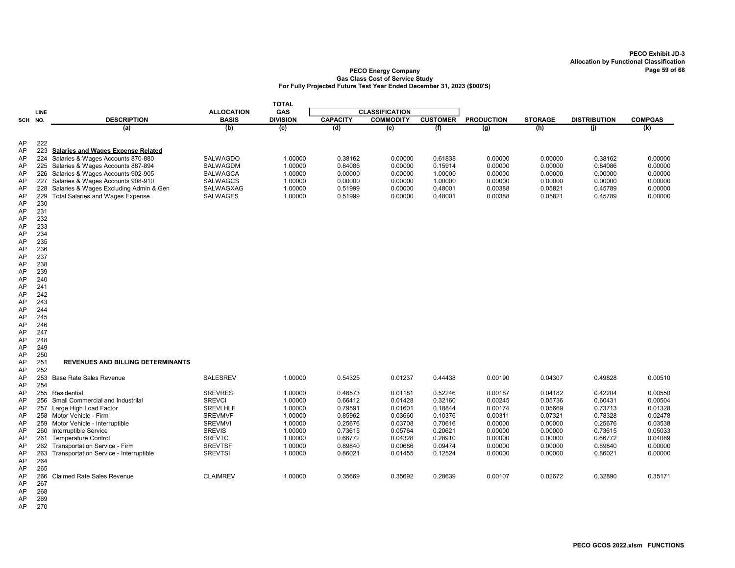### PECO Energy Company Page 59 of 68 Gas Class Cost of Service Study For Fully Projected Future Test Year Ended December 31, 2023 (\$000'S)

|          |            |                                            |                   | <b>TOTAL</b>    |                 |                       |                 |                   |                |                     |                |
|----------|------------|--------------------------------------------|-------------------|-----------------|-----------------|-----------------------|-----------------|-------------------|----------------|---------------------|----------------|
|          | LINE       |                                            | <b>ALLOCATION</b> | <b>GAS</b>      |                 | <b>CLASSIFICATION</b> |                 |                   |                |                     |                |
| SCH NO.  |            | <b>DESCRIPTION</b>                         | <b>BASIS</b>      | <b>DIVISION</b> | <b>CAPACITY</b> | <b>COMMODITY</b>      | <b>CUSTOMER</b> | <b>PRODUCTION</b> | <b>STORAGE</b> | <b>DISTRIBUTION</b> | <b>COMPGAS</b> |
|          |            | (a)                                        | (b)               | (c)             | (d)             | $\overline{e}$        | (f)             | $\overline{(g)}$  | (h)            | (i)                 | (k)            |
|          |            |                                            |                   |                 |                 |                       |                 |                   |                |                     |                |
| AP<br>AP | 222        | 223 Salaries and Wages Expense Related     |                   |                 |                 |                       |                 |                   |                |                     |                |
| AP       |            | 224 Salaries & Wages Accounts 870-880      | SALWAGDO          | 1.00000         | 0.38162         | 0.00000               | 0.61838         | 0.00000           | 0.00000        | 0.38162             | 0.00000        |
| AP       |            | 225 Salaries & Wages Accounts 887-894      | SALWAGDM          | 1.00000         | 0.84086         | 0.00000               | 0.15914         | 0.00000           | 0.00000        | 0.84086             | 0.00000        |
| AP       |            | 226 Salaries & Wages Accounts 902-905      | <b>SALWAGCA</b>   | 1.00000         | 0.00000         | 0.00000               | 1.00000         | 0.00000           | 0.00000        | 0.00000             | 0.00000        |
| AP       | 227        | Salaries & Wages Accounts 908-910          | <b>SALWAGCS</b>   | 1.00000         | 0.00000         | 0.00000               | 1.00000         | 0.00000           | 0.00000        | 0.00000             | 0.00000        |
| AP       | 228        | Salaries & Wages Excluding Admin & Gen     | SALWAGXAG         | 1.00000         | 0.51999         | 0.00000               | 0.48001         | 0.00388           | 0.05821        | 0.45789             | 0.00000        |
| AP       | 229        | <b>Total Salaries and Wages Expense</b>    | SALWAGES          | 1.00000         | 0.51999         | 0.00000               | 0.48001         | 0.00388           | 0.05821        | 0.45789             | 0.00000        |
| AP       | 230        |                                            |                   |                 |                 |                       |                 |                   |                |                     |                |
| AP       | 231        |                                            |                   |                 |                 |                       |                 |                   |                |                     |                |
| AP       | 232        |                                            |                   |                 |                 |                       |                 |                   |                |                     |                |
| AP       | 233        |                                            |                   |                 |                 |                       |                 |                   |                |                     |                |
| AP       | 234        |                                            |                   |                 |                 |                       |                 |                   |                |                     |                |
| AP       | 235        |                                            |                   |                 |                 |                       |                 |                   |                |                     |                |
| AP       | 236<br>237 |                                            |                   |                 |                 |                       |                 |                   |                |                     |                |
| AP<br>AP | 238        |                                            |                   |                 |                 |                       |                 |                   |                |                     |                |
| AP       | 239        |                                            |                   |                 |                 |                       |                 |                   |                |                     |                |
| AP       | 240        |                                            |                   |                 |                 |                       |                 |                   |                |                     |                |
| AP       | 241        |                                            |                   |                 |                 |                       |                 |                   |                |                     |                |
| AP       | 242        |                                            |                   |                 |                 |                       |                 |                   |                |                     |                |
| AP       | 243        |                                            |                   |                 |                 |                       |                 |                   |                |                     |                |
| AP       | 244        |                                            |                   |                 |                 |                       |                 |                   |                |                     |                |
| AP       | 245        |                                            |                   |                 |                 |                       |                 |                   |                |                     |                |
| AP       | 246        |                                            |                   |                 |                 |                       |                 |                   |                |                     |                |
| AP       | 247        |                                            |                   |                 |                 |                       |                 |                   |                |                     |                |
| AP       | 248        |                                            |                   |                 |                 |                       |                 |                   |                |                     |                |
| AP       | 249        |                                            |                   |                 |                 |                       |                 |                   |                |                     |                |
| AP       | 250        |                                            |                   |                 |                 |                       |                 |                   |                |                     |                |
| AP       | 251<br>252 | REVENUES AND BILLING DETERMINANTS          |                   |                 |                 |                       |                 |                   |                |                     |                |
| AP<br>AP |            | 253 Base Rate Sales Revenue                | <b>SALESREV</b>   | 1.00000         | 0.54325         | 0.01237               | 0.44438         | 0.00190           | 0.04307        | 0.49828             | 0.00510        |
| AP       | 254        |                                            |                   |                 |                 |                       |                 |                   |                |                     |                |
| AP       |            | 255 Residential                            | <b>SREVRES</b>    | 1.00000         | 0.46573         | 0.01181               | 0.52246         | 0.00187           | 0.04182        | 0.42204             | 0.00550        |
| AP       |            | 256 Small Commercial and Industrilal       | <b>SREVCI</b>     | 1.00000         | 0.66412         | 0.01428               | 0.32160         | 0.00245           | 0.05736        | 0.60431             | 0.00504        |
| AP       |            | 257 Large High Load Factor                 | <b>SREVLHLF</b>   | 1.00000         | 0.79591         | 0.01601               | 0.18844         | 0.00174           | 0.05669        | 0.73713             | 0.01328        |
| AP       |            | 258 Motor Vehicle - Firm                   | <b>SREVMVF</b>    | 1.00000         | 0.85962         | 0.03660               | 0.10376         | 0.00311           | 0.07321        | 0.78328             | 0.02478        |
| AP       |            | 259 Motor Vehicle - Interruptible          | <b>SREVMVI</b>    | 1.00000         | 0.25676         | 0.03708               | 0.70616         | 0.00000           | 0.00000        | 0.25676             | 0.03538        |
| AP       |            | 260 Interruptible Service                  | <b>SREVIS</b>     | 1.00000         | 0.73615         | 0.05764               | 0.20621         | 0.00000           | 0.00000        | 0.73615             | 0.05033        |
| AP       |            | 261 Temperature Control                    | <b>SREVTC</b>     | 1.00000         | 0.66772         | 0.04328               | 0.28910         | 0.00000           | 0.00000        | 0.66772             | 0.04089        |
| AP       |            | 262 Transportation Service - Firm          | <b>SREVTSF</b>    | 1.00000         | 0.89840         | 0.00686               | 0.09474         | 0.00000           | 0.00000        | 0.89840             | 0.00000        |
| AP       |            | 263 Transportation Service - Interruptible | <b>SREVTSI</b>    | 1.00000         | 0.86021         | 0.01455               | 0.12524         | 0.00000           | 0.00000        | 0.86021             | 0.00000        |
| AP       | 264        |                                            |                   |                 |                 |                       |                 |                   |                |                     |                |
| AP       | 265        |                                            |                   |                 |                 |                       |                 |                   |                |                     |                |
| AP       | 266        | <b>Claimed Rate Sales Revenue</b>          | <b>CLAIMREV</b>   | 1.00000         | 0.35669         | 0.35692               | 0.28639         | 0.00107           | 0.02672        | 0.32890             | 0.35171        |
| AP<br>AP | 267<br>268 |                                            |                   |                 |                 |                       |                 |                   |                |                     |                |
| AP       | 269        |                                            |                   |                 |                 |                       |                 |                   |                |                     |                |
|          |            |                                            |                   |                 |                 |                       |                 |                   |                |                     |                |

AP 270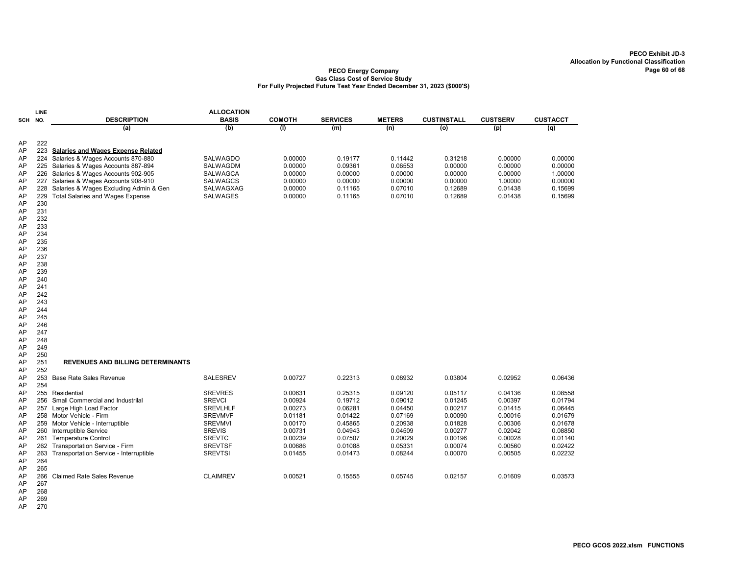#### PECO Energy Company Gas Class Cost of Service Study For Fully Projected Future Test Year Ended December 31, 2023 (\$000'S)

|          | <b>LINE</b> |                                           | <b>ALLOCATION</b> |               |                 |               |                    |                 |                 |
|----------|-------------|-------------------------------------------|-------------------|---------------|-----------------|---------------|--------------------|-----------------|-----------------|
| SCH      | NO.         | <b>DESCRIPTION</b>                        | <b>BASIS</b>      | <b>COMOTH</b> | <b>SERVICES</b> | <b>METERS</b> | <b>CUSTINSTALL</b> | <b>CUSTSERV</b> | <b>CUSTACCT</b> |
|          |             | (a)                                       | (b)               | (1)           | (m)             | (n)           | (o)                | (p)             | (q)             |
|          | 222         |                                           |                   |               |                 |               |                    |                 |                 |
| AP<br>AP | 223         | <b>Salaries and Wages Expense Related</b> |                   |               |                 |               |                    |                 |                 |
| AP       | 224         | Salaries & Wages Accounts 870-880         | SALWAGDO          | 0.00000       | 0.19177         | 0.11442       | 0.31218            | 0.00000         | 0.00000         |
| AP       | 225         | Salaries & Wages Accounts 887-894         | SALWAGDM          | 0.00000       | 0.09361         | 0.06553       | 0.00000            | 0.00000         | 0.00000         |
| AP       | 226         | Salaries & Wages Accounts 902-905         | <b>SALWAGCA</b>   | 0.00000       | 0.00000         | 0.00000       | 0.00000            | 0.00000         | 1.00000         |
| AP       | 227         | Salaries & Wages Accounts 908-910         | <b>SALWAGCS</b>   | 0.00000       | 0.00000         | 0.00000       | 0.00000            | 1.00000         | 0.00000         |
| AP       | 228         | Salaries & Wages Excluding Admin & Gen    | SALWAGXAG         | 0.00000       | 0.11165         | 0.07010       | 0.12689            | 0.01438         | 0.15699         |
| AP       | 229         | <b>Total Salaries and Wages Expense</b>   | <b>SALWAGES</b>   | 0.00000       | 0.11165         | 0.07010       | 0.12689            | 0.01438         | 0.15699         |
| AP       | 230         |                                           |                   |               |                 |               |                    |                 |                 |
| AP       | 231         |                                           |                   |               |                 |               |                    |                 |                 |
| AP       | 232         |                                           |                   |               |                 |               |                    |                 |                 |
| AP       | 233         |                                           |                   |               |                 |               |                    |                 |                 |
| AP       | 234         |                                           |                   |               |                 |               |                    |                 |                 |
| AP       | 235         |                                           |                   |               |                 |               |                    |                 |                 |
| AP       | 236         |                                           |                   |               |                 |               |                    |                 |                 |
| AP       | 237         |                                           |                   |               |                 |               |                    |                 |                 |
| AP       | 238         |                                           |                   |               |                 |               |                    |                 |                 |
| AP       | 239         |                                           |                   |               |                 |               |                    |                 |                 |
| AP       | 240         |                                           |                   |               |                 |               |                    |                 |                 |
| AP       | 241         |                                           |                   |               |                 |               |                    |                 |                 |
| AP       | 242         |                                           |                   |               |                 |               |                    |                 |                 |
| AP       | 243         |                                           |                   |               |                 |               |                    |                 |                 |
| AP       | 244         |                                           |                   |               |                 |               |                    |                 |                 |
| AP       | 245         |                                           |                   |               |                 |               |                    |                 |                 |
| AP       | 246         |                                           |                   |               |                 |               |                    |                 |                 |
| AP       | 247         |                                           |                   |               |                 |               |                    |                 |                 |
| AP       | 248         |                                           |                   |               |                 |               |                    |                 |                 |
| AP       | 249         |                                           |                   |               |                 |               |                    |                 |                 |
| AP       | 250         |                                           |                   |               |                 |               |                    |                 |                 |
| AP       | 251         | <b>REVENUES AND BILLING DETERMINANTS</b>  |                   |               |                 |               |                    |                 |                 |
| AP       | 252         |                                           |                   |               |                 |               |                    |                 |                 |
| AP       | 254         | 253 Base Rate Sales Revenue               | <b>SALESREV</b>   | 0.00727       | 0.22313         | 0.08932       | 0.03804            | 0.02952         | 0.06436         |
| AP<br>AP |             | 255 Residential                           | <b>SREVRES</b>    | 0.00631       | 0.25315         | 0.09120       | 0.05117            | 0.04136         | 0.08558         |
| AP       | 256         | Small Commercial and Industrilal          | <b>SREVCI</b>     | 0.00924       | 0.19712         | 0.09012       | 0.01245            | 0.00397         | 0.01794         |
| AP       |             | 257 Large High Load Factor                | <b>SREVLHLF</b>   | 0.00273       | 0.06281         | 0.04450       | 0.00217            | 0.01415         | 0.06445         |
| AP       |             | 258 Motor Vehicle - Firm                  | <b>SREVMVF</b>    | 0.01181       | 0.01422         | 0.07169       | 0.00090            | 0.00016         | 0.01679         |
| AP       | 259         | Motor Vehicle - Interruptible             | <b>SREVMVI</b>    | 0.00170       | 0.45865         | 0.20938       | 0.01828            | 0.00306         | 0.01678         |
| AP       | 260         | Interruptible Service                     | <b>SREVIS</b>     | 0.00731       | 0.04943         | 0.04509       | 0.00277            | 0.02042         | 0.08850         |
| AP       | 261         | <b>Temperature Control</b>                | <b>SREVTC</b>     | 0.00239       | 0.07507         | 0.20029       | 0.00196            | 0.00028         | 0.01140         |
| AP       | 262         | Transportation Service - Firm             | <b>SREVTSF</b>    | 0.00686       | 0.01088         | 0.05331       | 0.00074            | 0.00560         | 0.02422         |
| AP       | 263         | Transportation Service - Interruptible    | <b>SREVTSI</b>    | 0.01455       | 0.01473         | 0.08244       | 0.00070            | 0.00505         | 0.02232         |
| AP       | 264         |                                           |                   |               |                 |               |                    |                 |                 |
| AP       | 265         |                                           |                   |               |                 |               |                    |                 |                 |
| AP       | 266         | <b>Claimed Rate Sales Revenue</b>         | <b>CLAIMREV</b>   | 0.00521       | 0.15555         | 0.05745       | 0.02157            | 0.01609         | 0.03573         |
| AP       | 267         |                                           |                   |               |                 |               |                    |                 |                 |
| AP       | 268         |                                           |                   |               |                 |               |                    |                 |                 |
| AP       | 269         |                                           |                   |               |                 |               |                    |                 |                 |

AP 270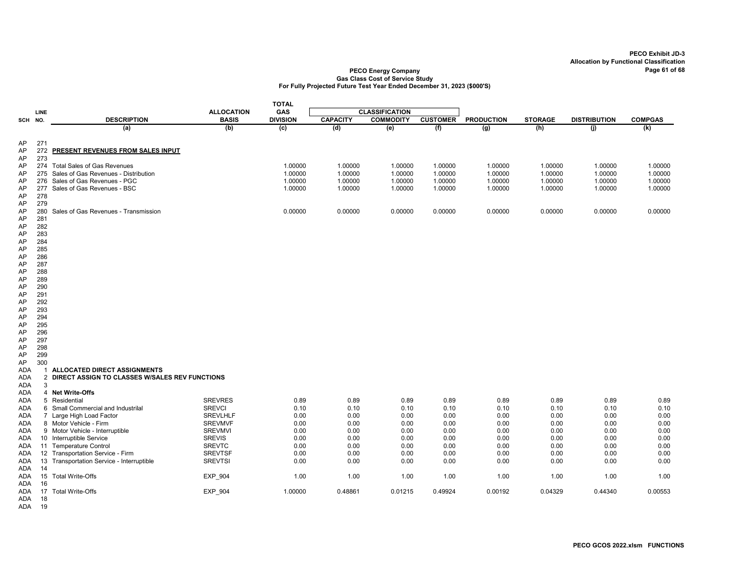#### PECO Energy Company Page 61 of 68 Gas Class Cost of Service Study For Fully Projected Future Test Year Ended December 31, 2023 (\$000'S)

|               |             |                                                  |                   | <b>TOTAL</b>     |                 |                       |                 |                   |                |                     |                |
|---------------|-------------|--------------------------------------------------|-------------------|------------------|-----------------|-----------------------|-----------------|-------------------|----------------|---------------------|----------------|
|               | <b>LINE</b> |                                                  | <b>ALLOCATION</b> | GAS              |                 | <b>CLASSIFICATION</b> |                 |                   |                |                     |                |
| SCH NO.       |             | <b>DESCRIPTION</b>                               | <b>BASIS</b>      | <b>DIVISION</b>  | <b>CAPACITY</b> | <b>COMMODITY</b>      | <b>CUSTOMER</b> | <b>PRODUCTION</b> | <b>STORAGE</b> | <b>DISTRIBUTION</b> | <b>COMPGAS</b> |
|               |             | (a)                                              | (b)               | $\overline{(c)}$ | (d)             | (e)                   | (f)             | (g)               | (h)            | (i)                 | (k)            |
|               |             |                                                  |                   |                  |                 |                       |                 |                   |                |                     |                |
| AP            | 271         |                                                  |                   |                  |                 |                       |                 |                   |                |                     |                |
| AP            |             | 272 PRESENT REVENUES FROM SALES INPUT            |                   |                  |                 |                       |                 |                   |                |                     |                |
| AP            | 273         |                                                  |                   |                  |                 |                       |                 |                   |                |                     |                |
| AP            |             | 274 Total Sales of Gas Revenues                  |                   | 1.00000          | 1.00000         | 1.00000               | 1.00000         | 1.00000           | 1.00000        | 1.00000             | 1.00000        |
| AP            |             | 275 Sales of Gas Revenues - Distribution         |                   | 1.00000          | 1.00000         | 1.00000               | 1.00000         | 1.00000           | 1.00000        | 1.00000             | 1.00000        |
| AP            |             | 276 Sales of Gas Revenues - PGC                  |                   | 1.00000          | 1.00000         | 1.00000               | 1.00000         | 1.00000           | 1.00000        | 1.00000             | 1.00000        |
| AP            | 277         | Sales of Gas Revenues - BSC                      |                   | 1.00000          | 1.00000         | 1.00000               | 1.00000         | 1.00000           | 1.00000        | 1.00000             | 1.00000        |
| AP            | 278         |                                                  |                   |                  |                 |                       |                 |                   |                |                     |                |
| AP            | 279         |                                                  |                   |                  |                 |                       |                 |                   |                |                     |                |
| AP<br>AP      | 280<br>281  | Sales of Gas Revenues - Transmission             |                   | 0.00000          | 0.00000         | 0.00000               | 0.00000         | 0.00000           | 0.00000        | 0.00000             | 0.00000        |
| AP            | 282         |                                                  |                   |                  |                 |                       |                 |                   |                |                     |                |
| AP            | 283         |                                                  |                   |                  |                 |                       |                 |                   |                |                     |                |
| AP            | 284         |                                                  |                   |                  |                 |                       |                 |                   |                |                     |                |
| AP            | 285         |                                                  |                   |                  |                 |                       |                 |                   |                |                     |                |
| AP            | 286         |                                                  |                   |                  |                 |                       |                 |                   |                |                     |                |
| AP            | 287         |                                                  |                   |                  |                 |                       |                 |                   |                |                     |                |
| AP            | 288         |                                                  |                   |                  |                 |                       |                 |                   |                |                     |                |
| AP            | 289         |                                                  |                   |                  |                 |                       |                 |                   |                |                     |                |
| AP            | 290         |                                                  |                   |                  |                 |                       |                 |                   |                |                     |                |
| AP            | 291         |                                                  |                   |                  |                 |                       |                 |                   |                |                     |                |
| AP            | 292         |                                                  |                   |                  |                 |                       |                 |                   |                |                     |                |
| AP            | 293         |                                                  |                   |                  |                 |                       |                 |                   |                |                     |                |
| AP            | 294         |                                                  |                   |                  |                 |                       |                 |                   |                |                     |                |
| AP            | 295         |                                                  |                   |                  |                 |                       |                 |                   |                |                     |                |
| AP            | 296         |                                                  |                   |                  |                 |                       |                 |                   |                |                     |                |
| AP            | 297         |                                                  |                   |                  |                 |                       |                 |                   |                |                     |                |
| AP            | 298         |                                                  |                   |                  |                 |                       |                 |                   |                |                     |                |
| AP            | 299         |                                                  |                   |                  |                 |                       |                 |                   |                |                     |                |
| AP            | 300         |                                                  |                   |                  |                 |                       |                 |                   |                |                     |                |
| ADA           |             | 1 ALLOCATED DIRECT ASSIGNMENTS                   |                   |                  |                 |                       |                 |                   |                |                     |                |
| <b>ADA</b>    |             | 2 DIRECT ASSIGN TO CLASSES W/SALES REV FUNCTIONS |                   |                  |                 |                       |                 |                   |                |                     |                |
| ada           | 3           |                                                  |                   |                  |                 |                       |                 |                   |                |                     |                |
| <b>ADA</b>    |             | 4 Net Write-Offs                                 |                   |                  |                 |                       |                 |                   |                |                     |                |
| ada           |             | 5 Residential                                    | <b>SREVRES</b>    | 0.89             | 0.89            | 0.89                  | 0.89            | 0.89              | 0.89           | 0.89                | 0.89           |
| <b>ADA</b>    |             | 6 Small Commercial and Industrilal               | <b>SREVCI</b>     | 0.10             | 0.10            | 0.10                  | 0.10            | 0.10              | 0.10           | 0.10                | 0.10           |
| <b>ADA</b>    |             | 7 Large High Load Factor                         | <b>SREVLHLF</b>   | 0.00             | 0.00            | 0.00                  | 0.00            | 0.00              | 0.00           | 0.00                | 0.00           |
| ada           |             | 8 Motor Vehicle - Firm                           | <b>SREVMVF</b>    | 0.00             | 0.00            | 0.00                  | 0.00            | 0.00              | 0.00           | 0.00                | 0.00           |
| <b>ADA</b>    |             | 9 Motor Vehicle - Interruptible                  | <b>SREVMVI</b>    | 0.00             | 0.00            | 0.00                  | 0.00            | 0.00              | 0.00           | 0.00                | 0.00           |
| ada           |             | 10 Interruptible Service                         | <b>SREVIS</b>     | 0.00             | 0.00            | 0.00                  | 0.00            | 0.00              | 0.00           | 0.00                | 0.00           |
| <b>ADA</b>    |             | 11 Temperature Control                           | <b>SREVTC</b>     | 0.00             | 0.00            | 0.00                  | 0.00            | 0.00              | 0.00           | 0.00                | 0.00           |
| <b>ADA</b>    |             | 12 Transportation Service - Firm                 | <b>SREVTSF</b>    | 0.00             | 0.00            | 0.00                  | 0.00            | 0.00              | 0.00           | 0.00                | 0.00           |
| ADA           |             | 13 Transportation Service - Interruptible        | <b>SREVTSI</b>    | 0.00             | 0.00            | 0.00                  | 0.00            | 0.00              | 0.00           | 0.00                | 0.00           |
| ada           | 14          |                                                  |                   |                  |                 |                       |                 |                   |                |                     |                |
| ADA           |             | 15 Total Write-Offs                              | EXP_904           | 1.00             | 1.00            | 1.00                  | 1.00            | 1.00              | 1.00           | 1.00                | 1.00           |
| ada<br>ADA    | 16          | 17 Total Write-Offs                              | EXP_904           | 1.00000          | 0.48861         | 0.01215               | 0.49924         | 0.00192           | 0.04329        | 0.44340             | 0.00553        |
| ADA           | 18          |                                                  |                   |                  |                 |                       |                 |                   |                |                     |                |
| $\sim$ $\sim$ |             |                                                  |                   |                  |                 |                       |                 |                   |                |                     |                |

ADA 19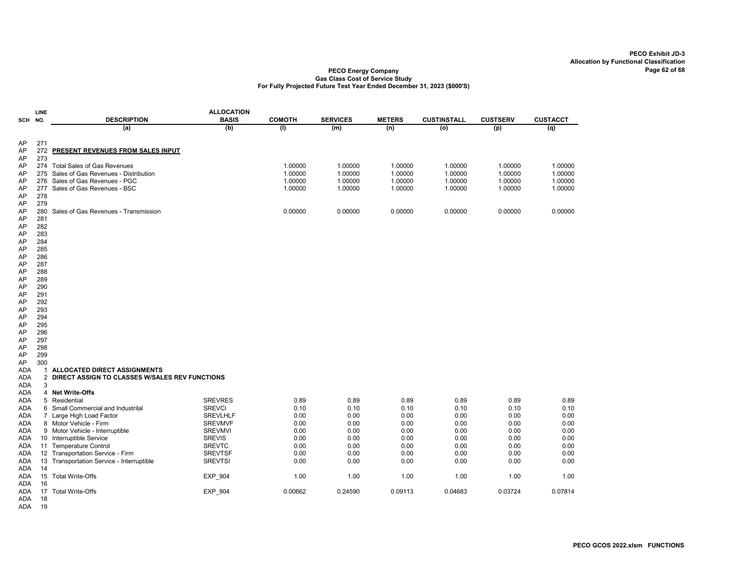#### PECO Energy Company Gas Class Cost of Service Study For Fully Projected Future Test Year Ended December 31, 2023 (\$000'S)

|            | <b>LINE</b>    |                                                | <b>ALLOCATION</b> |               |                 |               |                    |                 |                 |
|------------|----------------|------------------------------------------------|-------------------|---------------|-----------------|---------------|--------------------|-----------------|-----------------|
| SCH        | NO.            | <b>DESCRIPTION</b>                             | <b>BASIS</b>      | <b>COMOTH</b> | <b>SERVICES</b> | <b>METERS</b> | <b>CUSTINSTALL</b> | <b>CUSTSERV</b> | <b>CUSTACCT</b> |
|            |                | (a)                                            | (b)               | (1)           | (m)             | (n)           | (0)                | (p)             | (q)             |
| AP         | 271            |                                                |                   |               |                 |               |                    |                 |                 |
| AP         | 272            | PRESENT REVENUES FROM SALES INPUT              |                   |               |                 |               |                    |                 |                 |
| AP         | 273            |                                                |                   |               |                 |               |                    |                 |                 |
| AP         | 274            | <b>Total Sales of Gas Revenues</b>             |                   | 1.00000       | 1.00000         | 1.00000       | 1.00000            | 1.00000         | 1.00000         |
| AP         | 275            | Sales of Gas Revenues - Distribution           |                   | 1.00000       | 1.00000         | 1.00000       | 1.00000            | 1.00000         | 1.00000         |
| AP         | 276            | Sales of Gas Revenues - PGC                    |                   | 1.00000       | 1.00000         | 1.00000       | 1.00000            | 1.00000         | 1.00000         |
| AP         | 277            | Sales of Gas Revenues - BSC                    |                   | 1.00000       | 1.00000         | 1.00000       | 1.00000            | 1.00000         | 1.00000         |
| AP         | 278            |                                                |                   |               |                 |               |                    |                 |                 |
| AP         | 279            |                                                |                   |               |                 |               |                    |                 |                 |
| AP         | 280            | Sales of Gas Revenues - Transmission           |                   | 0.00000       | 0.00000         | 0.00000       | 0.00000            | 0.00000         | 0.00000         |
| AP         | 281            |                                                |                   |               |                 |               |                    |                 |                 |
| AP         | 282            |                                                |                   |               |                 |               |                    |                 |                 |
| AP         | 283            |                                                |                   |               |                 |               |                    |                 |                 |
| AP         | 284            |                                                |                   |               |                 |               |                    |                 |                 |
| AP         | 285            |                                                |                   |               |                 |               |                    |                 |                 |
| AP         | 286            |                                                |                   |               |                 |               |                    |                 |                 |
| AP         | 287            |                                                |                   |               |                 |               |                    |                 |                 |
| AP         | 288            |                                                |                   |               |                 |               |                    |                 |                 |
| AP         | 289            |                                                |                   |               |                 |               |                    |                 |                 |
| AP         | 290            |                                                |                   |               |                 |               |                    |                 |                 |
| AP         | 291            |                                                |                   |               |                 |               |                    |                 |                 |
| AP         | 292            |                                                |                   |               |                 |               |                    |                 |                 |
| AP         | 293            |                                                |                   |               |                 |               |                    |                 |                 |
| AP         | 294            |                                                |                   |               |                 |               |                    |                 |                 |
| AP         | 295            |                                                |                   |               |                 |               |                    |                 |                 |
| AP<br>AP   | 296<br>297     |                                                |                   |               |                 |               |                    |                 |                 |
| AP         | 298            |                                                |                   |               |                 |               |                    |                 |                 |
| AP         | 299            |                                                |                   |               |                 |               |                    |                 |                 |
| AP         | 300            |                                                |                   |               |                 |               |                    |                 |                 |
| ada        | $\mathbf{1}$   | ALLOCATED DIRECT ASSIGNMENTS                   |                   |               |                 |               |                    |                 |                 |
| <b>ADA</b> | $\overline{2}$ | DIRECT ASSIGN TO CLASSES W/SALES REV FUNCTIONS |                   |               |                 |               |                    |                 |                 |
| <b>ADA</b> | 3              |                                                |                   |               |                 |               |                    |                 |                 |
| ADA        | $\overline{4}$ | <b>Net Write-Offs</b>                          |                   |               |                 |               |                    |                 |                 |
| ADA        |                | 5 Residential                                  | <b>SREVRES</b>    | 0.89          | 0.89            | 0.89          | 0.89               | 0.89            | 0.89            |
| ada        | 6              | Small Commercial and Industrilal               | <b>SREVCI</b>     | 0.10          | 0.10            | 0.10          | 0.10               | 0.10            | 0.10            |
| ada        |                | 7 Large High Load Factor                       | <b>SREVLHLF</b>   | 0.00          | 0.00            | 0.00          | 0.00               | 0.00            | 0.00            |
| ADA        |                | 8 Motor Vehicle - Firm                         | <b>SREVMVF</b>    | 0.00          | 0.00            | 0.00          | 0.00               | 0.00            | 0.00            |
| ADA        |                | 9 Motor Vehicle - Interruptible                | <b>SREVMVI</b>    | 0.00          | 0.00            | 0.00          | 0.00               | 0.00            | 0.00            |
| ada        |                | 10 Interruptible Service                       | <b>SREVIS</b>     | 0.00          | 0.00            | 0.00          | 0.00               | 0.00            | 0.00            |
| ADA        |                | 11 Temperature Control                         | <b>SREVTC</b>     | 0.00          | 0.00            | 0.00          | 0.00               | 0.00            | 0.00            |
| ADA        |                | 12 Transportation Service - Firm               | <b>SREVTSF</b>    | 0.00          | 0.00            | 0.00          | 0.00               | 0.00            | 0.00            |
| ADA        | 13             | Transportation Service - Interruptible         | <b>SREVTSI</b>    | 0.00          | 0.00            | 0.00          | 0.00               | 0.00            | 0.00            |
| ADA        | 14             |                                                |                   |               |                 |               |                    |                 |                 |
| ADA        |                | 15 Total Write-Offs                            | <b>EXP 904</b>    | 1.00          | 1.00            | 1.00          | 1.00               | 1.00            | 1.00            |
| ADA        | 16             |                                                |                   |               |                 |               |                    |                 |                 |
| ada        |                | 17 Total Write-Offs                            | EXP_904           | 0.00662       | 0.24590         | 0.09113       | 0.04683            | 0.03724         | 0.07814         |
| ADA        | 18             |                                                |                   |               |                 |               |                    |                 |                 |

ADA 19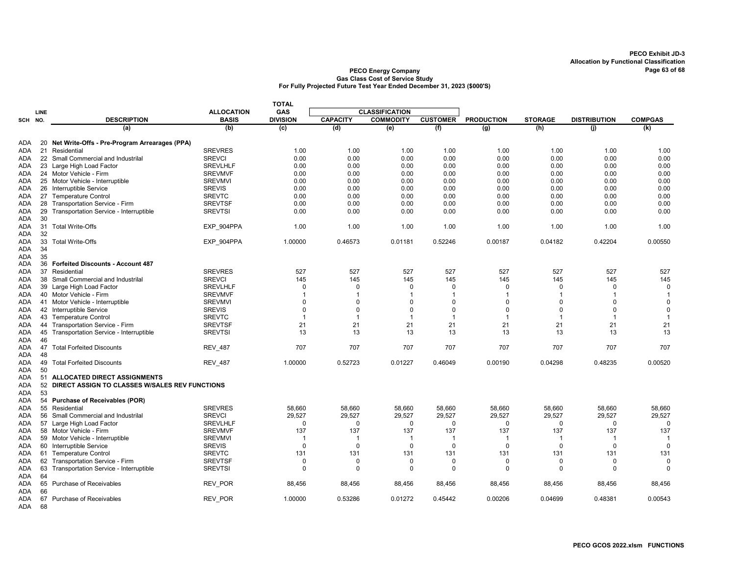|                   |          |                                                   |                   | <b>TOTAL</b>    |                 |                       |                 |                   |                |                     |                |
|-------------------|----------|---------------------------------------------------|-------------------|-----------------|-----------------|-----------------------|-----------------|-------------------|----------------|---------------------|----------------|
|                   | LINE     |                                                   | <b>ALLOCATION</b> | GAS             |                 | <b>CLASSIFICATION</b> |                 |                   |                |                     |                |
| SCH NO.           |          | <b>DESCRIPTION</b>                                | <b>BASIS</b>      | <b>DIVISION</b> | <b>CAPACITY</b> | <b>COMMODITY</b>      | <b>CUSTOMER</b> | <b>PRODUCTION</b> | <b>STORAGE</b> | <b>DISTRIBUTION</b> | <b>COMPGAS</b> |
|                   |          | (a)                                               | (b)               | (c)             | (d)             | (e)                   | (f)             | $\overline{(g)}$  | (h)            | (i)                 | (k)            |
|                   |          |                                                   |                   |                 |                 |                       |                 |                   |                |                     |                |
| ADA               |          | 20 Net Write-Offs - Pre-Program Arrearages (PPA)  |                   |                 |                 |                       |                 |                   |                |                     |                |
| <b>ADA</b>        |          | 21 Residential                                    | <b>SREVRES</b>    | 1.00            | 1.00            | 1.00                  | 1.00            | 1.00              | 1.00           | 1.00                | 1.00           |
| ADA               |          | 22 Small Commercial and Industrilal               | <b>SREVCI</b>     | 0.00            | 0.00            | 0.00                  | 0.00            | 0.00              | 0.00           | 0.00                | 0.00           |
| ADA               |          | 23 Large High Load Factor                         | <b>SREVLHLF</b>   | 0.00            | 0.00            | 0.00                  | 0.00            | 0.00              | 0.00           | 0.00                | 0.00           |
| ADA               |          | 24 Motor Vehicle - Firm                           | <b>SREVMVF</b>    | 0.00            | 0.00            | 0.00                  | 0.00            | 0.00              | 0.00           | 0.00                | 0.00           |
| ADA               | 25       | Motor Vehicle - Interruptible                     | <b>SREVMVI</b>    | 0.00            | 0.00            | 0.00                  | 0.00            | 0.00              | 0.00           | 0.00                | 0.00           |
| ADA               |          | 26 Interruptible Service                          | <b>SREVIS</b>     | 0.00            | 0.00            | 0.00                  | 0.00            | 0.00              | 0.00           | 0.00                | 0.00           |
| ADA               |          | 27 Temperature Control                            | <b>SREVTC</b>     | 0.00            | 0.00            | 0.00                  | 0.00            | 0.00              | 0.00           | 0.00                | 0.00           |
| ADA               | 28       | Transportation Service - Firm                     | <b>SREVTSF</b>    | 0.00            | 0.00            | 0.00                  | 0.00            | 0.00              | 0.00           | 0.00                | 0.00           |
| ADA               | 29       | Transportation Service - Interruptible            | <b>SREVTSI</b>    | 0.00            | 0.00            | 0.00                  | 0.00            | 0.00              | 0.00           | 0.00                | 0.00           |
| <b>ADA</b>        | 30       |                                                   |                   |                 |                 |                       |                 |                   |                |                     |                |
| ADA               |          | 31 Total Write-Offs                               | EXP_904PPA        | 1.00            | 1.00            | 1.00                  | 1.00            | 1.00              | 1.00           | 1.00                | 1.00           |
| <b>ADA</b>        | 32<br>33 |                                                   |                   |                 | 0.46573         | 0.01181               | 0.52246         |                   | 0.04182        | 0.42204             | 0.00550        |
| <b>ADA</b>        |          | Total Write-Offs                                  | EXP_904PPA        | 1.00000         |                 |                       |                 | 0.00187           |                |                     |                |
| ADA               | 34       |                                                   |                   |                 |                 |                       |                 |                   |                |                     |                |
| ADA<br><b>ADA</b> | 35<br>36 | <b>Forfeited Discounts - Account 487</b>          |                   |                 |                 |                       |                 |                   |                |                     |                |
|                   |          | Residential                                       | <b>SREVRES</b>    |                 |                 | 527                   |                 |                   | 527            |                     |                |
| ADA               | 37       |                                                   | <b>SREVCI</b>     | 527             | 527             |                       | 527             | 527               |                | 527                 | 527            |
| ADA               | 38       | Small Commercial and Industrilal                  |                   | 145             | 145             | 145                   | 145             | 145               | 145            | 145                 | 145            |
| ADA               |          | 39 Large High Load Factor                         | <b>SREVLHLF</b>   | $\mathbf 0$     | $\mathbf 0$     | $\Omega$              | $\mathbf 0$     | $\mathbf 0$       | $\Omega$       | $\Omega$            | $\mathbf 0$    |
| ADA               |          | 40 Motor Vehicle - Firm                           | <b>SREVMVF</b>    | -1              | 1               |                       | -1              | 1                 |                |                     | $\mathbf 1$    |
| <b>ADA</b>        |          | 41 Motor Vehicle - Interruptible                  | <b>SREVMVI</b>    | $\mathbf 0$     | $\Omega$        | $\Omega$              | $\mathbf 0$     | $\Omega$          | $\Omega$       | $\Omega$            | $\Omega$       |
| ADA               |          | 42 Interruptible Service                          | <b>SREVIS</b>     | $\mathbf 0$     | $\Omega$        | $\Omega$              | $\mathbf 0$     | 0                 | $\Omega$       | $\Omega$            | $\mathbf 0$    |
| <b>ADA</b>        |          | 43 Temperature Control                            | <b>SREVTC</b>     | $\overline{1}$  | 1               | -1                    | $\overline{1}$  | $\overline{1}$    | $\overline{1}$ | 1                   | $\overline{1}$ |
| ADA               |          | 44 Transportation Service - Firm                  | <b>SREVTSF</b>    | 21              | 21              | 21                    | 21              | 21                | 21             | 21                  | 21             |
| <b>ADA</b>        | 45       | Transportation Service - Interruptible            | <b>SREVTSI</b>    | 13              | 13              | 13                    | 13              | 13                | 13             | 13                  | 13             |
| ADA               | 46       |                                                   |                   |                 |                 |                       |                 |                   |                |                     |                |
| ADA               | 47       | <b>Total Forfeited Discounts</b>                  | <b>REV 487</b>    | 707             | 707             | 707                   | 707             | 707               | 707            | 707                 | 707            |
| ADA               | 48       |                                                   |                   |                 |                 |                       |                 |                   |                |                     |                |
| ADA               | 49       | <b>Total Forfeited Discounts</b>                  | <b>REV 487</b>    | 1.00000         | 0.52723         | 0.01227               | 0.46049         | 0.00190           | 0.04298        | 0.48235             | 0.00520        |
| ADA               | 50       |                                                   |                   |                 |                 |                       |                 |                   |                |                     |                |
| ADA               |          | 51 ALLOCATED DIRECT ASSIGNMENTS                   |                   |                 |                 |                       |                 |                   |                |                     |                |
| ADA               |          | 52 DIRECT ASSIGN TO CLASSES W/SALES REV FUNCTIONS |                   |                 |                 |                       |                 |                   |                |                     |                |
| <b>ADA</b>        | 53       |                                                   |                   |                 |                 |                       |                 |                   |                |                     |                |
| ADA               | 54       | <b>Purchase of Receivables (POR)</b>              |                   |                 |                 |                       |                 |                   |                |                     |                |
| ADA               |          | 55 Residential                                    | <b>SREVRES</b>    | 58,660          | 58,660          | 58,660                | 58,660          | 58,660            | 58,660         | 58,660              | 58,660         |
| ADA               | 56       | Small Commercial and Industrilal                  | <b>SREVCI</b>     | 29,527          | 29,527          | 29,527                | 29,527          | 29,527            | 29,527         | 29,527              | 29,527         |
| ADA               | 57       | Large High Load Factor                            | <b>SREVLHLF</b>   | $\mathbf 0$     | 0               | $\mathbf 0$           | $\mathbf 0$     | 0                 | $\Omega$       | $\Omega$            | $\mathbf 0$    |
| ADA               |          | 58 Motor Vehicle - Firm                           | <b>SREVMVF</b>    | 137             | 137             | 137                   | 137             | 137               | 137            | 137                 | 137            |
| ADA               |          | 59 Motor Vehicle - Interruptible                  | <b>SREVMVI</b>    | $\overline{1}$  | $\overline{1}$  | -1                    | $\overline{1}$  | $\overline{1}$    | -1             | $\mathbf 1$         | -1             |
| ADA               |          | 60 Interruptible Service                          | <b>SREVIS</b>     | $\Omega$        | $\Omega$        | $\Omega$              | $\mathbf 0$     | $\mathbf 0$       | $\Omega$       | $\mathbf 0$         | $\mathbf 0$    |
| ADA               |          | 61 Temperature Control                            | <b>SREVTC</b>     | 131             | 131             | 131                   | 131             | 131               | 131            | 131                 | 131            |
| ADA               |          | 62 Transportation Service - Firm                  | <b>SREVTSF</b>    | 0               | $\Omega$        | $\Omega$              | $\Omega$        | $\Omega$          | $\Omega$       | $\Omega$            | $\mathbf 0$    |
| ADA               | 63       | Transportation Service - Interruptible            | <b>SREVTSI</b>    | $\mathbf 0$     | $\Omega$        | $\Omega$              | $\Omega$        | $\Omega$          | $\Omega$       | $\Omega$            | $\Omega$       |
| <b>ADA</b>        | 64       |                                                   |                   |                 |                 |                       |                 |                   |                |                     |                |
| ADA               | 65       | Purchase of Receivables                           | <b>REV POR</b>    | 88,456          | 88,456          | 88,456                | 88,456          | 88,456            | 88,456         | 88,456              | 88,456         |
| ADA               | 66       |                                                   |                   |                 |                 |                       |                 |                   |                |                     |                |
| ADA               | 67       | Purchase of Receivables                           | REV POR           | 1.00000         | 0.53286         | 0.01272               | 0.45442         | 0.00206           | 0.04699        | 0.48381             | 0.00543        |
| <b>ADA</b>        | 68       |                                                   |                   |                 |                 |                       |                 |                   |                |                     |                |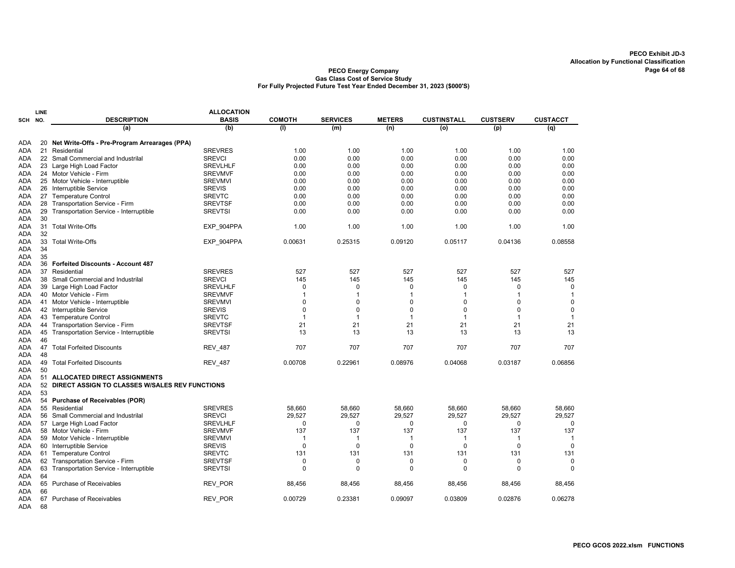|            | LINE |                                                   | <b>ALLOCATION</b> |                |                 |                |                    |                 |                 |
|------------|------|---------------------------------------------------|-------------------|----------------|-----------------|----------------|--------------------|-----------------|-----------------|
| <b>SCH</b> | NO.  | <b>DESCRIPTION</b>                                | <b>BASIS</b>      | <b>COMOTH</b>  | <b>SERVICES</b> | <b>METERS</b>  | <b>CUSTINSTALL</b> | <b>CUSTSERV</b> | <b>CUSTACCT</b> |
|            |      | (a)                                               | (b)               | (1)            | (m)             | (n)            | (o)                | (p)             | (q)             |
|            |      |                                                   |                   |                |                 |                |                    |                 |                 |
| <b>ADA</b> | 20   | Net Write-Offs - Pre-Program Arrearages (PPA)     |                   |                |                 |                |                    |                 |                 |
| ada        | 21   | Residential                                       | <b>SREVRES</b>    | 1.00           | 1.00            | 1.00           | 1.00               | 1.00            | 1.00            |
| ADA        |      | 22 Small Commercial and Industrilal               | <b>SREVCI</b>     | 0.00           | 0.00            | 0.00           | 0.00               | 0.00            | 0.00            |
| ADA        |      | 23 Large High Load Factor                         | <b>SREVLHLF</b>   | 0.00           | 0.00            | 0.00           | 0.00               | 0.00            | 0.00            |
| <b>ADA</b> |      | 24 Motor Vehicle - Firm                           | <b>SREVMVF</b>    | 0.00           | 0.00            | 0.00           | 0.00               | 0.00            | 0.00            |
| ada        |      | 25 Motor Vehicle - Interruptible                  | <b>SREVMVI</b>    | 0.00           | 0.00            | 0.00           | 0.00               | 0.00            | 0.00            |
| ADA        |      | 26 Interruptible Service                          | <b>SREVIS</b>     | 0.00           | 0.00            | 0.00           | 0.00               | 0.00            | 0.00            |
| <b>ADA</b> |      | 27 Temperature Control                            | <b>SREVTC</b>     | 0.00           | 0.00            | 0.00           | 0.00               | 0.00            | 0.00            |
| ada        | 28   | Transportation Service - Firm                     | <b>SREVTSF</b>    | 0.00           | 0.00            | 0.00           | 0.00               | 0.00            | 0.00            |
| ADA        | 29   | Transportation Service - Interruptible            | <b>SREVTSI</b>    | 0.00           | 0.00            | 0.00           | 0.00               | 0.00            | 0.00            |
| ada        | 30   |                                                   |                   |                |                 |                |                    |                 |                 |
| ADA        | 31   | <b>Total Write-Offs</b>                           | EXP 904PPA        | 1.00           | 1.00            | 1.00           | 1.00               | 1.00            | 1.00            |
| <b>ADA</b> | 32   |                                                   |                   |                |                 |                |                    |                 |                 |
| ada        | 33   | <b>Total Write-Offs</b>                           | EXP 904PPA        | 0.00631        | 0.25315         | 0.09120        | 0.05117            | 0.04136         | 0.08558         |
| <b>ADA</b> | 34   |                                                   |                   |                |                 |                |                    |                 |                 |
| ADA        | 35   |                                                   |                   |                |                 |                |                    |                 |                 |
| ADA        |      | 36 Forfeited Discounts - Account 487              |                   |                |                 |                |                    |                 |                 |
| <b>ADA</b> |      | 37 Residential                                    | <b>SREVRES</b>    | 527            | 527             | 527            | 527                | 527             | 527             |
| ADA        | 38   | Small Commercial and Industrilal                  | <b>SREVCI</b>     | 145            | 145             | 145            | 145                | 145             | 145             |
| <b>ADA</b> | 39   | Large High Load Factor                            | <b>SREVLHLF</b>   | $\Omega$       | $\Omega$        | 0              | $\mathbf 0$        | $\Omega$        | 0               |
| ada        |      | 40 Motor Vehicle - Firm                           | <b>SREVMVF</b>    | -1             | -1              | 1              | $\overline{1}$     | 1               | $\mathbf{1}$    |
| <b>ADA</b> | 41   | Motor Vehicle - Interruptible                     | <b>SREVMVI</b>    | $\Omega$       | $\Omega$        | 0              | $\mathbf 0$        | $\Omega$        | $\mathbf 0$     |
| ada        |      | 42 Interruptible Service                          | <b>SREVIS</b>     | $\Omega$       | $\Omega$        | $\Omega$       | $\Omega$           | $\Omega$        | $\mathbf 0$     |
| ADA        | 43   | <b>Temperature Control</b>                        | <b>SREVTC</b>     | $\mathbf{1}$   | $\overline{1}$  | $\overline{1}$ | $\mathbf{1}$       | $\overline{1}$  | $\mathbf{1}$    |
| <b>ADA</b> |      | 44 Transportation Service - Firm                  | <b>SREVTSF</b>    | 21             | 21              | 21             | 21                 | 21              | 21              |
| ADA        | 45   | Transportation Service - Interruptible            | <b>SREVTSI</b>    | 13             | 13              | 13             | 13                 | 13              | 13              |
| ADA        | 46   |                                                   |                   |                |                 |                |                    |                 |                 |
| ADA        |      | 47 Total Forfeited Discounts                      | <b>REV_487</b>    | 707            | 707             | 707            | 707                | 707             | 707             |
| ADA        | 48   |                                                   |                   |                |                 |                |                    |                 |                 |
| ADA        |      | 49 Total Forfeited Discounts                      | <b>REV_487</b>    | 0.00708        | 0.22961         | 0.08976        | 0.04068            | 0.03187         | 0.06856         |
| ada        | 50   |                                                   |                   |                |                 |                |                    |                 |                 |
| ADA        | 51   | <b>ALLOCATED DIRECT ASSIGNMENTS</b>               |                   |                |                 |                |                    |                 |                 |
| ada        |      | 52 DIRECT ASSIGN TO CLASSES W/SALES REV FUNCTIONS |                   |                |                 |                |                    |                 |                 |
| <b>ADA</b> | 53   |                                                   |                   |                |                 |                |                    |                 |                 |
| ADA        |      | 54 Purchase of Receivables (POR)                  |                   |                |                 |                |                    |                 |                 |
| <b>ADA</b> |      | 55 Residential                                    | <b>SREVRES</b>    | 58,660         | 58,660          | 58,660         | 58,660             | 58,660          | 58,660          |
| <b>ADA</b> |      | 56 Small Commercial and Industrilal               | <b>SREVCI</b>     | 29.527         | 29,527          | 29.527         | 29.527             | 29,527          | 29,527          |
| ada        | 57   | Large High Load Factor                            | <b>SREVLHLF</b>   | 0              | 0               | 0              | $\mathbf 0$        | 0               | 0               |
| ADA        |      | 58 Motor Vehicle - Firm                           | <b>SREVMVF</b>    | 137            | 137             | 137            | 137                | 137             | 137             |
| ADA        |      | 59 Motor Vehicle - Interruptible                  | <b>SREVMVI</b>    | $\overline{1}$ | -1              | $\mathbf 1$    | $\mathbf 1$        | -1              | $\overline{1}$  |
| ADA        | 60   | Interruptible Service                             | <b>SREVIS</b>     | $\mathbf 0$    | $\mathbf 0$     | $\mathbf 0$    | $\mathbf 0$        | $\mathbf 0$     | $\mathbf 0$     |
| ada        |      | 61 Temperature Control                            | <b>SREVTC</b>     | 131            | 131             | 131            | 131                | 131             | 131             |
| ada        | 62   | Transportation Service - Firm                     | <b>SREVTSF</b>    | 0              | 0               | 0              | $\mathbf 0$        | 0               | 0               |
| ADA        | 63   | Transportation Service - Interruptible            | <b>SREVTSI</b>    | $\Omega$       | $\Omega$        | $\Omega$       | $\Omega$           | $\Omega$        | $\Omega$        |
| ada        | 64   |                                                   |                   |                |                 |                |                    |                 |                 |
| ADA        | 65   | <b>Purchase of Receivables</b>                    | <b>REV POR</b>    | 88,456         | 88.456          | 88,456         | 88,456             | 88,456          | 88,456          |
| ADA        | 66   |                                                   |                   |                |                 |                |                    |                 |                 |
| ADA        | 67   | Purchase of Receivables                           | REV POR           | 0.00729        | 0.23381         | 0.09097        | 0.03809            | 0.02876         | 0.06278         |
| ADA        | 68   |                                                   |                   |                |                 |                |                    |                 |                 |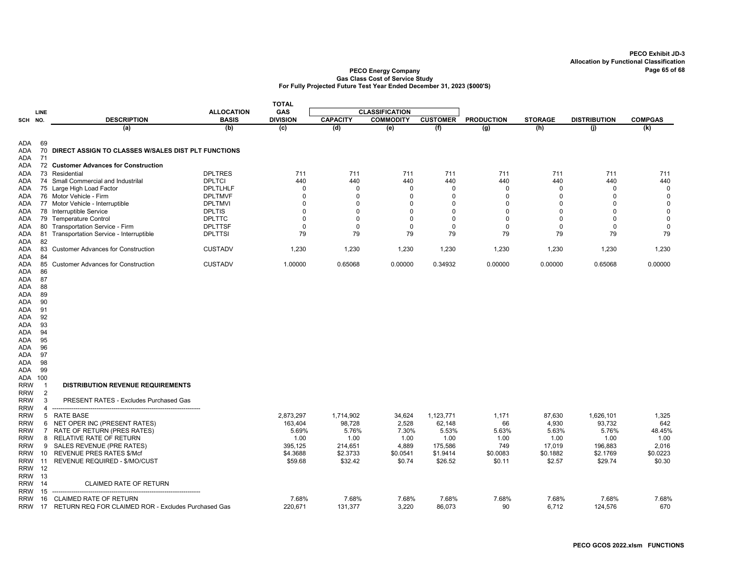|                          |                      |                                                     |                   | <b>TOTAL</b>    |                 |                       |                 |                   |                |                     |                |
|--------------------------|----------------------|-----------------------------------------------------|-------------------|-----------------|-----------------|-----------------------|-----------------|-------------------|----------------|---------------------|----------------|
|                          | LINE                 |                                                     | <b>ALLOCATION</b> | GAS             |                 | <b>CLASSIFICATION</b> |                 |                   |                |                     |                |
| SCH NO.                  |                      | <b>DESCRIPTION</b>                                  | <b>BASIS</b>      | <b>DIVISION</b> | <b>CAPACITY</b> | <b>COMMODITY</b>      | <b>CUSTOMER</b> | <b>PRODUCTION</b> | <b>STORAGE</b> | <b>DISTRIBUTION</b> | <b>COMPGAS</b> |
|                          |                      | (a)                                                 | (b)               | (c)             | (d)             | (e)                   | (f)             | (g)               | (h)            | (i)                 | (k)            |
| ADA.<br>ADA<br>ADA       | 69<br>70<br>71       | DIRECT ASSIGN TO CLASSES W/SALES DIST PLT FUNCTIONS |                   |                 |                 |                       |                 |                   |                |                     |                |
| ADA                      |                      | 72 Customer Advances for Construction               |                   |                 |                 |                       |                 |                   |                |                     |                |
| ADA                      | 73                   | Residential                                         | <b>DPLTRES</b>    | 711             | 711             | 711                   | 711             | 711               | 711            | 711                 | 711            |
| ADA                      | 74                   | Small Commercial and Industrilal                    | <b>DPLTCI</b>     | 440             | 440             | 440                   | 440             | 440               | 440            | 440                 | 440            |
| ADA                      |                      | 75 Large High Load Factor                           | DPLTLHLF          | 0               | $\mathbf 0$     | 0                     | 0               | 0                 | $\mathbf 0$    | $\Omega$            | $\mathbf 0$    |
| ADA                      |                      | 76 Motor Vehicle - Firm                             | <b>DPLTMVF</b>    | $\Omega$        | $\Omega$        | $\Omega$              | $\Omega$        | $\Omega$          | $\Omega$       | $\Omega$            | $\mathbf 0$    |
| ADA                      |                      | 77 Motor Vehicle - Interruptible                    | <b>DPLTMVI</b>    | $\Omega$        | $\Omega$        | $\Omega$              | $\mathbf 0$     | $\mathbf 0$       | $\Omega$       | $\Omega$            | $\mathbf 0$    |
| ADA                      | 78                   | Interruptible Service                               | <b>DPLTIS</b>     | $\mathbf{0}$    | $\Omega$        | $\Omega$              | $\mathbf 0$     | $\mathbf 0$       | $\Omega$       | $\Omega$            | $\mathsf 0$    |
| ADA                      | 79                   | <b>Temperature Control</b>                          | <b>DPLTTC</b>     | $\Omega$        | $\mathbf 0$     | $\Omega$              | $\mathbf 0$     | $\mathbf 0$       | $\Omega$       | $\Omega$            | 0              |
| ADA                      |                      | 80 Transportation Service - Firm                    | <b>DPLTTSF</b>    | $\mathbf 0$     | $\mathbf 0$     | $\Omega$              | $\mathbf 0$     | $\mathbf 0$       | 0              | $\Omega$            | $\mathbf 0$    |
| ADA<br>ADA               | 81<br>82             | Transportation Service - Interruptible              | <b>DPLTTSI</b>    | 79              | 79              | 79                    | 79              | 79                | 79             | 79                  | 79             |
| <b>ADA</b><br>ADA        | 83<br>84             | <b>Customer Advances for Construction</b>           | <b>CUSTADV</b>    | 1,230           | 1,230           | 1,230                 | 1,230           | 1,230             | 1,230          | 1,230               | 1,230          |
| ADA<br>ADA<br>ADA        | 85<br>86<br>87       | <b>Customer Advances for Construction</b>           | <b>CUSTADV</b>    | 1.00000         | 0.65068         | 0.00000               | 0.34932         | 0.00000           | 0.00000        | 0.65068             | 0.00000        |
| ADA<br>ADA<br>ADA        | 88<br>89<br>90       |                                                     |                   |                 |                 |                       |                 |                   |                |                     |                |
| ADA                      | 91<br>92             |                                                     |                   |                 |                 |                       |                 |                   |                |                     |                |
| ADA<br>ADA               | 93                   |                                                     |                   |                 |                 |                       |                 |                   |                |                     |                |
| <b>ADA</b>               | 94                   |                                                     |                   |                 |                 |                       |                 |                   |                |                     |                |
| ADA                      | 95                   |                                                     |                   |                 |                 |                       |                 |                   |                |                     |                |
| ADA                      | 96                   |                                                     |                   |                 |                 |                       |                 |                   |                |                     |                |
| ADA                      | 97                   |                                                     |                   |                 |                 |                       |                 |                   |                |                     |                |
| ADA                      | 98                   |                                                     |                   |                 |                 |                       |                 |                   |                |                     |                |
| ADA                      | 99                   |                                                     |                   |                 |                 |                       |                 |                   |                |                     |                |
| ADA                      | 100                  |                                                     |                   |                 |                 |                       |                 |                   |                |                     |                |
| <b>RRW</b><br><b>RRW</b> | -1<br>$\overline{2}$ | <b>DISTRIBUTION REVENUE REQUIREMENTS</b>            |                   |                 |                 |                       |                 |                   |                |                     |                |
| <b>RRW</b><br><b>RRW</b> | 3<br>$\overline{4}$  | PRESENT RATES - Excludes Purchased Gas              |                   |                 |                 |                       |                 |                   |                |                     |                |
| <b>RRW</b>               | 5                    | <b>RATE BASE</b>                                    |                   | 2,873,297       | 1,714,902       | 34,624                | 1,123,771       | 1,171             | 87,630         | 1,626,101           | 1,325          |
| <b>RRW</b>               | 6                    | NET OPER INC (PRESENT RATES)                        |                   | 163.404         | 98.728          | 2,528                 | 62.148          | 66                | 4,930          | 93.732              | 642            |
| <b>RRW</b>               | 7                    | RATE OF RETURN (PRES RATES)                         |                   | 5.69%           | 5.76%           | 7.30%                 | 5.53%           | 5.63%             | 5.63%          | 5.76%               | 48.45%         |
| <b>RRW</b>               | 8                    | RELATIVE RATE OF RETURN                             |                   | 1.00            | 1.00            | 1.00                  | 1.00            | 1.00              | 1.00           | 1.00                | 1.00           |
| <b>RRW</b>               | 9                    | SALES REVENUE (PRE RATES)                           |                   | 395,125         | 214,651         | 4,889                 | 175,586         | 749               | 17,019         | 196,883             | 2,016          |
| <b>RRW</b>               | 10                   | <b>REVENUE PRES RATES \$/Mcf</b>                    |                   | \$4.3688        | \$2.3733        | \$0.0541              | \$1.9414        | \$0.0083          | \$0.1882       | \$2.1769            | \$0.0223       |
| <b>RRW</b>               | 11                   | REVENUE REQUIRED - \$/MO/CUST                       |                   | \$59.68         | \$32.42         | \$0.74                | \$26.52         | \$0.11            | \$2.57         | \$29.74             | \$0.30         |
| RRW                      | 12                   |                                                     |                   |                 |                 |                       |                 |                   |                |                     |                |
|                          | <b>RRW 13</b>        |                                                     |                   |                 |                 |                       |                 |                   |                |                     |                |
| RRW                      | 14                   | <b>CLAIMED RATE OF RETURN</b>                       |                   |                 |                 |                       |                 |                   |                |                     |                |
| <b>RRW</b>               | 15                   |                                                     |                   |                 |                 |                       |                 |                   |                |                     |                |
| <b>RRW</b>               | 16                   | <b>CLAIMED RATE OF RETURN</b>                       |                   | 7.68%           | 7.68%           | 7.68%                 | 7.68%           | 7.68%             | 7.68%          | 7.68%               | 7.68%          |
| RRW                      | 17                   | RETURN REQ FOR CLAIMED ROR - Excludes Purchased Gas |                   | 220,671         | 131,377         | 3,220                 | 86,073          | 90                | 6,712          | 124,576             | 670            |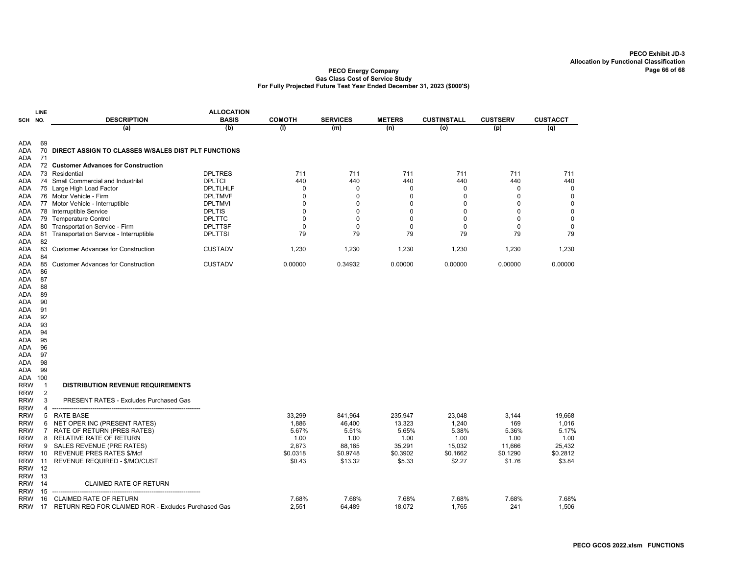|            | <b>LINE</b>    |                                                     | <b>ALLOCATION</b> |               |                 |               |                    |                 |                 |
|------------|----------------|-----------------------------------------------------|-------------------|---------------|-----------------|---------------|--------------------|-----------------|-----------------|
| SCH        | NO.            | <b>DESCRIPTION</b>                                  | <b>BASIS</b>      | <b>COMOTH</b> | <b>SERVICES</b> | <b>METERS</b> | <b>CUSTINSTALL</b> | <b>CUSTSERV</b> | <b>CUSTACCT</b> |
|            |                | (a)                                                 | (b)               | (1)           | (m)             | (n)           | (o)                | (p)             | $\overline{q}$  |
| ada        | 69             |                                                     |                   |               |                 |               |                    |                 |                 |
| <b>ADA</b> | 70<br>71       | DIRECT ASSIGN TO CLASSES W/SALES DIST PLT FUNCTIONS |                   |               |                 |               |                    |                 |                 |
| ADA<br>ada |                | 72 Customer Advances for Construction               |                   |               |                 |               |                    |                 |                 |
| ada        |                | 73 Residential                                      | <b>DPLTRES</b>    | 711           | 711             | 711           | 711                | 711             | 711             |
| ada        |                | 74 Small Commercial and Industrilal                 | <b>DPLTCI</b>     | 440           | 440             | 440           | 440                | 440             | 440             |
| ada        |                | 75 Large High Load Factor                           | DPLTLHLF          | 0             | 0               | $\Omega$      | 0                  | $\Omega$        | $\mathbf 0$     |
| ada        |                | 76 Motor Vehicle - Firm                             | <b>DPLTMVF</b>    | $\Omega$      | $\mathbf 0$     | O             | 0                  | $\Omega$        | $\mathbf 0$     |
| ADA        |                | 77 Motor Vehicle - Interruptible                    | <b>DPLTMVI</b>    | 0             | $\mathbf 0$     | $\Omega$      | 0                  | $\Omega$        | $\mathbf 0$     |
| ADA        |                | 78 Interruptible Service                            | <b>DPLTIS</b>     | 0             | 0               | 0             | 0                  | 0               | 0               |
| ada        |                | 79 Temperature Control                              | <b>DPLTTC</b>     | 0             | $\mathbf 0$     | $\Omega$      | 0                  | $\mathbf 0$     | $\mathbf 0$     |
| ADA        | 80             | Transportation Service - Firm                       | <b>DPLTTSF</b>    | 0             | $\mathbf 0$     | $\mathbf 0$   | 0                  | 0               | $\mathbf 0$     |
| ADA        | 81             | Transportation Service - Interruptible              | <b>DPLTTSI</b>    | 79            | 79              | 79            | 79                 | 79              | 79              |
| ada        | 82             |                                                     |                   |               |                 |               |                    |                 |                 |
| ADA        | 83             | <b>Customer Advances for Construction</b>           | <b>CUSTADV</b>    | 1,230         | 1,230           | 1,230         | 1,230              | 1,230           | 1,230           |
| ADA        | 84             |                                                     |                   |               |                 |               |                    |                 |                 |
| ADA        | 85             | <b>Customer Advances for Construction</b>           | <b>CUSTADV</b>    | 0.00000       | 0.34932         | 0.00000       | 0.00000            | 0.00000         | 0.00000         |
| ada        | 86             |                                                     |                   |               |                 |               |                    |                 |                 |
| ada        | 87             |                                                     |                   |               |                 |               |                    |                 |                 |
| ADA        | 88             |                                                     |                   |               |                 |               |                    |                 |                 |
| ADA        | 89             |                                                     |                   |               |                 |               |                    |                 |                 |
| ada        | 90             |                                                     |                   |               |                 |               |                    |                 |                 |
| ADA        | 91             |                                                     |                   |               |                 |               |                    |                 |                 |
| ADA        | 92             |                                                     |                   |               |                 |               |                    |                 |                 |
| ada        | 93             |                                                     |                   |               |                 |               |                    |                 |                 |
| ada        | 94             |                                                     |                   |               |                 |               |                    |                 |                 |
| ADA        | 95             |                                                     |                   |               |                 |               |                    |                 |                 |
| ada        | 96             |                                                     |                   |               |                 |               |                    |                 |                 |
| ada        | 97             |                                                     |                   |               |                 |               |                    |                 |                 |
| ada        | 98             |                                                     |                   |               |                 |               |                    |                 |                 |
| ada        | 99             |                                                     |                   |               |                 |               |                    |                 |                 |
| ADA        | 100            |                                                     |                   |               |                 |               |                    |                 |                 |
| <b>RRW</b> | $\mathbf 1$    | <b>DISTRIBUTION REVENUE REQUIREMENTS</b>            |                   |               |                 |               |                    |                 |                 |
| RRW        | $\overline{2}$ |                                                     |                   |               |                 |               |                    |                 |                 |
| <b>RRW</b> | 3              | PRESENT RATES - Excludes Purchased Gas              |                   |               |                 |               |                    |                 |                 |
| <b>RRW</b> | 4              |                                                     |                   |               |                 |               |                    |                 |                 |
| <b>RRW</b> | 5              | RATE BASE                                           |                   | 33,299        | 841,964         | 235,947       | 23,048             | 3,144           | 19,668          |
| <b>RRW</b> | 6              | NET OPER INC (PRESENT RATES)                        |                   | 1,886         | 46,400          | 13,323        | 1,240              | 169             | 1,016           |
| RRW        | $\overline{7}$ | RATE OF RETURN (PRES RATES)                         |                   | 5.67%         | 5.51%           | 5.65%         | 5.38%              | 5.36%           | 5.17%           |
| <b>RRW</b> | 8              | RELATIVE RATE OF RETURN                             |                   | 1.00          | 1.00            | 1.00          | 1.00               | 1.00            | 1.00            |
| <b>RRW</b> | 9              | SALES REVENUE (PRE RATES)                           |                   | 2,873         | 88,165          | 35,291        | 15,032             | 11,666          | 25,432          |
| <b>RRW</b> | 10             | <b>REVENUE PRES RATES \$/Mcf</b>                    |                   | \$0.0318      | \$0.9748        | \$0.3902      | \$0.1662           | \$0.1290        | \$0.2812        |
| <b>RRW</b> | 11             | REVENUE REQUIRED - \$/MO/CUST                       |                   | \$0.43        | \$13.32         | \$5.33        | \$2.27             | \$1.76          | \$3.84          |
| <b>RRW</b> | 12             |                                                     |                   |               |                 |               |                    |                 |                 |
| <b>RRW</b> | 13             |                                                     |                   |               |                 |               |                    |                 |                 |
| <b>RRW</b> | 14             | <b>CLAIMED RATE OF RETURN</b>                       |                   |               |                 |               |                    |                 |                 |
| <b>RRW</b> | 15             |                                                     |                   |               |                 |               |                    |                 |                 |
| <b>RRW</b> | 16             | <b>CLAIMED RATE OF RETURN</b>                       |                   | 7.68%         | 7.68%           | 7.68%         | 7.68%              | 7.68%           | 7.68%           |
| <b>RRW</b> | 17             | RETURN REQ FOR CLAIMED ROR - Excludes Purchased Gas |                   | 2,551         | 64,489          | 18,072        | 1,765              | 241             | 1,506           |
|            |                |                                                     |                   |               |                 |               |                    |                 |                 |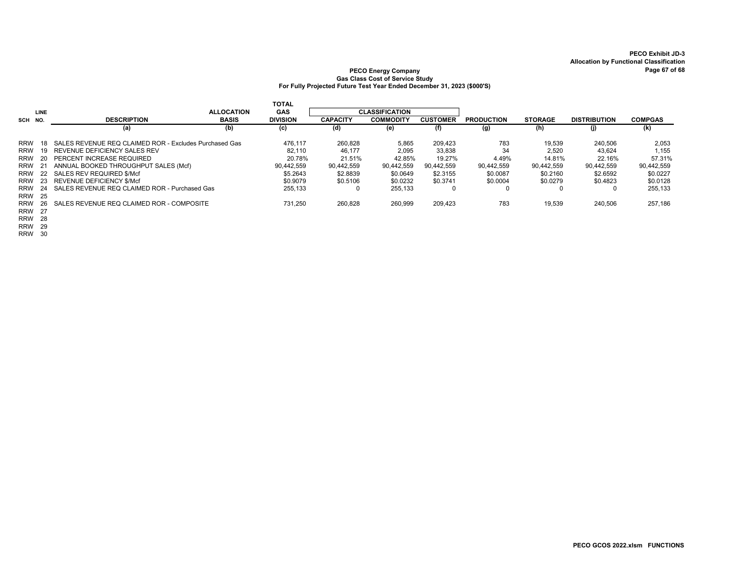#### PECO Energy Company Page 10 of 58 and 20 of 68 and 20 of 68 and 20 of 68 and 20 of 68 and 20 of 68 and 20 of 68 and 20 of 68 and 20 of 68 and 20 of 70 of 70 of 70 of 70 of 70 of 70 of 70 of 70 of 70 of 70 of 70 of 70 of 70 Gas Class Cost of Service Study For Fully Projected Future Test Year Ended December 31, 2023 (\$000'S)

|            |      |                                                        |                   | <b>TOTAL</b>    |                 |                       |                 |                   |                |                     |                |
|------------|------|--------------------------------------------------------|-------------------|-----------------|-----------------|-----------------------|-----------------|-------------------|----------------|---------------------|----------------|
|            | LINE |                                                        | <b>ALLOCATION</b> | <b>GAS</b>      |                 | <b>CLASSIFICATION</b> |                 |                   |                |                     |                |
| SCH NO.    |      | <b>DESCRIPTION</b>                                     | <b>BASIS</b>      | <b>DIVISION</b> | <b>CAPACITY</b> | <b>COMMODITY</b>      | <b>CUSTOMER</b> | <b>PRODUCTION</b> | <b>STORAGE</b> | <b>DISTRIBUTION</b> | <b>COMPGAS</b> |
|            |      | (a)                                                    | (b)               | (c)             | (d)             | (e)                   | (f)             | (g)               | (h)            | (j)                 | (k)            |
| <b>RRW</b> | 18   | SALES REVENUE REQ CLAIMED ROR - Excludes Purchased Gas |                   | 476.117         | 260.828         | 5,865                 | 209.423         | 783               | 19.539         | 240.506             | 2,053          |
| <b>RRW</b> | 19   | REVENUE DEFICIENCY SALES REV                           |                   | 82.110          | 46.177          | 2,095                 | 33,838          | 34                | 2,520          | 43,624              | 1,155          |
| <b>RRW</b> | 20.  | PERCENT INCREASE REQUIRED                              |                   | 20.78%          | 21.51%          | 42.85%                | 19.27%          | 4.49%             | 14.81%         | 22.16%              | 57.31%         |
| <b>RRW</b> |      | ANNUAL BOOKED THROUGHPUT SALES (Mcf)                   |                   | 90,442,559      | 90,442,559      | 90,442,559            | 90.442.559      | 90.442.559        | 90.442.559     | 90.442.559          | 90,442,559     |
| <b>RRW</b> | 22   | SALES REV REQUIRED \$/Mcf                              |                   | \$5.2643        | \$2.8839        | \$0.0649              | \$2,3155        | \$0.0087          | \$0.2160       | \$2.6592            | \$0.0227       |
| <b>RRW</b> | 23   | <b>REVENUE DEFICIENCY \$/Mcf</b>                       |                   | \$0.9079        | \$0.5106        | \$0.0232              | \$0.3741        | \$0,0004          | \$0.0279       | \$0.4823            | \$0.0128       |
| <b>RRW</b> | 24   | SALES REVENUE REQ CLAIMED ROR - Purchased Gas          |                   | 255.133         |                 | 255.133               | $\Omega$        |                   |                | 0                   | 255,133        |
| <b>RRW</b> | - 25 |                                                        |                   |                 |                 |                       |                 |                   |                |                     |                |
| <b>RRW</b> | 26.  | SALES REVENUE REQ CLAIMED ROR - COMPOSITE              |                   | 731.250         | 260,828         | 260,999               | 209,423         | 783               | 19,539         | 240,506             | 257,186        |
| RRW        | - 27 |                                                        |                   |                 |                 |                       |                 |                   |                |                     |                |
|            | P''  |                                                        |                   |                 |                 |                       |                 |                   |                |                     |                |

RRW 28

RRW 29

RRW 30